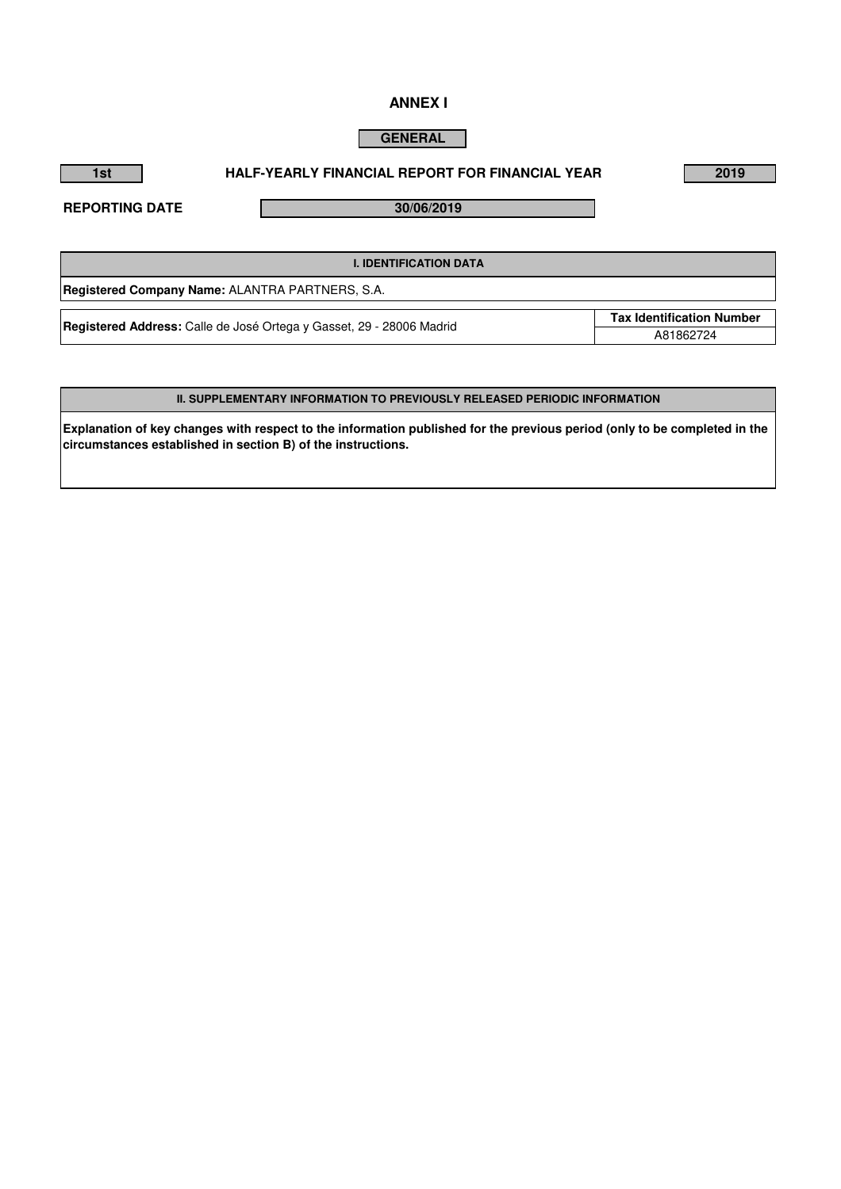# **ANNEX I**

# **GENERAL**

# **1st 2019 HALF-YEARLY FINANCIAL REPORT FOR FINANCIAL YEAR**

**REPORTING DATE**

**30/06/2019** 

| <b>I. IDENTIFICATION DATA</b>                                               |                                  |
|-----------------------------------------------------------------------------|----------------------------------|
| Registered Company Name: ALANTRA PARTNERS, S.A.                             |                                  |
| <b>Registered Address:</b> Calle de José Ortega y Gasset, 29 - 28006 Madrid | <b>Tax Identification Number</b> |
|                                                                             | A81862724                        |

# **II. SUPPLEMENTARY INFORMATION TO PREVIOUSLY RELEASED PERIODIC INFORMATION**

**Explanation of key changes with respect to the information published for the previous period (only to be completed in the circumstances established in section B) of the instructions.**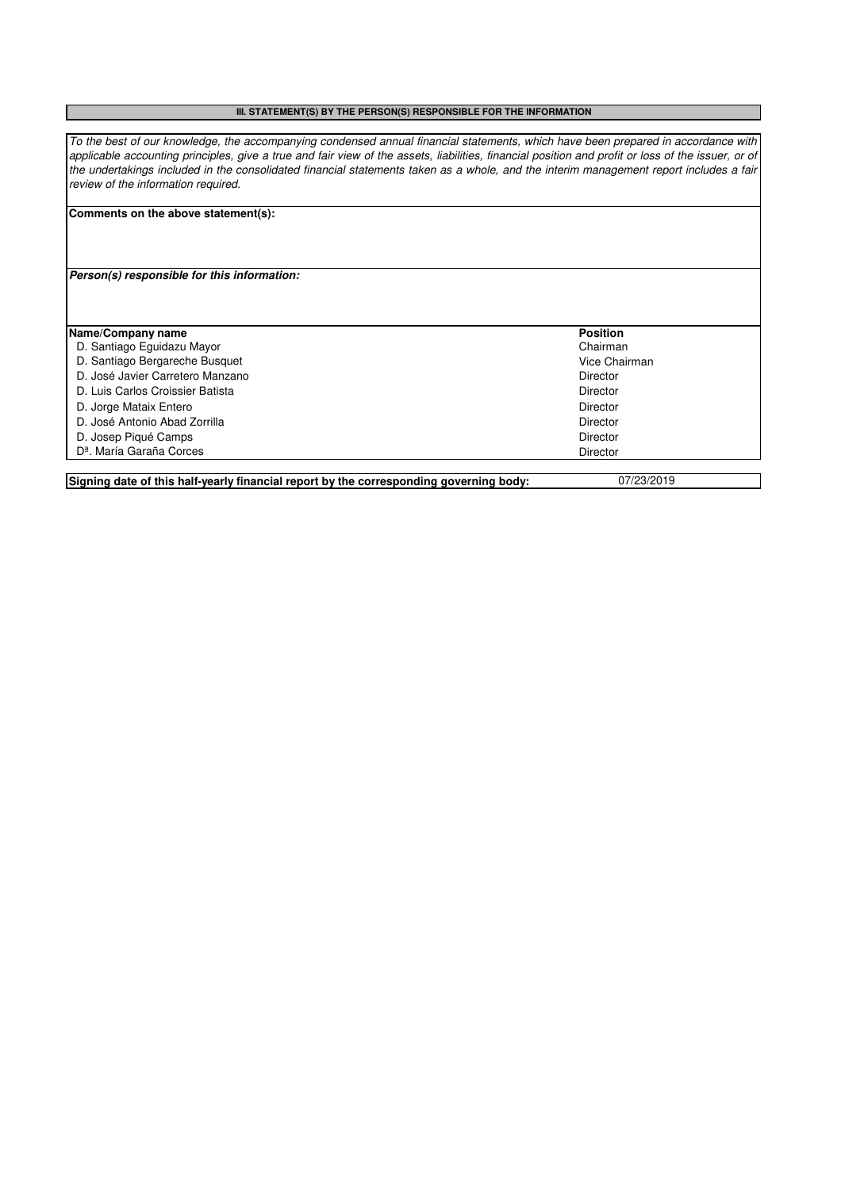#### **III. STATEMENT(S) BY THE PERSON(S) RESPONSIBLE FOR THE INFORMATION**

*To the best of our knowledge, the accompanying condensed annual financial statements, which have been prepared in accordance with applicable accounting principles, give a true and fair view of the assets, liabilities, financial position and profit or loss of the issuer, or of the undertakings included in the consolidated financial statements taken as a whole, and the interim management report includes a fair review of the information required.*

## **Comments on the above statement(s):**

# **Person(s) responsible for this information:**

| Name/Company name                    | <b>Position</b> |
|--------------------------------------|-----------------|
| D. Santiago Eguidazu Mayor           | Chairman        |
| D. Santiago Bergareche Busquet       | Vice Chairman   |
| D. José Javier Carretero Manzano     | Director        |
| D. Luis Carlos Croissier Batista     | <b>Director</b> |
| D. Jorge Mataix Entero               | <b>Director</b> |
| D. José Antonio Abad Zorrilla        | Director        |
| D. Josep Piqué Camps                 | <b>Director</b> |
| D <sup>a</sup> . María Garaña Corces | Director        |
|                                      |                 |

**Signing date of this half-yearly financial report by the corresponding governing body:** 07/23/2019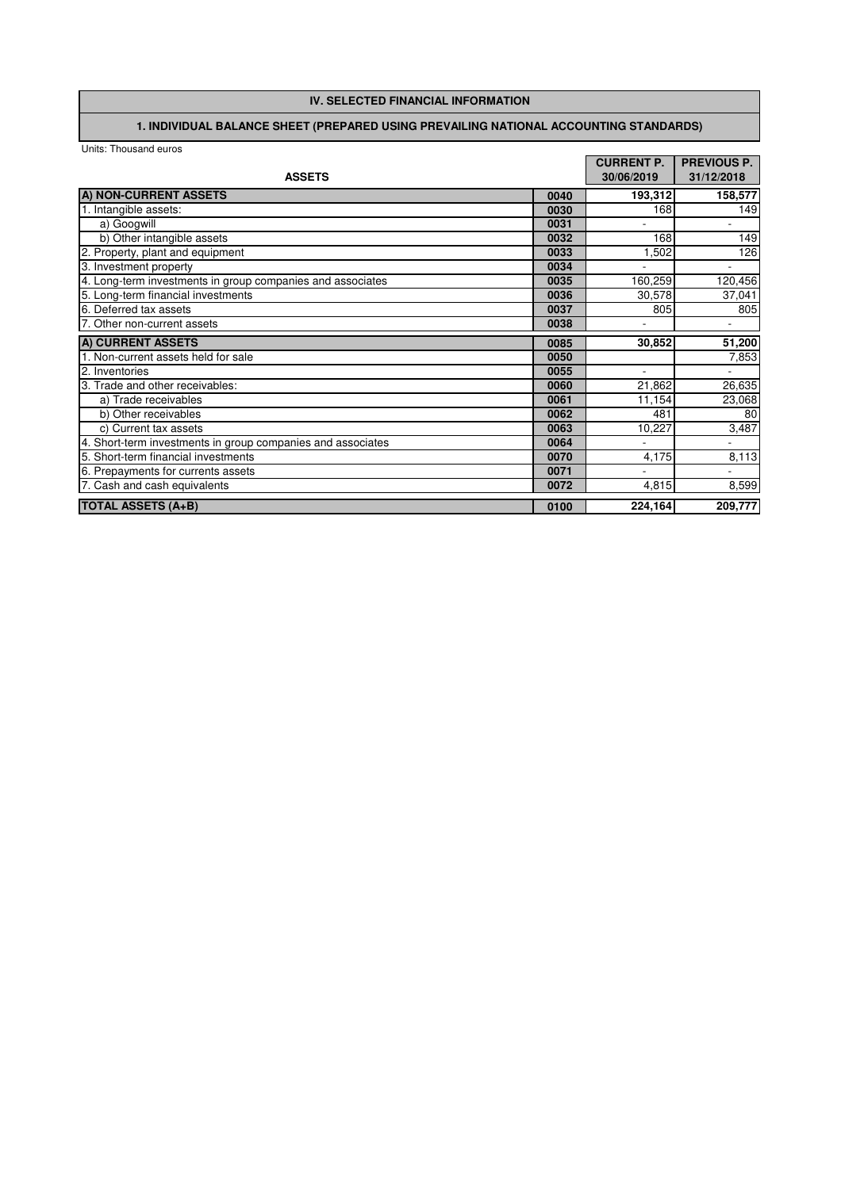# **IV. SELECTED FINANCIAL INFORMATION**

# **1. INDIVIDUAL BALANCE SHEET (PREPARED USING PREVAILING NATIONAL ACCOUNTING STANDARDS)**

|                                                             |      | <b>CURRENT P.</b> | <b>PREVIOUS P.</b> |
|-------------------------------------------------------------|------|-------------------|--------------------|
| <b>ASSETS</b>                                               |      | 30/06/2019        | 31/12/2018         |
| A) NON-CURRENT ASSETS                                       | 0040 | 193,312           | 158,577            |
| 1. Intangible assets:                                       | 0030 | 168               | 149                |
| a) Googwill                                                 | 0031 |                   |                    |
| b) Other intangible assets                                  | 0032 | 168               | 149                |
| 2. Property, plant and equipment                            | 0033 | 1,502             | 126                |
| 3. Investment property                                      | 0034 |                   |                    |
| 4. Long-term investments in group companies and associates  | 0035 | 160,259           | 120,456            |
| 5. Long-term financial investments                          | 0036 | 30,578            | 37,041             |
| 6. Deferred tax assets                                      | 0037 | 805               | 805                |
| 7. Other non-current assets                                 | 0038 |                   |                    |
| A) CURRENT ASSETS                                           | 0085 | 30,852            | 51,200             |
| . Non-current assets held for sale                          | 0050 |                   | 7,853              |
| 2. Inventories                                              | 0055 | ٠                 |                    |
| 3. Trade and other receivables:                             | 0060 | 21,862            | 26,635             |
| a) Trade receivables                                        | 0061 | 11,154            | 23,068             |
| b) Other receivables                                        | 0062 | 481               | 80                 |
| c) Current tax assets                                       | 0063 | 10,227            | 3,487              |
| 4. Short-term investments in group companies and associates | 0064 |                   |                    |
| 5. Short-term financial investments                         | 0070 | 4,175             | 8,113              |
| 6. Prepayments for currents assets                          | 0071 |                   |                    |
| 7. Cash and cash equivalents                                | 0072 | 4,815             | 8,599              |
| <b>TOTAL ASSETS (A+B)</b>                                   | 0100 | 224,164           | 209,777            |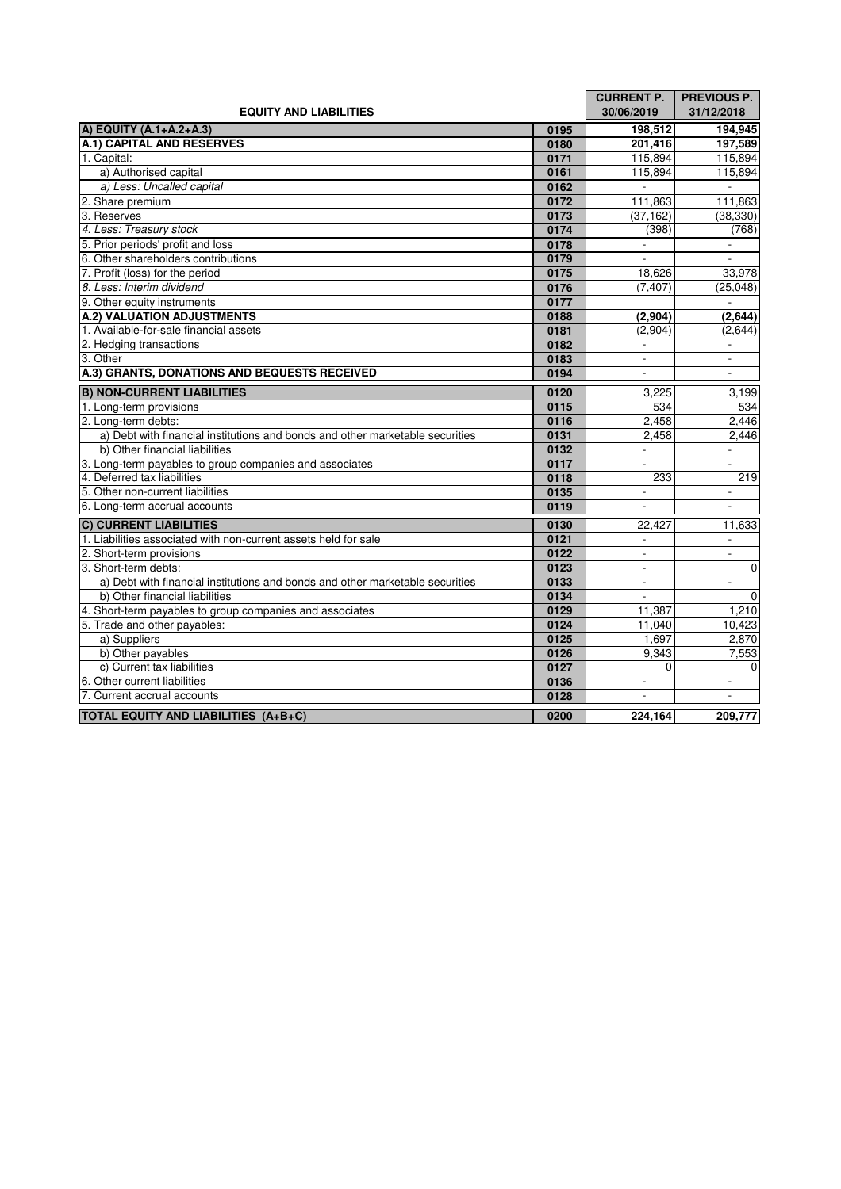|                                                                               |      | <b>CURRENT P.</b>           | <b>PREVIOUS P.</b>       |
|-------------------------------------------------------------------------------|------|-----------------------------|--------------------------|
| <b>EQUITY AND LIABILITIES</b>                                                 |      | 30/06/2019                  | 31/12/2018               |
| A) EQUITY (A.1+A.2+A.3)                                                       | 0195 | 198.512                     | 194,945                  |
| A.1) CAPITAL AND RESERVES                                                     | 0180 | 201,416                     | 197,589                  |
| 1. Capital:                                                                   | 0171 | 115,894                     | 115,894                  |
| a) Authorised capital                                                         | 0161 | 115,894                     | 115,894                  |
| a) Less: Uncalled capital                                                     | 0162 | $\sim$                      | $\overline{\phantom{a}}$ |
| 2. Share premium                                                              | 0172 | 111,863                     | 111,863                  |
| 3. Reserves                                                                   | 0173 | (37, 162)                   | (38, 330)                |
| 4. Less: Treasury stock                                                       | 0174 | (398)                       | (768)                    |
| 5. Prior periods' profit and loss                                             | 0178 | $\sim$                      | $\overline{\phantom{a}}$ |
| 6. Other shareholders contributions                                           | 0179 | $\sim$                      | $\mathbf{r}$             |
| 7. Profit (loss) for the period                                               | 0175 | 18,626                      | 33,978                   |
| 8. Less: Interim dividend                                                     | 0176 | (7, 407)                    | (25,048)                 |
| 9. Other equity instruments                                                   | 0177 |                             |                          |
| A.2) VALUATION ADJUSTMENTS                                                    | 0188 | (2,904)                     | (2,644)                  |
| 1. Available-for-sale financial assets                                        | 0181 | (2,904)                     | (2,644)                  |
| 2. Hedging transactions                                                       | 0182 |                             |                          |
| 3. Other                                                                      | 0183 | $\mathcal{L}^{\mathcal{A}}$ | $\mathcal{L}$            |
| A.3) GRANTS, DONATIONS AND BEQUESTS RECEIVED                                  | 0194 |                             | $\sim$                   |
| <b>B) NON-CURRENT LIABILITIES</b>                                             | 0120 | 3.225                       | 3,199                    |
| 1. Long-term provisions                                                       | 0115 | 534                         | 534                      |
| 2. Long-term debts:                                                           | 0116 | 2,458                       | 2,446                    |
| a) Debt with financial institutions and bonds and other marketable securities | 0131 | 2.458                       | 2.446                    |
| b) Other financial liabilities                                                | 0132 | $\frac{1}{2}$               | ÷,                       |
| 3. Long-term payables to group companies and associates                       | 0117 |                             |                          |
| 4. Deferred tax liabilities                                                   | 0118 | 233                         | 219                      |
| 5. Other non-current liabilities                                              | 0135 | $\overline{\phantom{a}}$    |                          |
| 6. Long-term accrual accounts                                                 | 0119 |                             |                          |
| <b>C) CURRENT LIABILITIES</b>                                                 | 0130 | 22,427                      | 11,633                   |
| 1. Liabilities associated with non-current assets held for sale               | 0121 |                             |                          |
| 2. Short-term provisions                                                      | 0122 | $\omega$                    | $\overline{\phantom{a}}$ |
| 3. Short-term debts:                                                          | 0123 | $\mathbf{r}$                | $\bullet$                |
| a) Debt with financial institutions and bonds and other marketable securities | 0133 | $\mathbf{r}$                | $\overline{\phantom{a}}$ |
| b) Other financial liabilities                                                | 0134 | $\overline{\phantom{a}}$    | $\bullet$                |
| 4. Short-term payables to group companies and associates                      | 0129 | 11,387                      | 1,210                    |
| 5. Trade and other payables:                                                  | 0124 | 11,040                      | 10,423                   |
| a) Suppliers                                                                  | 0125 | 1,697                       | 2,870                    |
| b) Other payables                                                             | 0126 | 9,343                       | 7,553                    |
| c) Current tax liabilities                                                    | 0127 | $\Omega$                    | $\mathbf 0$              |
| 6. Other current liabilities                                                  | 0136 | $\mathbf{r}$                | $\blacksquare$           |
| 7. Current accrual accounts                                                   | 0128 | $\overline{\phantom{a}}$    | $\overline{\phantom{a}}$ |
| <b>TOTAL EQUITY AND LIABILITIES (A+B+C)</b>                                   | 0200 | 224,164                     | 209,777                  |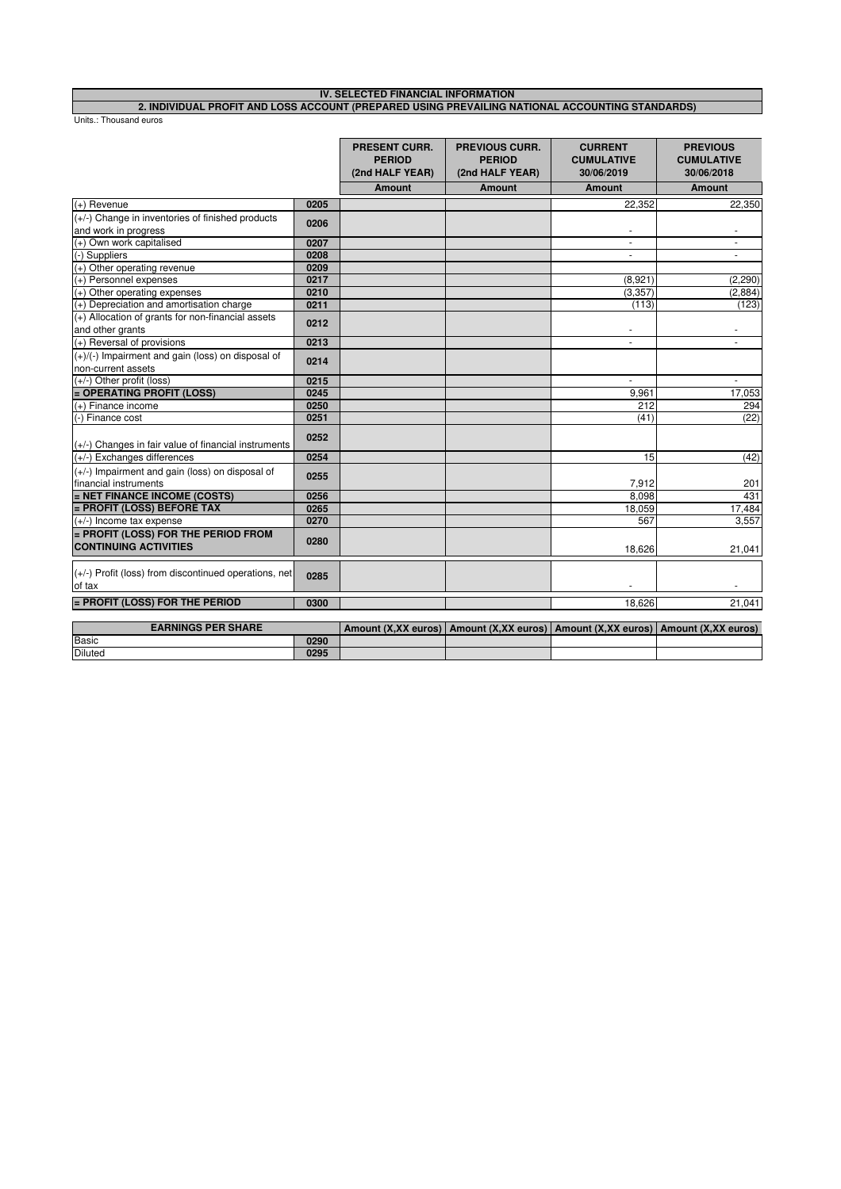#### **IV. SELECTED FINANCIAL INFORMATION 2. INDIVIDUAL PROFIT AND LOSS ACCOUNT (PREPARED USING PREVAILING NATIONAL ACCOUNTING STANDARDS)**

|                                                                            |      | <b>PRESENT CURR.</b><br><b>PERIOD</b><br>(2nd HALF YEAR) | <b>PREVIOUS CURR.</b><br><b>PERIOD</b><br>(2nd HALF YEAR)                             | <b>CURRENT</b><br><b>CUMULATIVE</b><br>30/06/2019 | <b>PREVIOUS</b><br><b>CUMULATIVE</b><br>30/06/2018 |
|----------------------------------------------------------------------------|------|----------------------------------------------------------|---------------------------------------------------------------------------------------|---------------------------------------------------|----------------------------------------------------|
|                                                                            |      | <b>Amount</b>                                            | <b>Amount</b>                                                                         | <b>Amount</b>                                     | <b>Amount</b>                                      |
| (+) Revenue                                                                | 0205 |                                                          |                                                                                       | 22.352                                            | 22,350                                             |
| (+/-) Change in inventories of finished products<br>and work in progress   | 0206 |                                                          |                                                                                       | $\overline{\phantom{a}}$                          |                                                    |
| (+) Own work capitalised                                                   | 0207 |                                                          |                                                                                       | $\blacksquare$                                    | $\overline{\phantom{a}}$                           |
| (-) Suppliers                                                              | 0208 |                                                          |                                                                                       | ٠                                                 |                                                    |
| (+) Other operating revenue                                                | 0209 |                                                          |                                                                                       |                                                   |                                                    |
| (+) Personnel expenses                                                     | 0217 |                                                          |                                                                                       | (8,921)                                           | (2, 290)                                           |
| (+) Other operating expenses                                               | 0210 |                                                          |                                                                                       | (3, 357)                                          | (2,884)                                            |
| (+) Depreciation and amortisation charge                                   | 0211 |                                                          |                                                                                       | (113)                                             | (123)                                              |
| $(+)$ Allocation of grants for non-financial assets<br>and other grants    | 0212 |                                                          |                                                                                       | $\overline{\phantom{a}}$                          | $\overline{\phantom{a}}$                           |
| (+) Reversal of provisions                                                 | 0213 |                                                          |                                                                                       |                                                   |                                                    |
| $(+)/(-)$ Impairment and gain (loss) on disposal of                        | 0214 |                                                          |                                                                                       |                                                   |                                                    |
| non-current assets                                                         |      |                                                          |                                                                                       |                                                   |                                                    |
| $(+/-)$ Other profit (loss)                                                | 0215 |                                                          |                                                                                       |                                                   |                                                    |
| = OPERATING PROFIT (LOSS)                                                  | 0245 |                                                          |                                                                                       | 9,961                                             | 17,053                                             |
| $(+)$ Finance income                                                       | 0250 |                                                          |                                                                                       | 212                                               | 294                                                |
| (-) Finance cost                                                           | 0251 |                                                          |                                                                                       | (41)                                              | (22)                                               |
| $(+/-)$ Changes in fair value of financial instruments                     | 0252 |                                                          |                                                                                       |                                                   |                                                    |
| (+/-) Exchanges differences                                                | 0254 |                                                          |                                                                                       | 15                                                | (42)                                               |
| $(+/-)$ Impairment and gain (loss) on disposal of<br>financial instruments | 0255 |                                                          |                                                                                       | 7.912                                             | 201                                                |
| = NET FINANCE INCOME (COSTS)                                               | 0256 |                                                          |                                                                                       | 8,098                                             | 431                                                |
| = PROFIT (LOSS) BEFORE TAX                                                 | 0265 |                                                          |                                                                                       | 18,059                                            | 17,484                                             |
| $(+/-)$ Income tax expense                                                 | 0270 |                                                          |                                                                                       | 567                                               | 3.557                                              |
| = PROFIT (LOSS) FOR THE PERIOD FROM<br><b>CONTINUING ACTIVITIES</b>        | 0280 |                                                          |                                                                                       | 18.626                                            | 21,041                                             |
|                                                                            |      |                                                          |                                                                                       |                                                   |                                                    |
| $(+/-)$ Profit (loss) from discontinued operations, net<br>of tax          | 0285 |                                                          |                                                                                       |                                                   |                                                    |
| = PROFIT (LOSS) FOR THE PERIOD                                             | 0300 |                                                          |                                                                                       | 18,626                                            | 21,041                                             |
| <b>EARNINGS PER SHARE</b>                                                  |      |                                                          | Amount (X,XX euros)   Amount (X,XX euros)   Amount (X,XX euros)   Amount (X,XX euros) |                                                   |                                                    |

| EARNINGS PER SHARE |      | Amount (X.XX euros) L |  | Amount (X.XX euros)   Amount (X.XX euros)   Amount (X.XX euros) |
|--------------------|------|-----------------------|--|-----------------------------------------------------------------|
| Basic              | 0290 |                       |  |                                                                 |
| <b>Diluted</b>     | 0295 |                       |  |                                                                 |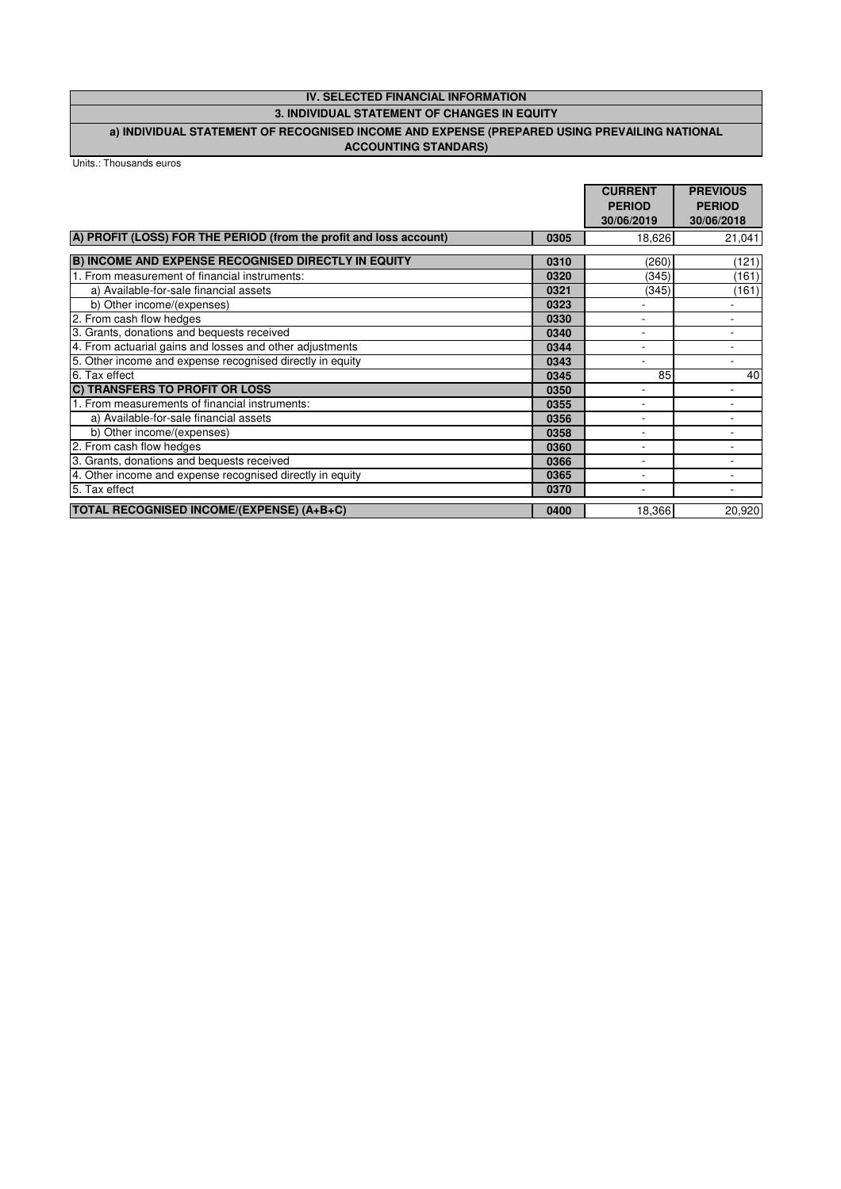# **IV. SELECTED FINANCIAL INFORMATION**

# **3. INDIVIDUAL STATEMENT OF CHANGES IN EQUITY**

#### **a) INDIVIDUAL STATEMENT OF RECOGNISED INCOME AND EXPENSE (PREPARED USING PREVAILING NATIONAL ACCOUNTING STANDARS)**

|                                                                    |      | <b>CURRENT</b><br><b>PERIOD</b><br>30/06/2019 | <b>PREVIOUS</b><br><b>PERIOD</b><br>30/06/2018 |
|--------------------------------------------------------------------|------|-----------------------------------------------|------------------------------------------------|
| A) PROFIT (LOSS) FOR THE PERIOD (from the profit and loss account) | 0305 | 18,626                                        | 21,041                                         |
| <b>B) INCOME AND EXPENSE RECOGNISED DIRECTLY IN EQUITY</b>         | 0310 | (260)                                         | (121)                                          |
| 1. From measurement of financial instruments:                      | 0320 | (345)                                         | (161)                                          |
| a) Available-for-sale financial assets                             | 0321 | (345)                                         | (161)                                          |
| b) Other income/(expenses)                                         | 0323 |                                               |                                                |
| 2. From cash flow hedges                                           | 0330 |                                               |                                                |
| 3. Grants, donations and bequests received                         | 0340 |                                               |                                                |
| 4. From actuarial gains and losses and other adjustments           | 0344 |                                               |                                                |
| 5. Other income and expense recognised directly in equity          | 0343 | ۰                                             |                                                |
| 6. Tax effect                                                      | 0345 | 85                                            | 40                                             |
| C) TRANSFERS TO PROFIT OR LOSS                                     | 0350 |                                               |                                                |
| 1. From measurements of financial instruments:                     | 0355 |                                               |                                                |
| a) Available-for-sale financial assets                             | 0356 |                                               |                                                |
| b) Other income/(expenses)                                         | 0358 |                                               |                                                |
| 2. From cash flow hedges                                           | 0360 |                                               |                                                |
| 3. Grants, donations and bequests received                         | 0366 |                                               |                                                |
| 4. Other income and expense recognised directly in equity          | 0365 |                                               |                                                |
| 5. Tax effect                                                      | 0370 |                                               |                                                |
| <b>TOTAL RECOGNISED INCOME/(EXPENSE) (A+B+C)</b>                   | 0400 | 18,366                                        | 20,920                                         |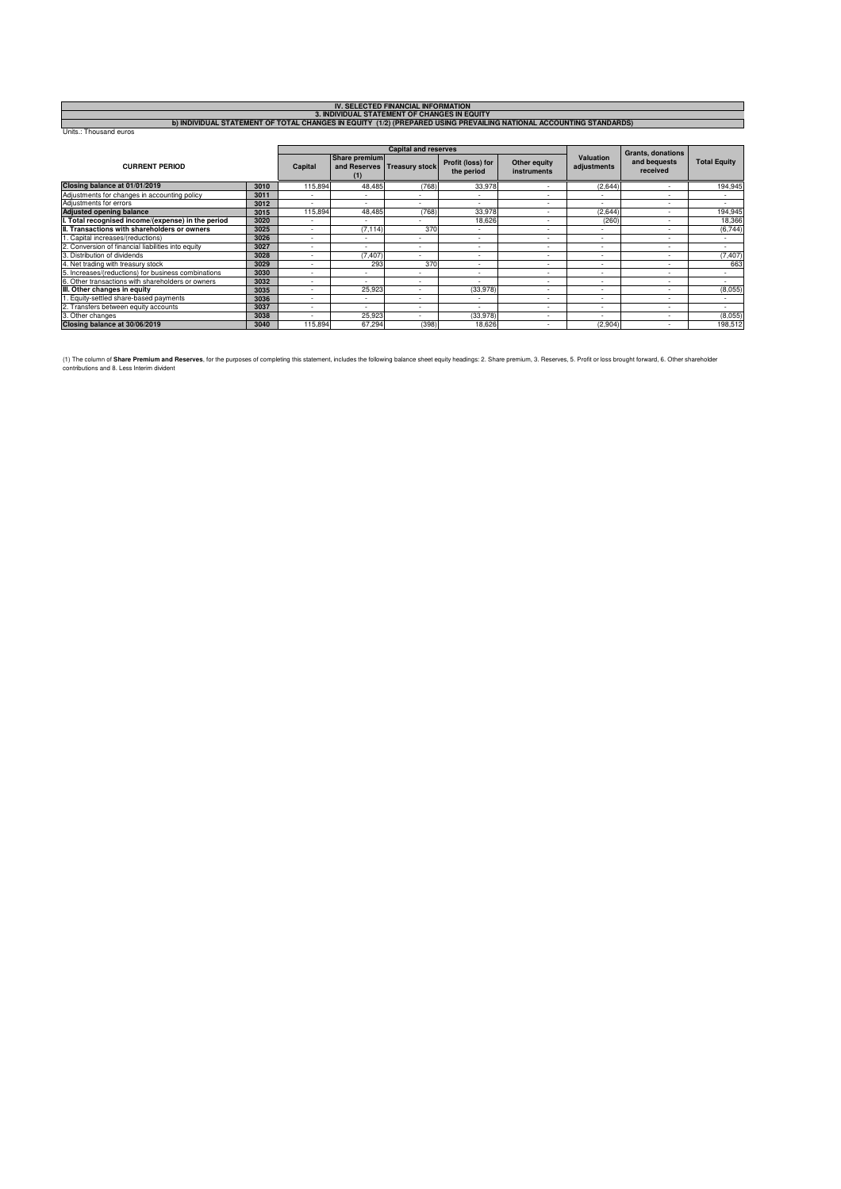|                                                                                                                    |      |                          |                          | <b>IV. SELECTED FINANCIAL INFORMATION</b>    |                                 |                                    |                                 |                          |                          |
|--------------------------------------------------------------------------------------------------------------------|------|--------------------------|--------------------------|----------------------------------------------|---------------------------------|------------------------------------|---------------------------------|--------------------------|--------------------------|
|                                                                                                                    |      |                          |                          | 3. INDIVIDUAL STATEMENT OF CHANGES IN EQUITY |                                 |                                    |                                 |                          |                          |
| b) INDIVIDUAL STATEMENT OF TOTAL CHANGES IN EQUITY (1/2) (PREPARED USING PREVAILING NATIONAL ACCOUNTING STANDARDS) |      |                          |                          |                                              |                                 |                                    |                                 |                          |                          |
| Units.: Thousand euros                                                                                             |      |                          |                          |                                              |                                 |                                    |                                 |                          |                          |
|                                                                                                                    |      |                          |                          |                                              |                                 |                                    |                                 |                          |                          |
|                                                                                                                    |      |                          |                          | <b>Capital and reserves</b>                  |                                 |                                    |                                 | <b>Grants, donations</b> |                          |
| <b>CURRENT PERIOD</b>                                                                                              |      | Capital                  | Share premium<br>(1)     | and Reserves Treasury stock                  | Profit (loss) for<br>the period | Other equity<br><b>instruments</b> | <b>Valuation</b><br>adjustments | and bequests<br>received | <b>Total Equity</b>      |
| Closing balance at 01/01/2019                                                                                      | 3010 | 115,894                  | 48,485                   | (768)                                        | 33,978                          |                                    | (2,644)                         |                          | 194,945                  |
| Adjustments for changes in accounting policy                                                                       | 3011 |                          |                          |                                              |                                 |                                    |                                 | ۰                        |                          |
| Adjustments for errors                                                                                             | 3012 | ٠                        |                          |                                              | $\overline{\phantom{a}}$        | ٠                                  | $\overline{\phantom{a}}$        | $\overline{\phantom{a}}$ | $\overline{\phantom{a}}$ |
| <b>Adjusted opening balance</b>                                                                                    | 3015 | 115,894                  | 48,485                   | (768)                                        | 33,978                          | ۰                                  | (2,644)                         | ۰                        | 194,945                  |
| I. Total recognised income/(expense) in the period                                                                 | 3020 |                          |                          |                                              | 18,626                          | ۰                                  | (260)                           | ۰                        | 18,366                   |
| II. Transactions with shareholders or owners                                                                       | 3025 | ۰                        | (7, 114)                 | 370                                          |                                 |                                    |                                 |                          | (6, 744)                 |
| . Capital increases/(reductions)                                                                                   | 3026 | ۰                        |                          |                                              | ٠                               | ۰                                  | $\overline{\phantom{a}}$        | ۰                        |                          |
| 2. Conversion of financial liabilities into equity                                                                 | 3027 | ٠                        | $\sim$                   | ٠                                            | ٠                               | ۰                                  | ٠                               | ۰                        | $\overline{\phantom{a}}$ |
| 3. Distribution of dividends                                                                                       | 3028 | ٠                        | (7, 407)                 |                                              | ۰                               | ۰                                  |                                 | ۰                        | (7, 407)                 |
| 4. Net trading with treasury stock                                                                                 | 3029 | ٠                        | 293                      | 370                                          | ٠                               |                                    |                                 | ٠                        | 663                      |
| 5. Increases/(reductions) for business combinations                                                                | 3030 | ٠                        |                          |                                              | $\overline{a}$                  | ٠                                  | $\overline{\phantom{a}}$        | $\overline{\phantom{a}}$ |                          |
| 6. Other transactions with shareholders or owners                                                                  | 3032 | $\overline{\phantom{a}}$ | $\overline{\phantom{a}}$ | $\overline{\phantom{a}}$                     | $\overline{a}$                  | ۰                                  | $\overline{\phantom{a}}$        | ٠                        | $\sim$                   |
| III. Other changes in equity                                                                                       | 3035 |                          | 25,923                   | ۰                                            | (33, 978)                       | ۰                                  |                                 | ۰                        | (8,055)                  |
| 1. Equity-settled share-based payments                                                                             | 3036 |                          |                          |                                              |                                 |                                    |                                 |                          |                          |
| 2. Transfers between equity accounts                                                                               | 3037 | ۰                        |                          | $\overline{\phantom{a}}$                     |                                 | ۰                                  |                                 | $\overline{\phantom{a}}$ |                          |
| 3. Other changes                                                                                                   | 3038 |                          | 25,923                   |                                              | (33, 978)                       |                                    |                                 | ۰                        | (8,055)                  |
| Closing balance at 30/06/2019                                                                                      | 3040 | 115,894                  | 67,294                   | (398)                                        | 18,626                          |                                    | (2,904)                         |                          | 198,512                  |

(1) The column of **Share Premium and Reserves**, for the purposes of completing this statement, includes the following balance sheet equity headings: 2. Share premium, 3. Reserves, 5. Profit or loss brought forward, 6. Othe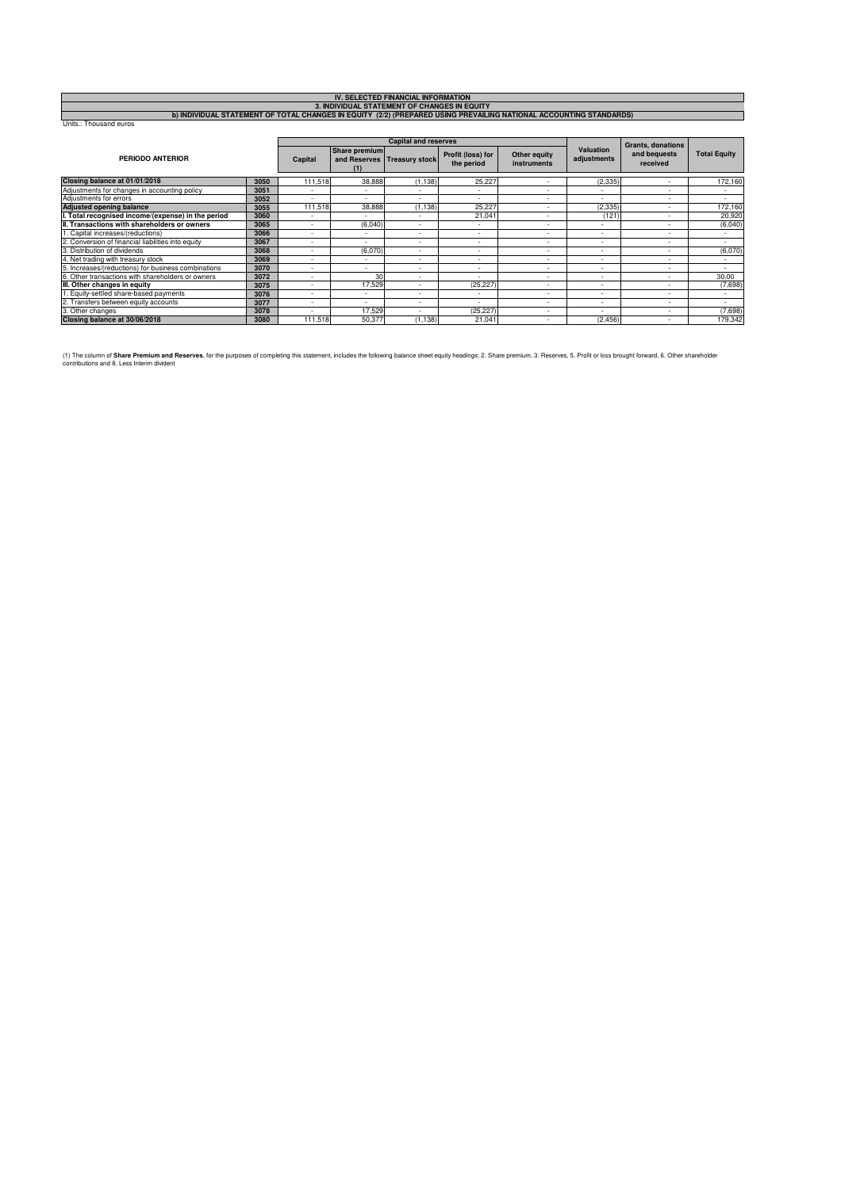| IV. SELECTED FINANCIAL INFORMATION                                                                                 |  |
|--------------------------------------------------------------------------------------------------------------------|--|
| 3. INDIVIDUAL STATEMENT OF CHANGES IN EQUITY                                                                       |  |
| b) INDIVIDUAL STATEMENT OF TOTAL CHANGES IN EQUITY (2/2) (PREPARED USING PREVAILING NATIONAL ACCOUNTING STANDARDS) |  |
| Units.: Thousand euros                                                                                             |  |
|                                                                                                                    |  |

| <b>PERIODO ANTERIOR</b>                             |      |         |                             | <b>Capital and reserves</b> |                                 | <b>Grants, donations</b>    |                          |                          |                     |
|-----------------------------------------------------|------|---------|-----------------------------|-----------------------------|---------------------------------|-----------------------------|--------------------------|--------------------------|---------------------|
|                                                     |      | Capital | <b>Share premium</b><br>(1) | and Reserves Treasury stock | Profit (loss) for<br>the period | Other equity<br>instruments | Valuation<br>adjustments | and bequests<br>received | <b>Total Equity</b> |
| Closing balance at 01/01/2018                       | 3050 | 111.518 | 38,888                      | (1.138)                     | 25.227                          |                             | (2, 335)                 |                          | 172,160             |
| Adjustments for changes in accounting policy        | 3051 |         |                             |                             |                                 |                             |                          |                          |                     |
| Adjustments for errors                              | 3052 | ۰       | $\sim$                      | ۰                           | ۰                               | $\overline{\phantom{a}}$    | ۰                        | $\overline{\phantom{a}}$ | ۰                   |
| <b>Adjusted opening balance</b>                     | 3055 | 111.518 | 38,888                      | (1.138)                     | 25.227                          | $\overline{\phantom{a}}$    | (2.335)                  |                          | 172,160             |
| I. Total recognised income/(expense) in the period  | 3060 |         |                             |                             | 21.041                          |                             | (121)                    |                          | 20,920              |
| II. Transactions with shareholders or owners        | 3065 | ۰       | (6,040)                     | ۰                           |                                 | $\overline{\phantom{a}}$    | ۰                        | $\overline{\phantom{a}}$ | (6,040)             |
| 1. Capital increases/(reductions)                   | 3066 |         | $\sim$                      | ٠                           | ۰                               | ۰.                          | ٠                        | $\overline{\phantom{a}}$ | ۰                   |
| 2. Conversion of financial liabilities into equity  | 3067 | ۰       |                             | ۰                           |                                 | $\overline{\phantom{a}}$    | ۰                        |                          |                     |
| 3. Distribution of dividends                        | 3068 | ۰       | (6,070)                     | ۰                           | ۰                               |                             | ۰                        | $\overline{\phantom{a}}$ | (6,070)             |
| 4. Net trading with treasury stock                  | 3069 | ۰       |                             | ٠                           | ٠                               | ۰                           | ٠                        | $\overline{\phantom{a}}$ | ۰                   |
| 5. Increases/(reductions) for business combinations | 3070 | ۰       |                             |                             |                                 | ۰.                          | ٠                        | $\overline{\phantom{a}}$ |                     |
| 6. Other transactions with shareholders or owners   | 3072 | ۰       | 30                          | ۰                           | ۰                               | $\overline{\phantom{a}}$    | ۰                        |                          | 30.00               |
| III. Other changes in equity                        | 3075 |         | 17.529                      |                             | (25.227)                        |                             | ٠                        |                          | (7,698)             |
| . Equity-settled share-based payments               | 3076 |         |                             |                             |                                 | $\overline{\phantom{a}}$    | ۰                        |                          |                     |
| 2. Transfers between equity accounts                | 3077 | ۰       |                             | ۰                           | ۰                               | $\overline{\phantom{a}}$    | ۰                        | $\overline{\phantom{a}}$ | ۰                   |
| 3. Other changes                                    | 3078 | ۰       | 17,529                      | ۰                           | (25, 227)                       |                             | $\overline{\phantom{a}}$ | $\overline{\phantom{a}}$ | (7,698)             |
| Closing balance at 30/06/2018                       | 3080 | 111,518 | 50,377                      | (1, 138)                    | 21,041                          |                             | (2, 456)                 |                          | 179,342             |

(1) The column of **Share Premium and Reserves**, for the purposes of completing this statement, includes the following balance sheet equity headings: 2. Share premium, 3. Reserves, 5. Profit or loss brought forward, 6. Othe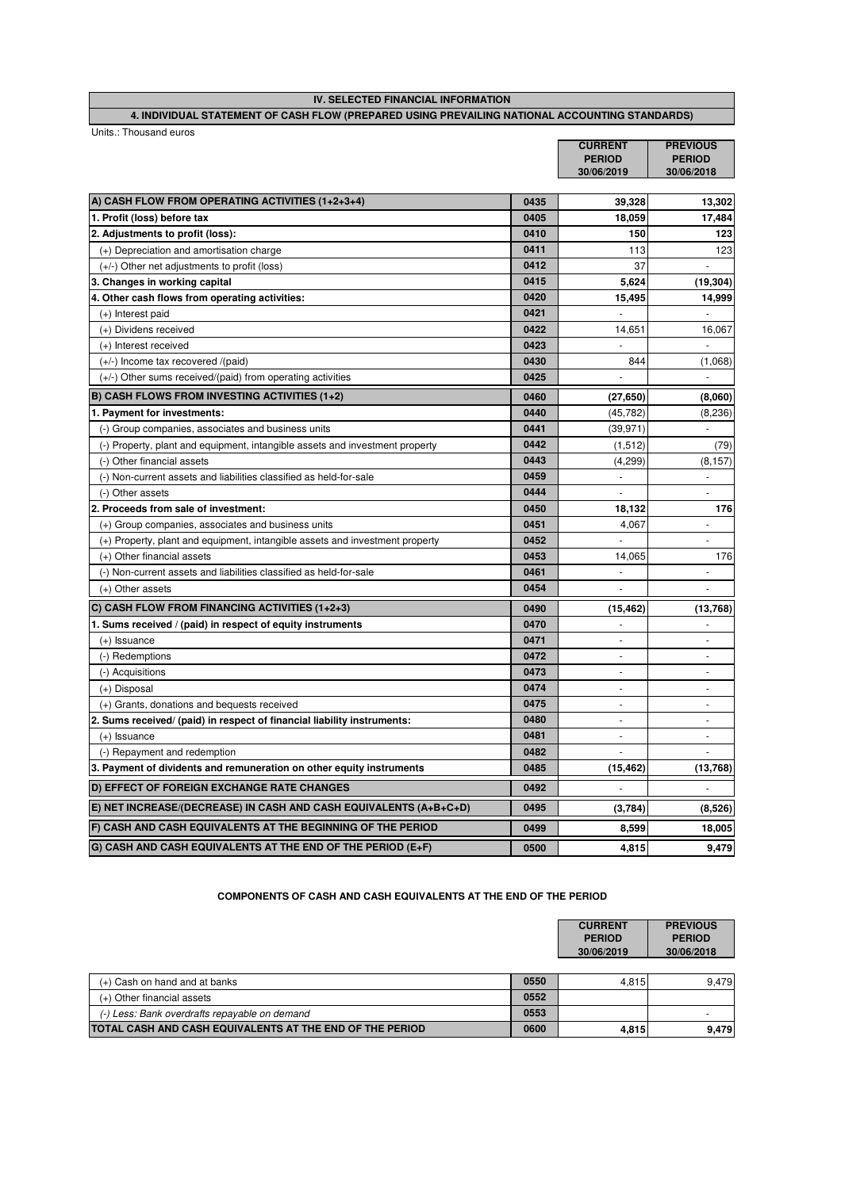| IV. SELECTED FINANCIAL INFORMATION                                                             |                |                 |  |  |  |
|------------------------------------------------------------------------------------------------|----------------|-----------------|--|--|--|
| 4. INDIVIDUAL STATEMENT OF CASH FLOW (PREPARED USING PREVAILING NATIONAL ACCOUNTING STANDARDS) |                |                 |  |  |  |
| Units.: Thousand euros                                                                         |                |                 |  |  |  |
|                                                                                                | <b>CURRENT</b> | <b>PREVIOUS</b> |  |  |  |

|                                                                              |      | <b>PERIOD</b><br>30/06/2019 | <b>PERIOD</b><br>30/06/2018 |
|------------------------------------------------------------------------------|------|-----------------------------|-----------------------------|
|                                                                              |      |                             |                             |
| A) CASH FLOW FROM OPERATING ACTIVITIES (1+2+3+4)                             | 0435 | 39,328                      | 13,302                      |
| 1. Profit (loss) before tax                                                  | 0405 | 18,059                      | 17,484                      |
| 2. Adjustments to profit (loss):                                             | 0410 | 150                         | 123                         |
| (+) Depreciation and amortisation charge                                     | 0411 | 113                         | 123                         |
| (+/-) Other net adjustments to profit (loss)                                 | 0412 | 37                          |                             |
| 3. Changes in working capital                                                | 0415 | 5,624                       | (19, 304)                   |
| 4. Other cash flows from operating activities:                               | 0420 | 15,495                      | 14,999                      |
| $(+)$ Interest paid                                                          | 0421 |                             |                             |
| (+) Dividens received                                                        | 0422 | 14,651                      | 16,067                      |
| (+) Interest received                                                        | 0423 |                             | ÷.                          |
| (+/-) Income tax recovered /(paid)                                           | 0430 | 844                         | (1,068)                     |
| $(+/-)$ Other sums received/(paid) from operating activities                 | 0425 | $\overline{\phantom{a}}$    | $\sim$                      |
| B) CASH FLOWS FROM INVESTING ACTIVITIES (1+2)                                | 0460 | (27, 650)                   | (8,060)                     |
| 1. Payment for investments:                                                  | 0440 | (45, 782)                   | (8, 236)                    |
| (-) Group companies, associates and business units                           | 0441 | (39, 971)                   |                             |
| (-) Property, plant and equipment, intangible assets and investment property | 0442 | (1, 512)                    | (79)                        |
| (-) Other financial assets                                                   | 0443 | (4, 299)                    | (8, 157)                    |
| (-) Non-current assets and liabilities classified as held-for-sale           | 0459 | ÷.                          | ÷.                          |
| (-) Other assets                                                             | 0444 |                             |                             |
| 2. Proceeds from sale of investment:                                         | 0450 | 18,132                      | 176                         |
| (+) Group companies, associates and business units                           | 0451 | 4,067                       | ÷,                          |
| (+) Property, plant and equipment, intangible assets and investment property | 0452 |                             |                             |
| (+) Other financial assets                                                   | 0453 | 14.065                      | 176                         |
| (-) Non-current assets and liabilities classified as held-for-sale           | 0461 |                             |                             |
| $(+)$ Other assets                                                           | 0454 |                             |                             |
| C) CASH FLOW FROM FINANCING ACTIVITIES (1+2+3)                               | 0490 | (15, 462)                   | (13,768)                    |
| 1. Sums received / (paid) in respect of equity instruments                   | 0470 |                             |                             |
| $(+)$ Issuance                                                               | 0471 | $\overline{\phantom{a}}$    | $\sim$                      |
| (-) Redemptions                                                              | 0472 | $\overline{\phantom{a}}$    | $\sim$                      |
| (-) Acquisitions                                                             | 0473 | ٠                           | $\sim$                      |
| (+) Disposal                                                                 | 0474 | $\mathbf{r}$                | ÷.                          |
| (+) Grants, donations and bequests received                                  | 0475 | $\overline{\phantom{a}}$    | $\sim$                      |
| 2. Sums received/ (paid) in respect of financial liability instruments:      | 0480 | $\sim$                      | ÷.                          |
| $(+)$ Issuance                                                               | 0481 |                             |                             |
| (-) Repayment and redemption                                                 | 0482 | ÷.                          |                             |
| 3. Payment of dividents and remuneration on other equity instruments         | 0485 | (15, 462)                   | (13,768)                    |
| D) EFFECT OF FOREIGN EXCHANGE RATE CHANGES                                   | 0492 |                             |                             |
| E) NET INCREASE/(DECREASE) IN CASH AND CASH EQUIVALENTS (A+B+C+D)            | 0495 | (3,784)                     | (8,526)                     |
| F) CASH AND CASH EQUIVALENTS AT THE BEGINNING OF THE PERIOD                  | 0499 | 8,599                       | 18,005                      |
| G) CASH AND CASH EQUIVALENTS AT THE END OF THE PERIOD (E+F)                  | 0500 | 4,815                       | 9,479                       |

#### **COMPONENTS OF CASH AND CASH EQUIVALENTS AT THE END OF THE PERIOD**

|                                                          |      | <b>CURRENT</b><br><b>PERIOD</b><br>30/06/2019 | <b>PREVIOUS</b><br><b>PERIOD</b><br>30/06/2018 |
|----------------------------------------------------------|------|-----------------------------------------------|------------------------------------------------|
|                                                          |      |                                               |                                                |
| (+) Cash on hand and at banks                            | 0550 | 4.815                                         | 9.479                                          |
| (+) Other financial assets                               | 0552 |                                               |                                                |
| (-) Less: Bank overdrafts repayable on demand            | 0553 |                                               |                                                |
| TOTAL CASH AND CASH EQUIVALENTS AT THE END OF THE PERIOD | 0600 | 4.815                                         | 9.479                                          |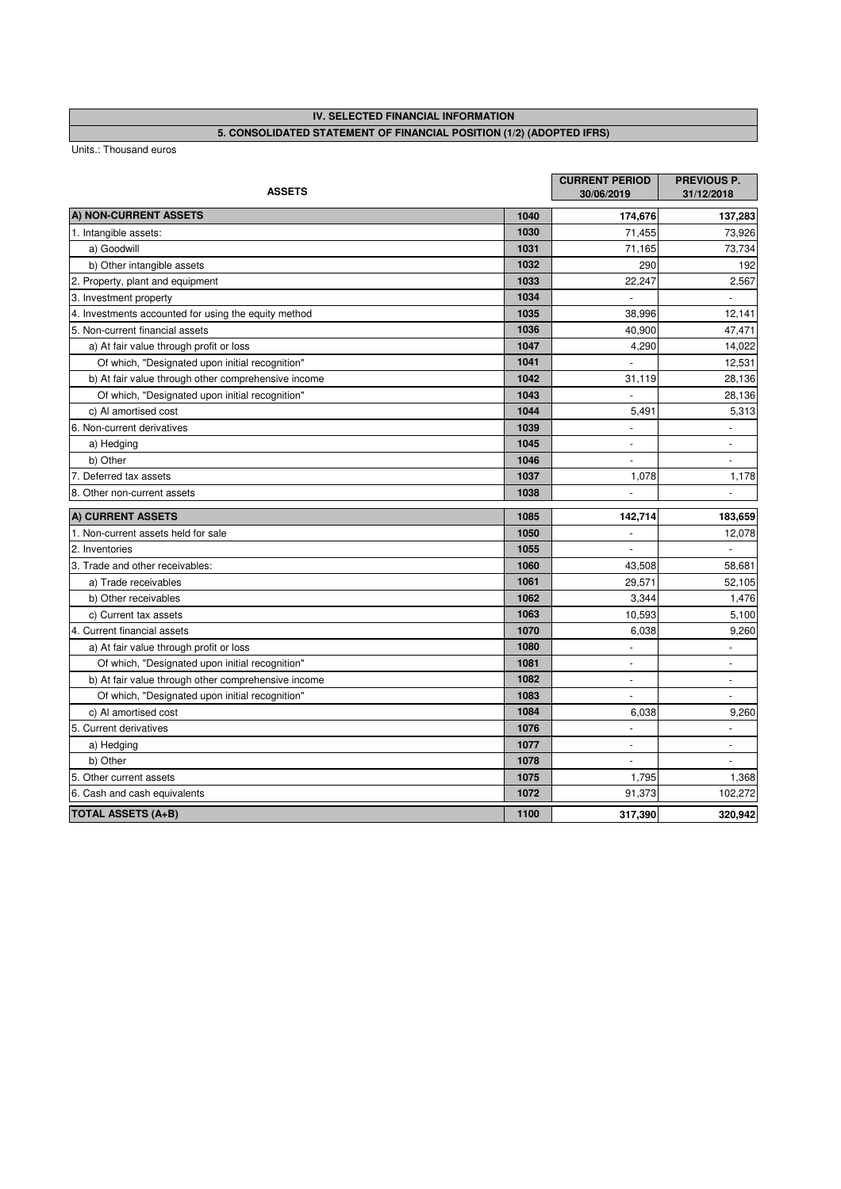# **IV. SELECTED FINANCIAL INFORMATION**

**5. CONSOLIDATED STATEMENT OF FINANCIAL POSITION (1/2) (ADOPTED IFRS)** 

| <b>ASSETS</b>                                        |      | <b>CURRENT PERIOD</b><br>30/06/2019 | PREVIOUS P.<br>31/12/2018    |
|------------------------------------------------------|------|-------------------------------------|------------------------------|
| A) NON-CURRENT ASSETS                                | 1040 | 174,676                             | 137,283                      |
| 1. Intangible assets:                                | 1030 | 71,455                              | 73,926                       |
| a) Goodwill                                          | 1031 | 71,165                              | 73,734                       |
| b) Other intangible assets                           | 1032 | 290                                 | 192                          |
| 2. Property, plant and equipment                     | 1033 | 22,247                              | 2,567                        |
| 3. Investment property                               | 1034 | $\bar{\phantom{a}}$                 |                              |
| 4. Investments accounted for using the equity method | 1035 | 38.996                              | 12,141                       |
| 5. Non-current financial assets                      | 1036 | 40,900                              | 47,471                       |
| a) At fair value through profit or loss              | 1047 | 4,290                               | 14,022                       |
| Of which, "Designated upon initial recognition"      | 1041 |                                     | 12,531                       |
| b) At fair value through other comprehensive income  | 1042 | 31,119                              | 28,136                       |
| Of which, "Designated upon initial recognition"      | 1043 |                                     | 28,136                       |
| c) Al amortised cost                                 | 1044 | 5,491                               | 5,313                        |
| 6. Non-current derivatives                           | 1039 | $\overline{\phantom{a}}$            |                              |
| a) Hedging                                           | 1045 | ÷,                                  | $\qquad \qquad \blacksquare$ |
| b) Other                                             | 1046 |                                     | L,                           |
| 7. Deferred tax assets                               | 1037 | 1,078                               | 1,178                        |
| 8. Other non-current assets                          | 1038 |                                     |                              |
| A) CURRENT ASSETS                                    | 1085 | 142,714                             | 183,659                      |
| 1. Non-current assets held for sale                  | 1050 | $\blacksquare$                      | 12,078                       |
| 2. Inventories                                       | 1055 | $\overline{\phantom{a}}$            |                              |
| 3. Trade and other receivables:                      | 1060 | 43,508                              | 58,681                       |
| a) Trade receivables                                 | 1061 | 29,571                              | 52,105                       |
| b) Other receivables                                 | 1062 | 3,344                               | 1,476                        |
| c) Current tax assets                                | 1063 | 10,593                              | 5,100                        |
| 4. Current financial assets                          | 1070 | 6,038                               | 9,260                        |
| a) At fair value through profit or loss              | 1080 | $\overline{a}$                      | ÷.                           |
| Of which, "Designated upon initial recognition"      | 1081 | $\blacksquare$                      | $\blacksquare$               |
| b) At fair value through other comprehensive income  | 1082 | $\overline{\phantom{a}}$            | $\overline{\phantom{a}}$     |
| Of which, "Designated upon initial recognition"      | 1083 |                                     |                              |
| c) Al amortised cost                                 | 1084 | 6,038                               | 9,260                        |
| 5. Current derivatives                               | 1076 |                                     |                              |
| a) Hedging                                           | 1077 | ÷                                   |                              |
| b) Other                                             | 1078 |                                     |                              |
| 5. Other current assets                              | 1075 | 1,795                               | 1,368                        |
| 6. Cash and cash equivalents                         | 1072 | 91,373                              | 102,272                      |
| <b>TOTAL ASSETS (A+B)</b>                            | 1100 | 317,390                             | 320,942                      |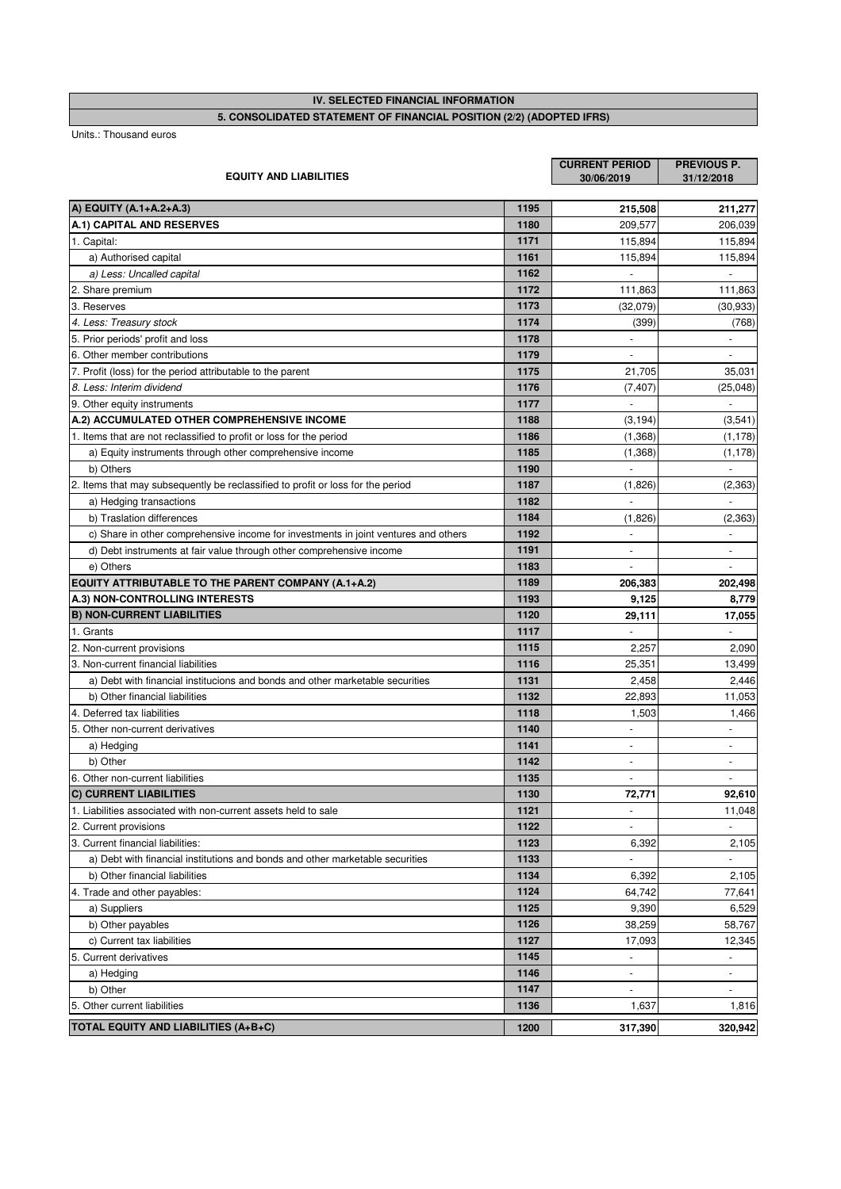**IV. SELECTED FINANCIAL INFORMATION**

# **5. CONSOLIDATED STATEMENT OF FINANCIAL POSITION (2/2) (ADOPTED IFRS)**

| <b>EQUITY AND LIABILITIES</b>                                                       |      | <b>CURRENT PERIOD</b><br>30/06/2019 | PREVIOUS P.<br>31/12/2018 |
|-------------------------------------------------------------------------------------|------|-------------------------------------|---------------------------|
| A) EQUITY (A.1+A.2+A.3)                                                             | 1195 | 215,508                             | 211,277                   |
| A.1) CAPITAL AND RESERVES                                                           | 1180 | 209,577                             | 206,039                   |
| 1. Capital:                                                                         | 1171 | 115,894                             | 115,894                   |
| a) Authorised capital                                                               | 1161 | 115,894                             | 115,894                   |
| a) Less: Uncalled capital                                                           | 1162 |                                     |                           |
| 2. Share premium                                                                    | 1172 | 111,863                             | 111,863                   |
| 3. Reserves                                                                         | 1173 | (32,079)                            | (30, 933)                 |
| 4. Less: Treasury stock                                                             | 1174 | (399)                               | (768)                     |
| 5. Prior periods' profit and loss                                                   | 1178 |                                     |                           |
| 6. Other member contributions                                                       | 1179 |                                     |                           |
| 7. Profit (loss) for the period attributable to the parent                          | 1175 | 21,705                              | 35,031                    |
| 8. Less: Interim dividend                                                           | 1176 | (7, 407)                            | (25, 048)                 |
| 9. Other equity instruments                                                         | 1177 |                                     |                           |
| A.2) ACCUMULATED OTHER COMPREHENSIVE INCOME                                         | 1188 | (3, 194)                            | (3, 541)                  |
| 1. Items that are not reclassified to profit or loss for the period                 | 1186 | (1, 368)                            | (1, 178)                  |
| a) Equity instruments through other comprehensive income                            | 1185 | (1, 368)                            | (1, 178)                  |
| b) Others                                                                           | 1190 | $\sim$                              | $\overline{a}$            |
| 2. Items that may subsequently be reclassified to profit or loss for the period     | 1187 | (1,826)                             | (2, 363)                  |
| a) Hedging transactions                                                             | 1182 | ÷,                                  |                           |
| b) Traslation differences                                                           | 1184 | (1,826)                             | (2, 363)                  |
| c) Share in other comprehensive income for investments in joint ventures and others | 1192 |                                     |                           |
| d) Debt instruments at fair value through other comprehensive income                | 1191 |                                     |                           |
| e) Others                                                                           | 1183 | $\sim$                              |                           |
| EQUITY ATTRIBUTABLE TO THE PARENT COMPANY (A.1+A.2)                                 | 1189 | 206,383                             | 202,498                   |
| A.3) NON-CONTROLLING INTERESTS                                                      | 1193 | 9,125                               | 8,779                     |
| <b>B) NON-CURRENT LIABILITIES</b>                                                   | 1120 | 29,111                              | 17,055                    |
| 1. Grants                                                                           | 1117 |                                     |                           |
| 2. Non-current provisions                                                           | 1115 | 2,257                               | 2,090                     |
| 3. Non-current financial liabilities                                                | 1116 | 25,351                              | 13,499                    |
| a) Debt with financial institucions and bonds and other marketable securities       | 1131 | 2,458                               | 2,446                     |
| b) Other financial liabilities                                                      | 1132 | 22,893                              | 11,053                    |
| 4. Deferred tax liabilities                                                         | 1118 | 1,503                               | 1,466                     |
| 5. Other non-current derivatives                                                    | 1140 | $\overline{\phantom{a}}$            |                           |
| a) Hedging                                                                          | 1141 | $\bar{\phantom{a}}$                 | ÷,                        |
| b) Other                                                                            | 1142 |                                     |                           |
| 6. Other non-current liabilities                                                    | 1135 | $\sim$                              | $\blacksquare$            |
| <b>C) CURRENT LIABILITIES</b>                                                       | 1130 | 72,771                              | 92,610                    |
| 1. Liabilities associated with non-current assets held to sale                      | 1121 |                                     | 11,048                    |
| 2. Current provisions                                                               | 1122 |                                     |                           |
| 3. Current financial liabilities:                                                   | 1123 | 6,392                               | 2,105                     |
| a) Debt with financial institutions and bonds and other marketable securities       | 1133 |                                     |                           |
| b) Other financial liabilities                                                      | 1134 | 6,392                               | 2,105                     |
| 4. Trade and other payables:                                                        | 1124 | 64,742                              | 77,641                    |
| a) Suppliers                                                                        | 1125 | 9,390                               | 6,529                     |
| b) Other payables                                                                   | 1126 | 38,259                              | 58,767                    |
| c) Current tax liabilities                                                          | 1127 | 17,093                              | 12,345                    |
| 5. Current derivatives                                                              | 1145 |                                     |                           |
| a) Hedging                                                                          | 1146 | $\blacksquare$                      |                           |
| b) Other                                                                            | 1147 |                                     |                           |
| 5. Other current liabilities                                                        | 1136 | 1,637                               | 1,816                     |
| <b>TOTAL EQUITY AND LIABILITIES (A+B+C)</b>                                         | 1200 | 317,390                             | 320,942                   |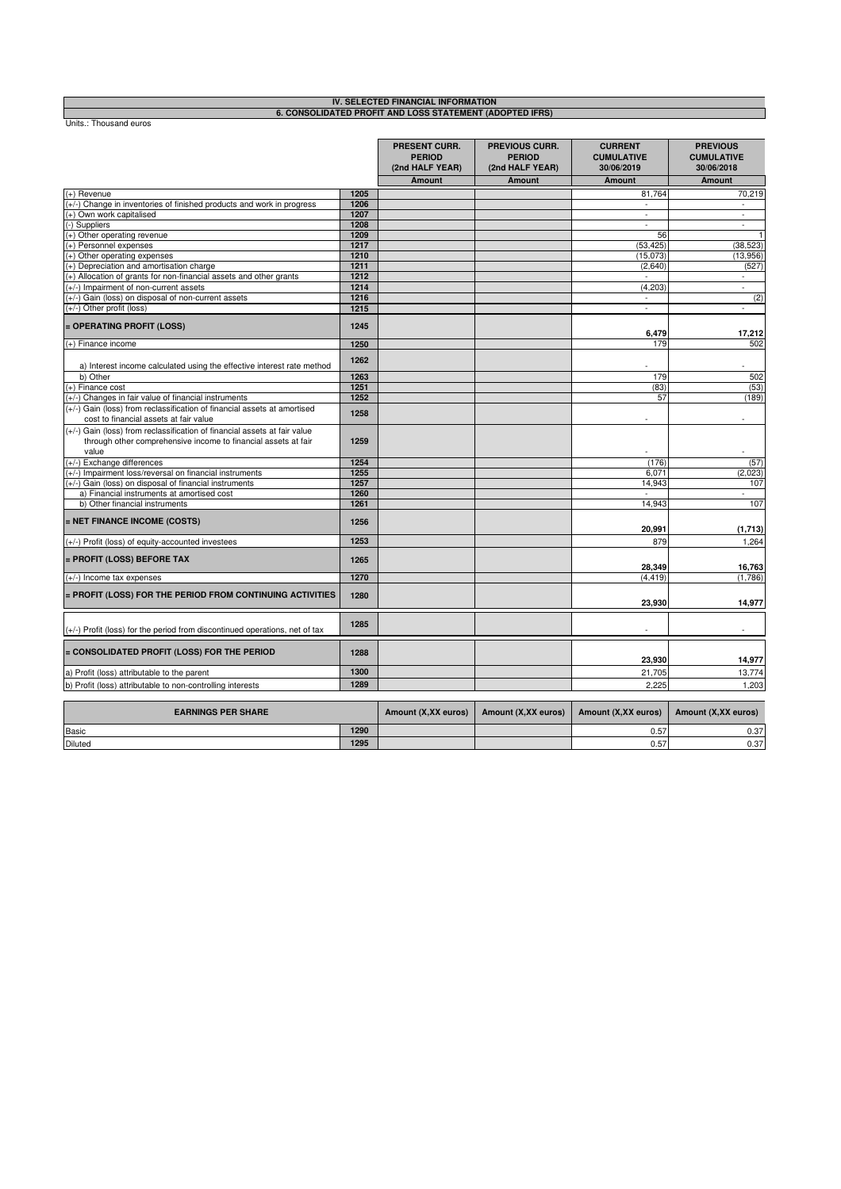|                                                                                                                                                      |      | IV. SELECTED FINANCIAL INFORMATION                       |                                                           |                                                   |                                                    |
|------------------------------------------------------------------------------------------------------------------------------------------------------|------|----------------------------------------------------------|-----------------------------------------------------------|---------------------------------------------------|----------------------------------------------------|
| Units.: Thousand euros                                                                                                                               |      | 6. CONSOLIDATED PROFIT AND LOSS STATEMENT (ADOPTED IFRS) |                                                           |                                                   |                                                    |
|                                                                                                                                                      |      | <b>PRESENT CURR.</b><br><b>PERIOD</b><br>(2nd HALF YEAR) | <b>PREVIOUS CURR.</b><br><b>PERIOD</b><br>(2nd HALF YEAR) | <b>CURRENT</b><br><b>CUMULATIVE</b><br>30/06/2019 | <b>PREVIOUS</b><br><b>CUMULATIVE</b><br>30/06/2018 |
|                                                                                                                                                      |      | <b>Amount</b>                                            | <b>Amount</b>                                             | <b>Amount</b>                                     | Amount                                             |
| $(+)$ Revenue                                                                                                                                        | 1205 |                                                          |                                                           | 81,764                                            | 70,219                                             |
| (+/-) Change in inventories of finished products and work in progress                                                                                | 1206 |                                                          |                                                           | $\sim$                                            | $\overline{\phantom{a}}$                           |
| (+) Own work capitalised                                                                                                                             | 1207 |                                                          |                                                           | $\bar{\mathbb{Z}}$                                | $\omega$                                           |
| (-) Suppliers                                                                                                                                        | 1208 |                                                          |                                                           | $\omega$                                          | $\blacksquare$                                     |
| (+) Other operating revenue                                                                                                                          | 1209 |                                                          |                                                           | 56                                                | $\mathbf{1}$                                       |
| (+) Personnel expenses                                                                                                                               | 1217 |                                                          |                                                           | (53, 425)                                         | (38, 523)                                          |
| (+) Other operating expenses                                                                                                                         | 1210 |                                                          |                                                           | (15,073)                                          | (13,956)                                           |
| (+) Depreciation and amortisation charge                                                                                                             | 1211 |                                                          |                                                           | (2,640)                                           | (527)                                              |
| (+) Allocation of grants for non-financial assets and other grants                                                                                   | 1212 |                                                          |                                                           | $\sim$                                            | $\sim$                                             |
| (+/-) Impairment of non-current assets                                                                                                               | 1214 |                                                          |                                                           | (4, 203)                                          | $\overline{\phantom{a}}$                           |
| (+/-) Gain (loss) on disposal of non-current assets                                                                                                  | 1216 |                                                          |                                                           |                                                   | (2)                                                |
| (+/-) Other profit (loss)                                                                                                                            | 1215 |                                                          |                                                           | ä,                                                | $\blacksquare$                                     |
| = OPERATING PROFIT (LOSS)                                                                                                                            | 1245 |                                                          |                                                           | 6,479                                             | 17,212                                             |
| (+) Finance income                                                                                                                                   | 1250 |                                                          |                                                           | 179                                               | 502                                                |
| a) Interest income calculated using the effective interest rate method                                                                               | 1262 |                                                          |                                                           |                                                   |                                                    |
| b) Other                                                                                                                                             | 1263 |                                                          |                                                           | 179                                               | 502                                                |
| $(+)$ Finance cost                                                                                                                                   | 1251 |                                                          |                                                           | (83)                                              | (53)                                               |
| (+/-) Changes in fair value of financial instruments                                                                                                 | 1252 |                                                          |                                                           | 57                                                | (189)                                              |
| (+/-) Gain (loss) from reclassification of financial assets at amortised<br>cost to financial assets at fair value                                   | 1258 |                                                          |                                                           |                                                   |                                                    |
| (+/-) Gain (loss) from reclassification of financial assets at fair value<br>through other comprehensive income to financial assets at fair<br>value | 1259 |                                                          |                                                           | $\overline{\phantom{a}}$                          |                                                    |
| (+/-) Exchange differences                                                                                                                           | 1254 |                                                          |                                                           | (176)                                             | (57)                                               |
| (+/-) Impairment loss/reversal on financial instruments                                                                                              | 1255 |                                                          |                                                           | 6.071                                             | (2,023)                                            |
| (+/-) Gain (loss) on disposal of financial instruments                                                                                               | 1257 |                                                          |                                                           | 14,943                                            | 107                                                |
| a) Financial instruments at amortised cost                                                                                                           | 1260 |                                                          |                                                           |                                                   | $\overline{a}$                                     |
| b) Other financial instruments                                                                                                                       | 1261 |                                                          |                                                           | 14,943                                            | 107                                                |
| = NET FINANCE INCOME (COSTS)                                                                                                                         | 1256 |                                                          |                                                           | 20,991                                            | (1,713)                                            |
| (+/-) Profit (loss) of equity-accounted investees                                                                                                    | 1253 |                                                          |                                                           | 879                                               | 1,264                                              |
|                                                                                                                                                      |      |                                                          |                                                           |                                                   |                                                    |
| = PROFIT (LOSS) BEFORE TAX                                                                                                                           | 1265 |                                                          |                                                           | 28,349                                            | 16,763                                             |
| (+/-) Income tax expenses                                                                                                                            | 1270 |                                                          |                                                           | (4, 419)                                          | (1,786)                                            |
|                                                                                                                                                      |      |                                                          |                                                           |                                                   |                                                    |
| = PROFIT (LOSS) FOR THE PERIOD FROM CONTINUING ACTIVITIES                                                                                            | 1280 |                                                          |                                                           | 23,930                                            | 14,977                                             |
| $(+/-)$ Profit (loss) for the period from discontinued operations, net of tax                                                                        | 1285 |                                                          |                                                           |                                                   |                                                    |
| = CONSOLIDATED PROFIT (LOSS) FOR THE PERIOD                                                                                                          | 1288 |                                                          |                                                           | 23,930                                            | 14,977                                             |
| a) Profit (loss) attributable to the parent                                                                                                          | 1300 |                                                          |                                                           | 21,705                                            | 13,774                                             |
| b) Profit (loss) attributable to non-controlling interests                                                                                           | 1289 |                                                          |                                                           | 2,225                                             | 1,203                                              |
| <b>EARNINGS PER SHARE</b>                                                                                                                            |      | Amount (X, XX euros)                                     | Amount (X,XX euros)                                       | Amount (X,XX euros)                               | Amount (X, XX euros)                               |
|                                                                                                                                                      | 1290 |                                                          |                                                           |                                                   |                                                    |
| <b>Basic</b>                                                                                                                                         |      |                                                          |                                                           | 0.57                                              | 0.37                                               |
| Diluted                                                                                                                                              | 1295 |                                                          |                                                           | 0.57                                              | 0.37                                               |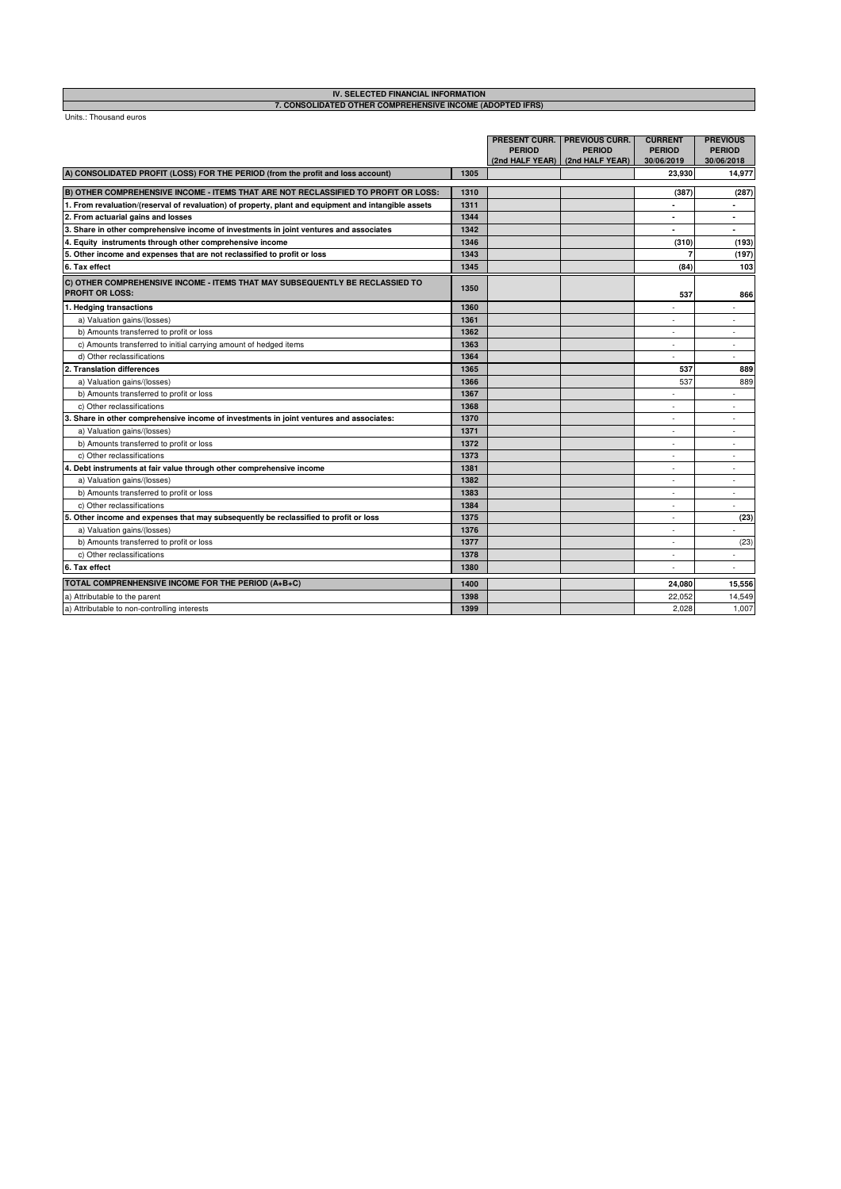# **IV. SELECTED FINANCIAL INFORMATION 7. CONSOLIDATED OTHER COMPREHENSIVE INCOME (ADOPTED IFRS)**

|                                                                                                        |      | <b>PERIOD</b> | <b>PRESENT CURR. PREVIOUS CURR.</b><br><b>PERIOD</b><br>(2nd HALF YEAR)   (2nd HALF YEAR) | <b>CURRENT</b><br><b>PERIOD</b><br>30/06/2019 | <b>PREVIOUS</b><br><b>PERIOD</b><br>30/06/2018 |
|--------------------------------------------------------------------------------------------------------|------|---------------|-------------------------------------------------------------------------------------------|-----------------------------------------------|------------------------------------------------|
| A) CONSOLIDATED PROFIT (LOSS) FOR THE PERIOD (from the profit and loss account)                        | 1305 |               |                                                                                           | 23,930                                        | 14,977                                         |
| B) OTHER COMPREHENSIVE INCOME - ITEMS THAT ARE NOT RECLASSIFIED TO PROFIT OR LOSS:                     | 1310 |               |                                                                                           | (387)                                         | (287)                                          |
| 1. From revaluation/(reserval of revaluation) of property, plant and equipment and intangible assets   | 1311 |               |                                                                                           |                                               |                                                |
| 2. From actuarial gains and losses                                                                     | 1344 |               |                                                                                           |                                               | ۰                                              |
| 3. Share in other comprehensive income of investments in joint ventures and associates                 | 1342 |               |                                                                                           |                                               | $\blacksquare$                                 |
| 4. Equity instruments through other comprehensive income                                               | 1346 |               |                                                                                           | (310)                                         | (193)                                          |
| 5. Other income and expenses that are not reclassified to profit or loss                               | 1343 |               |                                                                                           | $\overline{7}$                                | (197)                                          |
| 6. Tax effect                                                                                          | 1345 |               |                                                                                           | (84)                                          | 103                                            |
| C) OTHER COMPREHENSIVE INCOME - ITEMS THAT MAY SUBSEQUENTLY BE RECLASSIED TO<br><b>PROFIT OR LOSS:</b> | 1350 |               |                                                                                           | 537                                           | 866                                            |
| 1. Hedging transactions                                                                                | 1360 |               |                                                                                           |                                               |                                                |
| a) Valuation gains/(losses)                                                                            | 1361 |               |                                                                                           |                                               | ÷.                                             |
| b) Amounts transferred to profit or loss                                                               | 1362 |               |                                                                                           |                                               | $\overline{\phantom{a}}$                       |
| c) Amounts transferred to initial carrying amount of hedged items                                      | 1363 |               |                                                                                           | ٠                                             | ٠                                              |
| d) Other reclassifications                                                                             | 1364 |               |                                                                                           | ×                                             | ÷.                                             |
| 2. Translation differences                                                                             | 1365 |               |                                                                                           | 537                                           | 889                                            |
| a) Valuation gains/(losses)                                                                            | 1366 |               |                                                                                           | 537                                           | 889                                            |
| b) Amounts transferred to profit or loss                                                               | 1367 |               |                                                                                           |                                               |                                                |
| c) Other reclassifications                                                                             | 1368 |               |                                                                                           |                                               | ٠                                              |
| 3. Share in other comprehensive income of investments in joint ventures and associates:                | 1370 |               |                                                                                           |                                               | ×.                                             |
| a) Valuation gains/(losses)                                                                            | 1371 |               |                                                                                           |                                               | ٠                                              |
| b) Amounts transferred to profit or loss                                                               | 1372 |               |                                                                                           |                                               | ×.                                             |
| c) Other reclassifications                                                                             | 1373 |               |                                                                                           |                                               | ٠                                              |
| 4. Debt instruments at fair value through other comprehensive income                                   | 1381 |               |                                                                                           | ٠                                             | ٠                                              |
| a) Valuation gains/(losses)                                                                            | 1382 |               |                                                                                           | ٠                                             | $\sim$                                         |
| b) Amounts transferred to profit or loss                                                               | 1383 |               |                                                                                           | ٠                                             | $\sim$                                         |
| c) Other reclassifications                                                                             | 1384 |               |                                                                                           |                                               | ٠                                              |
| 5. Other income and expenses that may subsequently be reclassified to profit or loss                   | 1375 |               |                                                                                           |                                               | (23)                                           |
| a) Valuation gains/(losses)                                                                            | 1376 |               |                                                                                           | ×                                             |                                                |
| b) Amounts transferred to profit or loss                                                               | 1377 |               |                                                                                           | ٠                                             | (23)                                           |
| c) Other reclassifications                                                                             | 1378 |               |                                                                                           | ٠                                             | ٠                                              |
| 6. Tax effect                                                                                          | 1380 |               |                                                                                           |                                               |                                                |
| TOTAL COMPRENHENSIVE INCOME FOR THE PERIOD (A+B+C)                                                     | 1400 |               |                                                                                           | 24,080                                        | 15,556                                         |
| a) Attributable to the parent                                                                          | 1398 |               |                                                                                           | 22,052                                        | 14,549                                         |
| a) Attributable to non-controlling interests                                                           | 1399 |               |                                                                                           | 2,028                                         | 1,007                                          |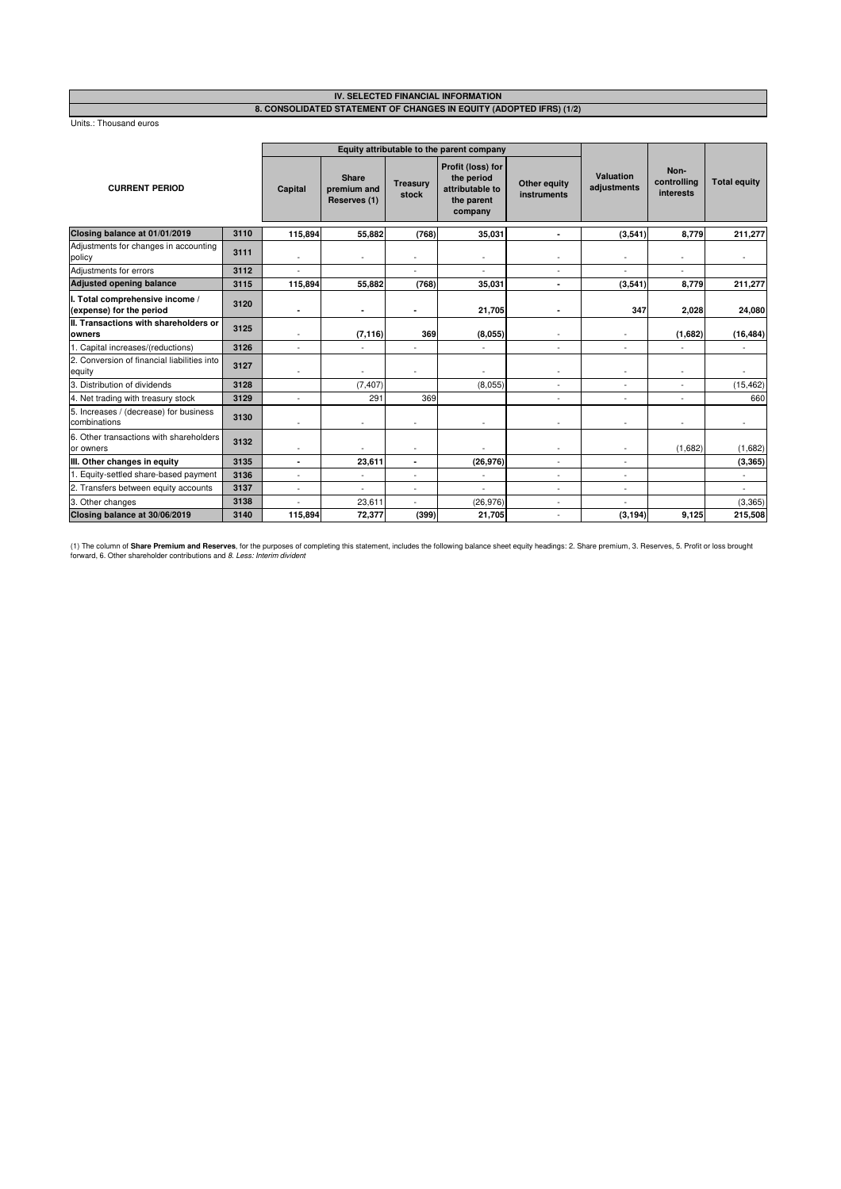#### **8. CONSOLIDATED STATEMENT OF CHANGES IN EQUITY (ADOPTED IFRS) (1/2) IV. SELECTED FINANCIAL INFORMATION**

Units.: Thousand euros

|                                                             |      |                          |                                             |                          | Equity attributable to the parent company                                   |                             |                                 |                                  |                     |
|-------------------------------------------------------------|------|--------------------------|---------------------------------------------|--------------------------|-----------------------------------------------------------------------------|-----------------------------|---------------------------------|----------------------------------|---------------------|
| <b>CURRENT PERIOD</b>                                       |      | Capital                  | <b>Share</b><br>premium and<br>Reserves (1) | <b>Treasury</b><br>stock | Profit (loss) for<br>the period<br>attributable to<br>the parent<br>company | Other equity<br>instruments | <b>Valuation</b><br>adjustments | Non-<br>controlling<br>interests | <b>Total equity</b> |
| Closing balance at 01/01/2019                               | 3110 | 115,894                  | 55,882                                      | (768)                    | 35,031                                                                      | $\blacksquare$              | (3,541)                         | 8,779                            | 211,277             |
| Adjustments for changes in accounting<br>policy             | 3111 | $\sim$                   |                                             |                          |                                                                             |                             |                                 |                                  |                     |
| Adjustments for errors                                      | 3112 |                          |                                             |                          |                                                                             | $\sim$                      |                                 |                                  |                     |
| <b>Adjusted opening balance</b>                             | 3115 | 115,894                  | 55,882                                      | (768)                    | 35,031                                                                      | $\blacksquare$              | (3, 541)                        | 8,779                            | 211,277             |
| I. Total comprehensive income /<br>(expense) for the period | 3120 | ٠                        | ٠                                           | ٠                        | 21,705                                                                      | ٠                           | 347                             | 2,028                            | 24,080              |
| II. Transactions with shareholders or<br>owners             | 3125 |                          | (7, 116)                                    | 369                      | (8,055)                                                                     |                             |                                 | (1,682)                          | (16, 484)           |
| 1. Capital increases/(reductions)                           | 3126 | $\tilde{\phantom{a}}$    |                                             |                          | $\tilde{\phantom{a}}$                                                       | $\sim$                      | $\overline{\phantom{a}}$        |                                  |                     |
| 2. Conversion of financial liabilities into<br>equity       | 3127 | $\sim$                   | ٠                                           | ٠                        |                                                                             | $\overline{\phantom{a}}$    | ٠                               | $\overline{\phantom{a}}$         |                     |
| 3. Distribution of dividends                                | 3128 |                          | (7, 407)                                    |                          | (8,055)                                                                     |                             |                                 |                                  | (15, 462)           |
| 4. Net trading with treasury stock                          | 3129 |                          | 291                                         | 369                      |                                                                             |                             | ä,                              |                                  | 660                 |
| 5. Increases / (decrease) for business<br>combinations      | 3130 | $\sim$                   | ٠                                           |                          | $\sim$                                                                      | $\sim$                      | ٠                               |                                  | $\blacksquare$      |
| 6. Other transactions with shareholders<br>or owners        | 3132 |                          |                                             |                          |                                                                             |                             |                                 | (1,682)                          | (1,682)             |
| III. Other changes in equity                                | 3135 | ٠                        | 23,611                                      | ٠                        | (26, 976)                                                                   | $\overline{\phantom{a}}$    |                                 |                                  | (3, 365)            |
| 1. Equity-settled share-based payment                       | 3136 | $\blacksquare$           | ÷,                                          | $\ddot{\phantom{1}}$     |                                                                             | $\sim$                      | ä,                              |                                  | ä,                  |
| 2. Transfers between equity accounts                        | 3137 | $\overline{\phantom{a}}$ | $\blacksquare$                              | ٠                        |                                                                             | $\overline{\phantom{a}}$    | ÷,                              |                                  | ÷,                  |
| 3. Other changes                                            | 3138 |                          | 23,611                                      | ÷                        | (26, 976)                                                                   | $\sim$                      |                                 |                                  | (3, 365)            |
| Closing balance at 30/06/2019                               | 3140 | 115,894                  | 72,377                                      | (399)                    | 21,705                                                                      |                             | (3, 194)                        | 9,125                            | 215,508             |

(1) The column of **Share Premium and Reserves**, for the purposes of completing this statement, includes the following balance sheet equity headings: 2. Share premium, 3. Reserves, 5. Profit or loss brought<br>forward, 6. Othe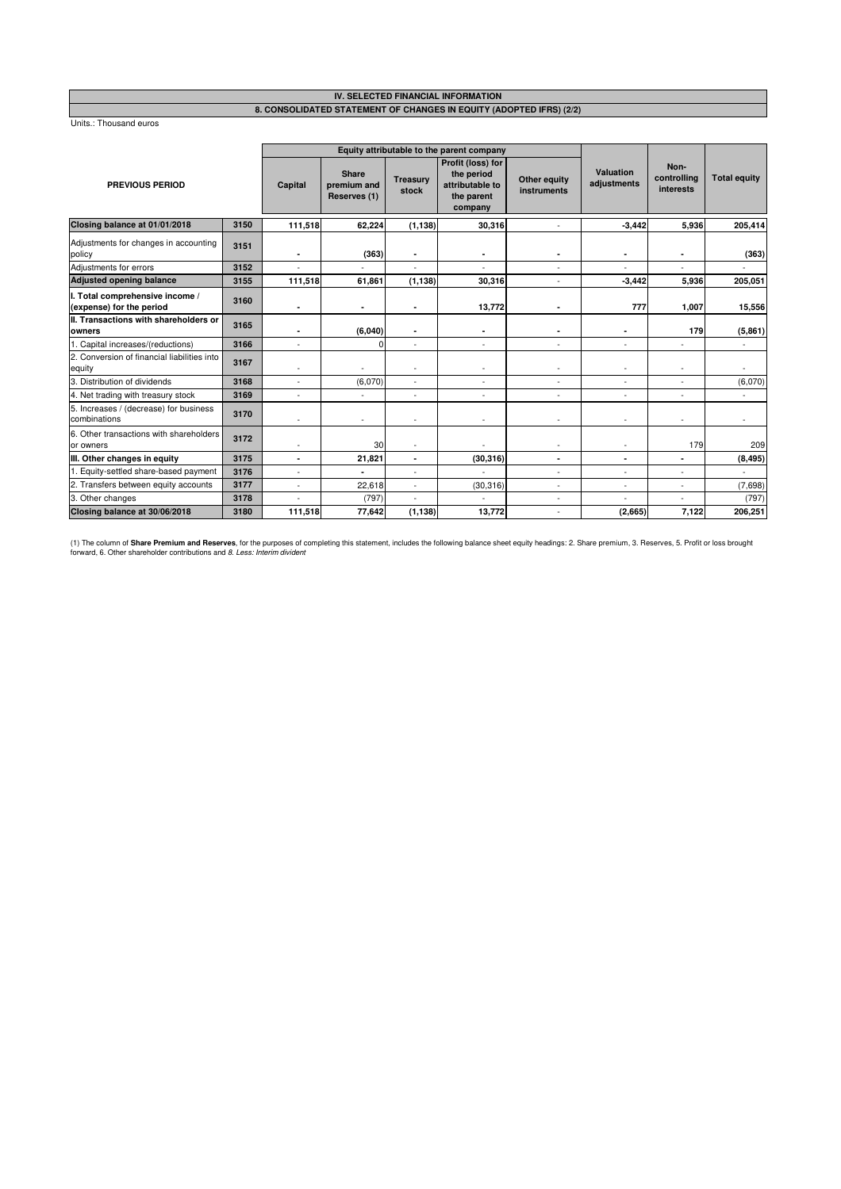#### **IV. SELECTED FINANCIAL INFORMATION 8. CONSOLIDATED STATEMENT OF CHANGES IN EQUITY (ADOPTED IFRS) (2/2)**

Units.: Thousand euros

|                                                             |      |                          |                                      | Equity attributable to the parent company |                                                                             |                             |                          |                                  |                          |
|-------------------------------------------------------------|------|--------------------------|--------------------------------------|-------------------------------------------|-----------------------------------------------------------------------------|-----------------------------|--------------------------|----------------------------------|--------------------------|
| PREVIOUS PERIOD                                             |      | Capital                  | Share<br>premium and<br>Reserves (1) | <b>Treasury</b><br>stock                  | Profit (loss) for<br>the period<br>attributable to<br>the parent<br>company | Other equity<br>instruments | Valuation<br>adjustments | Non-<br>controlling<br>interests | <b>Total equity</b>      |
| Closing balance at 01/01/2018                               | 3150 | 111,518                  | 62,224                               | (1, 138)                                  | 30,316                                                                      | $\ddot{\phantom{1}}$        | $-3,442$                 | 5,936                            | 205,414                  |
| Adjustments for changes in accounting<br>policy             | 3151 |                          | (363)                                | ٠                                         |                                                                             |                             |                          | ٠                                | (363)                    |
| Adjustments for errors                                      | 3152 |                          |                                      |                                           |                                                                             | ÷,                          |                          |                                  |                          |
| <b>Adjusted opening balance</b>                             | 3155 | 111,518                  | 61,861                               | (1, 138)                                  | 30,316                                                                      | ÷,                          | $-3,442$                 | 5,936                            | 205,051                  |
| I. Total comprehensive income /<br>(expense) for the period | 3160 |                          |                                      |                                           | 13,772                                                                      | ٠                           | 777                      | 1,007                            | 15,556                   |
| II. Transactions with shareholders or<br>owners             | 3165 |                          | (6,040)                              |                                           | $\overline{\phantom{a}}$                                                    | ٠                           |                          | 179                              | (5,861)                  |
| 1. Capital increases/(reductions)                           | 3166 | $\overline{\phantom{a}}$ | O                                    |                                           | ٠                                                                           | ÷,                          |                          | ٠                                |                          |
| 2. Conversion of financial liabilities into<br>equity       | 3167 |                          |                                      |                                           |                                                                             |                             |                          |                                  |                          |
| 3. Distribution of dividends                                | 3168 |                          | (6,070)                              | ÷.                                        | $\sim$                                                                      | $\ddot{\phantom{1}}$        |                          |                                  | (6,070)                  |
| 4. Net trading with treasury stock                          | 3169 | $\sim$                   | ä,                                   | $\tilde{\phantom{a}}$                     | $\sim$                                                                      | ÷,                          | $\sim$                   | ٠                                | $\overline{\phantom{a}}$ |
| 5. Increases / (decrease) for business<br>combinations      | 3170 |                          |                                      |                                           | ÷,                                                                          | ÷,                          |                          |                                  |                          |
| 6. Other transactions with shareholders<br>or owners        | 3172 |                          | 30                                   |                                           |                                                                             |                             |                          | 179                              | 209                      |
| III. Other changes in equity                                | 3175 | $\blacksquare$           | 21,821                               | ٠                                         | (30, 316)                                                                   | ۰                           | $\blacksquare$           | ٠                                | (8, 495)                 |
| 1. Equity-settled share-based payment                       | 3176 |                          |                                      |                                           |                                                                             | ä,                          |                          | ä,                               | $\blacksquare$           |
| 2. Transfers between equity accounts                        | 3177 |                          | 22,618                               |                                           | (30, 316)                                                                   | ä,                          |                          |                                  | (7,698)                  |
| 3. Other changes                                            | 3178 |                          | (797)                                |                                           |                                                                             | ä,                          |                          |                                  | (797)                    |
| Closing balance at 30/06/2018                               | 3180 | 111,518                  | 77,642                               | (1, 138)                                  | 13,772                                                                      | $\overline{\phantom{a}}$    | (2,665)                  | 7,122                            | 206,251                  |

(1) The column of **Share Premium and Reserves**, for the purposes of completing this statement, includes the following balance sheet equity headings: 2. Share premium, 3. Reserves, 5. Profit or loss brought<br>forward, 6. Othe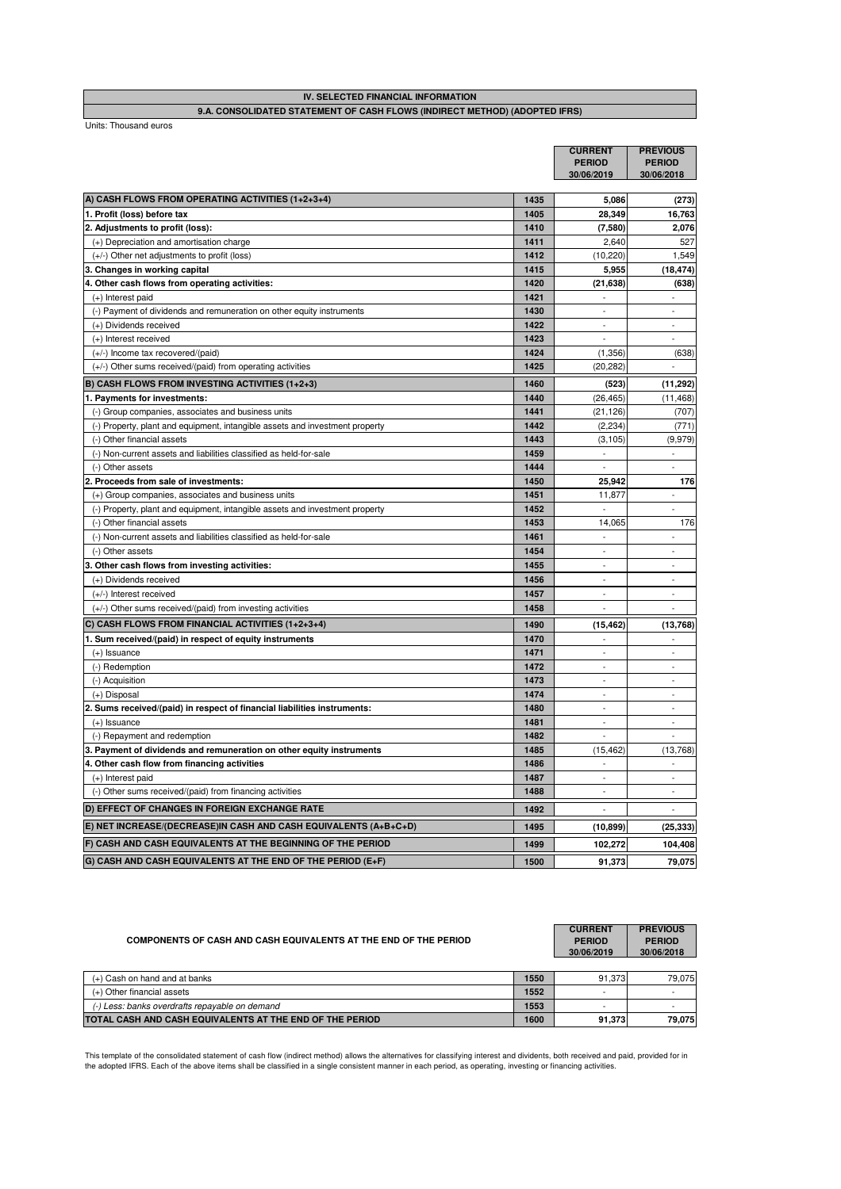| IV. SELECTED FINANCIAL INFORMATION                                         |  |
|----------------------------------------------------------------------------|--|
| 9.A. CONSOLIDATED STATEMENT OF CASH FLOWS (INDIRECT METHOD) (ADOPTED IFRS) |  |

Units: Thousand euros

|                                                                              |      | <b>CURRENT</b><br><b>PERIOD</b><br>30/06/2019 | <b>PREVIOUS</b><br><b>PERIOD</b><br>30/06/2018 |
|------------------------------------------------------------------------------|------|-----------------------------------------------|------------------------------------------------|
| A) CASH FLOWS FROM OPERATING ACTIVITIES (1+2+3+4)                            | 1435 | 5,086                                         | (273)                                          |
| 1. Profit (loss) before tax                                                  | 1405 | 28,349                                        | 16,763                                         |
| 2. Adjustments to profit (loss):                                             | 1410 | (7,580)                                       | 2.076                                          |
| (+) Depreciation and amortisation charge                                     | 1411 | 2,640                                         | 527                                            |
| (+/-) Other net adjustments to profit (loss)                                 | 1412 | (10, 220)                                     | 1,549                                          |
| 3. Changes in working capital                                                | 1415 | 5,955                                         | (18, 474)                                      |
| 4. Other cash flows from operating activities:                               | 1420 | (21, 638)                                     | (638)                                          |
| (+) Interest paid                                                            | 1421 | $\sim$                                        | $\sim$                                         |
| (-) Payment of dividends and remuneration on other equity instruments        | 1430 |                                               |                                                |
| (+) Dividends received                                                       | 1422 | $\overline{a}$                                |                                                |
| (+) Interest received                                                        | 1423 |                                               |                                                |
| (+/-) Income tax recovered/(paid)                                            | 1424 | (1, 356)                                      | (638)                                          |
| (+/-) Other sums received/(paid) from operating activities                   | 1425 | (20, 282)                                     | $\overline{a}$                                 |
| B) CASH FLOWS FROM INVESTING ACTIVITIES (1+2+3)                              | 1460 | (523)                                         | (11, 292)                                      |
| 1. Payments for investments:                                                 | 1440 | (26, 465)                                     | (11, 468)                                      |
| (-) Group companies, associates and business units                           | 1441 | (21, 126)                                     | (707)                                          |
| (-) Property, plant and equipment, intangible assets and investment property | 1442 | (2, 234)                                      | (771)                                          |
| (-) Other financial assets                                                   | 1443 | (3, 105)                                      | (9,979)                                        |
| (-) Non-current assets and liabilities classified as held-for-sale           | 1459 | $\overline{\phantom{a}}$                      | $\sim$                                         |
| (-) Other assets                                                             | 1444 | $\overline{a}$                                | $\overline{\phantom{a}}$                       |
| 2. Proceeds from sale of investments:                                        | 1450 | 25,942                                        | 176                                            |
| (+) Group companies, associates and business units                           | 1451 | 11,877                                        |                                                |
| (-) Property, plant and equipment, intangible assets and investment property | 1452 |                                               |                                                |
| (-) Other financial assets                                                   | 1453 | 14,065                                        | 176                                            |
| (-) Non-current assets and liabilities classified as held-for-sale           | 1461 | $\overline{a}$                                | $\overline{a}$                                 |
| (-) Other assets                                                             | 1454 | $\overline{a}$                                | $\overline{a}$                                 |
| 3. Other cash flows from investing activities:                               | 1455 | $\overline{\phantom{a}}$                      | $\overline{\phantom{a}}$                       |
| (+) Dividends received                                                       | 1456 | $\overline{a}$                                | $\sim$                                         |
| (+/-) Interest received                                                      | 1457 |                                               |                                                |
| (+/-) Other sums received/(paid) from investing activities                   | 1458 | $\overline{a}$                                | ÷                                              |
| C) CASH FLOWS FROM FINANCIAL ACTIVITIES (1+2+3+4)                            | 1490 | (15, 462)                                     | (13,768)                                       |
| 1. Sum received/(paid) in respect of equity instruments                      | 1470 | $\overline{a}$                                |                                                |
| $(+)$ Issuance                                                               | 1471 | $\overline{a}$                                | $\sim$                                         |
| (-) Redemption                                                               | 1472 | $\overline{a}$                                | $\overline{a}$                                 |
| (-) Acquisition                                                              | 1473 | $\overline{a}$                                | $\overline{a}$                                 |
| (+) Disposal                                                                 | 1474 | $\overline{a}$                                | $\sim$                                         |
| 2. Sums received/(paid) in respect of financial liabilities instruments:     | 1480 | $\overline{\phantom{a}}$                      |                                                |
| $(+)$ Issuance                                                               | 1481 | $\overline{a}$                                | ÷,                                             |
| (-) Repayment and redemption                                                 | 1482 | $\overline{a}$                                | ÷                                              |
| 3. Payment of dividends and remuneration on other equity instruments         | 1485 | (15, 462)                                     | (13,768)                                       |
| 4. Other cash flow from financing activities                                 | 1486 | $\overline{a}$                                |                                                |
| (+) Interest paid                                                            | 1487 | $\overline{a}$                                | $\overline{a}$                                 |
| (-) Other sums received/(paid) from financing activities                     | 1488 | $\overline{a}$                                | $\mathbf{r}$                                   |
| D) EFFECT OF CHANGES IN FOREIGN EXCHANGE RATE                                | 1492 |                                               |                                                |
| E) NET INCREASE/(DECREASE)IN CASH AND CASH EQUIVALENTS (A+B+C+D)             | 1495 | (10, 899)                                     | (25, 333)                                      |
| F) CASH AND CASH EQUIVALENTS AT THE BEGINNING OF THE PERIOD                  | 1499 | 102,272                                       | 104,408                                        |
| G) CASH AND CASH EQUIVALENTS AT THE END OF THE PERIOD (E+F)                  | 1500 | 91,373                                        | 79,075                                         |

| COMPONENTS OF CASH AND CASH EQUIVALENTS AT THE END OF THE PERIOD |      | <b>CURRENT</b><br><b>PERIOD</b><br>30/06/2019 | <b>PREVIOUS</b><br><b>PERIOD</b><br>30/06/2018 |
|------------------------------------------------------------------|------|-----------------------------------------------|------------------------------------------------|
| (+) Cash on hand and at banks                                    | 1550 | 91.373                                        | 79.075                                         |
| (+) Other financial assets                                       | 1552 | $\overline{\phantom{a}}$                      |                                                |

1553<br>1600 91,373 79,075 **91,373** 

This template of the consolidated statement of cash flow (indirect method) allows the alternatives for classifying interest and dividents, both received and paid, provided for in<br>the adopted IFRS. Each of the above items s

**TOTAL CASH AND CASH EQUIVALENTS AT THE END OF THE PERIOD**

*(-) Less: banks overdrafts repayable on demand*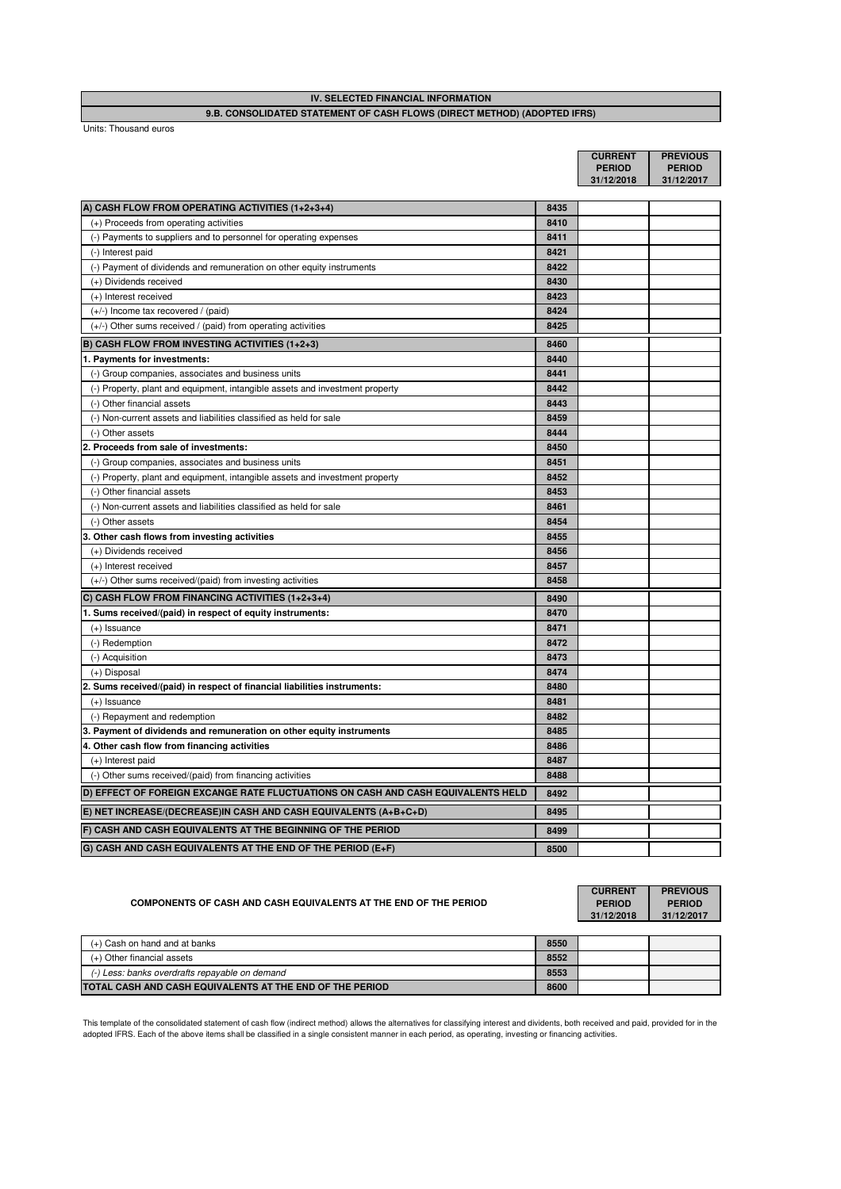## **9.B. CONSOLIDATED STATEMENT OF CASH FLOWS (DIRECT METHOD) (ADOPTED IFRS) IV. SELECTED FINANCIAL INFORMATION**

Units: Thousand euros

|                                                                                  |      | <b>CURRENT</b> | <b>PREVIOUS</b> |
|----------------------------------------------------------------------------------|------|----------------|-----------------|
|                                                                                  |      | <b>PERIOD</b>  | <b>PERIOD</b>   |
|                                                                                  |      | 31/12/2018     | 31/12/2017      |
| A) CASH FLOW FROM OPERATING ACTIVITIES (1+2+3+4)                                 | 8435 |                |                 |
| (+) Proceeds from operating activities                                           | 8410 |                |                 |
| (-) Payments to suppliers and to personnel for operating expenses                | 8411 |                |                 |
| (-) Interest paid                                                                | 8421 |                |                 |
| (-) Payment of dividends and remuneration on other equity instruments            | 8422 |                |                 |
| (+) Dividends received                                                           | 8430 |                |                 |
| (+) Interest received                                                            | 8423 |                |                 |
| (+/-) Income tax recovered / (paid)                                              | 8424 |                |                 |
| $(+/-)$ Other sums received / (paid) from operating activities                   | 8425 |                |                 |
| B) CASH FLOW FROM INVESTING ACTIVITIES (1+2+3)                                   | 8460 |                |                 |
| 1. Payments for investments:                                                     | 8440 |                |                 |
| (-) Group companies, associates and business units                               | 8441 |                |                 |
| (-) Property, plant and equipment, intangible assets and investment property     | 8442 |                |                 |
| (-) Other financial assets                                                       | 8443 |                |                 |
| (-) Non-current assets and liabilities classified as held for sale               | 8459 |                |                 |
| (-) Other assets                                                                 | 8444 |                |                 |
| 2. Proceeds from sale of investments:                                            | 8450 |                |                 |
| (-) Group companies, associates and business units                               | 8451 |                |                 |
| (-) Property, plant and equipment, intangible assets and investment property     | 8452 |                |                 |
| (-) Other financial assets                                                       | 8453 |                |                 |
| (-) Non-current assets and liabilities classified as held for sale               | 8461 |                |                 |
| (-) Other assets                                                                 | 8454 |                |                 |
| 3. Other cash flows from investing activities                                    | 8455 |                |                 |
| (+) Dividends received                                                           | 8456 |                |                 |
| (+) Interest received                                                            | 8457 |                |                 |
| (+/-) Other sums received/(paid) from investing activities                       | 8458 |                |                 |
| C) CASH FLOW FROM FINANCING ACTIVITIES (1+2+3+4)                                 | 8490 |                |                 |
| 1. Sums received/(paid) in respect of equity instruments:                        | 8470 |                |                 |
| $(+)$ Issuance                                                                   | 8471 |                |                 |
| (-) Redemption                                                                   | 8472 |                |                 |
| (-) Acquisition                                                                  | 8473 |                |                 |
| (+) Disposal                                                                     | 8474 |                |                 |
| 2. Sums received/(paid) in respect of financial liabilities instruments:         | 8480 |                |                 |
| $(+)$ Issuance                                                                   | 8481 |                |                 |
| (-) Repayment and redemption                                                     | 8482 |                |                 |
| 3. Payment of dividends and remuneration on other equity instruments             | 8485 |                |                 |
| 4. Other cash flow from financing activities                                     | 8486 |                |                 |
| (+) Interest paid                                                                | 8487 |                |                 |
| (-) Other sums received/(paid) from financing activities                         | 8488 |                |                 |
| D) EFFECT OF FOREIGN EXCANGE RATE FLUCTUATIONS ON CASH AND CASH EQUIVALENTS HELD | 8492 |                |                 |
| E) NET INCREASE/(DECREASE)IN CASH AND CASH EQUIVALENTS (A+B+C+D)                 | 8495 |                |                 |
| F) CASH AND CASH EQUIVALENTS AT THE BEGINNING OF THE PERIOD                      | 8499 |                |                 |
| G) CASH AND CASH EQUIVALENTS AT THE END OF THE PERIOD (E+F)                      | 8500 |                |                 |
|                                                                                  |      |                |                 |

| COMPONENTS OF CASH AND CASH EQUIVALENTS AT THE END OF THE PERIOD |      | <b>CURRENT</b><br><b>PERIOD</b><br>31/12/2018 | <b>PREVIOUS</b><br><b>PERIOD</b><br>31/12/2017 |
|------------------------------------------------------------------|------|-----------------------------------------------|------------------------------------------------|
| (+) Cash on hand and at banks                                    | 8550 |                                               |                                                |
| (+) Other financial assets                                       | 8552 |                                               |                                                |
| (-) Less: banks overdrafts repayable on demand                   | 8553 |                                               |                                                |
| TOTAL CASH AND CASH EQUIVALENTS AT THE END OF THE PERIOD         | 8600 |                                               |                                                |

This template of the consolidated statement of cash flow (indirect method) allows the alternatives for classifying interest and dividents, both received and paid, provided for in the<br>adopted IFRS. Each of the above items s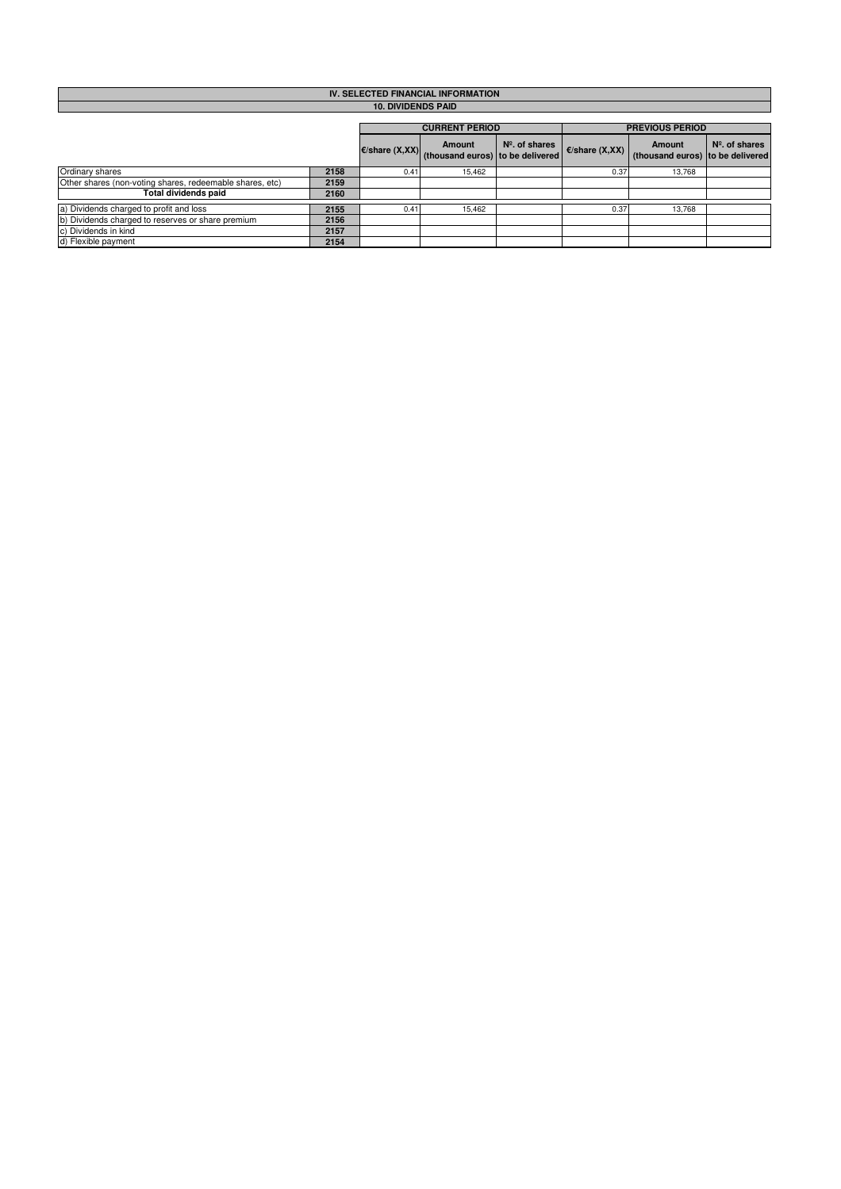| IV. SELECTED FINANCIAL INFORMATION                       |      |                          |                                            |                  |                          |                                                   |                  |  |  |  |
|----------------------------------------------------------|------|--------------------------|--------------------------------------------|------------------|--------------------------|---------------------------------------------------|------------------|--|--|--|
| <b>10. DIVIDENDS PAID</b>                                |      |                          |                                            |                  |                          |                                                   |                  |  |  |  |
|                                                          |      |                          |                                            |                  |                          |                                                   |                  |  |  |  |
|                                                          |      |                          | <b>CURRENT PERIOD</b>                      |                  |                          | <b>PREVIOUS PERIOD</b>                            |                  |  |  |  |
|                                                          |      | $\epsilon$ /share (X,XX) | Amount<br>(thousand euros) to be delivered | $N2$ . of shares | $\epsilon$ /share (X,XX) | <b>Amount</b><br>(thousand euros) to be delivered | $N°$ . of shares |  |  |  |
| Ordinary shares                                          | 2158 | 0.41                     | 15.462                                     |                  | 0.37                     | 13.768                                            |                  |  |  |  |
| Other shares (non-voting shares, redeemable shares, etc) | 2159 |                          |                                            |                  |                          |                                                   |                  |  |  |  |
| <b>Total dividends paid</b>                              | 2160 |                          |                                            |                  |                          |                                                   |                  |  |  |  |
| a) Dividends charged to profit and loss                  | 2155 | 0.41                     | 15,462                                     |                  | 0.37                     | 13.768                                            |                  |  |  |  |
| b) Dividends charged to reserves or share premium        | 2156 |                          |                                            |                  |                          |                                                   |                  |  |  |  |
| c) Dividends in kind                                     | 2157 |                          |                                            |                  |                          |                                                   |                  |  |  |  |
| d) Flexible payment                                      | 2154 |                          |                                            |                  |                          |                                                   |                  |  |  |  |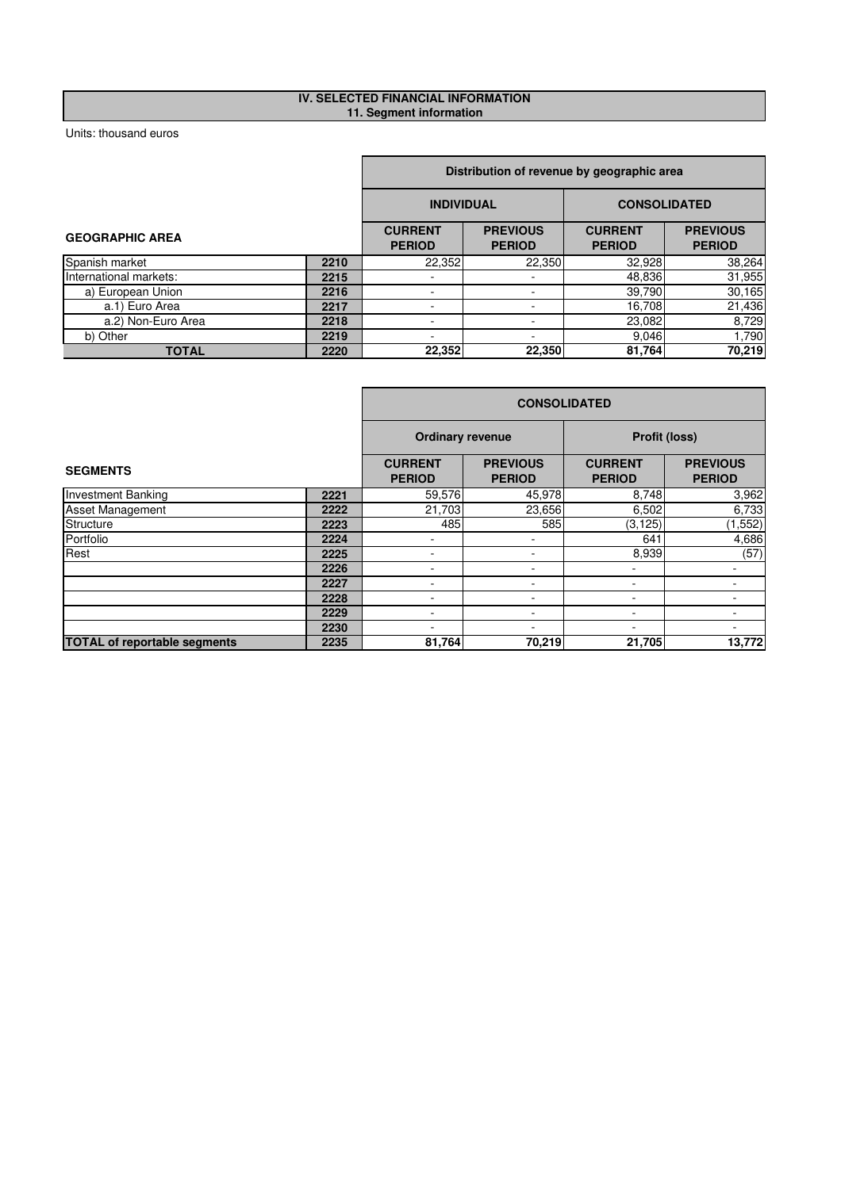## **IV. SELECTED FINANCIAL INFORMATION 11. Segment information**

r

|                        |                                                                                                        | Distribution of revenue by geographic area |                                  |        |        |  |  |  |
|------------------------|--------------------------------------------------------------------------------------------------------|--------------------------------------------|----------------------------------|--------|--------|--|--|--|
|                        |                                                                                                        | <b>INDIVIDUAL</b>                          | <b>CONSOLIDATED</b>              |        |        |  |  |  |
| <b>GEOGRAPHIC AREA</b> | <b>PREVIOUS</b><br><b>CURRENT</b><br><b>CURRENT</b><br><b>PERIOD</b><br><b>PERIOD</b><br><b>PERIOD</b> |                                            | <b>PREVIOUS</b><br><b>PERIOD</b> |        |        |  |  |  |
| Spanish market         | 2210                                                                                                   | 22,352                                     | 22,350                           | 32,928 | 38,264 |  |  |  |
| International markets: | 2215                                                                                                   |                                            |                                  | 48,836 | 31,955 |  |  |  |
| a) European Union      | 2216                                                                                                   |                                            | ۰                                | 39,790 | 30,165 |  |  |  |
| a.1) Euro Area         | 2217                                                                                                   |                                            |                                  | 16,708 | 21,436 |  |  |  |
| a.2) Non-Euro Area     | 2218                                                                                                   |                                            |                                  | 23,082 | 8,729  |  |  |  |
| b) Other               | 2219                                                                                                   | 9,046                                      |                                  |        |        |  |  |  |
| <b>TOTAL</b>           | 2220                                                                                                   | 22,352<br>22,350<br>81,764                 |                                  |        |        |  |  |  |

|                                     |      |                                 | <b>CONSOLIDATED</b>                      |                                 |                                  |  |  |  |
|-------------------------------------|------|---------------------------------|------------------------------------------|---------------------------------|----------------------------------|--|--|--|
|                                     |      |                                 | <b>Ordinary revenue</b><br>Profit (loss) |                                 |                                  |  |  |  |
| <b>SEGMENTS</b>                     |      | <b>CURRENT</b><br><b>PERIOD</b> | <b>PREVIOUS</b><br><b>PERIOD</b>         | <b>CURRENT</b><br><b>PERIOD</b> | <b>PREVIOUS</b><br><b>PERIOD</b> |  |  |  |
| <b>Investment Banking</b>           | 2221 | 59,576                          | 45,978                                   | 8,748                           | 3,962                            |  |  |  |
| <b>Asset Management</b>             | 2222 | 21,703                          | 23,656                                   | 6,502                           | 6,733                            |  |  |  |
| Structure                           | 2223 | 485                             | 585                                      | (3, 125)                        | (1, 552)                         |  |  |  |
| Portfolio                           | 2224 |                                 |                                          | 641                             | 4,686                            |  |  |  |
| Rest                                | 2225 |                                 | ۰                                        | 8,939                           | (57)                             |  |  |  |
|                                     | 2226 |                                 | ۰                                        |                                 |                                  |  |  |  |
|                                     | 2227 |                                 |                                          |                                 |                                  |  |  |  |
|                                     | 2228 |                                 |                                          | ۰                               |                                  |  |  |  |
|                                     | 2229 |                                 |                                          |                                 |                                  |  |  |  |
|                                     | 2230 | $\overline{\phantom{0}}$        | ٠                                        | $\overline{\phantom{0}}$        | ۰                                |  |  |  |
| <b>TOTAL of reportable segments</b> | 2235 | 81,764                          | 70,219                                   | 21,705                          | 13,772                           |  |  |  |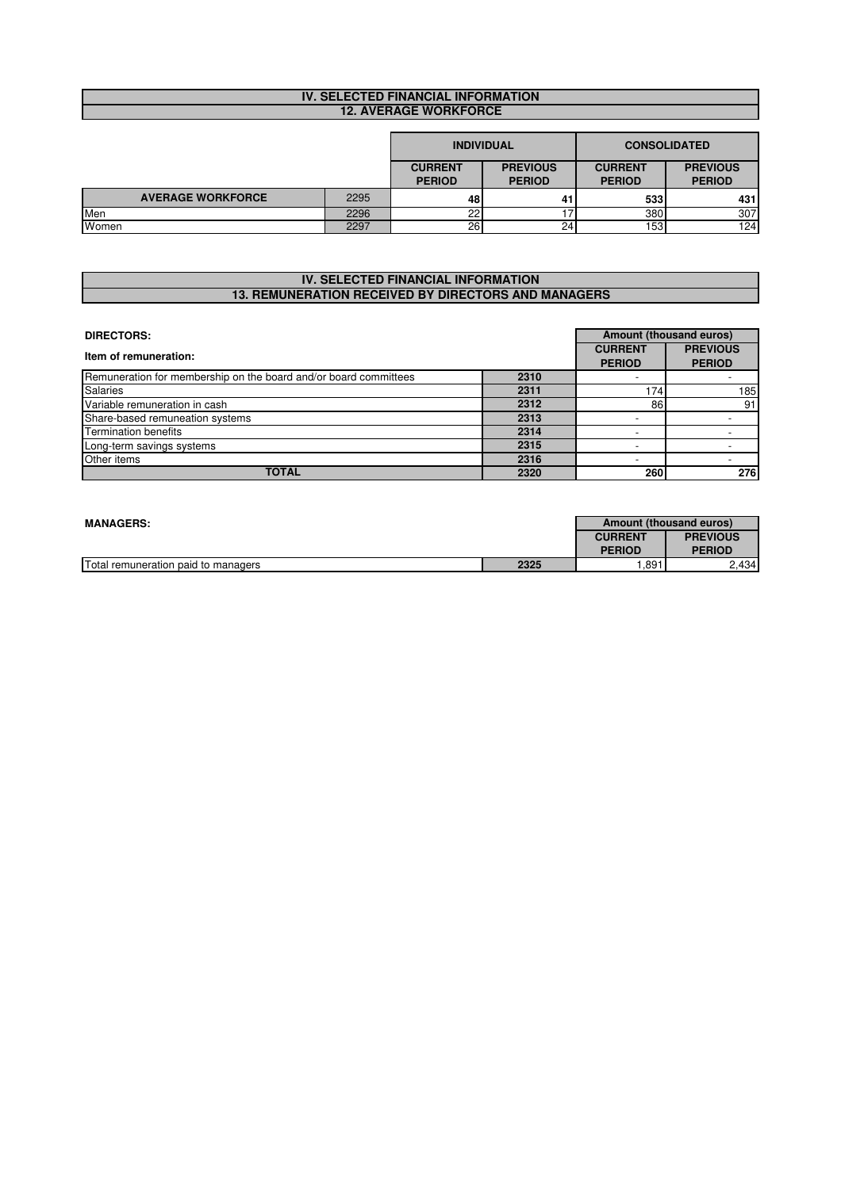# **IV. SELECTED FINANCIAL INFORMATION 12. AVERAGE WORKFORCE**

|                          |                                 | <b>INDIVIDUAL</b>                |                                 |                                  | <b>CONSOLIDATED</b> |
|--------------------------|---------------------------------|----------------------------------|---------------------------------|----------------------------------|---------------------|
|                          | <b>CURRENT</b><br><b>PERIOD</b> | <b>PREVIOUS</b><br><b>PERIOD</b> | <b>CURRENT</b><br><b>PERIOD</b> | <b>PREVIOUS</b><br><b>PERIOD</b> |                     |
| <b>AVERAGE WORKFORCE</b> | 2295                            | 48                               | 41                              | 533                              | 431                 |
| Men                      | 2296                            | nn                               |                                 | 380                              | 307                 |
| Women                    | 2297                            | 26                               | 24 <sub>1</sub>                 | 153                              | 124                 |

#### **IV. SELECTED FINANCIAL INFORMATION 13. REMUNERATION RECEIVED BY DIRECTORS AND MANAGERS**

| <b>DIRECTORS:</b>                                                |                                 |                                  |     |  |  |  |
|------------------------------------------------------------------|---------------------------------|----------------------------------|-----|--|--|--|
| Item of remuneration:                                            | <b>CURRENT</b><br><b>PERIOD</b> | <b>PREVIOUS</b><br><b>PERIOD</b> |     |  |  |  |
| Remuneration for membership on the board and/or board committees | 2310                            |                                  |     |  |  |  |
| <b>Salaries</b>                                                  | 2311                            | 1741                             | 185 |  |  |  |
| Variable remuneration in cash                                    | 2312                            | 86                               | 91  |  |  |  |
| Share-based remuneation systems                                  | 2313                            |                                  |     |  |  |  |
| <b>Termination benefits</b>                                      | 2314                            |                                  |     |  |  |  |
| Long-term savings systems                                        | 2315                            |                                  |     |  |  |  |
| Other items                                                      | 2316                            |                                  |     |  |  |  |
| <b>TOTAL</b>                                                     | 2320                            | 260                              | 276 |  |  |  |

| Amount (thousand euros)<br><b>MANAGERS:</b> |      |                |                 |  |  |
|---------------------------------------------|------|----------------|-----------------|--|--|
|                                             |      | <b>CURRENT</b> | <b>PREVIOUS</b> |  |  |
|                                             |      | <b>PERIOD</b>  | <b>PERIOD</b>   |  |  |
| Total remuneration paid to managers         | 2325 | .891<br>2.434  |                 |  |  |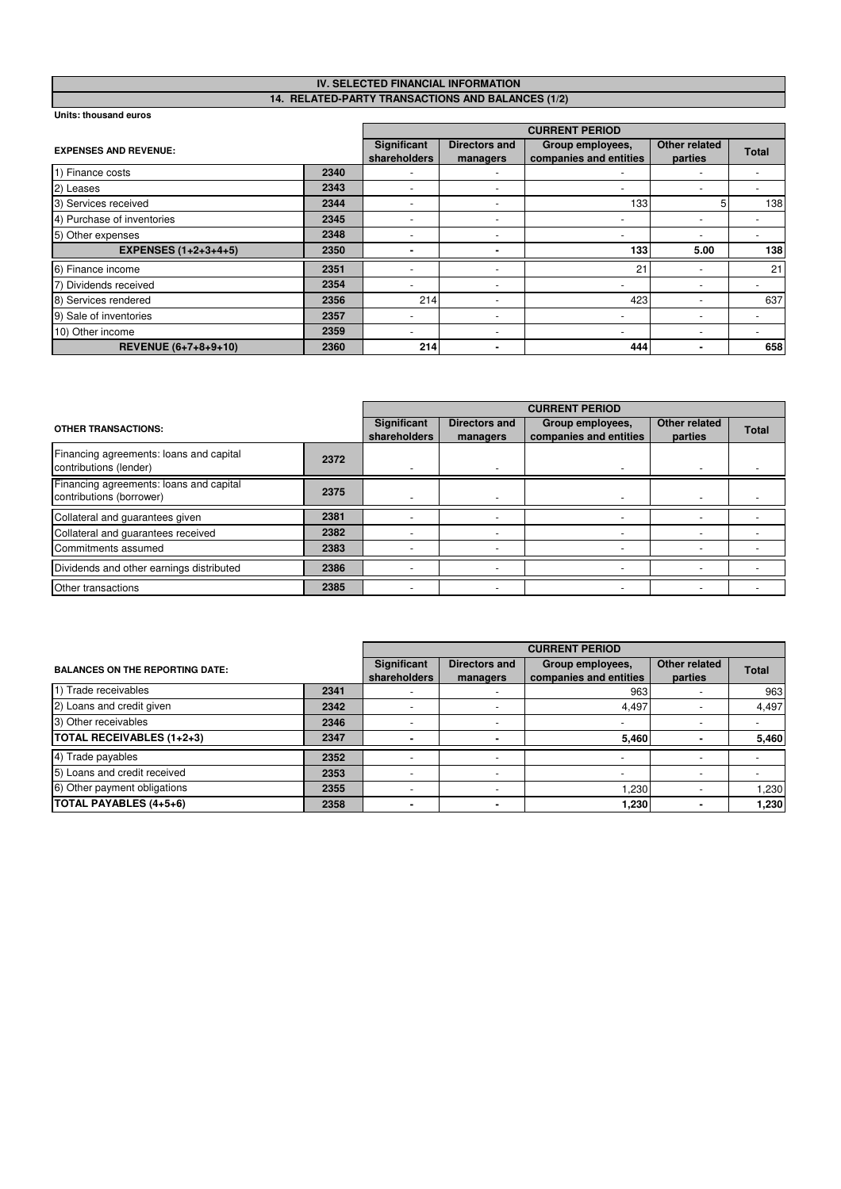#### **IV. SELECTED FINANCIAL INFORMATION 14. RELATED-PARTY TRANSACTIONS AND BALANCES (1/2)**

|                              |      | <b>CURRENT PERIOD</b>       |                                  |                                            |                          |              |  |  |
|------------------------------|------|-----------------------------|----------------------------------|--------------------------------------------|--------------------------|--------------|--|--|
| <b>EXPENSES AND REVENUE:</b> |      | Significant<br>shareholders | <b>Directors and</b><br>managers | Group employees,<br>companies and entities | Other related<br>parties | <b>Total</b> |  |  |
| 1) Finance costs             | 2340 |                             |                                  |                                            |                          |              |  |  |
| 2) Leases                    | 2343 |                             |                                  | $\overline{\phantom{a}}$                   |                          |              |  |  |
| 3) Services received         | 2344 |                             | $\overline{\phantom{a}}$         | 1331                                       |                          | 138          |  |  |
| 4) Purchase of inventories   | 2345 |                             | $\overline{\phantom{a}}$         | $\overline{\phantom{a}}$                   |                          |              |  |  |
| 5) Other expenses            | 2348 |                             |                                  | $\overline{\phantom{a}}$                   |                          |              |  |  |
| <b>EXPENSES (1+2+3+4+5)</b>  | 2350 |                             |                                  | 133                                        | 5.00                     | 138          |  |  |
| 6) Finance income            | 2351 |                             | -                                | 21                                         |                          | 21           |  |  |
| 7) Dividends received        | 2354 |                             | $\sim$                           | $\overline{\phantom{a}}$                   |                          |              |  |  |
| 8) Services rendered         | 2356 | 214                         | $\overline{\phantom{a}}$         | 423                                        |                          | 637          |  |  |
| 9) Sale of inventories       | 2357 | $\overline{\phantom{a}}$    | $\overline{\phantom{a}}$         | $\overline{\phantom{a}}$                   |                          |              |  |  |
| 10) Other income             | 2359 |                             |                                  | $\overline{\phantom{a}}$                   |                          |              |  |  |
| REVENUE (6+7+8+9+10)         | 2360 | 214                         | -                                | 444                                        |                          | 658          |  |  |

|                                                                     |      | <b>CURRENT PERIOD</b>              |                                  |                                            |                          |              |  |
|---------------------------------------------------------------------|------|------------------------------------|----------------------------------|--------------------------------------------|--------------------------|--------------|--|
| <b>OTHER TRANSACTIONS:</b>                                          |      | <b>Significant</b><br>shareholders | <b>Directors and</b><br>managers | Group employees,<br>companies and entities | Other related<br>parties | <b>Total</b> |  |
| Financing agreements: loans and capital<br>contributions (lender)   | 2372 |                                    |                                  |                                            |                          |              |  |
| Financing agreements: loans and capital<br>contributions (borrower) | 2375 |                                    |                                  |                                            |                          |              |  |
| Collateral and guarantees given                                     | 2381 |                                    |                                  |                                            |                          |              |  |
| Collateral and guarantees received                                  | 2382 |                                    |                                  |                                            |                          |              |  |
| Commitments assumed                                                 | 2383 |                                    |                                  |                                            |                          |              |  |
| Dividends and other earnings distributed                            | 2386 |                                    |                                  |                                            |                          |              |  |
| <b>Other transactions</b>                                           | 2385 |                                    |                                  |                                            |                          |              |  |

|                                        |      |                                    | <b>CURRENT PERIOD</b>     |                                            |                          |              |  |  |
|----------------------------------------|------|------------------------------------|---------------------------|--------------------------------------------|--------------------------|--------------|--|--|
| <b>BALANCES ON THE REPORTING DATE:</b> |      | <b>Significant</b><br>shareholders | Directors and<br>managers | Group employees,<br>companies and entities | Other related<br>parties | <b>Total</b> |  |  |
| 1) Trade receivables                   | 2341 |                                    | $\overline{\phantom{a}}$  | 963                                        |                          | 963          |  |  |
| 2) Loans and credit given              | 2342 |                                    |                           | 4.497                                      |                          | 4,497        |  |  |
| 3) Other receivables                   | 2346 |                                    | $\overline{\phantom{a}}$  | $\overline{\phantom{a}}$                   |                          |              |  |  |
| <b>TOTAL RECEIVABLES (1+2+3)</b>       | 2347 |                                    |                           | 5,460                                      |                          | 5,460        |  |  |
| 4) Trade payables                      | 2352 |                                    | $\sim$                    |                                            |                          |              |  |  |
| 5) Loans and credit received           | 2353 |                                    |                           |                                            |                          |              |  |  |
| 6) Other payment obligations           | 2355 |                                    |                           | 1.230                                      |                          | 1,230        |  |  |
| TOTAL PAYABLES (4+5+6)                 | 2358 |                                    | -                         | 1,230                                      |                          | 1,230        |  |  |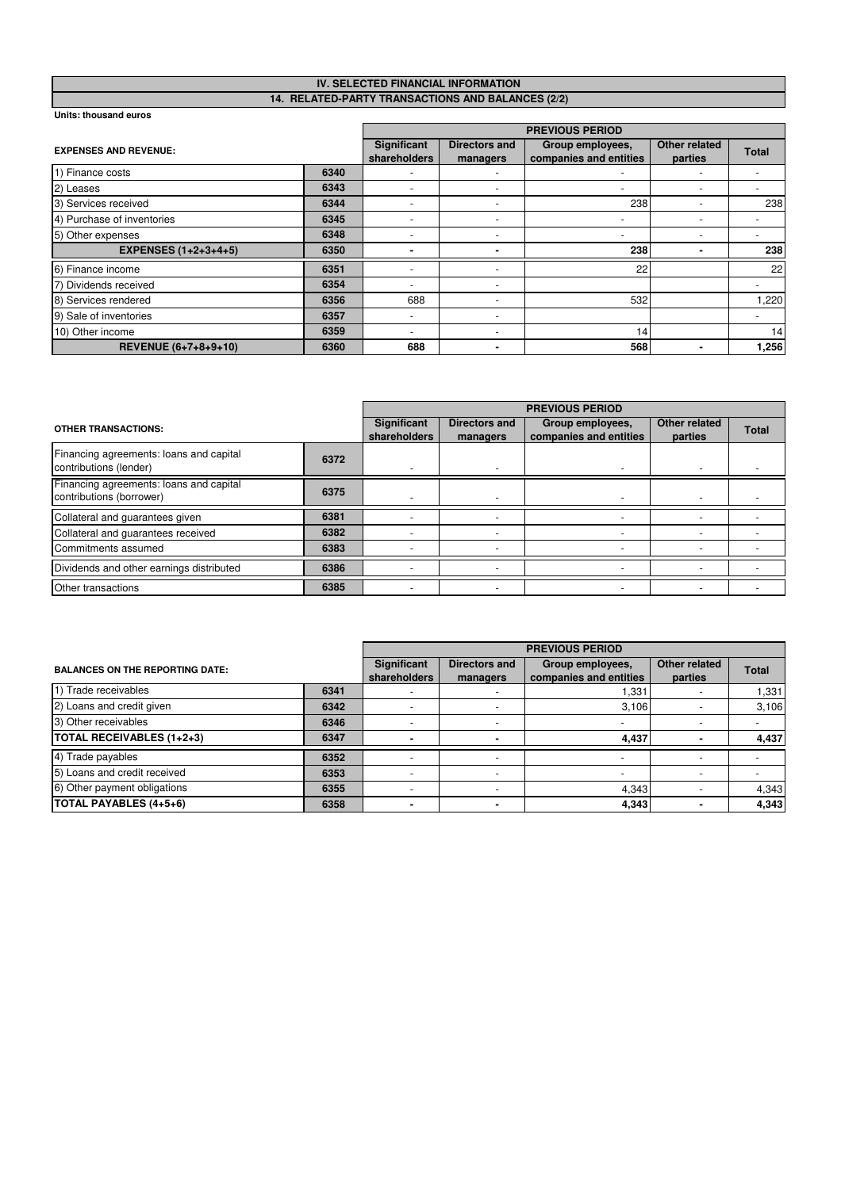#### **IV. SELECTED FINANCIAL INFORMATION 14. RELATED-PARTY TRANSACTIONS AND BALANCES (2/2)**

|                              |      |                             |                                  | <b>PREVIOUS PERIOD</b>                     |                          |              |
|------------------------------|------|-----------------------------|----------------------------------|--------------------------------------------|--------------------------|--------------|
| <b>EXPENSES AND REVENUE:</b> |      | Significant<br>shareholders | <b>Directors and</b><br>managers | Group employees,<br>companies and entities | Other related<br>parties | <b>Total</b> |
| 1) Finance costs             | 6340 |                             |                                  |                                            |                          |              |
| 2) Leases                    | 6343 |                             | -                                | $\overline{\phantom{a}}$                   |                          |              |
| 3) Services received         | 6344 |                             | $\overline{\phantom{a}}$         | 238                                        |                          | 238          |
| 4) Purchase of inventories   | 6345 |                             | $\overline{\phantom{a}}$         | $\overline{\phantom{a}}$                   |                          |              |
| 5) Other expenses            | 6348 |                             | $\overline{\phantom{a}}$         | $\overline{\phantom{a}}$                   |                          |              |
| <b>EXPENSES (1+2+3+4+5)</b>  | 6350 |                             |                                  | 238                                        |                          | 238          |
| 6) Finance income            | 6351 |                             | -                                | 22                                         |                          | 22           |
| 7) Dividends received        | 6354 |                             | $\sim$                           |                                            |                          |              |
| 8) Services rendered         | 6356 | 688                         | $\overline{\phantom{a}}$         | 532                                        |                          | 1,220        |
| 9) Sale of inventories       | 6357 | $\overline{\phantom{a}}$    | $\overline{\phantom{a}}$         |                                            |                          |              |
| 10) Other income             | 6359 |                             |                                  | 14                                         |                          | 14           |
| REVENUE (6+7+8+9+10)         | 6360 | 688                         | -                                | 568                                        |                          | 1,256        |

|                                                                     |      |                                    | <b>PREVIOUS PERIOD</b>           |                                            |                          |              |  |  |
|---------------------------------------------------------------------|------|------------------------------------|----------------------------------|--------------------------------------------|--------------------------|--------------|--|--|
| <b>OTHER TRANSACTIONS:</b>                                          |      | <b>Significant</b><br>shareholders | <b>Directors and</b><br>managers | Group employees,<br>companies and entities | Other related<br>parties | <b>Total</b> |  |  |
| Financing agreements: loans and capital<br>contributions (lender)   | 6372 |                                    |                                  |                                            |                          |              |  |  |
| Financing agreements: loans and capital<br>contributions (borrower) | 6375 |                                    |                                  |                                            |                          |              |  |  |
| Collateral and guarantees given                                     | 6381 |                                    |                                  |                                            |                          |              |  |  |
| Collateral and guarantees received                                  | 6382 |                                    |                                  |                                            |                          |              |  |  |
| Commitments assumed                                                 | 6383 |                                    |                                  |                                            |                          |              |  |  |
| Dividends and other earnings distributed                            | 6386 |                                    |                                  |                                            |                          |              |  |  |
| <b>Other transactions</b>                                           | 6385 |                                    |                                  |                                            |                          |              |  |  |

|                                        |      | <b>PREVIOUS PERIOD</b>             |                                  |                                            |                          |              |  |  |  |
|----------------------------------------|------|------------------------------------|----------------------------------|--------------------------------------------|--------------------------|--------------|--|--|--|
| <b>BALANCES ON THE REPORTING DATE:</b> |      | <b>Significant</b><br>shareholders | <b>Directors and</b><br>managers | Group employees,<br>companies and entities | Other related<br>parties | <b>Total</b> |  |  |  |
| 1) Trade receivables                   | 6341 |                                    | $\overline{\phantom{a}}$         | 1,331                                      |                          | 1,331        |  |  |  |
| 2) Loans and credit given              | 6342 |                                    |                                  | 3.106                                      |                          | 3,106        |  |  |  |
| 3) Other receivables                   | 6346 |                                    | $\overline{\phantom{a}}$         | $\overline{\phantom{a}}$                   |                          |              |  |  |  |
| <b>TOTAL RECEIVABLES (1+2+3)</b>       | 6347 |                                    |                                  | 4,437                                      |                          | 4,437        |  |  |  |
| 4) Trade payables                      | 6352 |                                    | $\overline{\phantom{a}}$         | $\overline{\phantom{a}}$                   |                          |              |  |  |  |
| 5) Loans and credit received           | 6353 |                                    |                                  |                                            |                          |              |  |  |  |
| 6) Other payment obligations           | 6355 |                                    | $\sim$                           | 4.343                                      |                          | 4,343        |  |  |  |
| TOTAL PAYABLES (4+5+6)                 | 6358 |                                    |                                  | 4,343                                      |                          | 4,343        |  |  |  |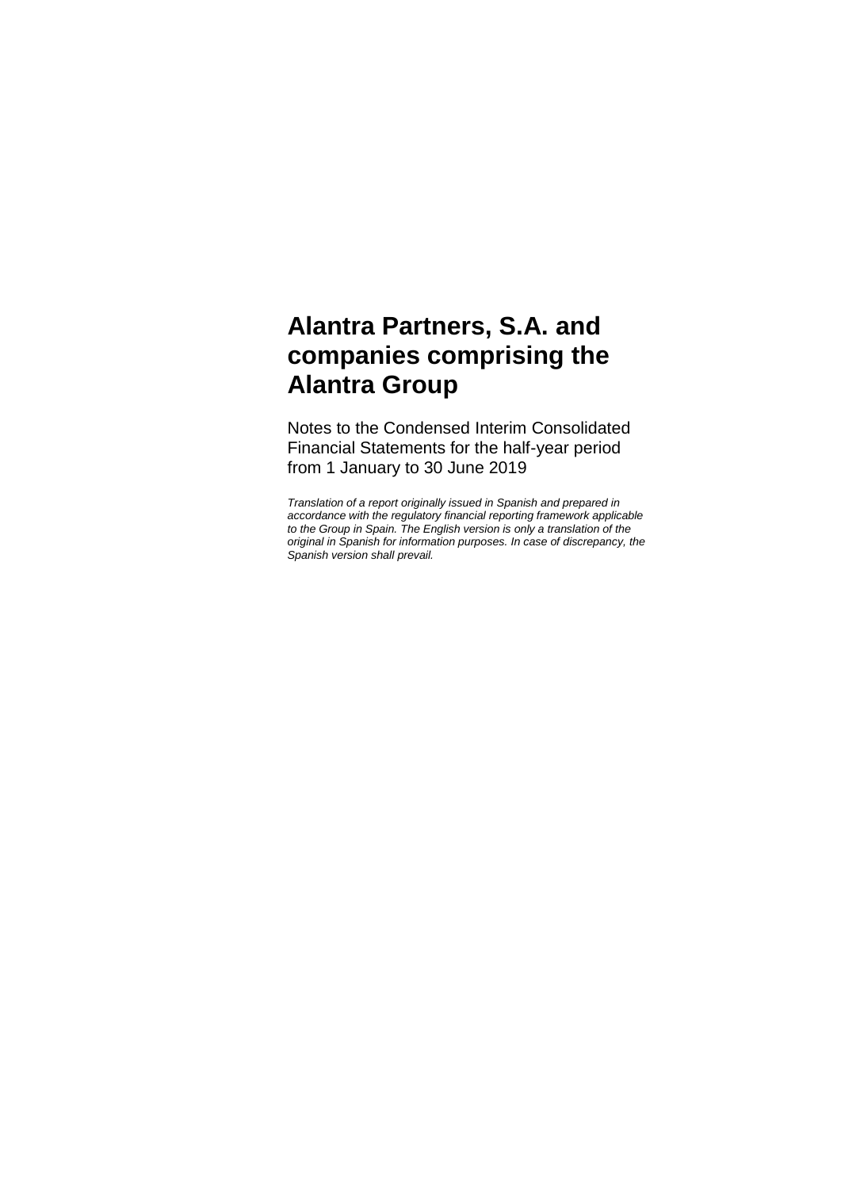Notes to the Condensed Interim Consolidated Financial Statements for the half-year period from 1 January to 30 June 2019

*Translation of a report originally issued in Spanish and prepared in accordance with the regulatory financial reporting framework applicable to the Group in Spain. The English version is only a translation of the original in Spanish for information purposes. In case of discrepancy, the Spanish version shall prevail.*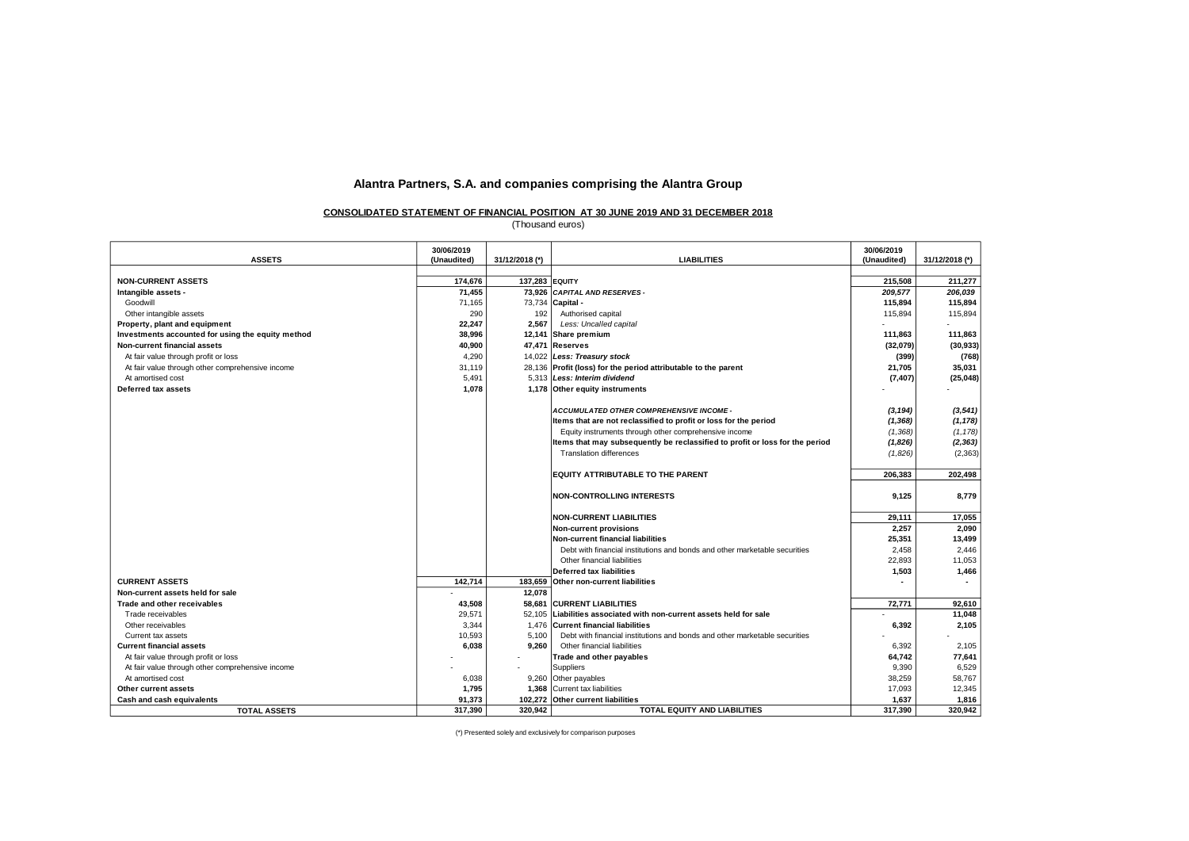#### **CONSOLIDATED STATEMENT OF FINANCIAL POSITION AT 30 JUNE 2019 AND 31 DECEMBER 2018**

(Thousand euros)

|                                                   | 30/06/2019  |                |                                                                              | 30/06/2019  |                |
|---------------------------------------------------|-------------|----------------|------------------------------------------------------------------------------|-------------|----------------|
| <b>ASSETS</b>                                     | (Unaudited) | 31/12/2018 (*) | <b>LIABILITIES</b>                                                           | (Unaudited) | 31/12/2018 (*) |
|                                                   |             |                |                                                                              |             |                |
| <b>NON-CURRENT ASSETS</b>                         | 174,676     | 137,283 EQUITY |                                                                              | 215,508     | 211,277        |
| Intangible assets -                               | 71.455      |                | 73.926 CAPITAL AND RESERVES -                                                | 209,577     | 206.039        |
| Goodwill                                          | 71,165      |                | 73,734 Capital -                                                             | 115,894     | 115,894        |
| Other intangible assets                           | 290         | 192            | Authorised capital                                                           | 115,894     | 115,894        |
| Property, plant and equipment                     | 22,247      | 2.567          | Less: Uncalled capital                                                       |             |                |
| Investments accounted for using the equity method | 38,996      |                | 12,141 Share premium                                                         | 111,863     | 111,863        |
| <b>Non-current financial assets</b>               | 40.900      |                | 47.471 Reserves                                                              | (32,079)    | (30, 933)      |
| At fair value through profit or loss              | 4,290       |                | 14,022 Less: Treasury stock                                                  | (399)       | (768)          |
| At fair value through other comprehensive income  | 31,119      |                | 28,136 Profit (loss) for the period attributable to the parent               | 21,705      | 35,031         |
| At amortised cost                                 | 5,491       |                | 5.313 Less: Interim dividend                                                 | (7, 407)    | (25, 048)      |
| Deferred tax assets                               | 1,078       |                | 1,178 Other equity instruments                                               |             |                |
|                                                   |             |                |                                                                              |             |                |
|                                                   |             |                | ACCUMULATED OTHER COMPREHENSIVE INCOME -                                     | (3, 194)    | (3, 541)       |
|                                                   |             |                | Items that are not reclassified to profit or loss for the period             | (1, 368)    | (1, 178)       |
|                                                   |             |                | Equity instruments through other comprehensive income                        | (1,368)     | (1, 178)       |
|                                                   |             |                | Items that may subsequently be reclassified to profit or loss for the period | (1,826)     | (2, 363)       |
|                                                   |             |                | <b>Translation differences</b>                                               | (1,826)     | (2, 363)       |
|                                                   |             |                | EQUITY ATTRIBUTABLE TO THE PARENT                                            | 206,383     | 202,498        |
|                                                   |             |                | <b>NON-CONTROLLING INTERESTS</b>                                             | 9,125       | 8,779          |
|                                                   |             |                | <b>NON-CURRENT LIABILITIES</b>                                               | 29,111      | 17,055         |
|                                                   |             |                | <b>Non-current provisions</b>                                                | 2,257       | 2,090          |
|                                                   |             |                | <b>Non-current financial liabilities</b>                                     | 25,351      | 13,499         |
|                                                   |             |                | Debt with financial institutions and bonds and other marketable securities   | 2,458       | 2,446          |
|                                                   |             |                | Other financial liabilities                                                  | 22,893      | 11,053         |
|                                                   |             |                | <b>Deferred tax liabilities</b>                                              | 1,503       | 1,466          |
| <b>CURRENT ASSETS</b>                             | 142,714     | 183,659        | <b>Other non-current liabilities</b>                                         |             | $\sim$         |
| Non-current assets held for sale                  |             | 12,078         |                                                                              |             |                |
| Trade and other receivables                       | 43,508      | 58,681         | <b>CURRENT LIABILITIES</b>                                                   | 72,771      | 92,610         |
| Trade receivables                                 | 29,571      | 52.105         | Liabilities associated with non-current assets held for sale                 |             | 11,048         |
| Other receivables                                 | 3.344       | 1.476          | Current financial liabilities                                                | 6,392       | 2,105          |
| Current tax assets                                | 10,593      | 5.100          | Debt with financial institutions and bonds and other marketable securities   |             |                |
| <b>Current financial assets</b>                   | 6,038       | 9,260          | Other financial liabilities                                                  | 6,392       | 2,105          |
| At fair value through profit or loss              |             |                | Trade and other payables                                                     | 64,742      | 77,641         |
| At fair value through other comprehensive income  |             |                | Suppliers                                                                    | 9,390       | 6,529          |
| At amortised cost                                 | 6,038       |                | 9,260 Other payables                                                         | 38,259      | 58,767         |
| Other current assets                              | 1,795       |                | 1,368 Current tax liabilities                                                | 17,093      | 12,345         |
| Cash and cash equivalents                         | 91,373      |                | 102,272 Other current liabilities                                            | 1,637       | 1,816          |
| <b>TOTAL ASSETS</b>                               | 317,390     | 320,942        | <b>TOTAL EQUITY AND LIABILITIES</b>                                          | 317,390     | 320,942        |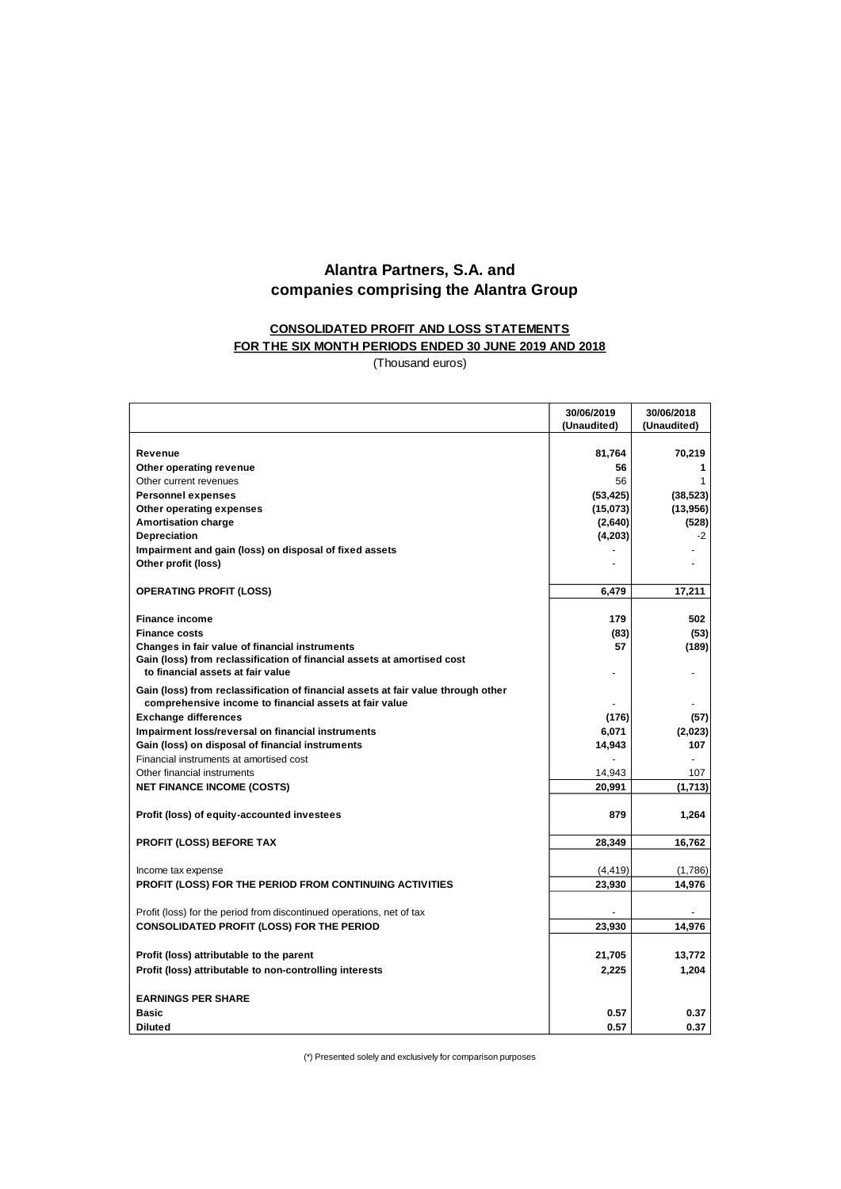# **CONSOLIDATED PROFIT AND LOSS STATEMENTS**

# **FOR THE SIX MONTH PERIODS ENDED 30 JUNE 2019 AND 2018**

(Thousand euros)

|                                                                                   | 30/06/2019      | 30/06/2018     |
|-----------------------------------------------------------------------------------|-----------------|----------------|
|                                                                                   | (Unaudited)     | (Unaudited)    |
|                                                                                   |                 |                |
| Revenue                                                                           | 81,764          | 70,219         |
| Other operating revenue                                                           | 56              | 1              |
| Other current revenues<br><b>Personnel expenses</b>                               | 56<br>(53, 425) | 1<br>(38, 523) |
| Other operating expenses                                                          | (15,073)        | (13,956)       |
| <b>Amortisation charge</b>                                                        | (2,640)         | (528)          |
| <b>Depreciation</b>                                                               | (4, 203)        | $-2$           |
| Impairment and gain (loss) on disposal of fixed assets                            |                 |                |
| Other profit (loss)                                                               |                 |                |
|                                                                                   |                 |                |
| <b>OPERATING PROFIT (LOSS)</b>                                                    | 6,479           | 17.211         |
| <b>Finance income</b>                                                             | 179             | 502            |
| <b>Finance costs</b>                                                              | (83)            | (53)           |
| Changes in fair value of financial instruments                                    | 57              | (189)          |
| Gain (loss) from reclassification of financial assets at amortised cost           |                 |                |
| to financial assets at fair value                                                 |                 |                |
| Gain (loss) from reclassification of financial assets at fair value through other |                 |                |
| comprehensive income to financial assets at fair value                            |                 |                |
| <b>Exchange differences</b>                                                       | (176)           | (57)           |
| Impairment loss/reversal on financial instruments                                 | 6,071           | (2,023)        |
| Gain (loss) on disposal of financial instruments                                  | 14,943          | 107            |
| Financial instruments at amortised cost                                           |                 | $\blacksquare$ |
| Other financial instruments                                                       | 14,943          | 107            |
| <b>NET FINANCE INCOME (COSTS)</b>                                                 | 20,991          | (1,713)        |
| Profit (loss) of equity-accounted investees                                       | 879             | 1,264          |
|                                                                                   |                 |                |
| <b>PROFIT (LOSS) BEFORE TAX</b>                                                   | 28,349          | 16,762         |
| Income tax expense                                                                | (4, 419)        | (1,786)        |
| PROFIT (LOSS) FOR THE PERIOD FROM CONTINUING ACTIVITIES                           | 23,930          | 14,976         |
|                                                                                   |                 |                |
| Profit (loss) for the period from discontinued operations, net of tax             |                 |                |
| <b>CONSOLIDATED PROFIT (LOSS) FOR THE PERIOD</b>                                  | 23,930          | 14,976         |
|                                                                                   |                 |                |
| Profit (loss) attributable to the parent                                          | 21,705          | 13,772         |
| Profit (loss) attributable to non-controlling interests                           | 2,225           | 1,204          |
|                                                                                   |                 |                |
| <b>EARNINGS PER SHARE</b>                                                         |                 |                |
| <b>Basic</b>                                                                      | 0.57            | 0.37           |
| <b>Diluted</b>                                                                    | 0.57            | 0.37           |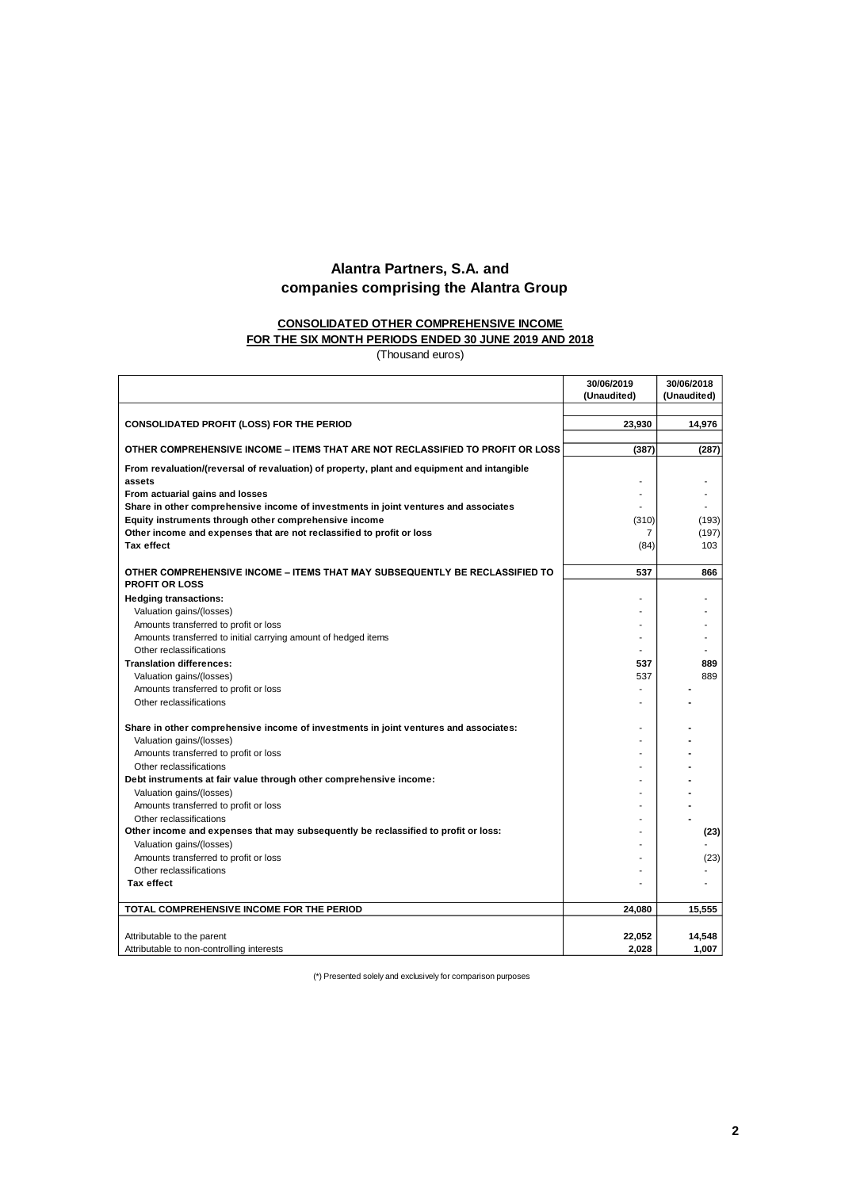# **CONSOLIDATED OTHER COMPREHENSIVE INCOME**

# **FOR THE SIX MONTH PERIODS ENDED 30 JUNE 2019 AND 2018**

(Thousand euros)

|                                                                                                      | 30/06/2019<br>(Unaudited) | 30/06/2018<br>(Unaudited) |
|------------------------------------------------------------------------------------------------------|---------------------------|---------------------------|
|                                                                                                      |                           |                           |
| <b>CONSOLIDATED PROFIT (LOSS) FOR THE PERIOD</b>                                                     | 23.930                    | 14.976                    |
| OTHER COMPREHENSIVE INCOME – ITEMS THAT ARE NOT RECLASSIFIED TO PROFIT OR LOSS                       | (387)                     | (287)                     |
| From revaluation/(reversal of revaluation) of property, plant and equipment and intangible<br>assets |                           |                           |
| From actuarial gains and losses                                                                      |                           |                           |
| Share in other comprehensive income of investments in joint ventures and associates                  |                           |                           |
| Equity instruments through other comprehensive income                                                | (310)                     | (193)                     |
| Other income and expenses that are not reclassified to profit or loss                                | $\overline{7}$            | (197)                     |
| <b>Tax effect</b>                                                                                    | (84)                      | 103                       |
| OTHER COMPREHENSIVE INCOME – ITEMS THAT MAY SUBSEQUENTLY BE RECLASSIFIED TO<br><b>PROFIT OR LOSS</b> | 537                       | 866                       |
| <b>Hedging transactions:</b>                                                                         |                           |                           |
| Valuation gains/(losses)                                                                             |                           |                           |
| Amounts transferred to profit or loss                                                                |                           |                           |
| Amounts transferred to initial carrying amount of hedged items                                       |                           |                           |
| Other reclassifications                                                                              |                           |                           |
| <b>Translation differences:</b>                                                                      | 537                       | 889                       |
| Valuation gains/(losses)                                                                             | 537                       | 889                       |
| Amounts transferred to profit or loss                                                                |                           |                           |
| Other reclassifications                                                                              |                           |                           |
| Share in other comprehensive income of investments in joint ventures and associates:                 |                           |                           |
| Valuation gains/(losses)                                                                             |                           |                           |
| Amounts transferred to profit or loss                                                                |                           |                           |
| Other reclassifications                                                                              |                           |                           |
| Debt instruments at fair value through other comprehensive income:                                   |                           |                           |
| Valuation gains/(losses)                                                                             |                           |                           |
| Amounts transferred to profit or loss                                                                |                           |                           |
| Other reclassifications                                                                              |                           |                           |
| Other income and expenses that may subsequently be reclassified to profit or loss:                   |                           | (23)                      |
| Valuation gains/(losses)                                                                             |                           |                           |
| Amounts transferred to profit or loss                                                                |                           | (23)                      |
| Other reclassifications                                                                              |                           |                           |
| <b>Tax effect</b>                                                                                    |                           |                           |
| TOTAL COMPREHENSIVE INCOME FOR THE PERIOD                                                            | 24,080                    | 15,555                    |
| Attributable to the parent                                                                           | 22,052                    | 14,548                    |
| Attributable to non-controlling interests                                                            | 2,028                     | 1,007                     |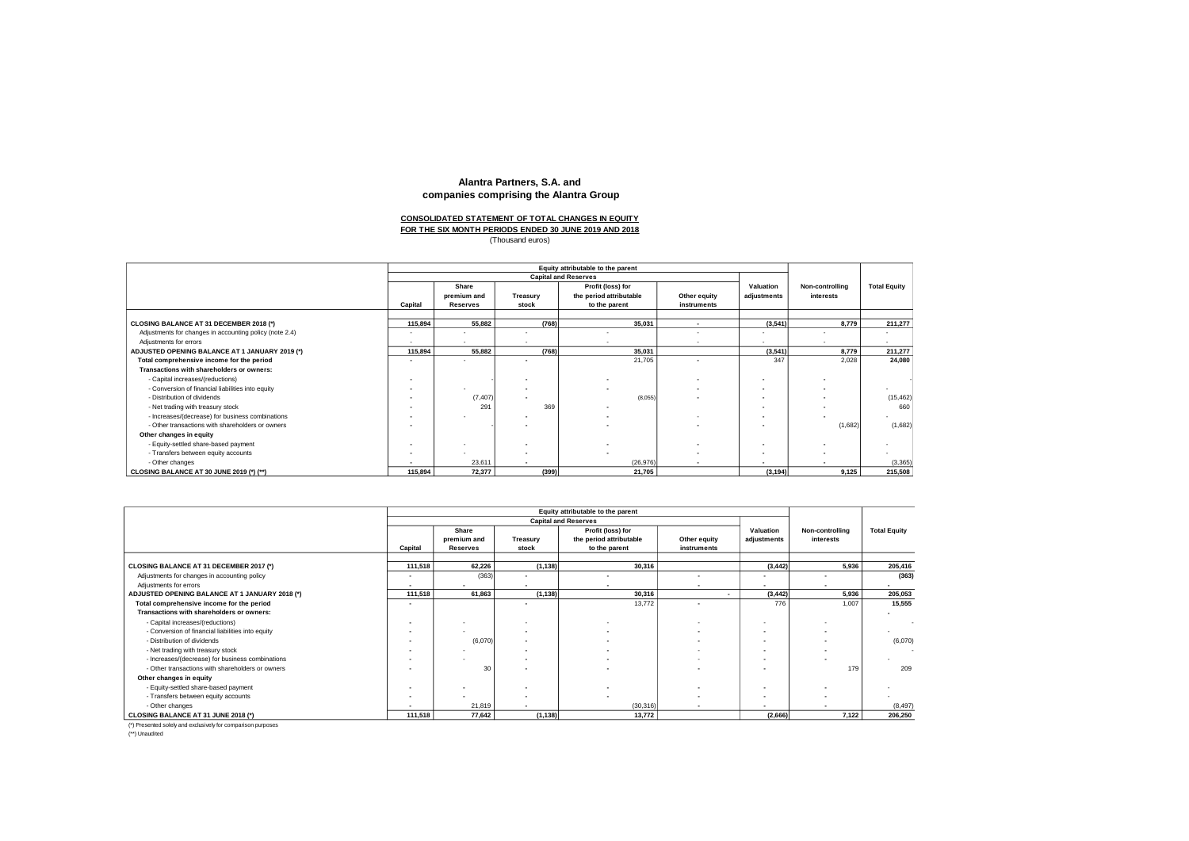# **FOR THE SIX MONTH PERIODS ENDED 30 JUNE 2019 AND 2018 CONSOLIDATED STATEMENT OF TOTAL CHANGES IN EQUITY**

Thousand euros)

|                                                         | Equity attributable to the parent |                                         |                          |                                                               |                             |                          |                              |                          |
|---------------------------------------------------------|-----------------------------------|-----------------------------------------|--------------------------|---------------------------------------------------------------|-----------------------------|--------------------------|------------------------------|--------------------------|
|                                                         | <b>Capital and Reserves</b>       |                                         |                          |                                                               |                             |                          |                              |                          |
|                                                         | Capital                           | Share<br>premium and<br><b>Reserves</b> | Treasury<br>stock        | Profit (loss) for<br>the period attributable<br>to the parent | Other equity<br>instruments | Valuation<br>adjustments | Non-controlling<br>interests | <b>Total Equity</b>      |
|                                                         |                                   |                                         |                          |                                                               |                             |                          |                              |                          |
| CLOSING BALANCE AT 31 DECEMBER 2018 (*)                 | 115.894                           | 55,882                                  | (768)                    | 35,031                                                        | $\overline{\phantom{a}}$    | (3, 541)                 | 8,779                        | 211,277                  |
| Adjustments for changes in accounting policy (note 2.4) | $\sim$                            |                                         |                          |                                                               | $\sim$                      | $\overline{\phantom{a}}$ |                              | $\overline{\phantom{a}}$ |
| Adiustments for errors                                  | $\sim$                            |                                         |                          |                                                               | $\overline{\phantom{a}}$    | $\overline{\phantom{a}}$ |                              | $\sim$                   |
| ADJUSTED OPENING BALANCE AT 1 JANUARY 2019 (*)          | 115.894                           | 55,882                                  | (768)                    | 35,031                                                        |                             | (3, 541)                 | 8.779                        | 211,277                  |
| Total comprehensive income for the period               | $\overline{\phantom{0}}$          |                                         |                          | 21,705                                                        |                             | 347                      | 2,028                        | 24,080                   |
| Transactions with shareholders or owners:               |                                   |                                         |                          |                                                               |                             |                          |                              |                          |
| - Capital increases/(reductions)                        |                                   |                                         |                          |                                                               |                             | $\overline{\phantom{a}}$ |                              |                          |
| - Conversion of financial liabilities into equity       |                                   |                                         |                          |                                                               | $\overline{\phantom{a}}$    | $\overline{\phantom{a}}$ | $\overline{\phantom{a}}$     |                          |
| - Distribution of dividends                             |                                   | (7, 407)                                |                          | (8,055)                                                       |                             | $\overline{\phantom{a}}$ |                              | (15, 462)                |
| - Net trading with treasury stock                       |                                   | 291                                     | 369                      |                                                               |                             |                          |                              | 660                      |
| - Increases/(decrease) for business combinations        |                                   |                                         |                          |                                                               |                             | $\overline{\phantom{a}}$ |                              | $\sim$                   |
| - Other transactions with shareholders or owners        |                                   |                                         |                          |                                                               |                             |                          | (1,682)                      | (1,682)                  |
| Other changes in equity                                 |                                   |                                         |                          |                                                               |                             |                          |                              |                          |
| - Equity-settled share-based payment                    |                                   |                                         |                          |                                                               |                             | $\overline{\phantom{a}}$ |                              |                          |
| - Transfers between equity accounts                     | $\overline{\phantom{a}}$          |                                         |                          | $\overline{\phantom{a}}$                                      | $\overline{\phantom{a}}$    | $\overline{\phantom{a}}$ | $\overline{\phantom{a}}$     |                          |
| - Other changes                                         |                                   | 23,611                                  | $\overline{\phantom{a}}$ | (26,976)                                                      | $\cdot$                     | $\overline{\phantom{a}}$ |                              | (3, 365)                 |
| CLOSING BALANCE AT 30 JUNE 2019 (*) (**)                | 115,894                           | 72,377                                  | (399)                    | 21,705                                                        |                             | (3, 194)                 | 9,125                        | 215,508                  |

|                                                   | Equity attributable to the parent |                          |                          |                         |                |                          |                          |                          |
|---------------------------------------------------|-----------------------------------|--------------------------|--------------------------|-------------------------|----------------|--------------------------|--------------------------|--------------------------|
|                                                   | <b>Capital and Reserves</b>       |                          |                          |                         |                |                          |                          |                          |
|                                                   |                                   | Share                    |                          | Profit (loss) for       |                | Valuation                | Non-controlling          | <b>Total Equity</b>      |
|                                                   |                                   | premium and              | Treasury                 | the period attributable | Other equity   | adjustments              | interests                |                          |
|                                                   | Capital                           | <b>Reserves</b>          | stock                    | to the parent           | instruments    |                          |                          |                          |
|                                                   |                                   |                          |                          |                         |                |                          |                          |                          |
| CLOSING BALANCE AT 31 DECEMBER 2017 (*)           | 111,518                           | 62,226                   | (1, 138)                 | 30,316                  |                | (3, 442)                 | 5,936                    | 205,416                  |
| Adjustments for changes in accounting policy      | $\overline{\phantom{a}}$          | (363)                    | $\overline{\phantom{0}}$ |                         | $\sim$         | $\overline{\phantom{0}}$ | $\overline{\phantom{a}}$ | (363)                    |
| Adjustments for errors                            | $\overline{\phantom{0}}$          |                          |                          |                         |                | $\overline{\phantom{0}}$ |                          | $\overline{\phantom{0}}$ |
| ADJUSTED OPENING BALANCE AT 1 JANUARY 2018 (*)    | 111,518                           | 61,863                   | (1, 138)                 | 30,316                  |                | (3, 442)                 | 5,936                    | 205,053                  |
| Total comprehensive income for the period         | $\overline{\phantom{a}}$          |                          |                          | 13,772                  | $\sim$         | 776                      | 1,007                    | 15,555                   |
| Transactions with shareholders or owners:         |                                   |                          |                          |                         |                |                          |                          |                          |
| - Capital increases/(reductions)                  |                                   |                          |                          |                         |                | $\overline{\phantom{a}}$ |                          |                          |
| - Conversion of financial liabilities into equity |                                   |                          | $\overline{\phantom{a}}$ |                         |                | $\overline{\phantom{a}}$ | $\overline{\phantom{a}}$ |                          |
| - Distribution of dividends                       |                                   | (6,070)                  |                          |                         |                | $\overline{\phantom{a}}$ | $\overline{\phantom{a}}$ | (6,070)                  |
| - Net trading with treasury stock                 |                                   |                          |                          |                         |                | $\overline{\phantom{a}}$ | $\overline{\phantom{a}}$ |                          |
| - Increases/(decrease) for business combinations  |                                   |                          |                          |                         |                | $\overline{\phantom{a}}$ |                          |                          |
| - Other transactions with shareholders or owners  |                                   | 30                       |                          |                         |                | $\overline{\phantom{a}}$ | 179                      | 209                      |
| Other changes in equity                           |                                   |                          |                          |                         |                |                          |                          |                          |
| - Equity-settled share-based payment              |                                   |                          |                          |                         |                | $\overline{\phantom{a}}$ |                          |                          |
| - Transfers between equity accounts               | $\overline{\phantom{a}}$          | $\overline{\phantom{0}}$ | $\sim$                   |                         | <u>. на п</u>  | $\overline{\phantom{a}}$ | $\overline{\phantom{0}}$ |                          |
| - Other changes                                   | $\overline{\phantom{0}}$          | 21,819                   | ۰                        | (30, 316)               | $\blacksquare$ | $\overline{\phantom{a}}$ |                          | (8, 497)                 |
| CLOSING BALANCE AT 31 JUNE 2018 (*)               | 111,518                           | 77,642                   | (1, 138)                 | 13,772                  |                | (2,666)                  | 7,122                    | 206,250                  |

(\*) Presented solely and exclusively for comparison purposes

(\*\*) Unaudited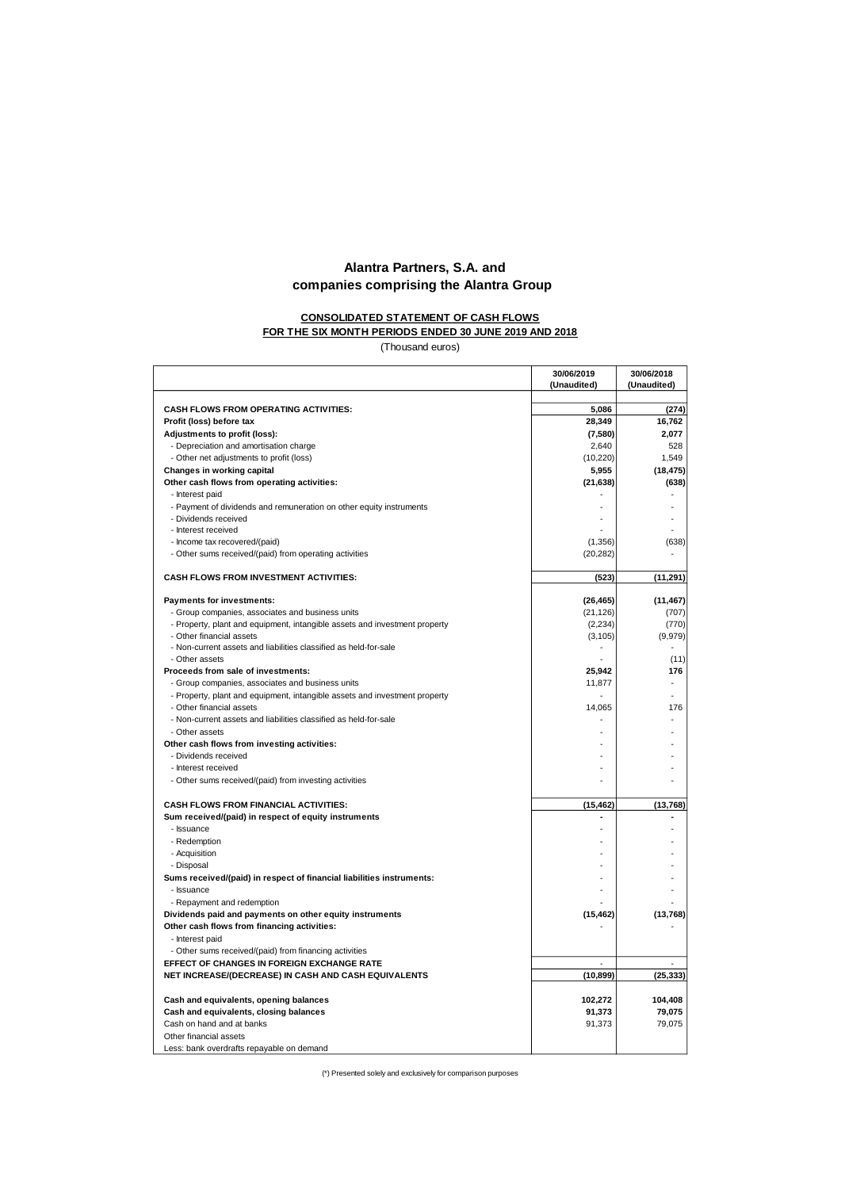#### **CONSOLIDATED STATEMENT OF CASH FLOWS FOR THE SIX MONTH PERIODS ENDED 30 JUNE 2019 AND 2018**

(Thousand euros)

|                                                                                                        | 30/06/2019<br>(Unaudited) | 30/06/2018  |
|--------------------------------------------------------------------------------------------------------|---------------------------|-------------|
|                                                                                                        |                           | (Unaudited) |
| <b>CASH FLOWS FROM OPERATING ACTIVITIES:</b>                                                           | 5,086                     | (274)       |
| Profit (loss) before tax                                                                               | 28,349                    | 16,762      |
| Adjustments to profit (loss):                                                                          | (7, 580)                  | 2,077       |
| - Depreciation and amortisation charge                                                                 | 2,640                     | 528         |
| - Other net adjustments to profit (loss)                                                               | (10, 220)                 | 1,549       |
| Changes in working capital                                                                             | 5,955                     | (18, 475)   |
| Other cash flows from operating activities:                                                            | (21, 638)                 | (638)       |
| - Interest paid                                                                                        |                           |             |
| - Payment of dividends and remuneration on other equity instruments                                    |                           |             |
| - Dividends received                                                                                   |                           |             |
| - Interest received                                                                                    |                           |             |
| - Income tax recovered/(paid)                                                                          | (1, 356)                  | (638)       |
| - Other sums received/(paid) from operating activities                                                 | (20, 282)                 |             |
| CASH FLOWS FROM INVESTMENT ACTIVITIES:                                                                 | (523)                     | (11, 291)   |
| Payments for investments:                                                                              | (26, 465)                 | (11, 467)   |
| - Group companies, associates and business units                                                       | (21, 126)                 | (707)       |
| - Property, plant and equipment, intangible assets and investment property                             | (2, 234)                  | (770)       |
| - Other financial assets                                                                               | (3, 105)                  | (9,979)     |
| - Non-current assets and liabilities classified as held-for-sale                                       |                           |             |
| - Other assets                                                                                         |                           | (11)        |
| Proceeds from sale of investments:                                                                     | 25,942                    | 176         |
| - Group companies, associates and business units                                                       | 11,877                    |             |
| - Property, plant and equipment, intangible assets and investment property<br>- Other financial assets |                           | 176         |
|                                                                                                        | 14,065<br>$\overline{a}$  |             |
| - Non-current assets and liabilities classified as held-for-sale                                       |                           |             |
| - Other assets<br>Other cash flows from investing activities:                                          |                           |             |
| - Dividends received                                                                                   |                           |             |
| - Interest received                                                                                    |                           |             |
| - Other sums received/(paid) from investing activities                                                 |                           |             |
| <b>CASH FLOWS FROM FINANCIAL ACTIVITIES:</b>                                                           | (15, 462)                 | (13, 768)   |
| Sum received/(paid) in respect of equity instruments                                                   |                           |             |
| - Issuance                                                                                             |                           |             |
| - Redemption                                                                                           |                           |             |
| - Acquisition                                                                                          |                           |             |
| - Disposal                                                                                             |                           |             |
| Sums received/(paid) in respect of financial liabilities instruments:                                  |                           |             |
| - Issuance                                                                                             |                           |             |
| - Repayment and redemption                                                                             |                           |             |
| Dividends paid and payments on other equity instruments                                                | (15, 462)                 | (13,768)    |
| Other cash flows from financing activities:                                                            |                           |             |
| - Interest paid                                                                                        |                           |             |
| - Other sums received/(paid) from financing activities                                                 |                           |             |
| EFFECT OF CHANGES IN FOREIGN EXCHANGE RATE                                                             |                           |             |
| NET INCREASE/(DECREASE) IN CASH AND CASH EQUIVALENTS                                                   | (10, 899)                 | (25, 333)   |
| Cash and equivalents, opening balances                                                                 | 102,272                   | 104,408     |
| Cash and equivalents, closing balances                                                                 | 91,373                    | 79,075      |
| Cash on hand and at banks                                                                              | 91,373                    | 79,075      |
| Other financial assets                                                                                 |                           |             |
| Less: bank overdrafts repavable on demand                                                              |                           |             |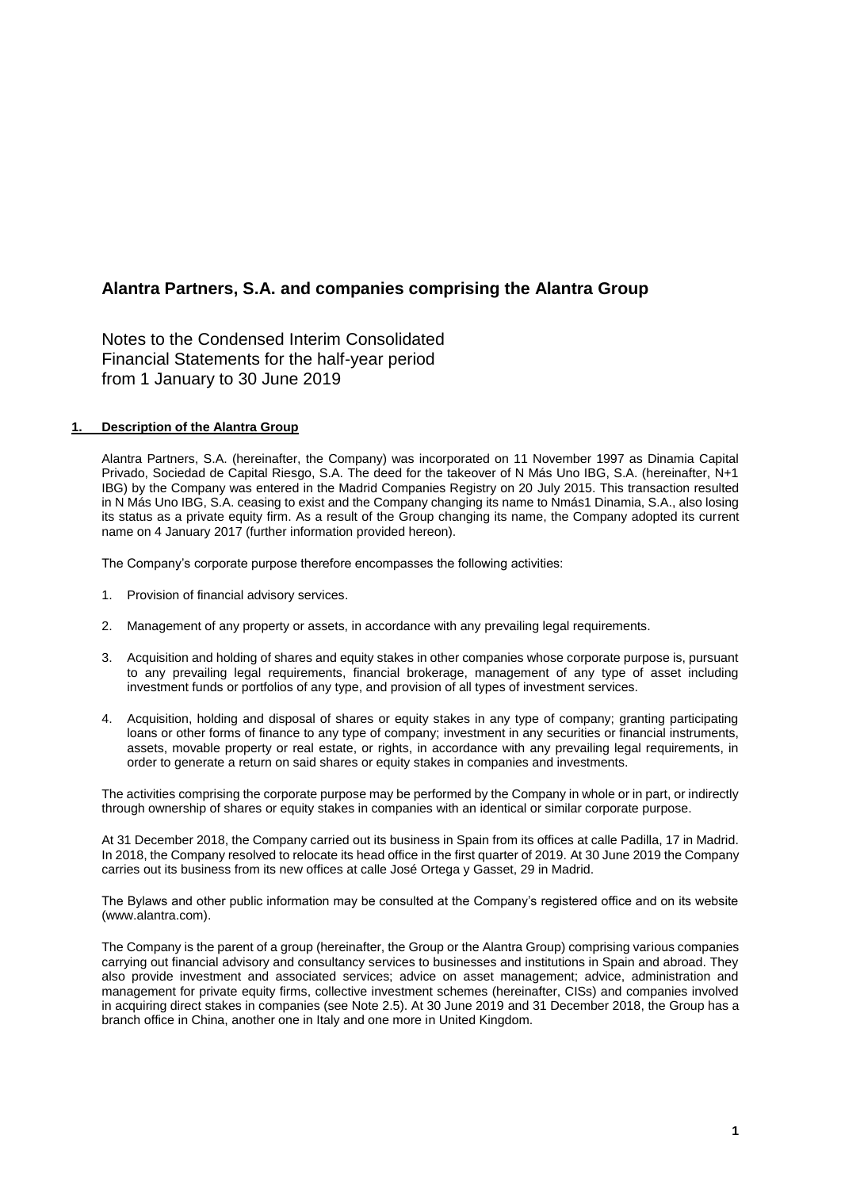Notes to the Condensed Interim Consolidated Financial Statements for the half-year period from 1 January to 30 June 2019

## **1. Description of the Alantra Group**

Alantra Partners, S.A. (hereinafter, the Company) was incorporated on 11 November 1997 as Dinamia Capital Privado, Sociedad de Capital Riesgo, S.A. The deed for the takeover of N Más Uno IBG, S.A. (hereinafter, N+1 IBG) by the Company was entered in the Madrid Companies Registry on 20 July 2015. This transaction resulted in N Más Uno IBG, S.A. ceasing to exist and the Company changing its name to Nmás1 Dinamia, S.A., also losing its status as a private equity firm. As a result of the Group changing its name, the Company adopted its current name on 4 January 2017 (further information provided hereon).

The Company's corporate purpose therefore encompasses the following activities:

- 1. Provision of financial advisory services.
- 2. Management of any property or assets, in accordance with any prevailing legal requirements.
- 3. Acquisition and holding of shares and equity stakes in other companies whose corporate purpose is, pursuant to any prevailing legal requirements, financial brokerage, management of any type of asset including investment funds or portfolios of any type, and provision of all types of investment services.
- 4. Acquisition, holding and disposal of shares or equity stakes in any type of company; granting participating loans or other forms of finance to any type of company; investment in any securities or financial instruments, assets, movable property or real estate, or rights, in accordance with any prevailing legal requirements, in order to generate a return on said shares or equity stakes in companies and investments.

The activities comprising the corporate purpose may be performed by the Company in whole or in part, or indirectly through ownership of shares or equity stakes in companies with an identical or similar corporate purpose.

At 31 December 2018, the Company carried out its business in Spain from its offices at calle Padilla, 17 in Madrid. In 2018, the Company resolved to relocate its head office in the first quarter of 2019. At 30 June 2019 the Company carries out its business from its new offices at calle José Ortega y Gasset, 29 in Madrid.

The Bylaws and other public information may be consulted at the Company's registered office and on its website (www.alantra.com).

The Company is the parent of a group (hereinafter, the Group or the Alantra Group) comprising various companies carrying out financial advisory and consultancy services to businesses and institutions in Spain and abroad. They also provide investment and associated services; advice on asset management; advice, administration and management for private equity firms, collective investment schemes (hereinafter, CISs) and companies involved in acquiring direct stakes in companies (see Note 2.5). At 30 June 2019 and 31 December 2018, the Group has a branch office in China, another one in Italy and one more in United Kingdom.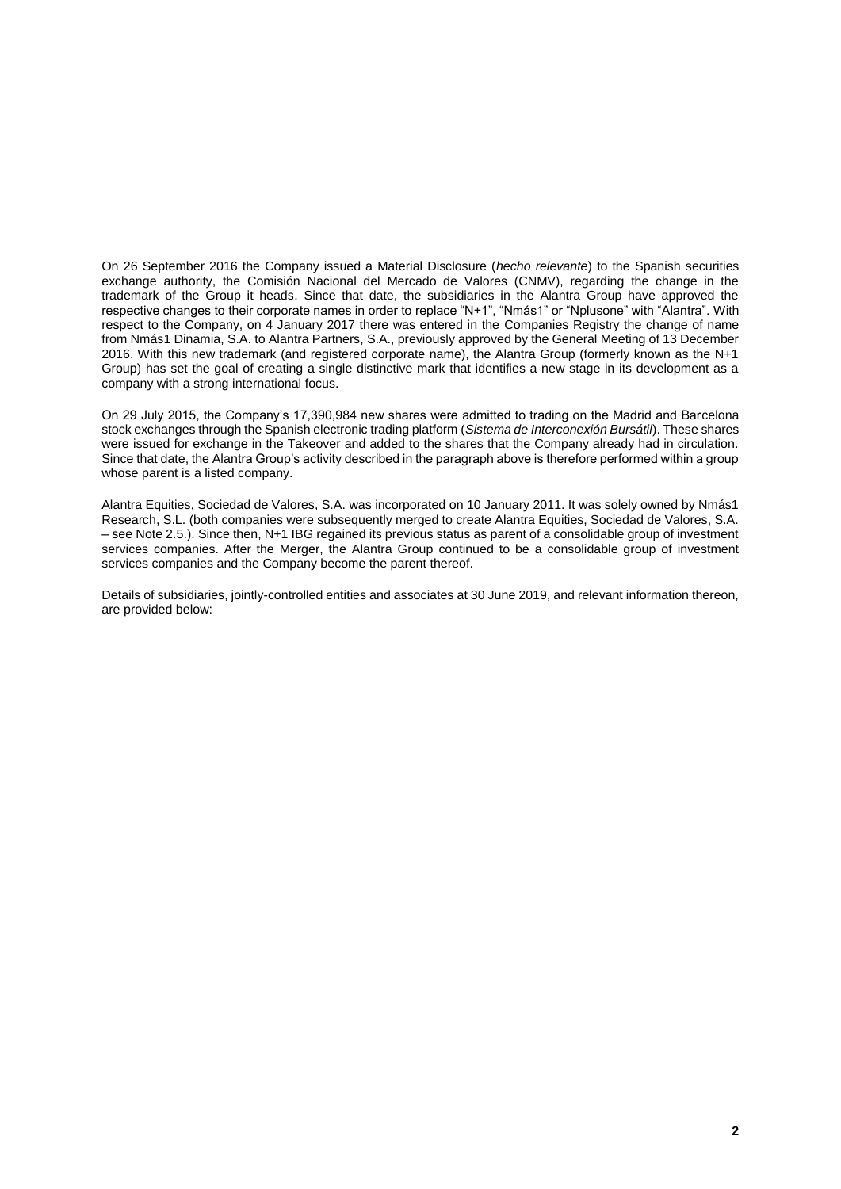On 26 September 2016 the Company issued a Material Disclosure (*hecho relevante*) to the Spanish securities exchange authority, the Comisión Nacional del Mercado de Valores (CNMV), regarding the change in the trademark of the Group it heads. Since that date, the subsidiaries in the Alantra Group have approved the respective changes to their corporate names in order to replace "N+1", "Nmás1" or "Nplusone" with "Alantra". With respect to the Company, on 4 January 2017 there was entered in the Companies Registry the change of name from Nmás1 Dinamia, S.A. to Alantra Partners, S.A., previously approved by the General Meeting of 13 December 2016. With this new trademark (and registered corporate name), the Alantra Group (formerly known as the N+1 Group) has set the goal of creating a single distinctive mark that identifies a new stage in its development as a company with a strong international focus.

On 29 July 2015, the Company's 17,390,984 new shares were admitted to trading on the Madrid and Barcelona stock exchanges through the Spanish electronic trading platform (*Sistema de Interconexión Bursátil*). These shares were issued for exchange in the Takeover and added to the shares that the Company already had in circulation. Since that date, the Alantra Group's activity described in the paragraph above is therefore performed within a group whose parent is a listed company.

Alantra Equities, Sociedad de Valores, S.A. was incorporated on 10 January 2011. It was solely owned by Nmás1 Research, S.L. (both companies were subsequently merged to create Alantra Equities, Sociedad de Valores, S.A. – see Note 2.5.). Since then, N+1 IBG regained its previous status as parent of a consolidable group of investment services companies. After the Merger, the Alantra Group continued to be a consolidable group of investment services companies and the Company become the parent thereof.

Details of subsidiaries, jointly-controlled entities and associates at 30 June 2019, and relevant information thereon, are provided below: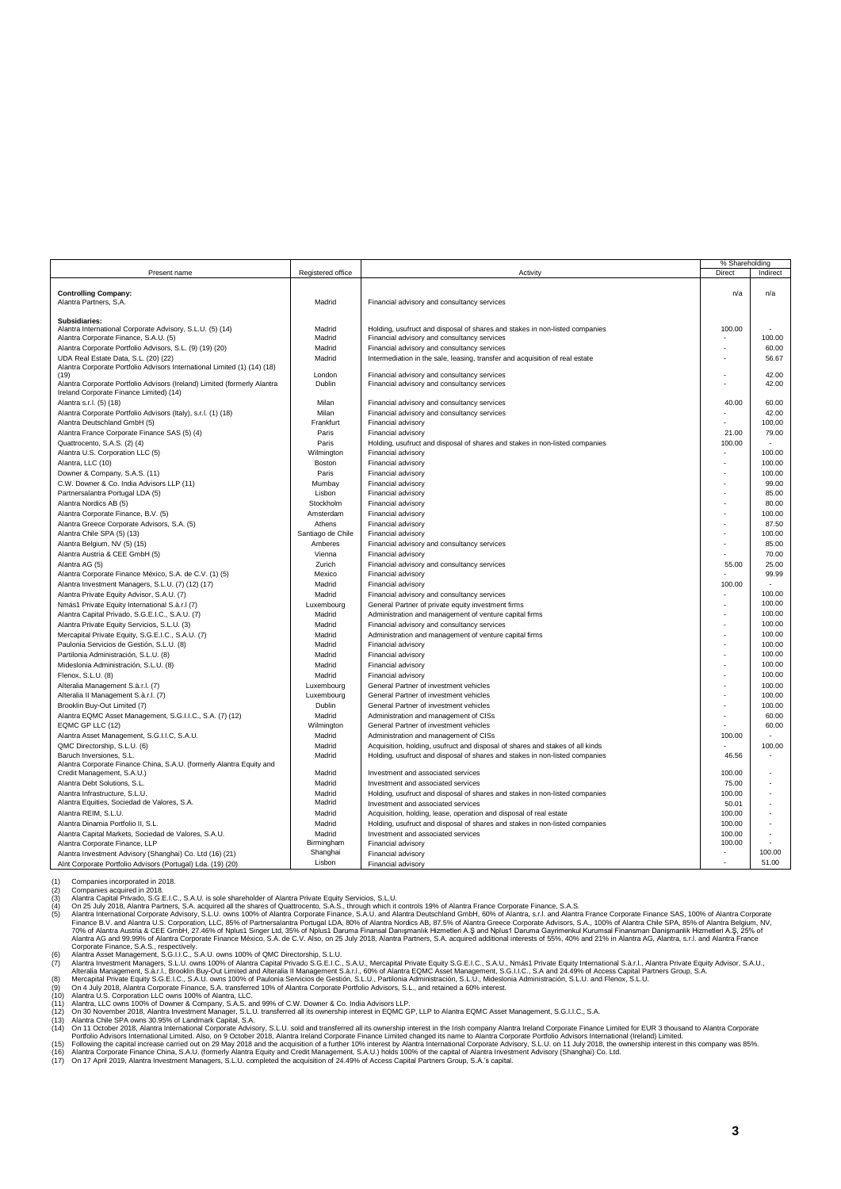|                                                                          |                   |                                                                               | % Shareholding |          |
|--------------------------------------------------------------------------|-------------------|-------------------------------------------------------------------------------|----------------|----------|
| Present name                                                             | Registered office | Activity                                                                      | Direct         | Indirect |
|                                                                          |                   |                                                                               |                |          |
| <b>Controlling Company:</b>                                              |                   |                                                                               | n/a            | n/a      |
| Alantra Partners, S.A.                                                   | Madrid            | Financial advisory and consultancy services                                   |                |          |
|                                                                          |                   |                                                                               |                |          |
| Subsidiaries:                                                            |                   |                                                                               |                |          |
| Alantra International Corporate Advisory, S.L.U. (5) (14)                | Madrid            | Holding, usufruct and disposal of shares and stakes in non-listed companies   | 100.00         |          |
| Alantra Corporate Finance, S.A.U. (5)                                    | Madrid            | Financial advisory and consultancy services                                   |                | 100.00   |
| Alantra Corporate Portfolio Advisors, S.L. (9) (19) (20)                 | Madrid            | Financial advisory and consultancy services                                   |                | 60.00    |
| UDA Real Estate Data, S.L. (20) (22)                                     | Madrid            | Intermediation in the sale, leasing, transfer and acquisition of real estate  |                | 56.67    |
| Alantra Corporate Portfolio Advisors International Limited (1) (14) (18) |                   |                                                                               |                |          |
| (19)                                                                     | London            | Financial advisory and consultancy services                                   |                | 42.00    |
| Alantra Corporate Portfolio Advisors (Ireland) Limited (formerly Alantra | Dublin            | Financial advisory and consultancy services                                   |                | 42.00    |
| Ireland Corporate Finance Limited) (14)                                  |                   |                                                                               |                |          |
| Alantra s.r.l. (5) (18)                                                  | Milan             | Financial advisory and consultancy services                                   | 40.00          | 60.00    |
| Alantra Corporate Portfolio Advisors (Italy), s.r.l. (1) (18)            | Milan             | Financial advisory and consultancy services                                   |                | 42.00    |
| Alantra Deutschland GmbH (5)                                             | Frankfurt         | Financial advisory                                                            |                | 100,00   |
| Alantra France Corporate Finance SAS (5) (4)                             | Paris             | Financial advisory                                                            | 21.00          | 79.00    |
| Quattrocento, S.A.S. (2) (4)                                             | Paris             | Holding, usufruct and disposal of shares and stakes in non-listed companies   | 100.00         |          |
| Alantra U.S. Corporation LLC (5)                                         | Wilmington        | Financial advisory                                                            |                | 100.00   |
| Alantra, LLC (10)                                                        | Boston            | Financial advisory                                                            |                | 100.00   |
|                                                                          |                   |                                                                               |                |          |
| Downer & Company, S.A.S. (11)                                            | Paris             | Financial advisory                                                            |                | 100.00   |
| C.W. Downer & Co. India Advisors LLP (11)                                | Mumbay            | Financial advisory                                                            |                | 99.00    |
| Partnersalantra Portugal LDA (5)                                         | Lisbon            | Financial advisory                                                            |                | 85.00    |
| Alantra Nordics AB (5)                                                   | Stockholm         | Financial advisory                                                            |                | 80.00    |
| Alantra Corporate Finance, B.V. (5)                                      | Amsterdam         | Financial advisory                                                            |                | 100.00   |
| Alantra Greece Corporate Advisors, S.A. (5)                              | Athens            | Financial advisory                                                            |                | 87.50    |
| Alantra Chile SPA (5) (13)                                               | Santiago de Chile | Financial advisory                                                            |                | 100.00   |
| Alantra Belgium, NV (5) (15)                                             | Amberes           | Financial advisory and consultancy services                                   |                | 85.00    |
| Alantra Austria & CEE GmbH (5)                                           | Vienna            | Financial advisory                                                            |                | 70.00    |
| Alantra AG (5)                                                           | Zurich            | Financial advisory and consultancy services                                   | 55.00          | 25.00    |
| Alantra Corporate Finance México, S.A. de C.V. (1) (5)                   | Mexico            | Financial advisory                                                            |                | 99.99    |
|                                                                          |                   |                                                                               |                |          |
| Alantra Investment Managers, S.L.U. (7) (12) (17)                        | Madrid            | Financial advisory                                                            | 100.00         |          |
| Alantra Private Equity Advisor, S.A.U. (7)                               | Madrid            | Financial advisory and consultancy services                                   |                | 100.00   |
| Nmás1 Private Equity International S.à.r.I (7)                           | Luxembourg        | General Partner of private equity investment firms                            |                | 100.00   |
| Alantra Capital Privado, S.G.E.I.C., S.A.U. (7)                          | Madrid            | Administration and management of venture capital firms                        |                | 100.00   |
| Alantra Private Equity Servicios, S.L.U. (3)                             | Madrid            | Financial advisory and consultancy services                                   |                | 100.00   |
| Mercapital Private Equity, S.G.E.I.C., S.A.U. (7)                        | Madrid            | Administration and management of venture capital firms                        |                | 100.00   |
| Paulonia Servicios de Gestión, S.L.U. (8)                                | Madrid            | Financial advisory                                                            |                | 100.00   |
| Partilonia Administración, S.L.U. (8)                                    | Madrid            | Financial advisory                                                            |                | 100.00   |
| Mideslonia Administración, S.L.U. (8)                                    | Madrid            | Financial advisory                                                            |                | 100.00   |
| Flenox, S.L.U. (8)                                                       | Madrid            | Financial advisory                                                            |                | 100.00   |
| Alteralia Management S.à.r.l. (7)                                        | Luxembourg        | General Partner of investment vehicles                                        |                | 100.00   |
| Alteralia II Management S.à.r.l. (7)                                     | Luxembourg        | General Partner of investment vehicles                                        |                | 100.00   |
|                                                                          |                   |                                                                               |                | 100.00   |
| Brooklin Buy-Out Limited (7)                                             | Dublin            | General Partner of investment vehicles                                        |                |          |
| Alantra EQMC Asset Management, S.G.I.I.C., S.A. (7) (12)                 | Madrid            | Administration and management of CISs                                         |                | 60.00    |
| EQMC GP LLC (12)                                                         | Wilmington        | General Partner of investment vehicles                                        |                | 60.00    |
| Alantra Asset Management, S.G.I.I.C, S.A.U.                              | Madrid            | Administration and management of CISs                                         | 100.00         |          |
| QMC Directorship, S.L.U. (6)                                             | Madrid            | Acquisition, holding, usufruct and disposal of shares and stakes of all kinds |                | 100.00   |
| Baruch Inversiones, S.L.                                                 | Madrid            | Holding, usufruct and disposal of shares and stakes in non-listed companies   | 46.56          |          |
| Alantra Corporate Finance China, S.A.U. (formerly Alantra Equity and     |                   |                                                                               |                |          |
| Credit Management, S.A.U.)                                               | Madrid            | Investment and associated services                                            | 100.00         |          |
| Alantra Debt Solutions, S.L.                                             | Madrid            | Investment and associated services                                            | 75.00          |          |
| Alantra Infrastructure, S.L.U.                                           | Madrid            | Holding, usufruct and disposal of shares and stakes in non-listed companies   | 100.00         |          |
| Alantra Equities, Sociedad de Valores, S.A.                              | Madrid            | Investment and associated services                                            | 50.01          |          |
| Alantra REIM, S.L.U.                                                     | Madrid            | Acquisition, holding, lease, operation and disposal of real estate            | 100.00         |          |
| Alantra Dinamia Portfolio II, S.L.                                       | Madrid            | Holding, usufruct and disposal of shares and stakes in non-listed companies   | 100.00         |          |
| Alantra Capital Markets, Sociedad de Valores, S.A.U.                     | Madrid            | Investment and associated services                                            | 100.00         |          |
| Alantra Corporate Finance, LLP                                           | Birmingham        | Financial advisory                                                            | 100.00         |          |
| Alantra Investment Advisory (Shanghai) Co. Ltd (16) (21)                 | Shanghai          | Financial advisory                                                            |                | 100.00   |
| AInt Corporate Portfolio Advisors (Portugal) Lda. (19) (20)              | Lisbon            | Financial advisory                                                            |                | 51.00    |
|                                                                          |                   |                                                                               |                |          |

(1) Companies incorporated in 2018.<br>(2) Companies acquired in 2018.<br>
(4) Alanta Central Privato S. G.E.U.C., S.A.U. is sole shareholder of Alanta Private Equity Servicios, S.L.U.<br>
(4) On 25 July 2018, Alanta Parmes, S.A. a

(15) Following the capital increase carried out on 29 May 2018 and the acquisition of a further 10% interest by Alantra International Corporate Advisory, S.L.U. on 11 July 2018, the ownership interest in this company was 8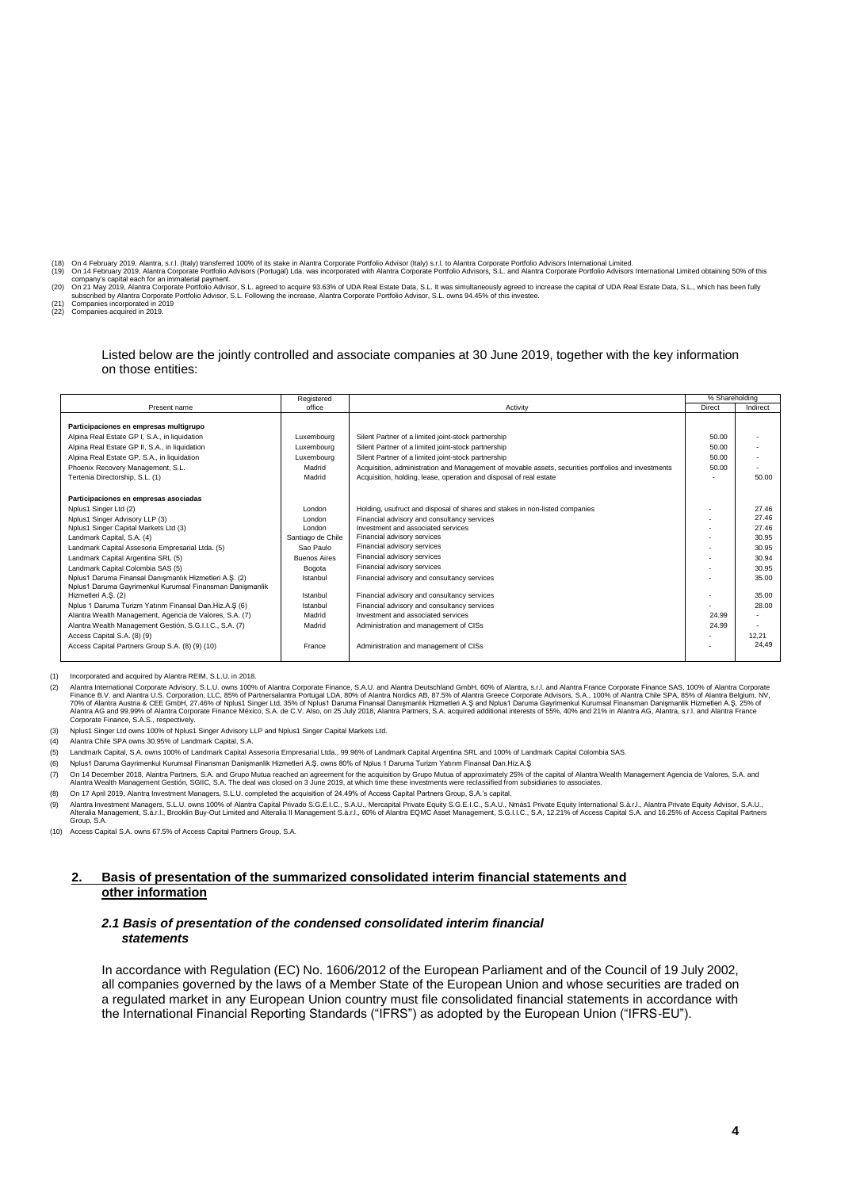- 
- (18) On 4 February 2019, Alantra, c.r.l. (Italy) transferred 100% of its stake in Alantra Corporate Portfolio Advisor (Italy) s.r.l. to Alantra Corporate Portolio Advisors International Limited.<br>(19) On 14 February 2019, A
- 
- (22) Companies acquired in 2019.

#### Listed below are the jointly controlled and associate companies at 30 June 2019, together with the key information on those entities:

|                                                                                                                                                    | % Shareholding           |          |
|----------------------------------------------------------------------------------------------------------------------------------------------------|--------------------------|----------|
| Present name<br>office<br>Activity                                                                                                                 | Direct                   | Indirect |
|                                                                                                                                                    |                          |          |
| Participaciones en empresas multigrupo                                                                                                             |                          |          |
| Alpina Real Estate GP I, S.A., in liquidation<br>Luxembourg<br>Silent Partner of a limited joint-stock partnership                                 | 50.00                    |          |
| Alpina Real Estate GP II, S.A., in liquidation<br>Silent Partner of a limited joint-stock partnership<br>Luxembourg                                | 50.00                    |          |
| Alpina Real Estate GP, S.A., in liquidation<br>Silent Partner of a limited joint-stock partnership<br>Luxembourg                                   | 50.00                    |          |
| Phoenix Recovery Management, S.L.<br>Acquisition, administration and Management of movable assets, securities portfolios and investments<br>Madrid | 50.00                    |          |
| Tertenia Directorship, S.L. (1)<br>Madrid<br>Acquisition, holding, lease, operation and disposal of real estate                                    |                          | 50.00    |
|                                                                                                                                                    |                          |          |
| Participaciones en empresas asociadas                                                                                                              |                          |          |
| Nplus1 Singer Ltd (2)<br>Holding, usufruct and disposal of shares and stakes in non-listed companies<br>London                                     |                          | 27.46    |
| Nplus1 Singer Advisory LLP (3)<br>Financial advisory and consultancy services<br>London                                                            |                          | 27.46    |
| Nplus1 Singer Capital Markets Ltd (3)<br>Investment and associated services<br>London                                                              |                          | 27.46    |
| Financial advisory services<br>Landmark Capital, S.A. (4)<br>Santiago de Chile                                                                     |                          | 30.95    |
| Financial advisory services<br>Landmark Capital Assesoria Empresarial Ltda. (5)<br>Sao Paulo                                                       |                          | 30.95    |
| Financial advisory services<br>Landmark Capital Argentina SRL (5)<br><b>Buenos Aires</b>                                                           |                          | 30.94    |
| Financial advisory services<br>Landmark Capital Colombia SAS (5)<br>Bogota                                                                         |                          | 30.95    |
| Nplus1 Daruma Finansal Danışmanlık Hizmetleri A.Ş. (2)<br>Istanbul<br>Financial advisory and consultancy services                                  |                          | 35.00    |
| Nplus1 Daruma Gayrimenkul Kurumsal Finansman Danismanlik                                                                                           |                          |          |
| Hizmetleri A.S. (2)<br>Financial advisory and consultancy services<br>Istanbul                                                                     | $\overline{\phantom{a}}$ | 35.00    |
| Nplus 1 Daruma Turizm Yatırım Finansal Dan.Hiz.A.Ş (6)<br>Financial advisory and consultancy services<br>Istanbul                                  |                          | 28.00    |
| Alantra Wealth Management, Agencia de Valores, S.A. (7)<br>Investment and associated services<br>Madrid                                            | 24.99                    |          |
| Alantra Wealth Management Gestión, S.G.I.I.C., S.A. (7)<br>Madrid<br>Administration and management of CISs                                         | 24.99                    |          |
| Access Capital S.A. (8) (9)                                                                                                                        |                          | 12.21    |
| Access Capital Partners Group S.A. (8) (9) (10)<br>Administration and management of CISs<br>France                                                 |                          | 24.49    |
|                                                                                                                                                    |                          |          |

(1) Incorporated and acquired by Alantra REIM, S.L.U. in 2018.

22) Alantra International Corporate Advisory, S.L.U. owns 100% of Alantra Corporate Finance, S.A.U. and Alantra Description, LLC, as the State Scotter Finance B.V. and Alantra U.S. Corporation, LLC, as 56 of Partnersalantr

(3) Nplus1 Singer Ltd owns 100% of Nplus1 Singer Advisory LLP and Nplus1 Singer Capital Markets Ltd.

(4) Alantra Chile SPA owns 30.95% of Landmark Capital, S.A.

- (5) Landmark Capital, S.A. owns 100% of Landmark Capital Assesoria Empresarial Ltda., 99.96% of Landmark Capital Argentina SRL and 100% of Landmark Capital Colombia SAS.
- (6) Nplus1 Daruma Gayrimenkul Kurumsal Finansman Danişmanlik Hizmetleri A.Ş. owns 80% of Nplus 1 Daruma Turizm Yatırım Finansal Dan.Hiz.A.Ş
- 7) On 14 December 2018, Alantra Partners, S.A. and Grupo Mutua reached an agreement for the acquisition by Grupo Mutua of approximately 25% of the capital of Alantra Wealth Management Agencia de Valores, S.A. and<br>Alantra W
- (8) On 17 April 2019, Alantra Investment Managers, S.L.U. completed the acquisition of 24.49% of Access Capital Partners Group, S.A.'s capital.
- ,9) Alantra Investment Managers, S.L.U. owns 100% of Alantra Capital Privado S.G.E.I.C., S.A.U., Mercapital Private Equity S.G.E.I.C., S.A.U., Nomás1 Private Equity International S.à.r.I., Alantra Private Equity Advisor, S Group, S.A.

(10) Access Capital S.A. owns 67.5% of Access Capital Partners Group, S.A.

## **2. Basis of presentation of the summarized consolidated interim financial statements and other information**

#### *2.1 Basis of presentation of the condensed consolidated interim financial statements*

In accordance with Regulation (EC) No. 1606/2012 of the European Parliament and of the Council of 19 July 2002, all companies governed by the laws of a Member State of the European Union and whose securities are traded on a regulated market in any European Union country must file consolidated financial statements in accordance with the International Financial Reporting Standards ("IFRS") as adopted by the European Union ("IFRS-EU").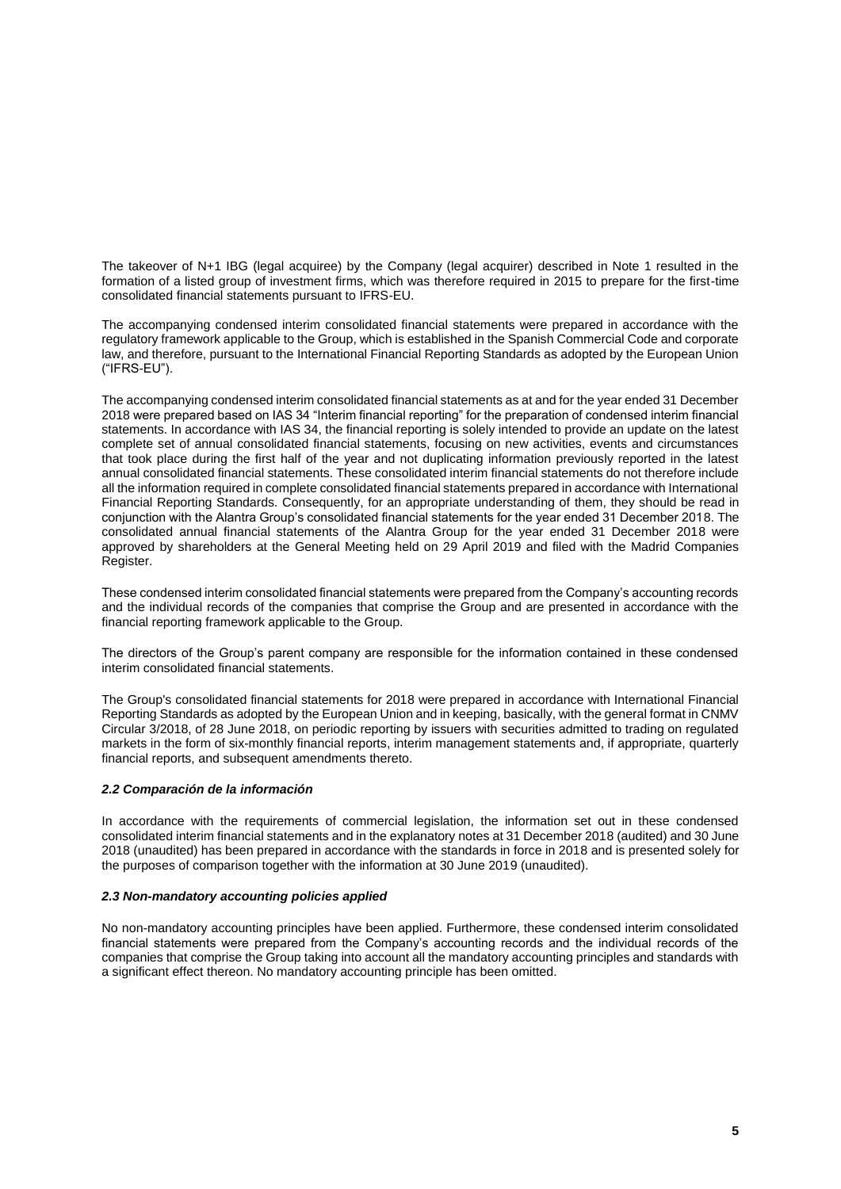The takeover of N+1 IBG (legal acquiree) by the Company (legal acquirer) described in Note 1 resulted in the formation of a listed group of investment firms, which was therefore required in 2015 to prepare for the first-time consolidated financial statements pursuant to IFRS-EU.

The accompanying condensed interim consolidated financial statements were prepared in accordance with the regulatory framework applicable to the Group, which is established in the Spanish Commercial Code and corporate law, and therefore, pursuant to the International Financial Reporting Standards as adopted by the European Union ("IFRS-EU").

The accompanying condensed interim consolidated financial statements as at and for the year ended 31 December 2018 were prepared based on IAS 34 "Interim financial reporting" for the preparation of condensed interim financial statements. In accordance with IAS 34, the financial reporting is solely intended to provide an update on the latest complete set of annual consolidated financial statements, focusing on new activities, events and circumstances that took place during the first half of the year and not duplicating information previously reported in the latest annual consolidated financial statements. These consolidated interim financial statements do not therefore include all the information required in complete consolidated financial statements prepared in accordance with International Financial Reporting Standards. Consequently, for an appropriate understanding of them, they should be read in conjunction with the Alantra Group's consolidated financial statements for the year ended 31 December 2018. The consolidated annual financial statements of the Alantra Group for the year ended 31 December 2018 were approved by shareholders at the General Meeting held on 29 April 2019 and filed with the Madrid Companies Register.

These condensed interim consolidated financial statements were prepared from the Company's accounting records and the individual records of the companies that comprise the Group and are presented in accordance with the financial reporting framework applicable to the Group.

The directors of the Group's parent company are responsible for the information contained in these condensed interim consolidated financial statements.

The Group's consolidated financial statements for 2018 were prepared in accordance with International Financial Reporting Standards as adopted by the European Union and in keeping, basically, with the general format in CNMV Circular 3/2018, of 28 June 2018, on periodic reporting by issuers with securities admitted to trading on regulated markets in the form of six-monthly financial reports, interim management statements and, if appropriate, quarterly financial reports, and subsequent amendments thereto.

# *2.2 Comparación de la información*

In accordance with the requirements of commercial legislation, the information set out in these condensed consolidated interim financial statements and in the explanatory notes at 31 December 2018 (audited) and 30 June 2018 (unaudited) has been prepared in accordance with the standards in force in 2018 and is presented solely for the purposes of comparison together with the information at 30 June 2019 (unaudited).

#### *2.3 Non-mandatory accounting policies applied*

No non-mandatory accounting principles have been applied. Furthermore, these condensed interim consolidated financial statements were prepared from the Company's accounting records and the individual records of the companies that comprise the Group taking into account all the mandatory accounting principles and standards with a significant effect thereon. No mandatory accounting principle has been omitted.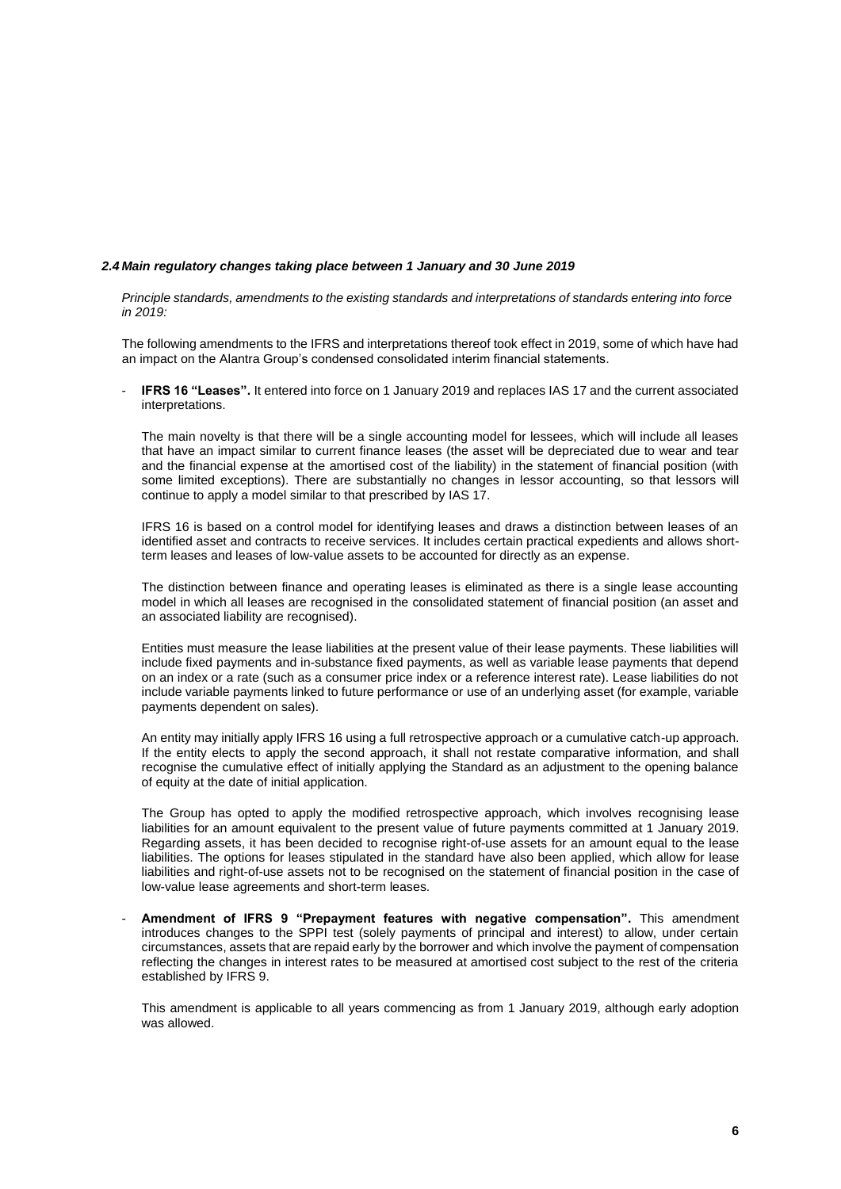#### *2.4 Main regulatory changes taking place between 1 January and 30 June 2019*

*Principle standards, amendments to the existing standards and interpretations of standards entering into force in 2019:*

The following amendments to the IFRS and interpretations thereof took effect in 2019, some of which have had an impact on the Alantra Group's condensed consolidated interim financial statements.

- **IFRS 16 "Leases".** It entered into force on 1 January 2019 and replaces IAS 17 and the current associated interpretations.

The main novelty is that there will be a single accounting model for lessees, which will include all leases that have an impact similar to current finance leases (the asset will be depreciated due to wear and tear and the financial expense at the amortised cost of the liability) in the statement of financial position (with some limited exceptions). There are substantially no changes in lessor accounting, so that lessors will continue to apply a model similar to that prescribed by IAS 17.

IFRS 16 is based on a control model for identifying leases and draws a distinction between leases of an identified asset and contracts to receive services. It includes certain practical expedients and allows shortterm leases and leases of low-value assets to be accounted for directly as an expense.

The distinction between finance and operating leases is eliminated as there is a single lease accounting model in which all leases are recognised in the consolidated statement of financial position (an asset and an associated liability are recognised).

Entities must measure the lease liabilities at the present value of their lease payments. These liabilities will include fixed payments and in-substance fixed payments, as well as variable lease payments that depend on an index or a rate (such as a consumer price index or a reference interest rate). Lease liabilities do not include variable payments linked to future performance or use of an underlying asset (for example, variable payments dependent on sales).

An entity may initially apply IFRS 16 using a full retrospective approach or a cumulative catch-up approach. If the entity elects to apply the second approach, it shall not restate comparative information, and shall recognise the cumulative effect of initially applying the Standard as an adjustment to the opening balance of equity at the date of initial application.

The Group has opted to apply the modified retrospective approach, which involves recognising lease liabilities for an amount equivalent to the present value of future payments committed at 1 January 2019. Regarding assets, it has been decided to recognise right-of-use assets for an amount equal to the lease liabilities. The options for leases stipulated in the standard have also been applied, which allow for lease liabilities and right-of-use assets not to be recognised on the statement of financial position in the case of low-value lease agreements and short-term leases.

- **Amendment of IFRS 9 "Prepayment features with negative compensation".** This amendment introduces changes to the SPPI test (solely payments of principal and interest) to allow, under certain circumstances, assets that are repaid early by the borrower and which involve the payment of compensation reflecting the changes in interest rates to be measured at amortised cost subject to the rest of the criteria established by IFRS 9.

This amendment is applicable to all years commencing as from 1 January 2019, although early adoption was allowed.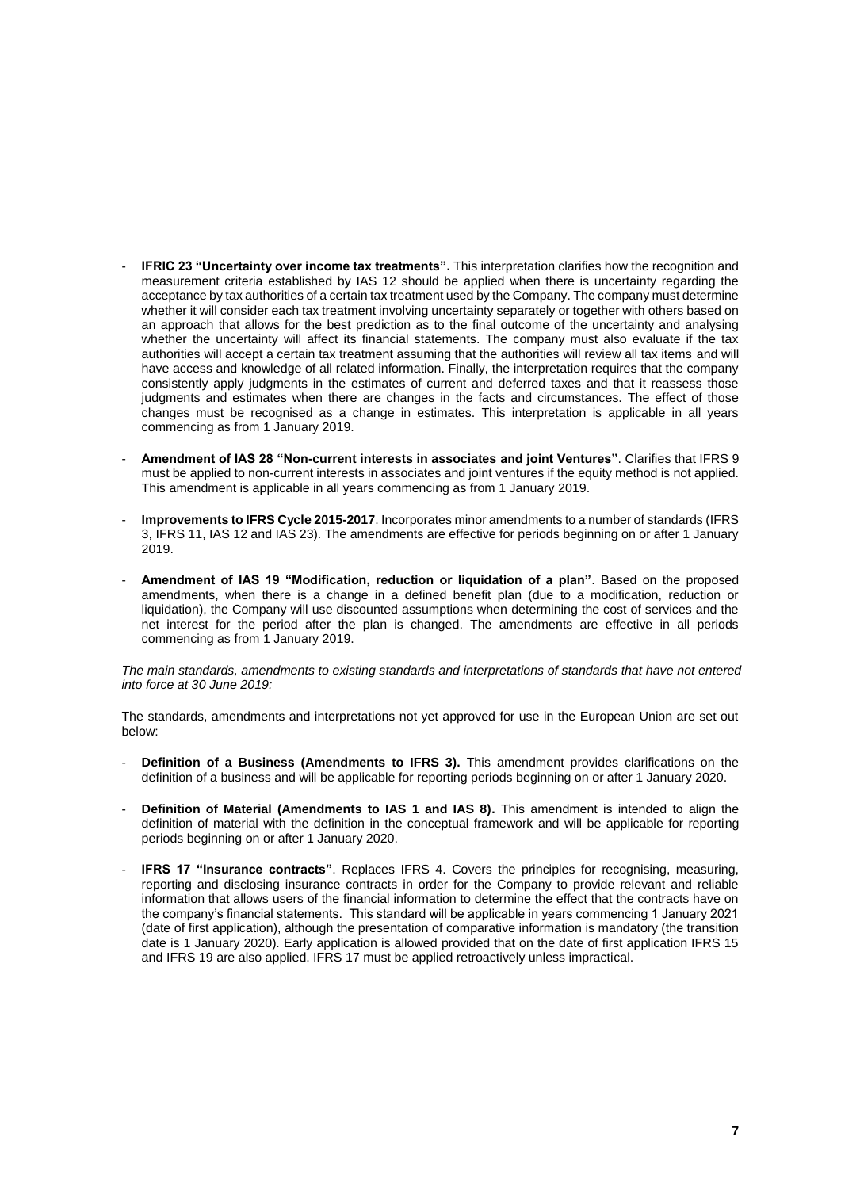- **IFRIC 23 "Uncertainty over income tax treatments".** This interpretation clarifies how the recognition and measurement criteria established by IAS 12 should be applied when there is uncertainty regarding the acceptance by tax authorities of a certain tax treatment used by the Company. The company must determine whether it will consider each tax treatment involving uncertainty separately or together with others based on an approach that allows for the best prediction as to the final outcome of the uncertainty and analysing whether the uncertainty will affect its financial statements. The company must also evaluate if the tax authorities will accept a certain tax treatment assuming that the authorities will review all tax items and will have access and knowledge of all related information. Finally, the interpretation requires that the company consistently apply judgments in the estimates of current and deferred taxes and that it reassess those judgments and estimates when there are changes in the facts and circumstances. The effect of those changes must be recognised as a change in estimates. This interpretation is applicable in all years commencing as from 1 January 2019.
- **Amendment of IAS 28 "Non-current interests in associates and joint Ventures"**. Clarifies that IFRS 9 must be applied to non-current interests in associates and joint ventures if the equity method is not applied. This amendment is applicable in all years commencing as from 1 January 2019.
- **Improvements to IFRS Cycle 2015-2017**. Incorporates minor amendments to a number of standards (IFRS 3, IFRS 11, IAS 12 and IAS 23). The amendments are effective for periods beginning on or after 1 January 2019.
- **Amendment of IAS 19 "Modification, reduction or liquidation of a plan"**. Based on the proposed amendments, when there is a change in a defined benefit plan (due to a modification, reduction or liquidation), the Company will use discounted assumptions when determining the cost of services and the net interest for the period after the plan is changed. The amendments are effective in all periods commencing as from 1 January 2019.

*The main standards, amendments to existing standards and interpretations of standards that have not entered into force at 30 June 2019:*

The standards, amendments and interpretations not yet approved for use in the European Union are set out below:

- Definition of a Business (Amendments to IFRS 3). This amendment provides clarifications on the definition of a business and will be applicable for reporting periods beginning on or after 1 January 2020.
- **Definition of Material (Amendments to IAS 1 and IAS 8).** This amendment is intended to align the definition of material with the definition in the conceptual framework and will be applicable for reporting periods beginning on or after 1 January 2020.
- **IFRS 17 "Insurance contracts"**. Replaces IFRS 4. Covers the principles for recognising, measuring, reporting and disclosing insurance contracts in order for the Company to provide relevant and reliable information that allows users of the financial information to determine the effect that the contracts have on the company's financial statements. This standard will be applicable in years commencing 1 January 2021 (date of first application), although the presentation of comparative information is mandatory (the transition date is 1 January 2020). Early application is allowed provided that on the date of first application IFRS 15 and IFRS 19 are also applied. IFRS 17 must be applied retroactively unless impractical.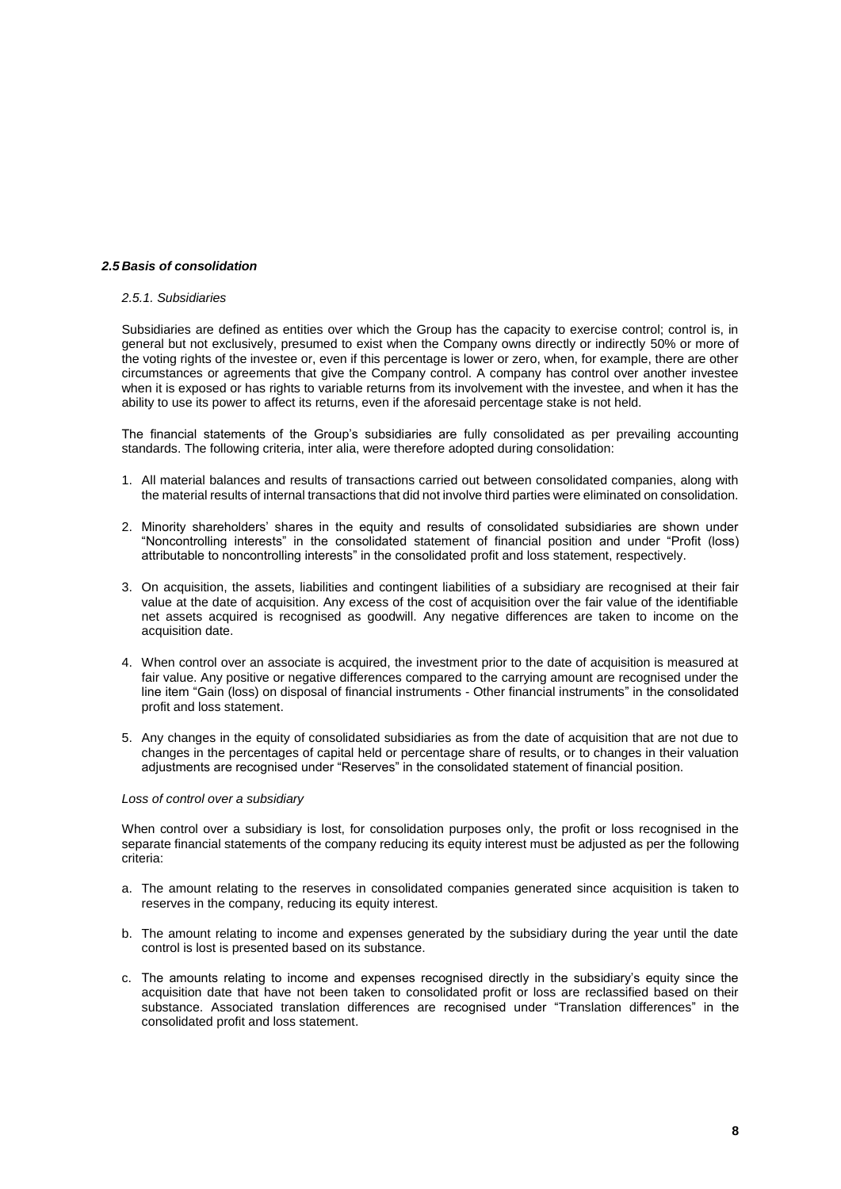#### *2.5 Basis of consolidation*

#### *2.5.1. Subsidiaries*

Subsidiaries are defined as entities over which the Group has the capacity to exercise control; control is, in general but not exclusively, presumed to exist when the Company owns directly or indirectly 50% or more of the voting rights of the investee or, even if this percentage is lower or zero, when, for example, there are other circumstances or agreements that give the Company control. A company has control over another investee when it is exposed or has rights to variable returns from its involvement with the investee, and when it has the ability to use its power to affect its returns, even if the aforesaid percentage stake is not held.

The financial statements of the Group's subsidiaries are fully consolidated as per prevailing accounting standards. The following criteria, inter alia, were therefore adopted during consolidation:

- 1. All material balances and results of transactions carried out between consolidated companies, along with the material results of internal transactions that did not involve third parties were eliminated on consolidation.
- 2. Minority shareholders' shares in the equity and results of consolidated subsidiaries are shown under "Noncontrolling interests" in the consolidated statement of financial position and under "Profit (loss) attributable to noncontrolling interests" in the consolidated profit and loss statement, respectively.
- 3. On acquisition, the assets, liabilities and contingent liabilities of a subsidiary are recognised at their fair value at the date of acquisition. Any excess of the cost of acquisition over the fair value of the identifiable net assets acquired is recognised as goodwill. Any negative differences are taken to income on the acquisition date.
- 4. When control over an associate is acquired, the investment prior to the date of acquisition is measured at fair value. Any positive or negative differences compared to the carrying amount are recognised under the line item "Gain (loss) on disposal of financial instruments - Other financial instruments" in the consolidated profit and loss statement.
- 5. Any changes in the equity of consolidated subsidiaries as from the date of acquisition that are not due to changes in the percentages of capital held or percentage share of results, or to changes in their valuation adjustments are recognised under "Reserves" in the consolidated statement of financial position.

#### *Loss of control over a subsidiary*

When control over a subsidiary is lost, for consolidation purposes only, the profit or loss recognised in the separate financial statements of the company reducing its equity interest must be adjusted as per the following criteria:

- a. The amount relating to the reserves in consolidated companies generated since acquisition is taken to reserves in the company, reducing its equity interest.
- b. The amount relating to income and expenses generated by the subsidiary during the year until the date control is lost is presented based on its substance.
- c. The amounts relating to income and expenses recognised directly in the subsidiary's equity since the acquisition date that have not been taken to consolidated profit or loss are reclassified based on their substance. Associated translation differences are recognised under "Translation differences" in the consolidated profit and loss statement.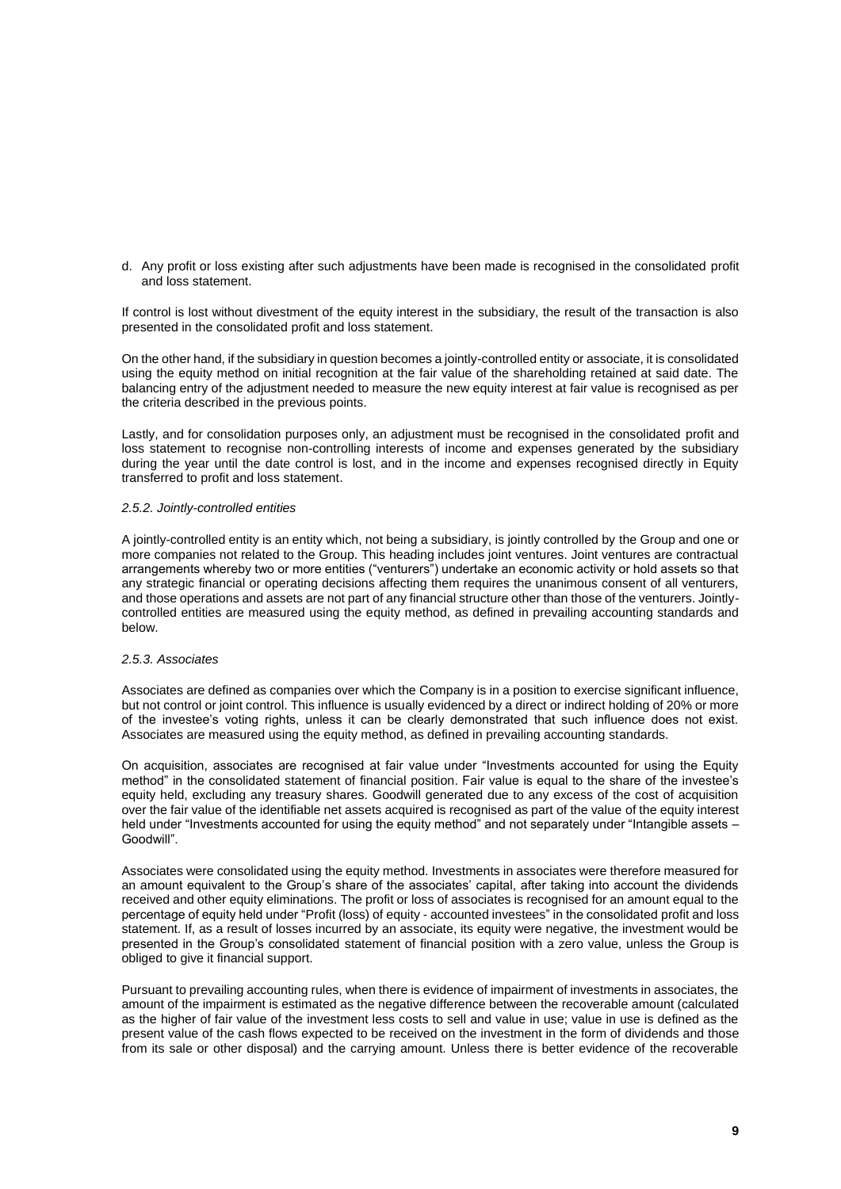d. Any profit or loss existing after such adjustments have been made is recognised in the consolidated profit and loss statement.

If control is lost without divestment of the equity interest in the subsidiary, the result of the transaction is also presented in the consolidated profit and loss statement.

On the other hand, if the subsidiary in question becomes a jointly-controlled entity or associate, it is consolidated using the equity method on initial recognition at the fair value of the shareholding retained at said date. The balancing entry of the adjustment needed to measure the new equity interest at fair value is recognised as per the criteria described in the previous points.

Lastly, and for consolidation purposes only, an adjustment must be recognised in the consolidated profit and loss statement to recognise non-controlling interests of income and expenses generated by the subsidiary during the year until the date control is lost, and in the income and expenses recognised directly in Equity transferred to profit and loss statement.

#### *2.5.2. Jointly-controlled entities*

A jointly-controlled entity is an entity which, not being a subsidiary, is jointly controlled by the Group and one or more companies not related to the Group. This heading includes joint ventures. Joint ventures are contractual arrangements whereby two or more entities ("venturers") undertake an economic activity or hold assets so that any strategic financial or operating decisions affecting them requires the unanimous consent of all venturers, and those operations and assets are not part of any financial structure other than those of the venturers. Jointlycontrolled entities are measured using the equity method, as defined in prevailing accounting standards and below.

#### *2.5.3. Associates*

Associates are defined as companies over which the Company is in a position to exercise significant influence, but not control or joint control. This influence is usually evidenced by a direct or indirect holding of 20% or more of the investee's voting rights, unless it can be clearly demonstrated that such influence does not exist. Associates are measured using the equity method, as defined in prevailing accounting standards.

On acquisition, associates are recognised at fair value under "Investments accounted for using the Equity method" in the consolidated statement of financial position. Fair value is equal to the share of the investee's equity held, excluding any treasury shares. Goodwill generated due to any excess of the cost of acquisition over the fair value of the identifiable net assets acquired is recognised as part of the value of the equity interest held under "Investments accounted for using the equity method" and not separately under "Intangible assets -Goodwill".

Associates were consolidated using the equity method. Investments in associates were therefore measured for an amount equivalent to the Group's share of the associates' capital, after taking into account the dividends received and other equity eliminations. The profit or loss of associates is recognised for an amount equal to the percentage of equity held under "Profit (loss) of equity - accounted investees" in the consolidated profit and loss statement. If, as a result of losses incurred by an associate, its equity were negative, the investment would be presented in the Group's consolidated statement of financial position with a zero value, unless the Group is obliged to give it financial support.

Pursuant to prevailing accounting rules, when there is evidence of impairment of investments in associates, the amount of the impairment is estimated as the negative difference between the recoverable amount (calculated as the higher of fair value of the investment less costs to sell and value in use; value in use is defined as the present value of the cash flows expected to be received on the investment in the form of dividends and those from its sale or other disposal) and the carrying amount. Unless there is better evidence of the recoverable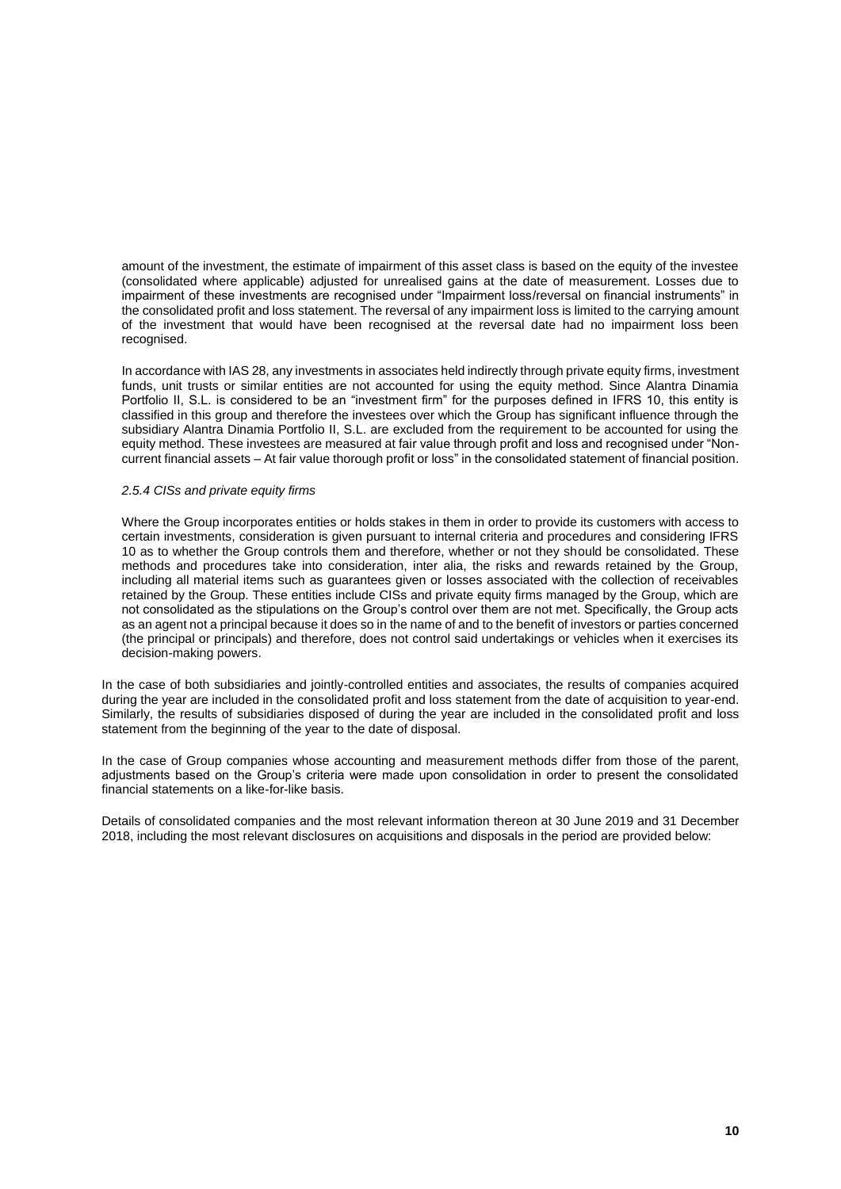amount of the investment, the estimate of impairment of this asset class is based on the equity of the investee (consolidated where applicable) adjusted for unrealised gains at the date of measurement. Losses due to impairment of these investments are recognised under "Impairment loss/reversal on financial instruments" in the consolidated profit and loss statement. The reversal of any impairment loss is limited to the carrying amount of the investment that would have been recognised at the reversal date had no impairment loss been recognised.

In accordance with IAS 28, any investments in associates held indirectly through private equity firms, investment funds, unit trusts or similar entities are not accounted for using the equity method. Since Alantra Dinamia Portfolio II, S.L. is considered to be an "investment firm" for the purposes defined in IFRS 10, this entity is classified in this group and therefore the investees over which the Group has significant influence through the subsidiary Alantra Dinamia Portfolio II, S.L. are excluded from the requirement to be accounted for using the equity method. These investees are measured at fair value through profit and loss and recognised under "Noncurrent financial assets – At fair value thorough profit or loss" in the consolidated statement of financial position.

#### *2.5.4 CISs and private equity firms*

Where the Group incorporates entities or holds stakes in them in order to provide its customers with access to certain investments, consideration is given pursuant to internal criteria and procedures and considering IFRS 10 as to whether the Group controls them and therefore, whether or not they should be consolidated. These methods and procedures take into consideration, inter alia, the risks and rewards retained by the Group, including all material items such as guarantees given or losses associated with the collection of receivables retained by the Group. These entities include CISs and private equity firms managed by the Group, which are not consolidated as the stipulations on the Group's control over them are not met. Specifically, the Group acts as an agent not a principal because it does so in the name of and to the benefit of investors or parties concerned (the principal or principals) and therefore, does not control said undertakings or vehicles when it exercises its decision-making powers.

In the case of both subsidiaries and jointly-controlled entities and associates, the results of companies acquired during the year are included in the consolidated profit and loss statement from the date of acquisition to year-end. Similarly, the results of subsidiaries disposed of during the year are included in the consolidated profit and loss statement from the beginning of the year to the date of disposal.

In the case of Group companies whose accounting and measurement methods differ from those of the parent, adjustments based on the Group's criteria were made upon consolidation in order to present the consolidated financial statements on a like-for-like basis.

Details of consolidated companies and the most relevant information thereon at 30 June 2019 and 31 December 2018, including the most relevant disclosures on acquisitions and disposals in the period are provided below: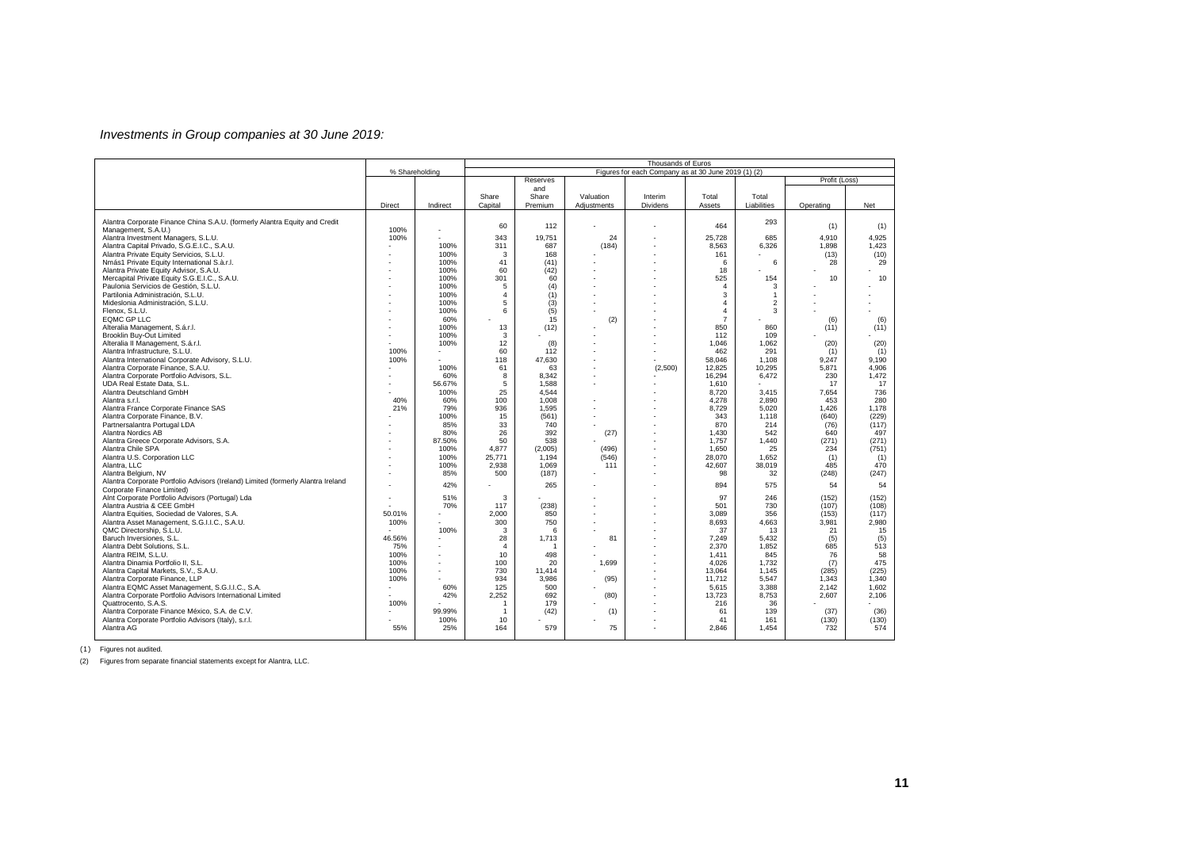### *Investments in Group companies at 30 June 2019:*

|                                                                                                   |        |                          | Thousands of Euros |                |                          |                                                     |                |                |               |            |  |
|---------------------------------------------------------------------------------------------------|--------|--------------------------|--------------------|----------------|--------------------------|-----------------------------------------------------|----------------|----------------|---------------|------------|--|
|                                                                                                   |        | % Shareholding           |                    |                |                          | Figures for each Company as at 30 June 2019 (1) (2) |                |                |               |            |  |
|                                                                                                   |        |                          |                    | Reserves       |                          |                                                     |                |                | Profit (Loss) |            |  |
|                                                                                                   |        |                          |                    | and            |                          |                                                     |                |                |               |            |  |
|                                                                                                   |        |                          | Share              | Share          | Valuation                | Interim                                             | Total          | Total          |               |            |  |
|                                                                                                   | Direct | Indirect                 | Capital            | Premium        | Adjustments              | Dividens                                            | Assets         | Liabilities    | Operating     | Net        |  |
|                                                                                                   |        |                          |                    |                |                          |                                                     |                |                |               |            |  |
| Alantra Corporate Finance China S.A.U. (formerly Alantra Equity and Credit<br>Management, S.A.U.) | 100%   | $\overline{\phantom{a}}$ | 60                 | 112            |                          |                                                     | 464            | 293            | (1)           | (1)        |  |
| Alantra Investment Managers, S.L.U.                                                               | 100%   |                          | 343                | 19.751         | 24                       |                                                     | 25.728         | 685            | 4.910         | 4.925      |  |
| Alantra Capital Privado, S.G.E.I.C., S.A.U.                                                       |        | 100%                     | 311                | 687            | (184)                    |                                                     | 8,563          | 6,326          | 1,898         | 1,423      |  |
| Alantra Private Equity Servicios, S.L.U.                                                          |        | 100%                     | 3                  | 168            |                          |                                                     | 161            |                | (13)          | (10)       |  |
| Nmás1 Private Equity International S.à.r.l.                                                       |        | 100%                     | 41                 | (41)           |                          |                                                     | 6              | 6              | 28            | 29         |  |
| Alantra Private Equity Advisor, S.A.U.                                                            |        | 100%                     | 60                 | (42)           |                          |                                                     | 18             |                |               |            |  |
| Mercapital Private Equity S.G.E.I.C., S.A.U.                                                      |        | 100%                     | 301                | 60             |                          |                                                     | 525            | 154            | 10            | 10         |  |
| Paulonia Servicios de Gestión, S.L.U.                                                             |        | 100%                     | 5                  | (4)            |                          |                                                     | $\overline{4}$ | 3              |               |            |  |
| Partilonia Administración, S.L.U.                                                                 |        | 100%                     | $\Delta$           | (1)            |                          |                                                     | 3              | $\mathbf{1}$   |               |            |  |
| Mideslonia Administración, S.L.U.                                                                 |        | 100%                     | 5                  | (3)            |                          |                                                     | $\overline{4}$ | $\overline{c}$ |               |            |  |
| Flenox, S.L.U.                                                                                    |        | 100%                     | 6                  | (5)            | $\overline{a}$           |                                                     | $\Delta$       | 3              |               |            |  |
| <b>EQMC GP LLC</b>                                                                                |        | 60%                      |                    | 15             | (2)                      |                                                     | $\overline{7}$ |                | (6)           | (6)        |  |
| Alteralia Management, S.á.r.l.                                                                    |        | 100%                     | 13                 | (12)           |                          |                                                     | 850            | 860            | (11)          | (11)       |  |
| <b>Brooklin Buv-Out Limited</b>                                                                   |        | 100%                     | 3                  |                |                          |                                                     | 112            | 109            |               |            |  |
| Alteralia II Management, S.á.r.l.                                                                 |        | 100%                     | 12                 | (8)            |                          |                                                     | 1.046          | 1,062          | (20)          | (20)       |  |
| Alantra Infrastructure, S.L.U.                                                                    | 100%   |                          | 60                 | 112            |                          |                                                     | 462            | 291            | (1)           | (1)        |  |
| Alantra International Corporate Advisory, S.L.U.                                                  | 100%   |                          | 118                | 47.630         | $\overline{a}$           |                                                     | 58.046         | 1.108          | 9.247         | 9.190      |  |
| Alantra Corporate Finance, S.A.U.                                                                 |        | 100%                     | 61                 | 63             |                          | (2,500)                                             | 12,825         | 10,295         | 5,871         | 4,906      |  |
| Alantra Corporate Portfolio Advisors, S.L.                                                        |        | 60%                      | 8                  | 8,342          |                          |                                                     | 16,294         | 6,472          | 230           | 1,472      |  |
| UDA Real Estate Data, S.L.<br>Alantra Deutschland GmbH                                            |        | 56.67%<br>100%           | 5<br>25            | 1.588<br>4.544 | ٠                        |                                                     | 1.610<br>8.720 | 3.415          | 17<br>7.654   | 17<br>736  |  |
| Alantra s.r.l.                                                                                    | 40%    | 60%                      | 100                | 1,008          |                          |                                                     | 4,278          | 2,890          | 453           | 280        |  |
| Alantra France Corporate Finance SAS                                                              | 21%    | 79%                      | 936                | 1.595          |                          |                                                     | 8.729          | 5.020          | 1.426         | 1,178      |  |
| Alantra Corporate Finance, B.V.                                                                   |        | 100%                     | 15                 | (561)          |                          |                                                     | 343            | 1.118          | (640)         | (229)      |  |
| Partnersalantra Portugal LDA                                                                      |        | 85%                      | 33                 | 740            |                          |                                                     | 870            | 214            | (76)          | (117)      |  |
| Alantra Nordics AB                                                                                |        | 80%                      | 26                 | 392            | (27)                     |                                                     | 1.430          | 542            | 640           | 497        |  |
| Alantra Greece Corporate Advisors, S.A.                                                           |        | 87.50%                   | 50                 | 538            |                          |                                                     | 1.757          | 1.440          | (271)         | (271)      |  |
| Alantra Chile SPA                                                                                 |        | 100%                     | 4.877              | (2,005)        | (496)                    |                                                     | 1.650          | 25             | 234           | (751)      |  |
| Alantra U.S. Corporation LLC                                                                      |        | 100%                     | 25.771             | 1.194          | (546)                    |                                                     | 28.070         | 1.652          | (1)           | (1)        |  |
| Alantra, LLC                                                                                      |        | 100%                     | 2.938              | 1.069          | 111                      |                                                     | 42,607         | 38,019         | 485           | 470        |  |
| Alantra Belgium, NV                                                                               |        | 85%                      | 500                | (187)          |                          |                                                     | 98             | 32             | (248)         | (247)      |  |
| Alantra Corporate Portfolio Advisors (Ireland) Limited (formerly Alantra Ireland                  |        | 42%                      |                    | 265            |                          |                                                     | 894            | 575            | 54            | 54         |  |
| Corporate Finance Limited)                                                                        |        |                          |                    |                |                          |                                                     |                |                |               |            |  |
| AInt Corporate Portfolio Advisors (Portugal) Lda                                                  |        | 51%                      | 3                  |                |                          |                                                     | 97             | 246            | (152)         | (152)      |  |
| Alantra Austria & CEE GmbH                                                                        |        | 70%                      | 117                | (238)          |                          |                                                     | 501            | 730            | (107)         | (108)      |  |
| Alantra Equities, Sociedad de Valores, S.A.                                                       | 50.01% |                          | 2.000              | 850            |                          |                                                     | 3.089          | 356            | (153)         | (117)      |  |
| Alantra Asset Management, S.G.I.I.C., S.A.U.                                                      | 100%   |                          | 300                | 750            |                          |                                                     | 8.693          | 4.663          | 3.981         | 2.980      |  |
| QMC Directorship, S.L.U.<br>Baruch Inversiones, S.L.                                              | 46.56% | 100%                     | 3<br>28            | 6<br>1.713     | $\overline{\phantom{a}}$ |                                                     | 37<br>7.249    | 13<br>5.432    | 21            | 15         |  |
| Alantra Debt Solutions, S.L.                                                                      | 75%    |                          | $\overline{4}$     | -1             | 81                       |                                                     | 2,370          | 1,852          | (5)<br>685    | (5)<br>513 |  |
| Alantra REIM, S.L.U.                                                                              | 100%   |                          | 10                 | 498            |                          |                                                     | 1.411          | 845            | 76            | 58         |  |
| Alantra Dinamia Portfolio II, S.L.                                                                | 100%   |                          | 100                | 20             | 1.699                    |                                                     | 4.026          | 1.732          | (7)           | 475        |  |
| Alantra Capital Markets, S.V., S.A.U.                                                             | 100%   |                          | 730                | 11.414         |                          |                                                     | 13.064         | 1,145          | (285)         | (225)      |  |
| Alantra Corporate Finance, LLP                                                                    | 100%   |                          | 934                | 3,986          | (95)                     |                                                     | 11.712         | 5.547          | 1.343         | 1.340      |  |
| Alantra EQMC Asset Management, S.G.I.I.C., S.A.                                                   |        | 60%                      | 125                | 500            |                          |                                                     | 5,615          | 3,388          | 2.142         | 1,602      |  |
| Alantra Corporate Portfolio Advisors International Limited                                        |        | 42%                      | 2,252              | 692            | (80)                     |                                                     | 13,723         | 8,753          | 2,607         | 2,106      |  |
| Quattrocento, S.A.S.                                                                              | 100%   |                          |                    | 179            |                          |                                                     | 216            | 36             |               |            |  |
| Alantra Corporate Finance México, S.A. de C.V.                                                    |        | 99.99%                   |                    | (42)           | (1)                      |                                                     | 61             | 139            | (37)          | (36)       |  |
| Alantra Corporate Portfolio Advisors (Italy), s.r.l.                                              |        | 100%                     | 10                 |                |                          |                                                     | 41             | 161            | (130)         | (130)      |  |
| Alantra AG                                                                                        | 55%    | 25%                      | 164                | 579            | 75                       |                                                     | 2.846          | 1.454          | 732           | 574        |  |
|                                                                                                   |        |                          |                    |                |                          |                                                     |                |                |               |            |  |

(1) Figures not audited.

(2) Figures from separate financial statements except for Alantra, LLC.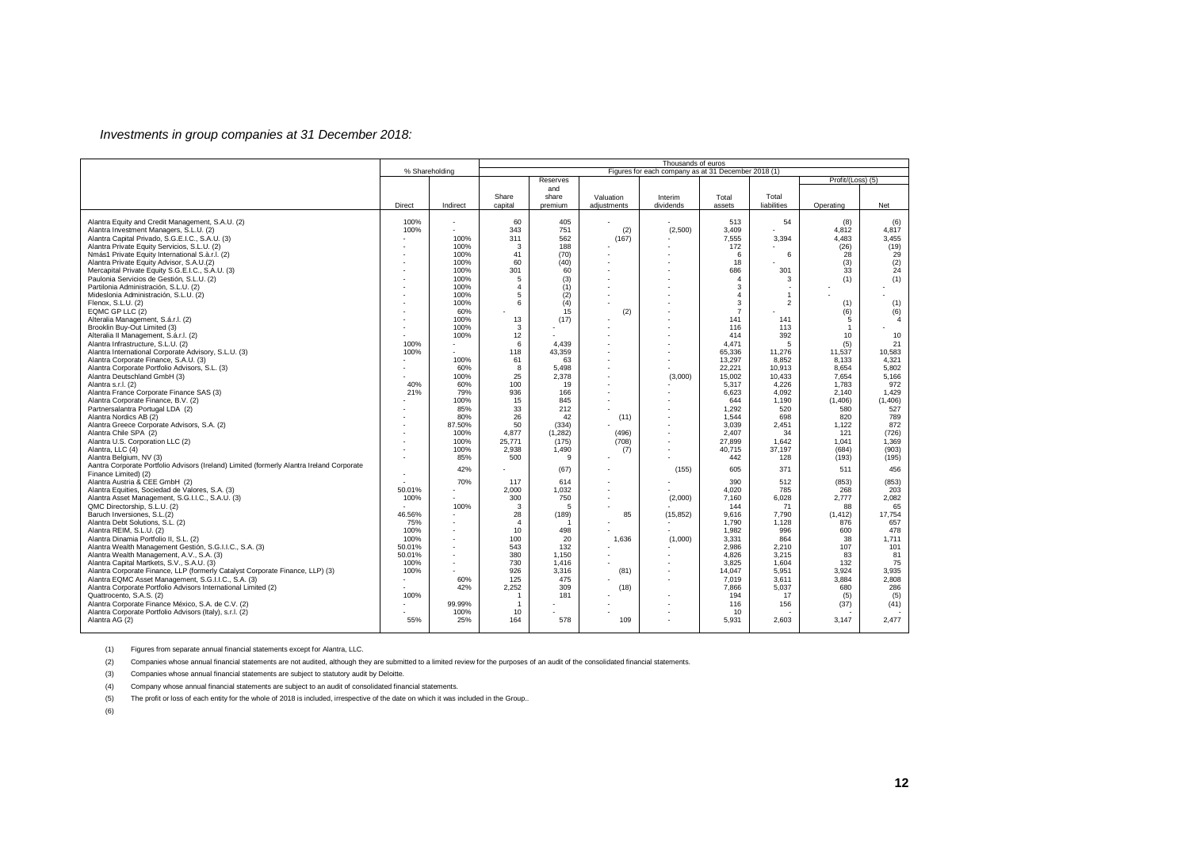### *Investments in group companies at 31 December 2018:*

|                                                                                                                                                                                                                                                                                                                                                                                                                                                                                                                                                                                                                                                                                                                                                                                                                                                                                                                                                                                                                                                                                                                                                                                                                                                                                                                                                                                                                                                                                                    |                                                                           |                                                                                                                                                                                                                                                           | Thousands of euros<br>Figures for each company as at 31 December 2018 (1)                                                                                                                                                    |                                                                                                                                                                                                                                                      |                                                                                  |                                        |                                                                                                                                                                                                                                                                                                         |                                                                                                                                                                                                                                                                                   |                                                                                                                                                                                                                                                                                        |                                                                                                                                                                                                                                                                       |  |  |  |
|----------------------------------------------------------------------------------------------------------------------------------------------------------------------------------------------------------------------------------------------------------------------------------------------------------------------------------------------------------------------------------------------------------------------------------------------------------------------------------------------------------------------------------------------------------------------------------------------------------------------------------------------------------------------------------------------------------------------------------------------------------------------------------------------------------------------------------------------------------------------------------------------------------------------------------------------------------------------------------------------------------------------------------------------------------------------------------------------------------------------------------------------------------------------------------------------------------------------------------------------------------------------------------------------------------------------------------------------------------------------------------------------------------------------------------------------------------------------------------------------------|---------------------------------------------------------------------------|-----------------------------------------------------------------------------------------------------------------------------------------------------------------------------------------------------------------------------------------------------------|------------------------------------------------------------------------------------------------------------------------------------------------------------------------------------------------------------------------------|------------------------------------------------------------------------------------------------------------------------------------------------------------------------------------------------------------------------------------------------------|----------------------------------------------------------------------------------|----------------------------------------|---------------------------------------------------------------------------------------------------------------------------------------------------------------------------------------------------------------------------------------------------------------------------------------------------------|-----------------------------------------------------------------------------------------------------------------------------------------------------------------------------------------------------------------------------------------------------------------------------------|----------------------------------------------------------------------------------------------------------------------------------------------------------------------------------------------------------------------------------------------------------------------------------------|-----------------------------------------------------------------------------------------------------------------------------------------------------------------------------------------------------------------------------------------------------------------------|--|--|--|
|                                                                                                                                                                                                                                                                                                                                                                                                                                                                                                                                                                                                                                                                                                                                                                                                                                                                                                                                                                                                                                                                                                                                                                                                                                                                                                                                                                                                                                                                                                    | % Shareholding                                                            |                                                                                                                                                                                                                                                           |                                                                                                                                                                                                                              |                                                                                                                                                                                                                                                      |                                                                                  |                                        |                                                                                                                                                                                                                                                                                                         |                                                                                                                                                                                                                                                                                   | Profit/(Loss) (5)                                                                                                                                                                                                                                                                      |                                                                                                                                                                                                                                                                       |  |  |  |
|                                                                                                                                                                                                                                                                                                                                                                                                                                                                                                                                                                                                                                                                                                                                                                                                                                                                                                                                                                                                                                                                                                                                                                                                                                                                                                                                                                                                                                                                                                    |                                                                           |                                                                                                                                                                                                                                                           |                                                                                                                                                                                                                              | Reserves<br>and                                                                                                                                                                                                                                      |                                                                                  |                                        |                                                                                                                                                                                                                                                                                                         |                                                                                                                                                                                                                                                                                   |                                                                                                                                                                                                                                                                                        |                                                                                                                                                                                                                                                                       |  |  |  |
|                                                                                                                                                                                                                                                                                                                                                                                                                                                                                                                                                                                                                                                                                                                                                                                                                                                                                                                                                                                                                                                                                                                                                                                                                                                                                                                                                                                                                                                                                                    | Direct                                                                    | Indirect                                                                                                                                                                                                                                                  | Share<br>capital                                                                                                                                                                                                             | share<br>premium                                                                                                                                                                                                                                     | Valuation<br>adjustments                                                         | Interim<br>dividends                   | Total<br>assets                                                                                                                                                                                                                                                                                         | Total<br>liabilities                                                                                                                                                                                                                                                              | Operating                                                                                                                                                                                                                                                                              | Net                                                                                                                                                                                                                                                                   |  |  |  |
| Alantra Equity and Credit Management, S.A.U. (2)<br>Alantra Investment Managers, S.L.U. (2)<br>Alantra Capital Privado, S.G.E.I.C., S.A.U. (3)<br>Alantra Private Equity Servicios, S.L.U. (2)<br>Nmás1 Private Equity International S.à.r.l. (2)<br>Alantra Private Equity Advisor, S.A.U.(2)<br>Mercapital Private Equity S.G.E.I.C., S.A.U. (3)<br>Paulonia Servicios de Gestión, S.L.U. (2)<br>Partilonia Administración, S.L.U. (2)<br>Mideslonia Administración, S.L.U. (2)<br>Flenox, S.L.U. (2)<br>EQMC GP LLC (2)<br>Alteralia Management, S.á.r.l. (2)<br>Brooklin Buy-Out Limited (3)<br>Alteralia II Management, S.á.r.l. (2)<br>Alantra Infrastructure, S.L.U. (2)<br>Alantra International Corporate Advisory, S.L.U. (3)<br>Alantra Corporate Finance, S.A.U. (3)<br>Alantra Corporate Portfolio Advisors, S.L. (3)<br>Alantra Deutschland GmbH (3)<br>Alantra s.r.l. (2)<br>Alantra France Corporate Finance SAS (3)<br>Alantra Corporate Finance, B.V. (2)<br>Partnersalantra Portugal LDA (2)<br>Alantra Nordics AB (2)<br>Alantra Greece Corporate Advisors, S.A. (2)<br>Alantra Chile SPA (2)<br>Alantra U.S. Corporation LLC (2)<br>Alantra, LLC (4)<br>Alantra Belgium, NV (3)<br>Aantra Corporate Portfolio Advisors (Ireland) Limited (formerly Alantra Ireland Corporate<br>Finance Limited) (2)<br>Alantra Austria & CEE GmbH (2)<br>Alantra Equities, Sociedad de Valores, S.A. (3)<br>Alantra Asset Management, S.G.I.I.C., S.A.U. (3)<br>QMC Directorship, S.L.U. (2) | 100%<br>100%<br>100%<br>100%<br>40%<br>21%<br>50.01%<br>100%              | $\overline{\phantom{a}}$<br>100%<br>100%<br>100%<br>100%<br>100%<br>100%<br>100%<br>100%<br>100%<br>60%<br>100%<br>100%<br>100%<br>100%<br>60%<br>100%<br>60%<br>79%<br>100%<br>85%<br>80%<br>87.50%<br>100%<br>100%<br>100%<br>85%<br>42%<br>70%<br>100% | 60<br>343<br>311<br>3<br>41<br>60<br>301<br>5<br>$\overline{4}$<br>5<br>6<br>13<br>3<br>12<br>6<br>118<br>61<br>8<br>25<br>100<br>936<br>15<br>33<br>26<br>50<br>4.877<br>25,771<br>2.938<br>500<br>117<br>2.000<br>300<br>3 | 405<br>751<br>562<br>188<br>(70)<br>(40)<br>60<br>(3)<br>(1)<br>(2)<br>(4)<br>15<br>(17)<br>4,439<br>43,359<br>63<br>5.498<br>2,378<br>19<br>166<br>845<br>212<br>42<br>(334)<br>(1, 282)<br>(175)<br>1.490<br>9<br>(67)<br>614<br>1.032<br>750<br>5 | (2)<br>(167)<br>(2)<br>$\overline{a}$<br>(11)<br>(496)<br>(708)<br>(7)<br>$\sim$ | (2,500)<br>(3,000)<br>(155)<br>(2,000) | 513<br>3,409<br>7,555<br>172<br>6<br>18<br>686<br>$\Delta$<br>3<br>$\Delta$<br>3<br>$\overline{7}$<br>141<br>116<br>414<br>4,471<br>65,336<br>13,297<br>22.221<br>15,002<br>5,317<br>6,623<br>644<br>1.292<br>1.544<br>3,039<br>2.407<br>27,899<br>40,715<br>442<br>605<br>390<br>4.020<br>7.160<br>144 | 54<br>3,394<br>6<br>301<br>3<br>$\overline{\phantom{a}}$<br>$\mathbf{1}$<br>$\overline{2}$<br>141<br>113<br>392<br>5<br>11,276<br>8,852<br>10.913<br>10,433<br>4.226<br>4.092<br>1.190<br>520<br>698<br>2.451<br>34<br>1,642<br>37.197<br>128<br>371<br>512<br>785<br>6.028<br>71 | (8)<br>4,812<br>4,483<br>(26)<br>28<br>(3)<br>33<br>(1)<br>(1)<br>(6)<br>$5\overline{5}$<br>$\mathbf{1}$<br>10<br>(5)<br>11,537<br>8,133<br>8.654<br>7,654<br>1,783<br>2.140<br>(1,406)<br>580<br>820<br>1,122<br>121<br>1,041<br>(684)<br>(193)<br>511<br>(853)<br>268<br>2.777<br>88 | (6)<br>4,817<br>3,455<br>(19)<br>29<br>$\frac{2}{24}$<br>(1)<br>(1)<br>(6)<br>$\mathbf{A}$<br>10<br>21<br>10,583<br>4,321<br>5.802<br>5,166<br>972<br>1.429<br>(1,406)<br>527<br>789<br>872<br>(726)<br>1,369<br>(903)<br>(195)<br>456<br>(853)<br>203<br>2.082<br>65 |  |  |  |
| Baruch Inversiones, S.L.(2)<br>Alantra Debt Solutions, S.L. (2)<br>Alantra REIM, S.L.U. (2)<br>Alantra Dinamia Portfolio II, S.L. (2)<br>Alantra Wealth Management Gestión, S.G.I.I.C., S.A. (3)<br>Alantra Wealth Management, A.V., S.A. (3)<br>Alantra Capital Martkets, S.V., S.A.U. (3)<br>Alantra Corporate Finance, LLP (formerly Catalyst Corporate Finance, LLP) (3)<br>Alantra EQMC Asset Management, S.G.I.I.C., S.A. (3)<br>Alantra Corporate Portfolio Advisors International Limited (2)<br>Quattrocento, S.A.S. (2)                                                                                                                                                                                                                                                                                                                                                                                                                                                                                                                                                                                                                                                                                                                                                                                                                                                                                                                                                                  | 46.56%<br>75%<br>100%<br>100%<br>50.01%<br>50.01%<br>100%<br>100%<br>100% | $\overline{\phantom{a}}$<br>60%<br>42%                                                                                                                                                                                                                    | 28<br>$\overline{4}$<br>10<br>100<br>543<br>380<br>730<br>926<br>125<br>2.252<br>$\overline{1}$                                                                                                                              | (189)<br>498<br>20<br>132<br>1,150<br>1.416<br>3,316<br>475<br>309<br>181                                                                                                                                                                            | 85<br>1.636<br>(81)<br>(18)                                                      | (15, 852)<br>(1,000)                   | 9.616<br>1.790<br>1,982<br>3,331<br>2.986<br>4,826<br>3.825<br>14,047<br>7,019<br>7.866<br>194                                                                                                                                                                                                          | 7.790<br>1,128<br>996<br>864<br>2.210<br>3,215<br>1.604<br>5,951<br>3,611<br>5.037<br>17                                                                                                                                                                                          | (1, 412)<br>876<br>600<br>38<br>107<br>83<br>132<br>3,924<br>3,884<br>680<br>(5)                                                                                                                                                                                                       | 17.754<br>657<br>478<br>1.711<br>101<br>81<br>75<br>3,935<br>2,808<br>286<br>(5)                                                                                                                                                                                      |  |  |  |
| Alantra Corporate Finance México, S.A. de C.V. (2)<br>Alantra Corporate Portfolio Advisors (Italy), s.r.l. (2)<br>Alantra AG (2)                                                                                                                                                                                                                                                                                                                                                                                                                                                                                                                                                                                                                                                                                                                                                                                                                                                                                                                                                                                                                                                                                                                                                                                                                                                                                                                                                                   | 55%                                                                       | 99.99%<br>100%<br>25%                                                                                                                                                                                                                                     | $\overline{1}$<br>10<br>164                                                                                                                                                                                                  | 578                                                                                                                                                                                                                                                  | 109                                                                              |                                        | 116<br>10<br>5,931                                                                                                                                                                                                                                                                                      | 156<br>2.603                                                                                                                                                                                                                                                                      | (37)<br>3.147                                                                                                                                                                                                                                                                          | (41)<br>2.477                                                                                                                                                                                                                                                         |  |  |  |

(1) Figures from separate annual financial statements except for Alantra, LLC.

(2) Companies whose annual financial statements are not audited, although they are submitted to a limited review for the purposes of an audit of the consolidated financial statements.

(3) Companies whose annual financial statements are subject to statutory audit by Deloitte.

(4) Company whose annual financial statements are subject to an audit of consolidated financial statements.

(5) The profit or loss of each entity for the whole of 2018 is included, irrespective of the date on which it was included in the Group..

(6)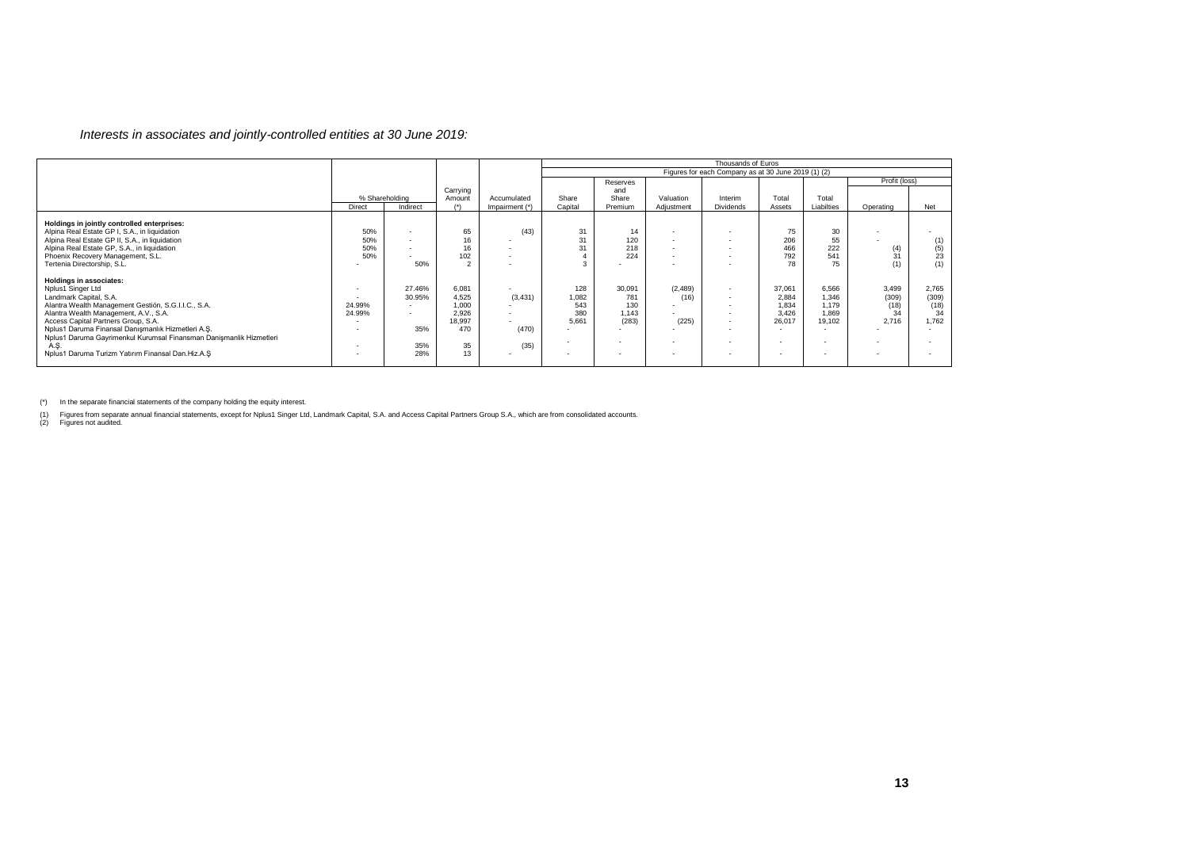### *Interests in associates and jointly-controlled entities at 30 June 2019:*

|                                                                                                                                                                                                                                                                                                                                                                                                            |                          |                                                                                               |                                                               |                                     | Thousands of Euros                  |                                        |                                    |                                                     |                                             |                                                                        |                                       |                                           |  |
|------------------------------------------------------------------------------------------------------------------------------------------------------------------------------------------------------------------------------------------------------------------------------------------------------------------------------------------------------------------------------------------------------------|--------------------------|-----------------------------------------------------------------------------------------------|---------------------------------------------------------------|-------------------------------------|-------------------------------------|----------------------------------------|------------------------------------|-----------------------------------------------------|---------------------------------------------|------------------------------------------------------------------------|---------------------------------------|-------------------------------------------|--|
|                                                                                                                                                                                                                                                                                                                                                                                                            |                          |                                                                                               |                                                               |                                     |                                     |                                        |                                    | Figures for each Company as at 30 June 2019 (1) (2) |                                             |                                                                        |                                       |                                           |  |
|                                                                                                                                                                                                                                                                                                                                                                                                            |                          |                                                                                               |                                                               |                                     |                                     | Reserves                               |                                    |                                                     |                                             |                                                                        | Profit (loss)                         |                                           |  |
|                                                                                                                                                                                                                                                                                                                                                                                                            | % Shareholding<br>Direct | Indirect                                                                                      | Carrying<br>Amount<br>$(*)$                                   | Accumulated<br>Impairment (*)       | Share<br>Capital                    | and<br>Share<br>Premium                | Valuation<br>Adjustment            | Interim<br>Dividends                                | Total<br>Assets                             | Total<br>Liabilties                                                    | Operating                             | Net                                       |  |
| Holdings in jointly controlled enterprises:<br>Alpina Real Estate GP I, S.A., in liquidation<br>Alpina Real Estate GP II, S.A., in liquidation<br>Alpina Real Estate GP, S.A., in liquidation<br>Phoenix Recovery Management, S.L.<br>Tertenia Directorship, S.L.                                                                                                                                          | 50%<br>50%<br>50%<br>50% | $\blacksquare$<br>$\overline{\phantom{a}}$<br>$\overline{\phantom{a}}$<br>50%                 | 65<br>16<br>102<br>$\sim$                                     | (43)                                | 31<br>31<br>31                      | 14<br>120<br>218<br>224                | $\overline{\phantom{a}}$<br>$\sim$ | . .<br>. .                                          | 75<br>206<br>466<br>792<br>78               | 30<br>55<br>222<br>541<br>75                                           | $\binom{4}{31}$<br>(1)                | $(1)$<br>$(5)$<br>23<br>(1)               |  |
| Holdings in associates:<br>Nplus1 Singer Ltd<br>Landmark Capital, S.A.<br>Alantra Wealth Management Gestión, S.G.I.I.C., S.A.<br>Alantra Wealth Management, A.V., S.A.<br>Access Capital Partners Group, S.A.<br>Nplus1 Daruma Finansal Danışmanlık Hizmetleri A.Ş.<br>Nplus1 Daruma Gayrimenkul Kurumsal Finansman Danişmanlik Hizmetleri<br>A.S.<br>Nolus1 Daruma Turizm Yatırım Finansal Dan, Hiz, A, S | . .<br>24.99%<br>24.99%  | 27.46%<br>30.95%<br>$\overline{\phantom{a}}$<br>$\overline{\phantom{a}}$<br>35%<br>35%<br>28% | 6,081<br>4,525<br>1.000<br>2,926<br>18,997<br>470<br>35<br>13 | (3, 431)<br>$\sim$<br>(470)<br>(35) | 128<br>1,082<br>543<br>380<br>5.661 | 30,091<br>781<br>130<br>1,143<br>(283) | (2,489)<br>(16)<br>(225)           | $\sim$<br>$\sim$<br>. .<br>$\sim$                   | 37,061<br>2,884<br>1.834<br>3,426<br>26,017 | 6,566<br>1.346<br>1.179<br>1,869<br>19,102<br>$\overline{\phantom{a}}$ | 3,499<br>(309)<br>(18)<br>34<br>2,716 | 2,765<br>(309)<br>$^{(18)}_{34}$<br>1,762 |  |

(\*) In the separate financial statements of the company holding the equity interest.

(1) Figures from separate annual financial statements, except for Nplus1 Singer Ltd, Landmark Capital, S.A. and Access Capital Partners Group S.A., which are from consolidated accounts.<br>(2) Figures not audited.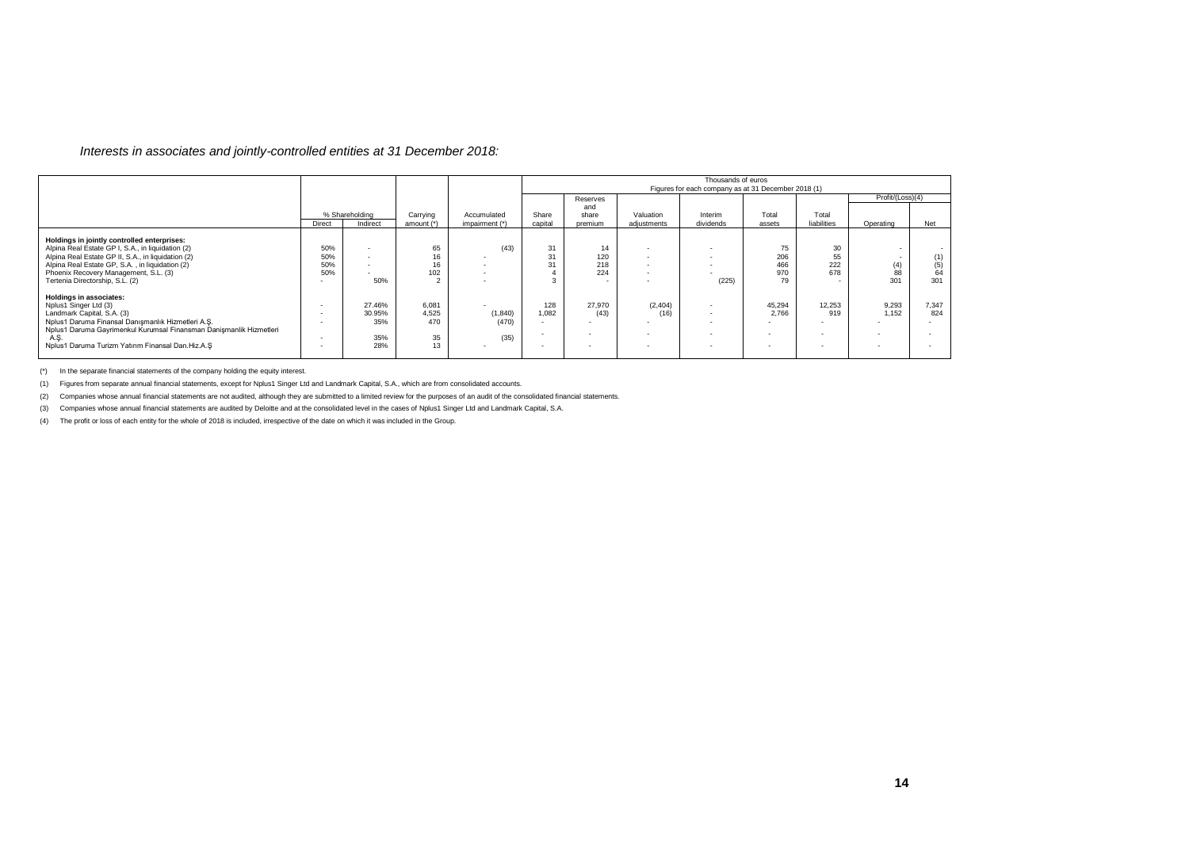### *Interests in associates and jointly-controlled entities at 31 December 2018:*

|                                                                                                                                                                                                                                                                                       |                          |                                       |                                                   |                                                                                               |              | Thousands of euros<br>Figures for each company as at 31 December 2018 (1) |                  |           |                               |                             |                                     |                         |
|---------------------------------------------------------------------------------------------------------------------------------------------------------------------------------------------------------------------------------------------------------------------------------------|--------------------------|---------------------------------------|---------------------------------------------------|-----------------------------------------------------------------------------------------------|--------------|---------------------------------------------------------------------------|------------------|-----------|-------------------------------|-----------------------------|-------------------------------------|-------------------------|
|                                                                                                                                                                                                                                                                                       |                          |                                       |                                                   |                                                                                               |              | Reserves                                                                  |                  |           |                               |                             | Profit/(Loss)(4)                    |                         |
|                                                                                                                                                                                                                                                                                       |                          | % Shareholding                        | Carrying                                          | Accumulated                                                                                   | Share        | and<br>share                                                              | Valuation        | Interim   | Total                         | Total                       |                                     |                         |
|                                                                                                                                                                                                                                                                                       | Direct                   | Indirect                              | amount (*)                                        | impairment (*)                                                                                | capital      | premium                                                                   | adjustments      | dividends | assets                        | liabilities                 | Operating                           | Net                     |
| Holdings in jointly controlled enterprises:<br>Alpina Real Estate GP I, S.A., in liquidation (2)<br>Alpina Real Estate GP II, S.A., in liquidation (2)<br>Alpina Real Estate GP, S.A., in liquidation (2)<br>Phoenix Recovery Management, S.L. (3)<br>Tertenia Directorship, S.L. (2) | 50%<br>50%<br>50%<br>50% | $\overline{\phantom{a}}$<br>50%       | 65<br>16<br>16<br>102<br>$\overline{\phantom{0}}$ | (43)<br>$\overline{\phantom{0}}$<br>$\overline{\phantom{a}}$<br>$\overline{\phantom{a}}$<br>۰ | 31<br>31     | 14<br>120<br>218<br>224<br>$\sim$                                         | . .<br>. .       | (225)     | 75<br>206<br>466<br>970<br>79 | 30<br>55<br>222<br>678      | $\sim$<br>. .<br>$(4)$<br>88<br>301 | (1)<br>(5)<br>64<br>301 |
| Holdings in associates:<br>Nplus1 Singer Ltd (3)<br>Landmark Capital, S.A. (3)<br>Nplus1 Daruma Finansal Danışmanlık Hizmetleri A.Ş.<br>Nplus1 Daruma Gayrimenkul Kurumsal Finansman Danişmanlik Hizmetleri<br>A.S.<br>Nolus1 Daruma Turizm Yatırım Finansal Dan.Hiz.A.S              |                          | 27.46%<br>30.95%<br>35%<br>35%<br>28% | 6,081<br>4,525<br>470<br>35<br>13                 | (1, 840)<br>(470)<br>(35)                                                                     | 128<br>1.082 | 27,970<br>(43)                                                            | (2, 404)<br>(16) |           | 45,294<br>2.766               | 12.253<br>919<br>. .<br>. . | 9,293<br>1.152                      | 7,347<br>824            |

(\*) In the separate financial statements of the company holding the equity interest.

(1) Figures from separate annual financial statements, except for Nplus1 Singer Ltd and Landmark Capital, S.A., which are from consolidated accounts.

(2) Companies whose annual financial statements are not audited, although they are submitted to a limited review for the purposes of an audit of the consolidated financial statements.

(3) Companies whose annual financial statements are audited by Deloitte and at the consolidated level in the cases of Nplus1 Singer Ltd and Landmark Capital, S.A.

(4) The profit or loss of each entity for the whole of 2018 is included, irrespective of the date on which it was included in the Group.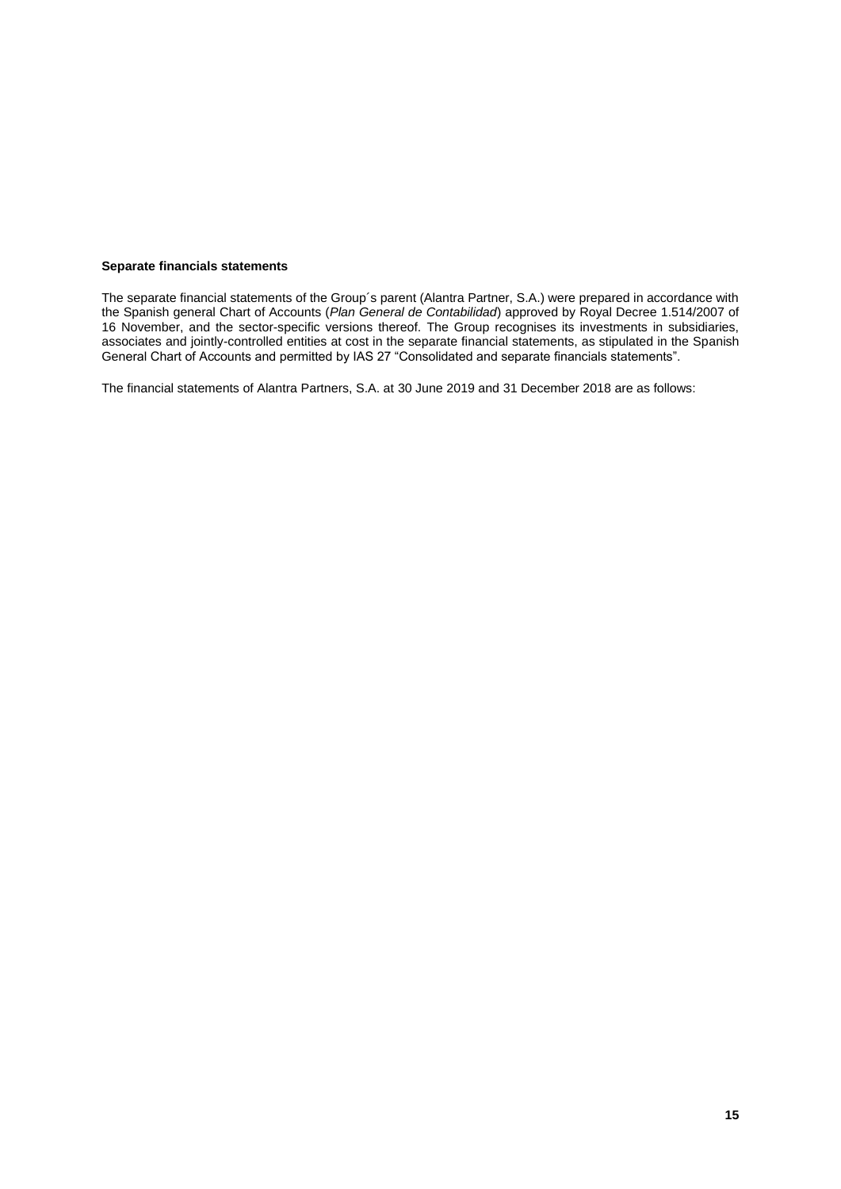### **Separate financials statements**

The separate financial statements of the Group´s parent (Alantra Partner, S.A.) were prepared in accordance with the Spanish general Chart of Accounts (*Plan General de Contabilidad*) approved by Royal Decree 1.514/2007 of 16 November, and the sector-specific versions thereof. The Group recognises its investments in subsidiaries, associates and jointly-controlled entities at cost in the separate financial statements, as stipulated in the Spanish General Chart of Accounts and permitted by IAS 27 "Consolidated and separate financials statements".

The financial statements of Alantra Partners, S.A. at 30 June 2019 and 31 December 2018 are as follows: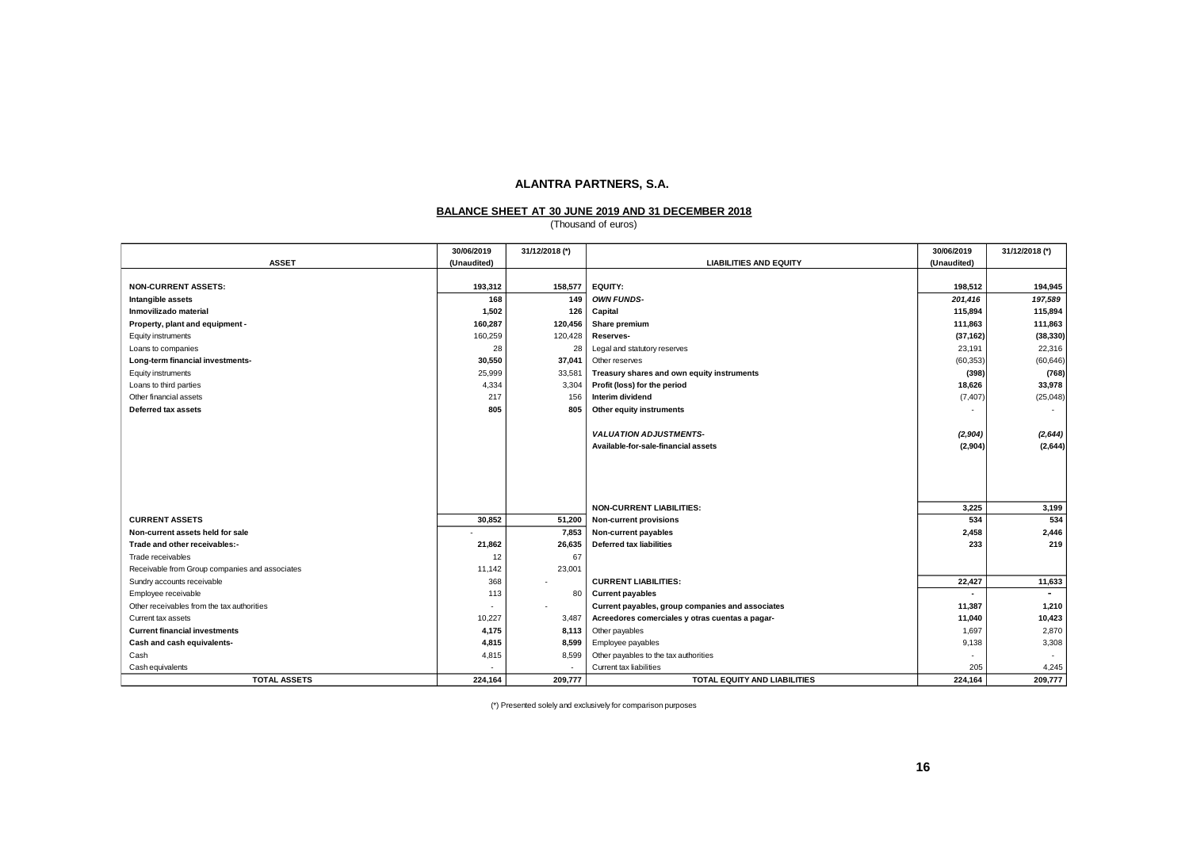#### **BALANCE SHEET AT 30 JUNE 2019 AND 31 DECEMBER 2018**

(Thousand of euros)

|                                                | 30/06/2019  | 31/12/2018 (*) |                                                  | 30/06/2019  | 31/12/2018 (*)           |
|------------------------------------------------|-------------|----------------|--------------------------------------------------|-------------|--------------------------|
| <b>ASSET</b>                                   | (Unaudited) |                | <b>LIABILITIES AND EQUITY</b>                    | (Unaudited) |                          |
|                                                |             |                |                                                  |             |                          |
| <b>NON-CURRENT ASSETS:</b>                     | 193,312     | 158,577        | <b>EQUITY:</b>                                   | 198,512     | 194,945                  |
| Intangible assets                              | 168         | 149            | <b>OWN FUNDS-</b>                                | 201,416     | 197,589                  |
| Inmovilizado material                          | 1,502       | 126            | Capital                                          | 115,894     | 115,894                  |
| Property, plant and equipment -                | 160,287     | 120,456        | Share premium                                    | 111,863     | 111,863                  |
| Equity instruments                             | 160,259     | 120,428        | Reserves-                                        | (37, 162)   | (38, 330)                |
| Loans to companies                             | 28          | 28             | Legal and statutory reserves                     | 23,191      | 22,316                   |
| Long-term financial investments-               | 30,550      | 37,041         | Other reserves                                   | (60, 353)   | (60, 646)                |
| Equity instruments                             | 25,999      | 33,581         | Treasury shares and own equity instruments       | (398)       | (768)                    |
| Loans to third parties                         | 4,334       | 3,304          | Profit (loss) for the period                     | 18,626      | 33,978                   |
| Other financial assets                         | 217         | 156            | Interim dividend                                 | (7, 407)    | (25, 048)                |
| <b>Deferred tax assets</b>                     | 805         | 805            | Other equity instruments                         |             |                          |
|                                                |             |                |                                                  |             |                          |
|                                                |             |                | <b>VALUATION ADJUSTMENTS-</b>                    | (2,904)     | (2, 644)                 |
|                                                |             |                | Available-for-sale-financial assets              | (2,904)     | (2,644)                  |
|                                                |             |                |                                                  |             |                          |
|                                                |             |                |                                                  |             |                          |
|                                                |             |                |                                                  |             |                          |
|                                                |             |                |                                                  |             |                          |
|                                                |             |                | <b>NON-CURRENT LIABILITIES:</b>                  | 3,225       | 3,199                    |
| <b>CURRENT ASSETS</b>                          | 30,852      | 51,200         | <b>Non-current provisions</b>                    | 534         | 534                      |
| Non-current assets held for sale               |             | 7,853          | Non-current payables                             | 2,458       | 2,446                    |
| Trade and other receivables:-                  | 21,862      | 26,635         | <b>Deferred tax liabilities</b>                  | 233         | 219                      |
| Trade receivables                              | 12          | 67             |                                                  |             |                          |
| Receivable from Group companies and associates | 11,142      | 23,001         |                                                  |             |                          |
| Sundry accounts receivable                     | 368         |                | <b>CURRENT LIABILITIES:</b>                      | 22,427      | 11,633                   |
| Employee receivable                            | 113         | 80             | <b>Current payables</b>                          |             | $\overline{\phantom{a}}$ |
| Other receivables from the tax authorities     | $\sim$      | ٠              | Current payables, group companies and associates | 11.387      | 1,210                    |
| Current tax assets                             | 10,227      | 3,487          | Acreedores comerciales y otras cuentas a pagar-  | 11,040      | 10,423                   |
| <b>Current financial investments</b>           | 4,175       | 8,113          | Other payables                                   | 1,697       | 2,870                    |
| Cash and cash equivalents-                     | 4,815       | 8,599          | Employee payables                                | 9,138       | 3,308                    |
| Cash                                           | 4,815       | 8,599          | Other payables to the tax authorities            |             |                          |
| Cash equivalents                               |             |                | Current tax liabilities                          | 205         | 4,245                    |
| <b>TOTAL ASSETS</b>                            | 224,164     | 209,777        | TOTAL EQUITY AND LIABILITIES                     | 224,164     | 209,777                  |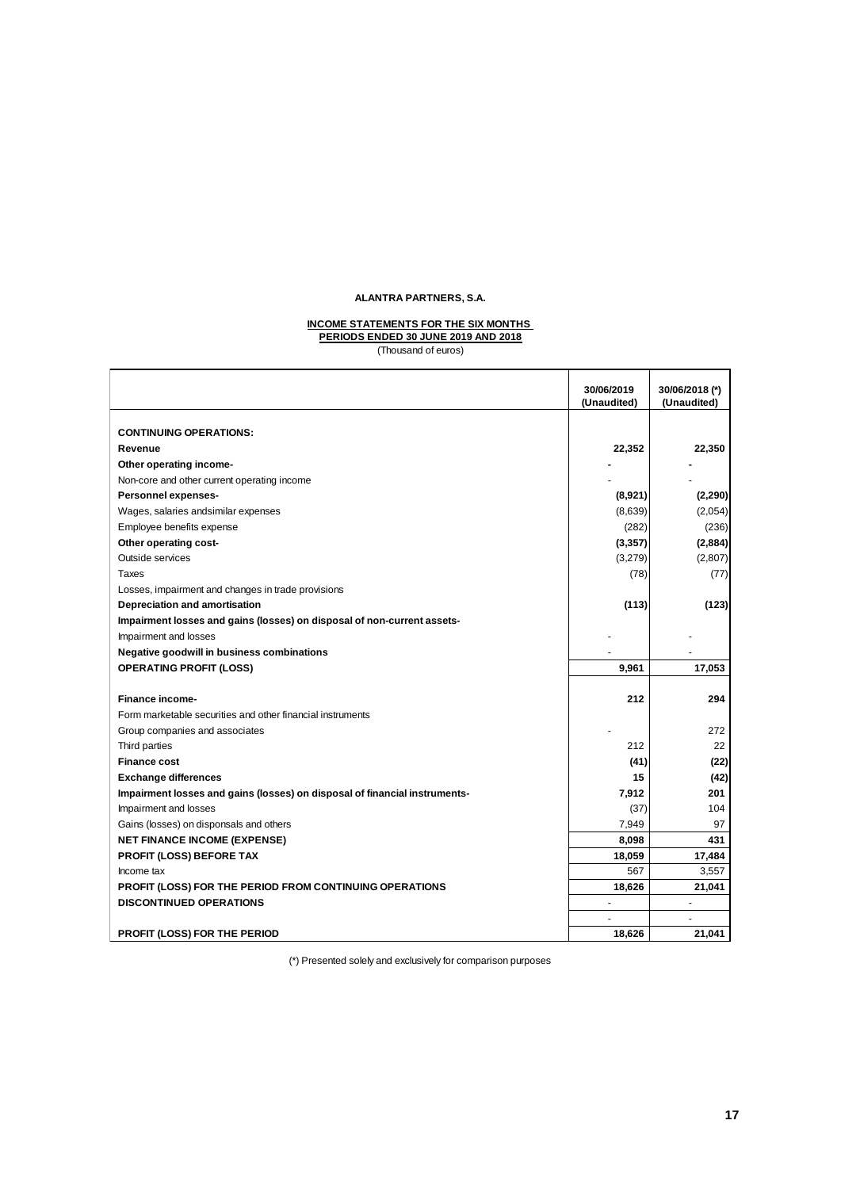#### **INCOME STATEMENTS FOR THE SIX MONTHS PERIODS ENDED 30 JUNE 2019 AND 2018**

(Thousand of euros)

|                                                                            | 30/06/2019<br>(Unaudited) | 30/06/2018 (*)<br>(Unaudited) |
|----------------------------------------------------------------------------|---------------------------|-------------------------------|
|                                                                            |                           |                               |
| <b>CONTINUING OPERATIONS:</b>                                              |                           |                               |
| Revenue                                                                    | 22,352                    | 22,350                        |
| Other operating income-                                                    |                           |                               |
| Non-core and other current operating income                                |                           |                               |
| Personnel expenses-                                                        | (8,921)                   | (2, 290)                      |
| Wages, salaries and similar expenses                                       | (8,639)                   | (2,054)                       |
| Employee benefits expense                                                  | (282)                     | (236)                         |
| Other operating cost-                                                      | (3, 357)                  | (2,884)                       |
| Outside services                                                           | (3,279)                   | (2,807)                       |
| Taxes                                                                      | (78)                      | (77)                          |
| Losses, impairment and changes in trade provisions                         |                           |                               |
| Depreciation and amortisation                                              | (113)                     | (123)                         |
| Impairment losses and gains (losses) on disposal of non-current assets-    |                           |                               |
| Impairment and losses                                                      |                           |                               |
| Negative goodwill in business combinations                                 |                           |                               |
| <b>OPERATING PROFIT (LOSS)</b>                                             | 9,961                     | 17,053                        |
|                                                                            |                           |                               |
| <b>Finance income-</b>                                                     | 212                       | 294                           |
| Form marketable securities and other financial instruments                 |                           |                               |
| Group companies and associates                                             |                           | 272                           |
| Third parties                                                              | 212                       | 22                            |
| <b>Finance cost</b>                                                        | (41)                      | (22)                          |
| <b>Exchange differences</b>                                                | 15                        | (42)                          |
| Impairment losses and gains (losses) on disposal of financial instruments- | 7,912                     | 201                           |
| Impairment and losses                                                      | (37)                      | 104                           |
| Gains (losses) on disponsals and others                                    | 7,949                     | 97                            |
| <b>NET FINANCE INCOME (EXPENSE)</b>                                        | 8,098                     | 431                           |
| <b>PROFIT (LOSS) BEFORE TAX</b>                                            | 18,059                    | 17,484                        |
| Income tax                                                                 | 567                       | 3,557                         |
| PROFIT (LOSS) FOR THE PERIOD FROM CONTINUING OPERATIONS                    | 18,626                    | 21,041                        |
| <b>DISCONTINUED OPERATIONS</b>                                             |                           |                               |
|                                                                            |                           |                               |
| PROFIT (LOSS) FOR THE PERIOD                                               | 18,626                    | 21.041                        |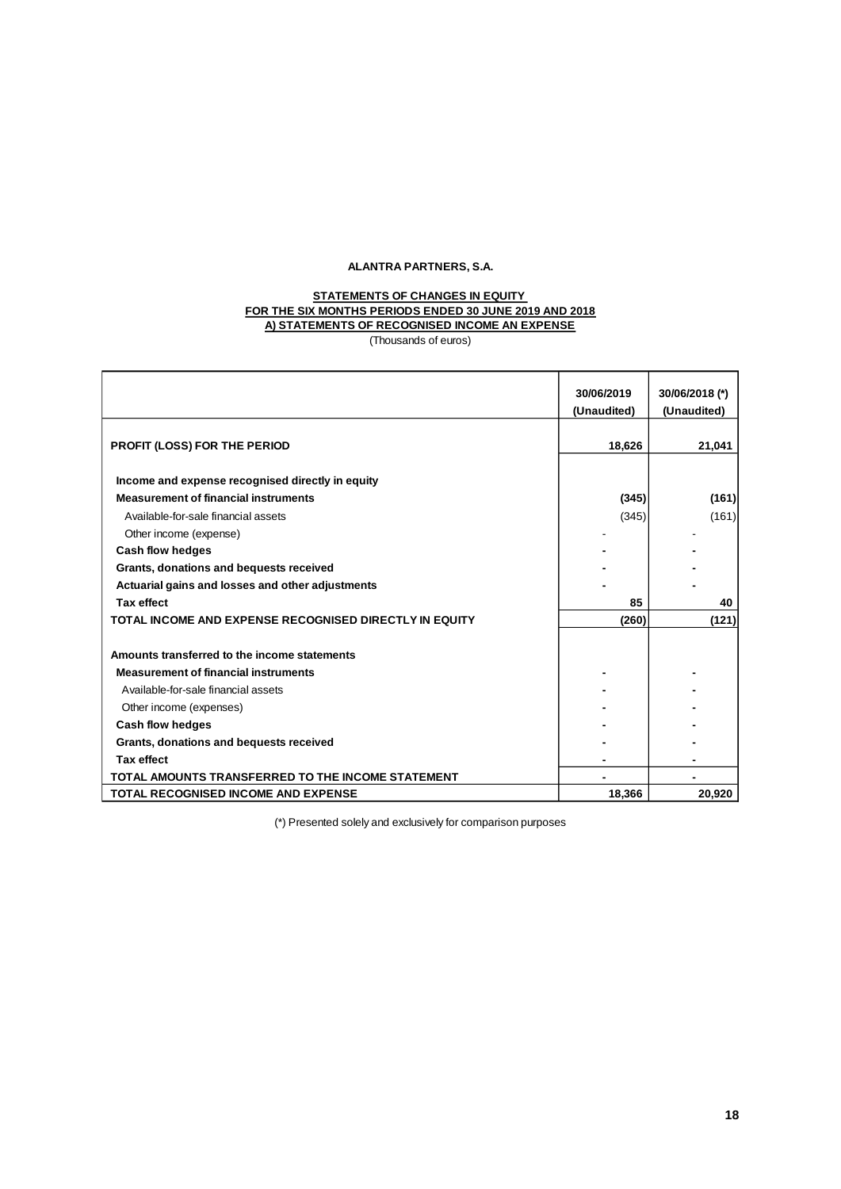### **A) STATEMENTS OF RECOGNISED INCOME AN EXPENSE STATEMENTS OF CHANGES IN EQUITY FOR THE SIX MONTHS PERIODS ENDED 30 JUNE 2019 AND 2018**

(Thousands of euros)

|                                                              | 30/06/2019<br>(Unaudited) | 30/06/2018 (*)<br>(Unaudited) |
|--------------------------------------------------------------|---------------------------|-------------------------------|
| PROFIT (LOSS) FOR THE PERIOD                                 | 18,626                    | 21,041                        |
|                                                              |                           |                               |
| Income and expense recognised directly in equity             |                           |                               |
| <b>Measurement of financial instruments</b>                  | (345)                     | (161)                         |
| Available-for-sale financial assets                          | (345)                     | (161)                         |
| Other income (expense)                                       |                           |                               |
| Cash flow hedges                                             |                           |                               |
| Grants, donations and bequests received                      |                           |                               |
| Actuarial gains and losses and other adjustments             |                           |                               |
| <b>Tax effect</b>                                            | 85                        | 40                            |
| TOTAL INCOME AND EXPENSE RECOGNISED DIRECTLY IN EQUITY       | (260)                     | (121)                         |
|                                                              |                           |                               |
| Amounts transferred to the income statements                 |                           |                               |
| <b>Measurement of financial instruments</b>                  |                           |                               |
| Available-for-sale financial assets                          |                           |                               |
| Other income (expenses)                                      |                           |                               |
| Cash flow hedges                                             |                           |                               |
| Grants, donations and bequests received                      |                           |                               |
| <b>Tax effect</b>                                            |                           |                               |
| TOTAL AMOUNTS TRANSFERRED TO THE INCOME STATEMENT            |                           |                               |
| TOTAL RECOGNISED INCOME AND EXPENSE                          | 18,366                    | 20,920                        |
| (*) Presented solely and exclusively for comparison purposes |                           |                               |
|                                                              |                           | 18                            |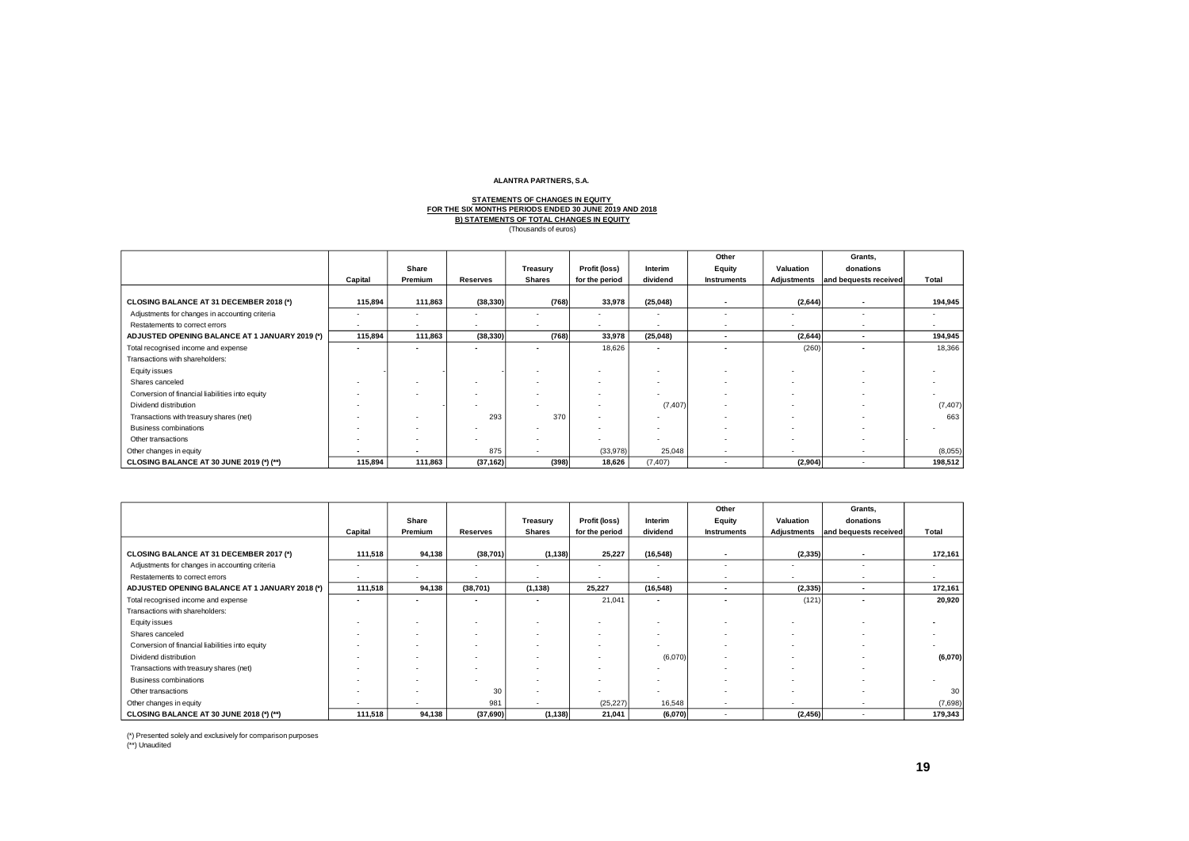#### **STATEMENTS OF CHANGES IN EQUITY B) STATEMENTS OF TOTAL CHANGES IN EQUITY FOR THE SIX MONTHS PERIODS ENDED 30 JUNE 2019 AND 2018** (Thousands of euros)

|                                                 | Capital                  | Share<br>Premium         | Treasury<br><b>Reserves</b><br><b>Shares</b> |                          | Profit (loss)<br>for the period | Interim<br>dividend      | Other<br>Equity<br><b>Instruments</b> | Valuation<br>Adjustments | Grants,<br>donations<br>and bequests received | Total                    |
|-------------------------------------------------|--------------------------|--------------------------|----------------------------------------------|--------------------------|---------------------------------|--------------------------|---------------------------------------|--------------------------|-----------------------------------------------|--------------------------|
| CLOSING BALANCE AT 31 DECEMBER 2018 (*)         | 115,894                  | 111,863                  | (38, 330)                                    | (768)                    | 33,978                          | (25, 048)                |                                       | (2,644)                  |                                               | 194,945                  |
| Adjustments for changes in accounting criteria  |                          | $\overline{\phantom{a}}$ |                                              |                          | ٠                               | $\overline{\phantom{a}}$ |                                       |                          |                                               |                          |
| Restatements to correct errors                  | $\sim$                   | $\overline{\phantom{a}}$ | $\overline{\phantom{a}}$                     |                          | ٠                               |                          |                                       | $\sim$                   |                                               | $\overline{\phantom{a}}$ |
| ADJUSTED OPENING BALANCE AT 1 JANUARY 2019 (*)  | 115,894                  | 111,863                  | (38, 330)                                    | (768)                    | 33,978                          | (25, 048)                | $\overline{\phantom{a}}$              | (2,644)                  | $\sim$                                        | 194,945                  |
| Total recognised income and expense             |                          |                          |                                              | ۰                        | 18.626                          | $\overline{\phantom{a}}$ |                                       | (260)                    |                                               | 18,366                   |
| Transactions with shareholders:                 |                          |                          |                                              |                          |                                 |                          |                                       |                          |                                               |                          |
| Equity issues                                   |                          |                          |                                              |                          | $\overline{\phantom{a}}$        | $\overline{\phantom{a}}$ |                                       |                          |                                               |                          |
| Shares canceled                                 |                          |                          |                                              |                          |                                 | $\overline{\phantom{a}}$ |                                       |                          |                                               |                          |
| Conversion of financial liabilities into equity |                          |                          | $\overline{\phantom{a}}$                     |                          |                                 |                          |                                       |                          |                                               |                          |
| Dividend distribution                           |                          |                          |                                              | $\overline{\phantom{a}}$ |                                 | (7, 407)                 |                                       | . .                      |                                               | (7, 407)                 |
| Transactions with treasury shares (net)         |                          |                          | 293                                          | 370                      |                                 |                          |                                       |                          |                                               | 663                      |
| Business combinations                           |                          | $\overline{\phantom{a}}$ |                                              |                          | ۰                               | $\overline{\phantom{a}}$ |                                       | . .                      |                                               |                          |
| Other transactions                              |                          | $\overline{\phantom{a}}$ |                                              | ۰                        | ٠                               | $\overline{\phantom{a}}$ |                                       |                          |                                               |                          |
| Other changes in equity                         | $\overline{\phantom{a}}$ |                          | 875                                          |                          | (33,978)                        | 25,048                   |                                       |                          |                                               | (8,055)                  |
| CLOSING BALANCE AT 30 JUNE 2019 (*) (**)        | 115,894                  | 111,863                  | (37, 162)                                    | (398)                    | 18,626                          | (7, 407)                 |                                       | (2,904)                  |                                               | 198,512                  |

|                                                 |                          |                          |                          |               |                |                          | Other                    |             | Grants,               |         |
|-------------------------------------------------|--------------------------|--------------------------|--------------------------|---------------|----------------|--------------------------|--------------------------|-------------|-----------------------|---------|
|                                                 |                          | Share                    |                          | Treasury      | Profit (loss)  | Interim                  | Equity                   | Valuation   | donations             |         |
|                                                 | Capital                  | Premium                  | <b>Reserves</b>          | <b>Shares</b> | for the period | dividend                 | <b>Instruments</b>       | Adjustments | and bequests received | Total   |
|                                                 |                          |                          |                          |               |                |                          |                          |             |                       |         |
| CLOSING BALANCE AT 31 DECEMBER 2017 (*)         | 111,518                  | 94,138                   | (38, 701)                | (1, 138)      | 25,227         | (16, 548)                | . .                      | (2, 335)    |                       | 172,161 |
| Adjustments for changes in accounting criteria  | ۰.                       |                          | $\overline{\phantom{a}}$ | ٠             | ٠              | $\overline{\phantom{a}}$ | ٠                        |             |                       | ۰.      |
| Restatements to correct errors                  | $\overline{\phantom{a}}$ | . .                      | $\overline{\phantom{a}}$ | ٠             | ٠              | ٠                        | $\sim$                   | <b>.</b>    |                       | ۰.      |
| ADJUSTED OPENING BALANCE AT 1 JANUARY 2018 (*)  | 111,518                  | 94,138                   | (38, 701)                | (1, 138)      | 25,227         | (16, 548)                | $\overline{\phantom{a}}$ | (2, 335)    |                       | 172,161 |
| Total recognised income and expense             | $\sim$                   |                          | $\overline{\phantom{a}}$ |               | 21,041         | $\overline{\phantom{a}}$ | $\overline{\phantom{a}}$ | (121)       |                       | 20,920  |
| Transactions with shareholders:                 |                          |                          |                          |               |                |                          |                          |             |                       |         |
| Equity issues                                   |                          |                          |                          |               |                |                          |                          |             |                       |         |
| Shares canceled                                 |                          |                          | $\overline{\phantom{a}}$ |               | ٠              |                          |                          |             |                       |         |
| Conversion of financial liabilities into equity |                          |                          |                          |               | ۰              |                          |                          |             |                       |         |
| Dividend distribution                           |                          |                          | $\overline{\phantom{a}}$ | ۰             | ٠              | (6,070)                  | ٠                        |             |                       | (6,070) |
| Transactions with treasury shares (net)         |                          |                          |                          |               | ۰              |                          |                          |             |                       |         |
| Business combinations                           |                          |                          |                          |               | ٠              |                          |                          | <b>.</b>    |                       |         |
| Other transactions                              |                          | . .                      | 30                       |               | ۰.             | ۰                        | ٠                        | $\sim$      |                       | 30      |
| Other changes in equity                         |                          | $\overline{\phantom{a}}$ | 981                      |               | (25, 227)      | 16,548                   | ٠                        |             |                       | (7,698) |
| CLOSING BALANCE AT 30 JUNE 2018 (*) (**)        | 111,518                  | 94,138                   | (37,690)                 | (1, 138)      | 21,041         | (6,070)                  |                          | (2, 456)    |                       | 179,343 |

(\*) Presented solely and exclusively for comparison purposes (\*\*) Unaudited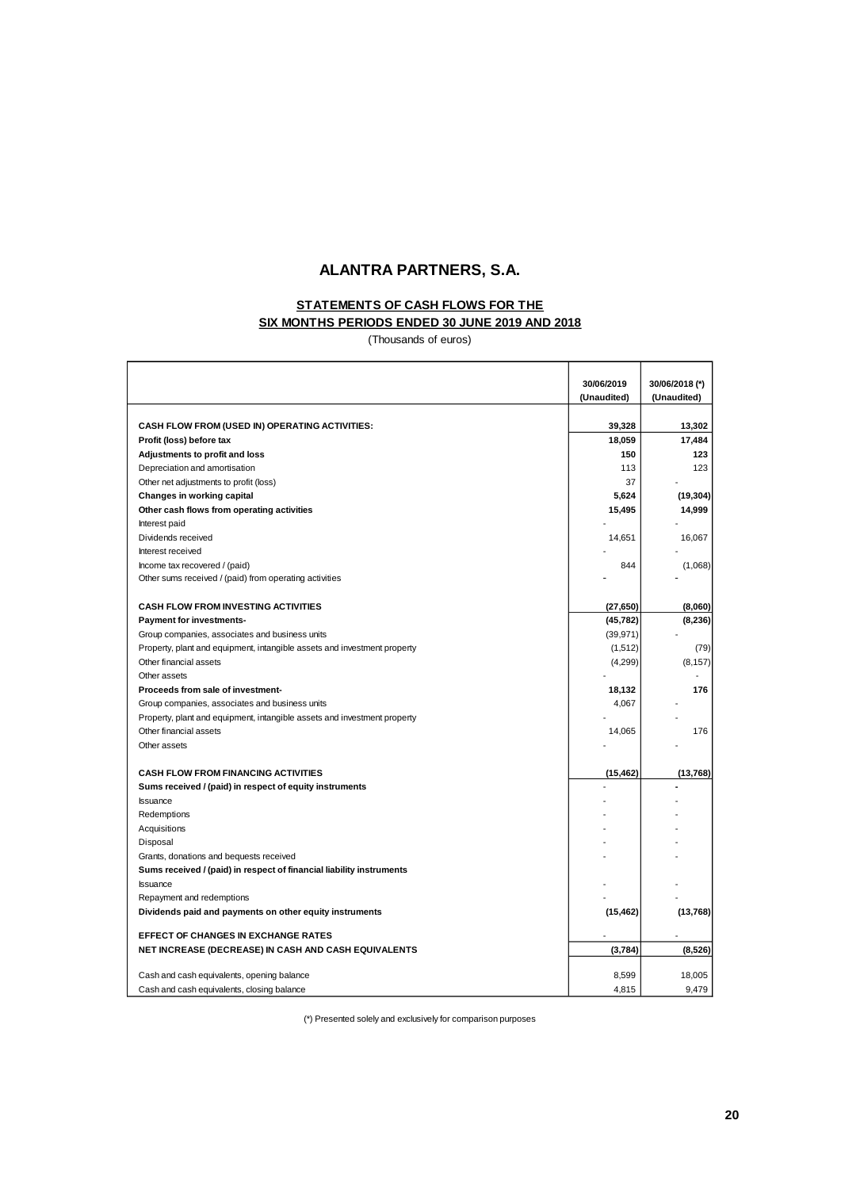# **STATEMENTS OF CASH FLOWS FOR THE**

# **SIX MONTHS PERIODS ENDED 30 JUNE 2019 AND 2018**

(Thousands of euros)

|                                                                          | 30/06/2019  | 30/06/2018 (*) |
|--------------------------------------------------------------------------|-------------|----------------|
|                                                                          | (Unaudited) | (Unaudited)    |
|                                                                          |             |                |
| CASH FLOW FROM (USED IN) OPERATING ACTIVITIES:                           | 39,328      | 13,302         |
| Profit (loss) before tax                                                 | 18,059      | 17,484         |
| Adjustments to profit and loss                                           | 150         | 123            |
| Depreciation and amortisation                                            | 113         | 123            |
| Other net adjustments to profit (loss)                                   | 37          |                |
| Changes in working capital                                               | 5,624       | (19, 304)      |
| Other cash flows from operating activities                               | 15,495      | 14,999         |
| Interest paid                                                            |             |                |
| Dividends received                                                       | 14,651      | 16,067         |
| Interest received                                                        |             |                |
| Income tax recovered / (paid)                                            | 844         | (1,068)        |
| Other sums received / (paid) from operating activities                   |             |                |
|                                                                          |             |                |
| <b>CASH FLOW FROM INVESTING ACTIVITIES</b>                               | (27, 650)   | (8,060)        |
| <b>Payment for investments-</b>                                          | (45, 782)   | (8,236)        |
| Group companies, associates and business units                           | (39, 971)   |                |
| Property, plant and equipment, intangible assets and investment property | (1,512)     | (79)           |
| Other financial assets                                                   | (4,299)     | (8, 157)       |
| Other assets                                                             |             |                |
| Proceeds from sale of investment-                                        | 18,132      | 176            |
| Group companies, associates and business units                           | 4,067       |                |
| Property, plant and equipment, intangible assets and investment property |             |                |
| Other financial assets                                                   | 14,065      | 176            |
| Other assets                                                             |             |                |
|                                                                          |             |                |
| <b>CASH FLOW FROM FINANCING ACTIVITIES</b>                               | (15, 462)   | (13,768)       |
| Sums received / (paid) in respect of equity instruments                  |             |                |
| <b>Issuance</b>                                                          |             |                |
| Redemptions                                                              |             |                |
| Acquisitions                                                             |             |                |
| Disposal                                                                 |             |                |
| Grants, donations and bequests received                                  |             |                |
| Sums received / (paid) in respect of financial liability instruments     |             |                |
| <b>Issuance</b>                                                          |             |                |
| Repayment and redemptions                                                |             |                |
| Dividends paid and payments on other equity instruments                  | (15, 462)   | (13, 768)      |
|                                                                          |             |                |
| <b>EFFECT OF CHANGES IN EXCHANGE RATES</b>                               |             |                |
| NET INCREASE (DECREASE) IN CASH AND CASH EQUIVALENTS                     | (3,784)     | (8,526)        |
|                                                                          |             | 18,005         |
| Cash and cash equivalents, opening balance                               | 8,599       |                |
| Cash and cash equivalents, closing balance                               | 4,815       | 9,479          |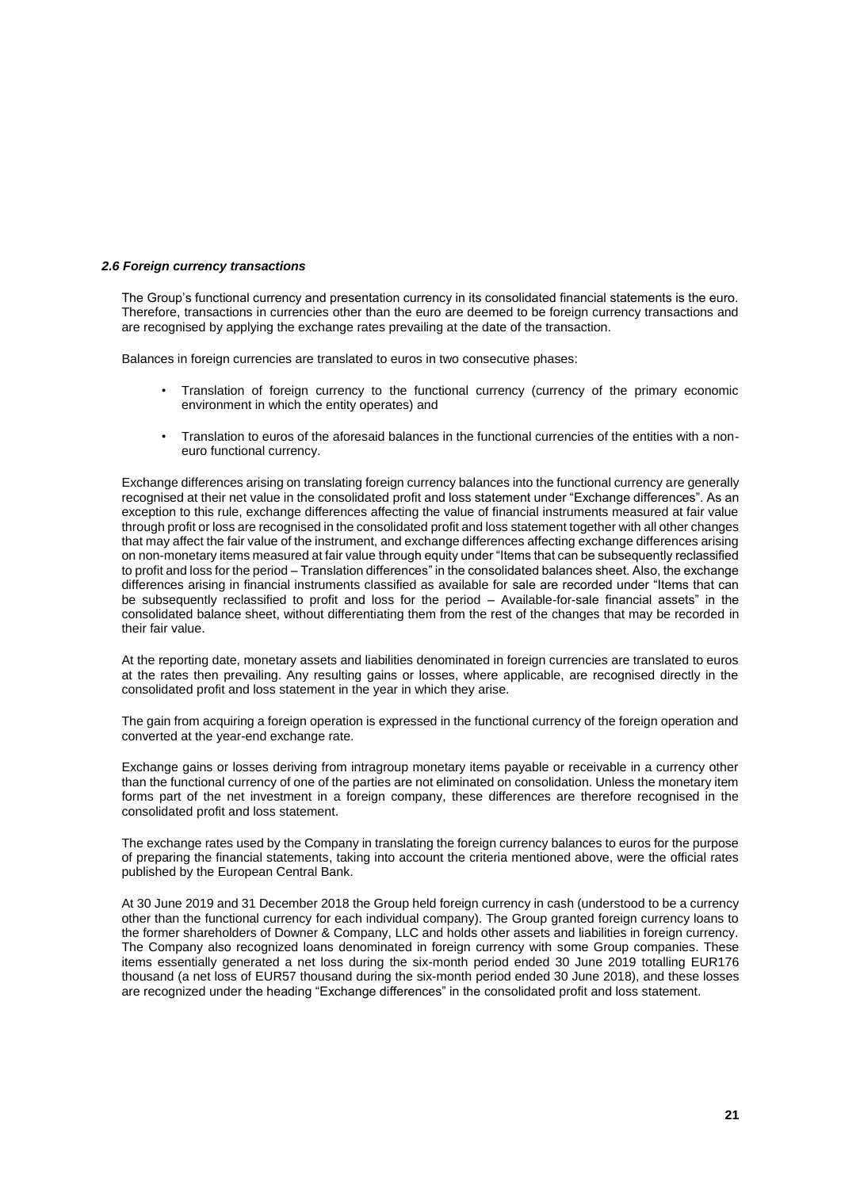#### *2.6 Foreign currency transactions*

The Group's functional currency and presentation currency in its consolidated financial statements is the euro. Therefore, transactions in currencies other than the euro are deemed to be foreign currency transactions and are recognised by applying the exchange rates prevailing at the date of the transaction.

Balances in foreign currencies are translated to euros in two consecutive phases:

- Translation of foreign currency to the functional currency (currency of the primary economic environment in which the entity operates) and
- Translation to euros of the aforesaid balances in the functional currencies of the entities with a noneuro functional currency.

Exchange differences arising on translating foreign currency balances into the functional currency are generally recognised at their net value in the consolidated profit and loss statement under "Exchange differences". As an exception to this rule, exchange differences affecting the value of financial instruments measured at fair value through profit or loss are recognised in the consolidated profit and loss statement together with all other changes that may affect the fair value of the instrument, and exchange differences affecting exchange differences arising on non-monetary items measured at fair value through equity under "Items that can be subsequently reclassified to profit and loss for the period – Translation differences" in the consolidated balances sheet. Also, the exchange differences arising in financial instruments classified as available for sale are recorded under "Items that can be subsequently reclassified to profit and loss for the period – Available-for-sale financial assets" in the consolidated balance sheet, without differentiating them from the rest of the changes that may be recorded in their fair value.

At the reporting date, monetary assets and liabilities denominated in foreign currencies are translated to euros at the rates then prevailing. Any resulting gains or losses, where applicable, are recognised directly in the consolidated profit and loss statement in the year in which they arise.

The gain from acquiring a foreign operation is expressed in the functional currency of the foreign operation and converted at the year-end exchange rate.

Exchange gains or losses deriving from intragroup monetary items payable or receivable in a currency other than the functional currency of one of the parties are not eliminated on consolidation. Unless the monetary item forms part of the net investment in a foreign company, these differences are therefore recognised in the consolidated profit and loss statement.

The exchange rates used by the Company in translating the foreign currency balances to euros for the purpose of preparing the financial statements, taking into account the criteria mentioned above, were the official rates published by the European Central Bank.

At 30 June 2019 and 31 December 2018 the Group held foreign currency in cash (understood to be a currency other than the functional currency for each individual company). The Group granted foreign currency loans to the former shareholders of Downer & Company, LLC and holds other assets and liabilities in foreign currency. The Company also recognized loans denominated in foreign currency with some Group companies. These items essentially generated a net loss during the six-month period ended 30 June 2019 totalling EUR176 thousand (a net loss of EUR57 thousand during the six-month period ended 30 June 2018), and these losses are recognized under the heading "Exchange differences" in the consolidated profit and loss statement.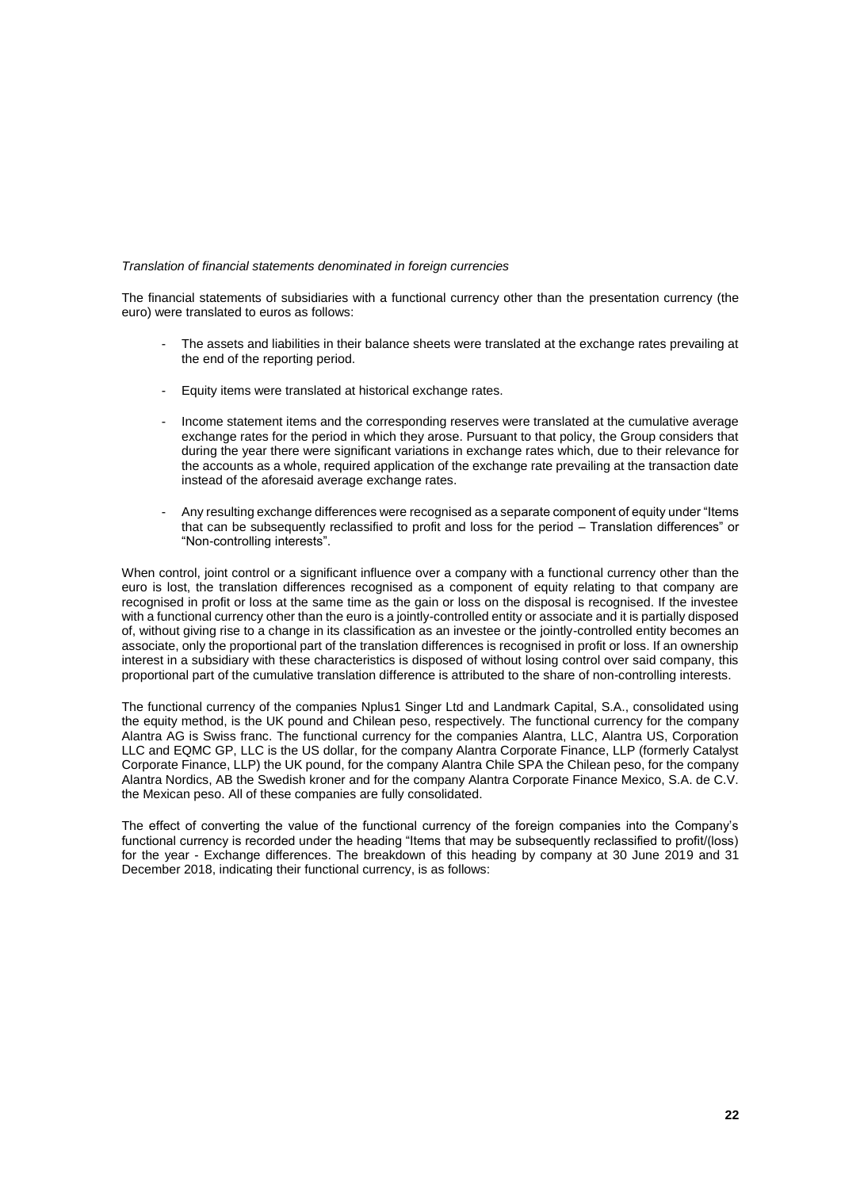#### *Translation of financial statements denominated in foreign currencies*

The financial statements of subsidiaries with a functional currency other than the presentation currency (the euro) were translated to euros as follows:

- The assets and liabilities in their balance sheets were translated at the exchange rates prevailing at the end of the reporting period.
- Equity items were translated at historical exchange rates.
- Income statement items and the corresponding reserves were translated at the cumulative average exchange rates for the period in which they arose. Pursuant to that policy, the Group considers that during the year there were significant variations in exchange rates which, due to their relevance for the accounts as a whole, required application of the exchange rate prevailing at the transaction date instead of the aforesaid average exchange rates.
- Any resulting exchange differences were recognised as a separate component of equity under "Items that can be subsequently reclassified to profit and loss for the period – Translation differences" or "Non-controlling interests".

When control, joint control or a significant influence over a company with a functional currency other than the euro is lost, the translation differences recognised as a component of equity relating to that company are recognised in profit or loss at the same time as the gain or loss on the disposal is recognised. If the investee with a functional currency other than the euro is a jointly-controlled entity or associate and it is partially disposed of, without giving rise to a change in its classification as an investee or the jointly-controlled entity becomes an associate, only the proportional part of the translation differences is recognised in profit or loss. If an ownership interest in a subsidiary with these characteristics is disposed of without losing control over said company, this proportional part of the cumulative translation difference is attributed to the share of non-controlling interests.

The functional currency of the companies Nplus1 Singer Ltd and Landmark Capital, S.A., consolidated using the equity method, is the UK pound and Chilean peso, respectively. The functional currency for the company Alantra AG is Swiss franc. The functional currency for the companies Alantra, LLC, Alantra US, Corporation LLC and EQMC GP, LLC is the US dollar, for the company Alantra Corporate Finance, LLP (formerly Catalyst Corporate Finance, LLP) the UK pound, for the company Alantra Chile SPA the Chilean peso, for the company Alantra Nordics, AB the Swedish kroner and for the company Alantra Corporate Finance Mexico, S.A. de C.V. the Mexican peso. All of these companies are fully consolidated.

The effect of converting the value of the functional currency of the foreign companies into the Company's functional currency is recorded under the heading "Items that may be subsequently reclassified to profit/(loss) for the year - Exchange differences. The breakdown of this heading by company at 30 June 2019 and 31 December 2018, indicating their functional currency, is as follows: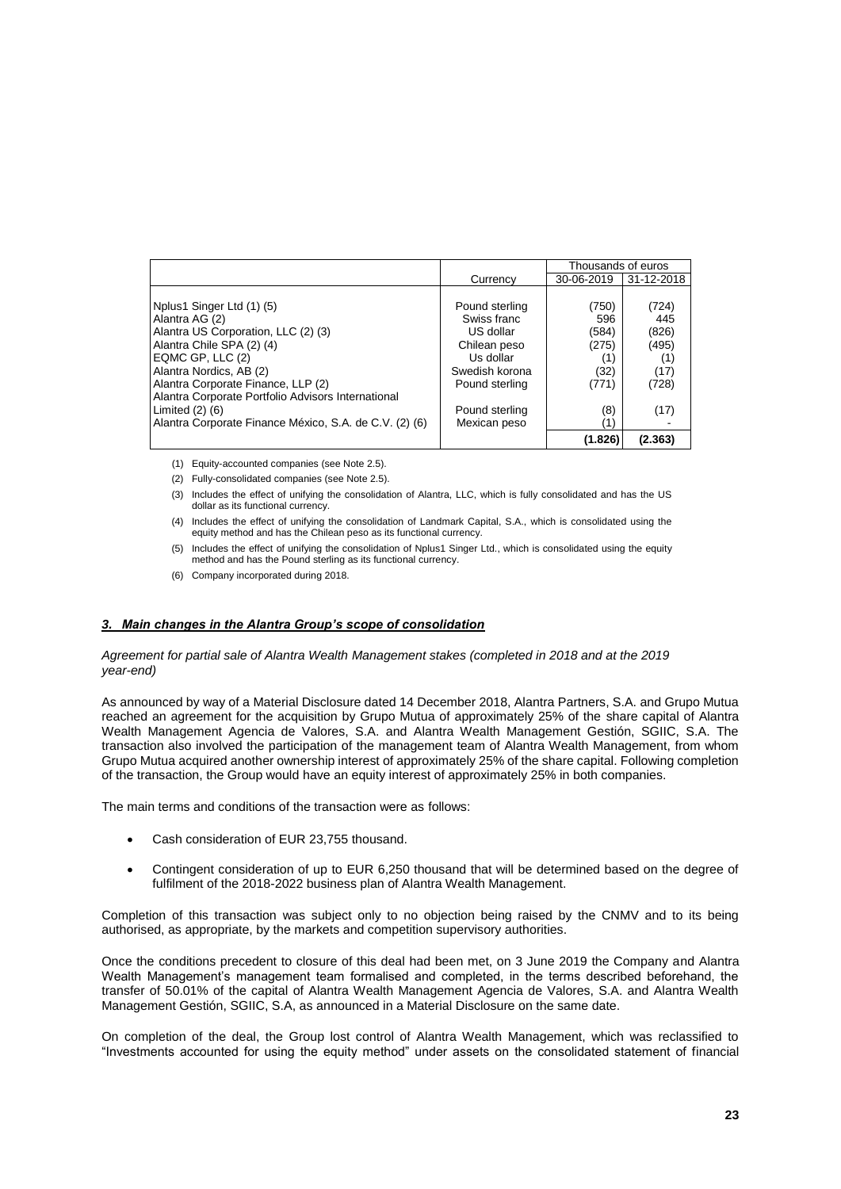|                                                        |                | Thousands of euros |            |
|--------------------------------------------------------|----------------|--------------------|------------|
|                                                        | Currency       | 30-06-2019         | 31-12-2018 |
|                                                        |                |                    |            |
| Nplus1 Singer Ltd (1) (5)                              | Pound sterling | (750)              | (724)      |
| Alantra AG (2)                                         | Swiss franc    | 596                | 445        |
| Alantra US Corporation, LLC (2) (3)                    | US dollar      | (584)              | (826)      |
| Alantra Chile SPA (2) (4)                              | Chilean peso   | (275)              | (495)      |
| EQMC GP, LLC (2)                                       | Us dollar      | (1)                | (1)        |
| Alantra Nordics, AB (2)                                | Swedish korona | (32)               | (17)       |
| Alantra Corporate Finance, LLP (2)                     | Pound sterling | (771)              | (728)      |
| Alantra Corporate Portfolio Advisors International     |                |                    |            |
| Limited $(2)$ $(6)$                                    | Pound sterling | (8)                | (17)       |
| Alantra Corporate Finance México, S.A. de C.V. (2) (6) | Mexican peso   |                    |            |
|                                                        |                | (1.826)            | (2.363)    |

(1) Equity-accounted companies (see Note 2.5).

(2) Fully-consolidated companies (see Note 2.5).

- (3) Includes the effect of unifying the consolidation of Alantra, LLC, which is fully consolidated and has the US dollar as its functional currency.
- (4) Includes the effect of unifying the consolidation of Landmark Capital, S.A., which is consolidated using the equity method and has the Chilean peso as its functional currency.
- (5) Includes the effect of unifying the consolidation of Nplus1 Singer Ltd., which is consolidated using the equity method and has the Pound sterling as its functional currency.
- (6) Company incorporated during 2018.

#### *3. Main changes in the Alantra Group's scope of consolidation*

#### *Agreement for partial sale of Alantra Wealth Management stakes (completed in 2018 and at the 2019 year-end)*

As announced by way of a Material Disclosure dated 14 December 2018, Alantra Partners, S.A. and Grupo Mutua reached an agreement for the acquisition by Grupo Mutua of approximately 25% of the share capital of Alantra Wealth Management Agencia de Valores, S.A. and Alantra Wealth Management Gestión, SGIIC, S.A. The transaction also involved the participation of the management team of Alantra Wealth Management, from whom Grupo Mutua acquired another ownership interest of approximately 25% of the share capital. Following completion of the transaction, the Group would have an equity interest of approximately 25% in both companies.

The main terms and conditions of the transaction were as follows:

- Cash consideration of EUR 23,755 thousand.
- Contingent consideration of up to EUR 6,250 thousand that will be determined based on the degree of fulfilment of the 2018-2022 business plan of Alantra Wealth Management.

Completion of this transaction was subject only to no objection being raised by the CNMV and to its being authorised, as appropriate, by the markets and competition supervisory authorities.

Once the conditions precedent to closure of this deal had been met, on 3 June 2019 the Company and Alantra Wealth Management's management team formalised and completed, in the terms described beforehand, the transfer of 50.01% of the capital of Alantra Wealth Management Agencia de Valores, S.A. and Alantra Wealth Management Gestión, SGIIC, S.A, as announced in a Material Disclosure on the same date.

On completion of the deal, the Group lost control of Alantra Wealth Management, which was reclassified to "Investments accounted for using the equity method" under assets on the consolidated statement of financial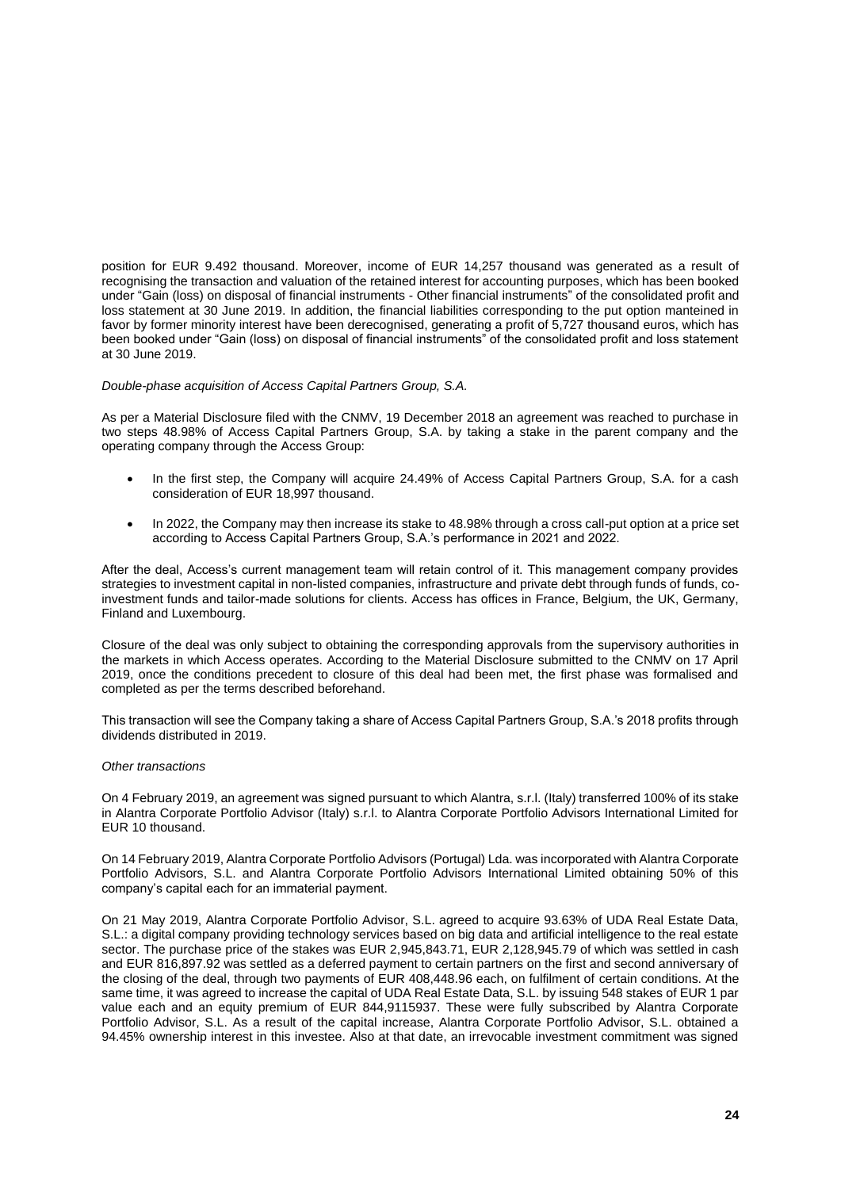position for EUR 9.492 thousand. Moreover, income of EUR 14,257 thousand was generated as a result of recognising the transaction and valuation of the retained interest for accounting purposes, which has been booked under "Gain (loss) on disposal of financial instruments - Other financial instruments" of the consolidated profit and loss statement at 30 June 2019. In addition, the financial liabilities corresponding to the put option manteined in favor by former minority interest have been derecognised, generating a profit of 5,727 thousand euros, which has been booked under "Gain (loss) on disposal of financial instruments" of the consolidated profit and loss statement at 30 June 2019.

#### *Double-phase acquisition of Access Capital Partners Group, S.A.*

As per a Material Disclosure filed with the CNMV, 19 December 2018 an agreement was reached to purchase in two steps 48.98% of Access Capital Partners Group, S.A. by taking a stake in the parent company and the operating company through the Access Group:

- In the first step, the Company will acquire 24.49% of Access Capital Partners Group, S.A. for a cash consideration of EUR 18,997 thousand.
- In 2022, the Company may then increase its stake to 48.98% through a cross call-put option at a price set according to Access Capital Partners Group, S.A.'s performance in 2021 and 2022.

After the deal, Access's current management team will retain control of it. This management company provides strategies to investment capital in non-listed companies, infrastructure and private debt through funds of funds, coinvestment funds and tailor-made solutions for clients. Access has offices in France, Belgium, the UK, Germany, Finland and Luxembourg.

Closure of the deal was only subject to obtaining the corresponding approvals from the supervisory authorities in the markets in which Access operates. According to the Material Disclosure submitted to the CNMV on 17 April 2019, once the conditions precedent to closure of this deal had been met, the first phase was formalised and completed as per the terms described beforehand.

This transaction will see the Company taking a share of Access Capital Partners Group, S.A.'s 2018 profits through dividends distributed in 2019.

### *Other transactions*

On 4 February 2019, an agreement was signed pursuant to which Alantra, s.r.l. (Italy) transferred 100% of its stake in Alantra Corporate Portfolio Advisor (Italy) s.r.l. to Alantra Corporate Portfolio Advisors International Limited for EUR 10 thousand.

On 14 February 2019, Alantra Corporate Portfolio Advisors (Portugal) Lda. was incorporated with Alantra Corporate Portfolio Advisors, S.L. and Alantra Corporate Portfolio Advisors International Limited obtaining 50% of this company's capital each for an immaterial payment.

On 21 May 2019, Alantra Corporate Portfolio Advisor, S.L. agreed to acquire 93.63% of UDA Real Estate Data, S.L.: a digital company providing technology services based on big data and artificial intelligence to the real estate sector. The purchase price of the stakes was EUR 2,945,843.71, EUR 2,128,945.79 of which was settled in cash and EUR 816,897.92 was settled as a deferred payment to certain partners on the first and second anniversary of the closing of the deal, through two payments of EUR 408,448.96 each, on fulfilment of certain conditions. At the same time, it was agreed to increase the capital of UDA Real Estate Data, S.L. by issuing 548 stakes of EUR 1 par value each and an equity premium of EUR 844,9115937. These were fully subscribed by Alantra Corporate Portfolio Advisor, S.L. As a result of the capital increase, Alantra Corporate Portfolio Advisor, S.L. obtained a 94.45% ownership interest in this investee. Also at that date, an irrevocable investment commitment was signed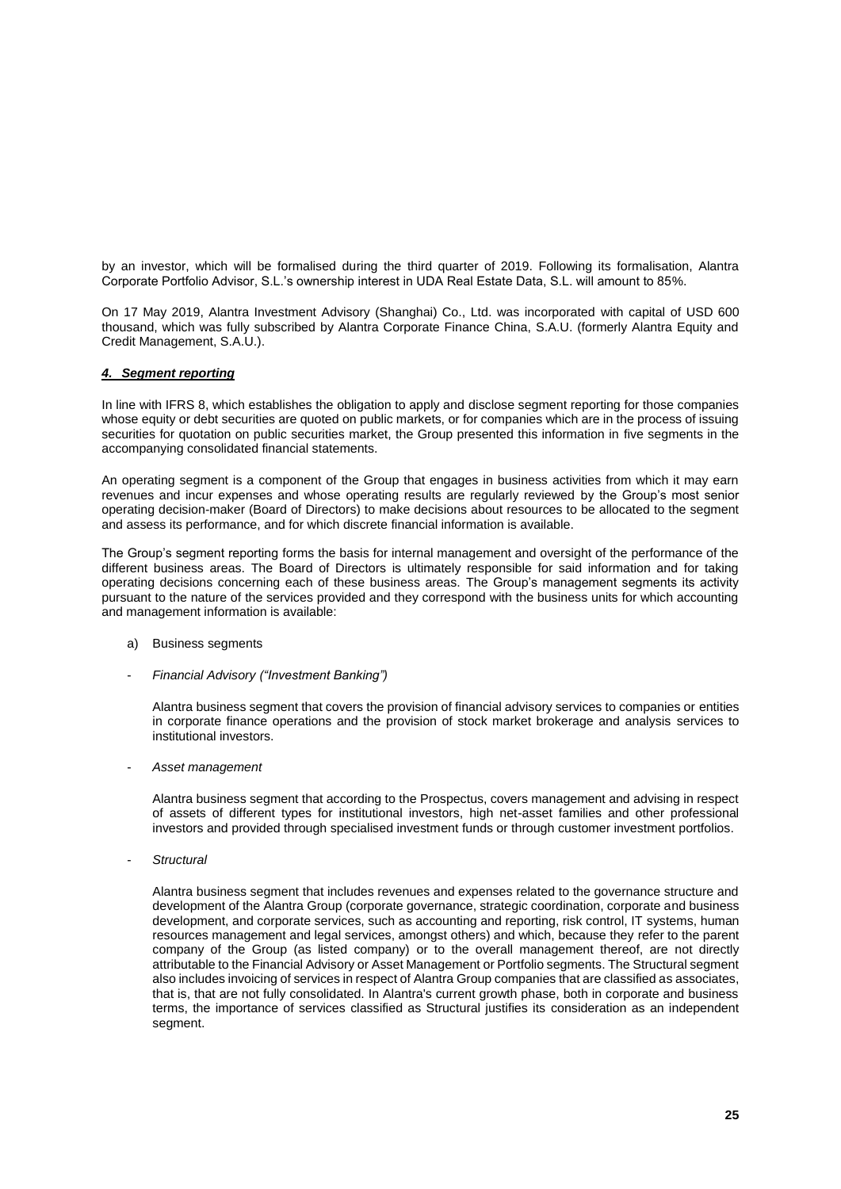by an investor, which will be formalised during the third quarter of 2019. Following its formalisation, Alantra Corporate Portfolio Advisor, S.L.'s ownership interest in UDA Real Estate Data, S.L. will amount to 85%.

On 17 May 2019, Alantra Investment Advisory (Shanghai) Co., Ltd. was incorporated with capital of USD 600 thousand, which was fully subscribed by Alantra Corporate Finance China, S.A.U. (formerly Alantra Equity and Credit Management, S.A.U.).

#### *4. Segment reporting*

In line with IFRS 8, which establishes the obligation to apply and disclose segment reporting for those companies whose equity or debt securities are quoted on public markets, or for companies which are in the process of issuing securities for quotation on public securities market, the Group presented this information in five segments in the accompanying consolidated financial statements.

An operating segment is a component of the Group that engages in business activities from which it may earn revenues and incur expenses and whose operating results are regularly reviewed by the Group's most senior operating decision-maker (Board of Directors) to make decisions about resources to be allocated to the segment and assess its performance, and for which discrete financial information is available.

The Group's segment reporting forms the basis for internal management and oversight of the performance of the different business areas. The Board of Directors is ultimately responsible for said information and for taking operating decisions concerning each of these business areas. The Group's management segments its activity pursuant to the nature of the services provided and they correspond with the business units for which accounting and management information is available:

- a) Business segments
- *Financial Advisory ("Investment Banking")*

Alantra business segment that covers the provision of financial advisory services to companies or entities in corporate finance operations and the provision of stock market brokerage and analysis services to institutional investors.

- *Asset management*

Alantra business segment that according to the Prospectus, covers management and advising in respect of assets of different types for institutional investors, high net-asset families and other professional investors and provided through specialised investment funds or through customer investment portfolios.

- *Structural*

Alantra business segment that includes revenues and expenses related to the governance structure and development of the Alantra Group (corporate governance, strategic coordination, corporate and business development, and corporate services, such as accounting and reporting, risk control, IT systems, human resources management and legal services, amongst others) and which, because they refer to the parent company of the Group (as listed company) or to the overall management thereof, are not directly attributable to the Financial Advisory or Asset Management or Portfolio segments. The Structural segment also includes invoicing of services in respect of Alantra Group companies that are classified as associates, that is, that are not fully consolidated. In Alantra's current growth phase, both in corporate and business terms, the importance of services classified as Structural justifies its consideration as an independent segment.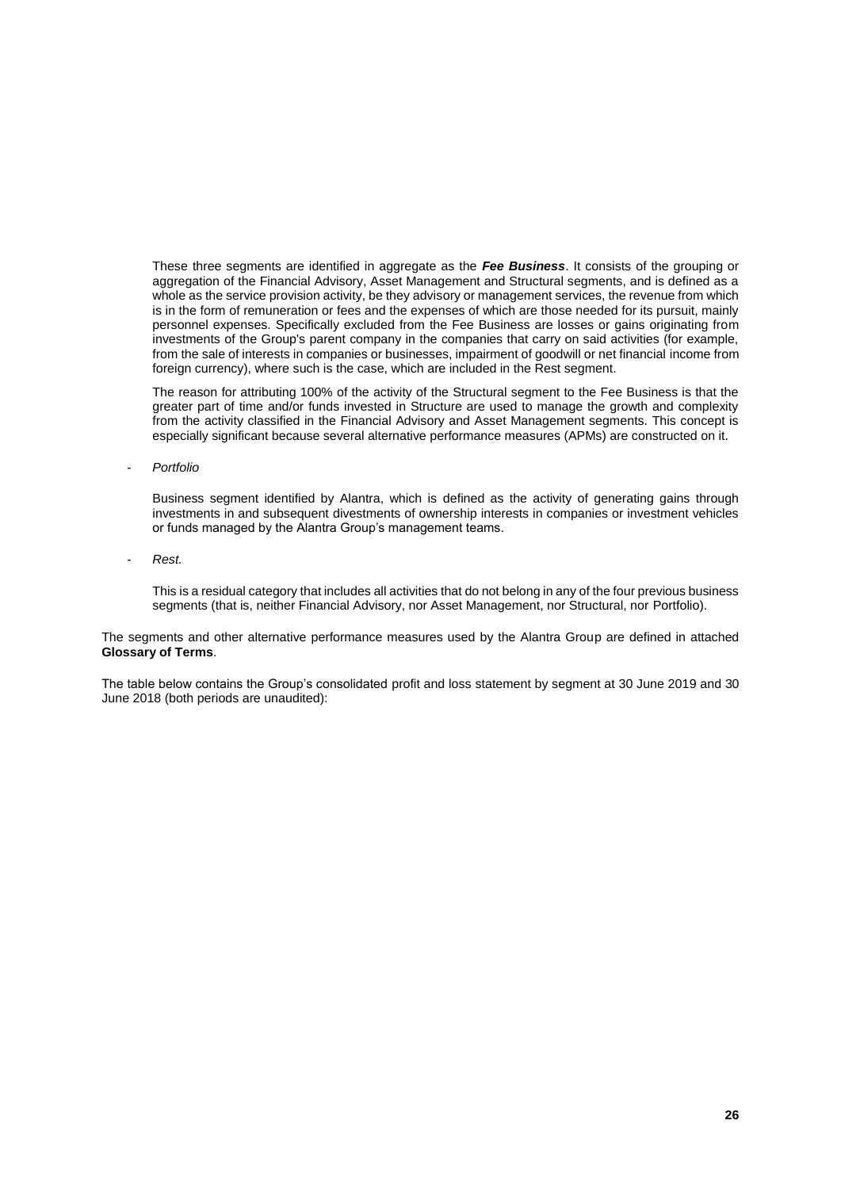These three segments are identified in aggregate as the *Fee Business*. It consists of the grouping or aggregation of the Financial Advisory, Asset Management and Structural segments, and is defined as a whole as the service provision activity, be they advisory or management services, the revenue from which is in the form of remuneration or fees and the expenses of which are those needed for its pursuit, mainly personnel expenses. Specifically excluded from the Fee Business are losses or gains originating from investments of the Group's parent company in the companies that carry on said activities (for example, from the sale of interests in companies or businesses, impairment of goodwill or net financial income from foreign currency), where such is the case, which are included in the Rest segment.

The reason for attributing 100% of the activity of the Structural segment to the Fee Business is that the greater part of time and/or funds invested in Structure are used to manage the growth and complexity from the activity classified in the Financial Advisory and Asset Management segments. This concept is especially significant because several alternative performance measures (APMs) are constructed on it.

- *Portfolio*

Business segment identified by Alantra, which is defined as the activity of generating gains through investments in and subsequent divestments of ownership interests in companies or investment vehicles or funds managed by the Alantra Group's management teams.

- *Rest.* 

This is a residual category that includes all activities that do not belong in any of the four previous business segments (that is, neither Financial Advisory, nor Asset Management, nor Structural, nor Portfolio).

The segments and other alternative performance measures used by the Alantra Group are defined in attached **Glossary of Terms**.

The table below contains the Group's consolidated profit and loss statement by segment at 30 June 2019 and 30 June 2018 (both periods are unaudited):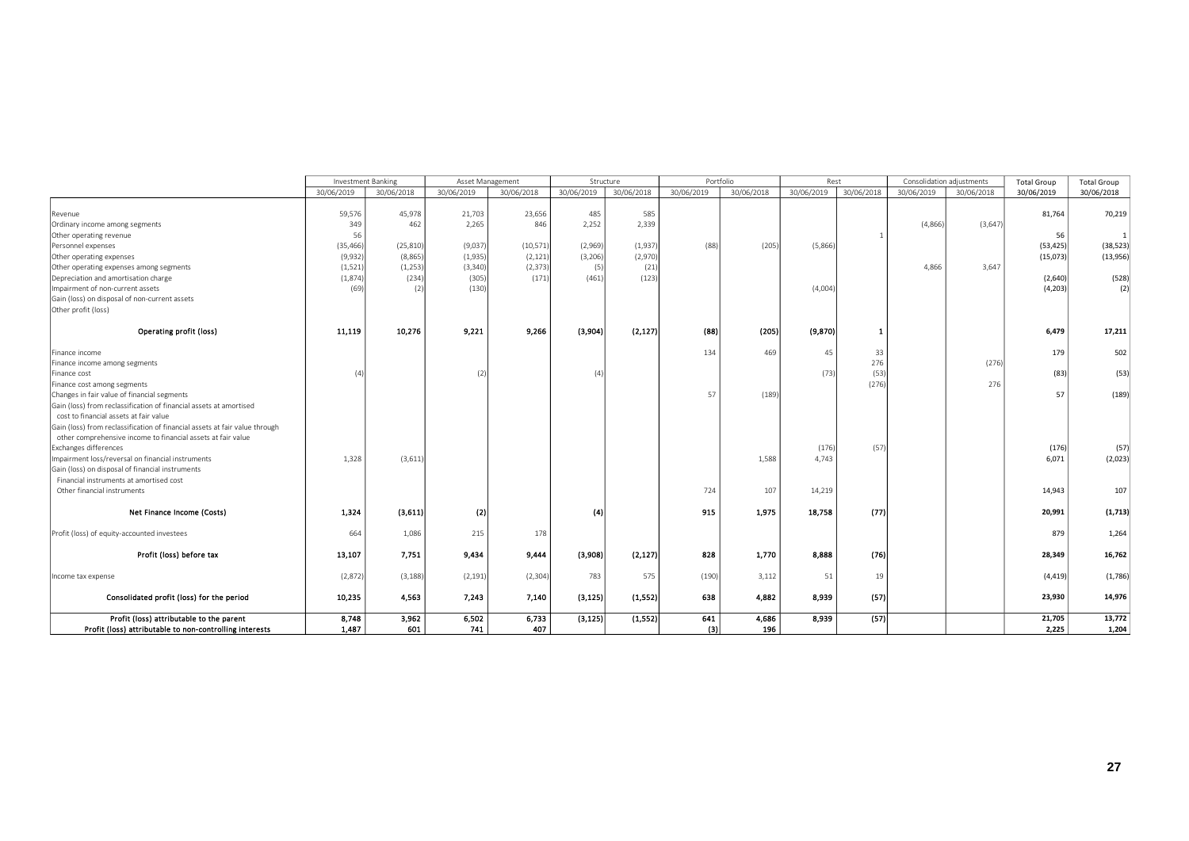|                                                                             | Investment Banking |            | Asset Management |            |            | Structure  |            | Portfolio  | Rest       |            | Consolidation adiustments |            | <b>Total Group</b> | <b>Total Group</b> |
|-----------------------------------------------------------------------------|--------------------|------------|------------------|------------|------------|------------|------------|------------|------------|------------|---------------------------|------------|--------------------|--------------------|
|                                                                             | 30/06/2019         | 30/06/2018 | 30/06/2019       | 30/06/2018 | 30/06/2019 | 30/06/2018 | 30/06/2019 | 30/06/2018 | 30/06/2019 | 30/06/2018 | 30/06/2019                | 30/06/2018 | 30/06/2019         | 30/06/2018         |
|                                                                             |                    |            |                  |            |            |            |            |            |            |            |                           |            |                    |                    |
| Revenue                                                                     | 59,576             | 45,978     | 21,703           | 23,656     | 485        | 585        |            |            |            |            |                           |            | 81,764             | 70,219             |
| Ordinary income among segments                                              | 349                | 462        | 2,265            | 846        | 2,252      | 2,339      |            |            |            |            | (4,866)                   | (3,647)    |                    |                    |
| Other operating revenue                                                     | 56                 |            |                  |            |            |            |            |            |            |            |                           |            | 56                 | $1\vert$           |
| Personnel expenses                                                          | (35, 466)          | (25, 810)  | (9,037)          | (10, 571)  | (2,969)    | (1,937)    | (88)       | (205)      | (5,866)    |            |                           |            | (53, 425)          | (38, 523)          |
| Other operating expenses                                                    | (9,932)            | (8,865)    | (1,935)          | (2, 121)   | (3,206)    | (2,970)    |            |            |            |            |                           |            | (15,073)           | (13,956)           |
| Other operating expenses among segments                                     | (1, 521)           | (1,253)    | (3, 340)         | (2, 373)   | (5)        | (21)       |            |            |            |            | 4.866                     | 3,647      |                    |                    |
| Depreciation and amortisation charge                                        | (1,874)            | (234)      | (305)            | (171)      | (461)      | (123)      |            |            |            |            |                           |            | (2,640)            | (528)              |
| Impairment of non-current assets                                            | (69)               |            | (130)            |            |            |            |            |            | (4,004)    |            |                           |            | (4,203)            | (2)                |
| Gain (loss) on disposal of non-current assets                               |                    |            |                  |            |            |            |            |            |            |            |                           |            |                    |                    |
| Other profit (loss)                                                         |                    |            |                  |            |            |            |            |            |            |            |                           |            |                    |                    |
| Operating profit (loss)                                                     | 11,119             | 10,276     | 9,221            | 9,266      | (3,904)    | (2, 127)   | (88)       | (205)      | (9, 870)   |            |                           |            | 6,479              | 17,211             |
| Finance income                                                              |                    |            |                  |            |            |            | 134        | 469        | 45         | 33         |                           |            | 179                | 502                |
| Finance income among segments                                               |                    |            |                  |            |            |            |            |            |            | 276        |                           | (276)      |                    |                    |
| Finance cost                                                                | (4)                |            | (2)              |            | (4)        |            |            |            | (73)       | (53)       |                           |            | (83)               | (53)               |
| Finance cost among segments                                                 |                    |            |                  |            |            |            |            |            |            | (276)      |                           | 276        |                    |                    |
| Changes in fair value of financial segments                                 |                    |            |                  |            |            |            | 57         | (189)      |            |            |                           |            | 57                 | (189)              |
| Gain (loss) from reclassification of financial assets at amortised          |                    |            |                  |            |            |            |            |            |            |            |                           |            |                    |                    |
| cost to financial assets at fair value                                      |                    |            |                  |            |            |            |            |            |            |            |                           |            |                    |                    |
| Gain (loss) from reclassification of financial assets at fair value through |                    |            |                  |            |            |            |            |            |            |            |                           |            |                    |                    |
| other comprehensive income to financial assets at fair value                |                    |            |                  |            |            |            |            |            |            |            |                           |            |                    |                    |
| Exchanges differences                                                       |                    |            |                  |            |            |            |            |            | (176)      | (57)       |                           |            | (176)              | (57)               |
| Impairment loss/reversal on financial instruments                           | 1.328              | (3,611)    |                  |            |            |            |            | 1,588      | 4.743      |            |                           |            | 6,071              | (2,023)            |
| Gain (loss) on disposal of financial instruments                            |                    |            |                  |            |            |            |            |            |            |            |                           |            |                    |                    |
| Financial instruments at amortised cost                                     |                    |            |                  |            |            |            |            |            |            |            |                           |            |                    |                    |
| Other financial instruments                                                 |                    |            |                  |            |            |            | 724        | 107        | 14,219     |            |                           |            | 14,943             | 107                |
| Net Finance Income (Costs)                                                  | 1,324              | (3,611)    | (2)              |            | (4)        |            | 915        | 1,975      | 18,758     | (77)       |                           |            | 20,991             | (1,713)            |
| Profit (loss) of equity-accounted investees                                 | 664                | 1,086      | 215              | 178        |            |            |            |            |            |            |                           |            | 879                | 1,264              |
|                                                                             |                    |            |                  |            |            |            |            |            |            |            |                           |            |                    |                    |
| Profit (loss) before tax                                                    | 13,107             | 7.751      | 9,434            | 9,444      | (3,908)    | (2, 127)   | 828        | 1,770      | 8,888      | (76)       |                           |            | 28,349             | 16,762             |
| Income tax expense                                                          | (2,872)            | (3, 188)   | (2, 191)         | (2, 304)   | 783        | 575        | (190)      | 3,112      | 51         | 19         |                           |            | (4, 419)           | (1,786)            |
| Consolidated profit (loss) for the period                                   | 10,235             | 4.563      | 7.243            | 7,140      | (3, 125)   | (1, 552)   | 638        | 4.882      | 8,939      | (57)       |                           |            | 23,930             | 14,976             |
| Profit (loss) attributable to the parent                                    | 8,748              | 3,962      | 6,502            | 6,733      | (3, 125)   | (1, 552)   | 641        | 4,686      | 8,939      | (57)       |                           |            | 21,705             | 13,772             |
| Profit (loss) attributable to non-controlling interests                     | 1.487              | 601        | 741              | 407        |            |            | (3)        | 196        |            |            |                           |            | 2.225              | 1,204              |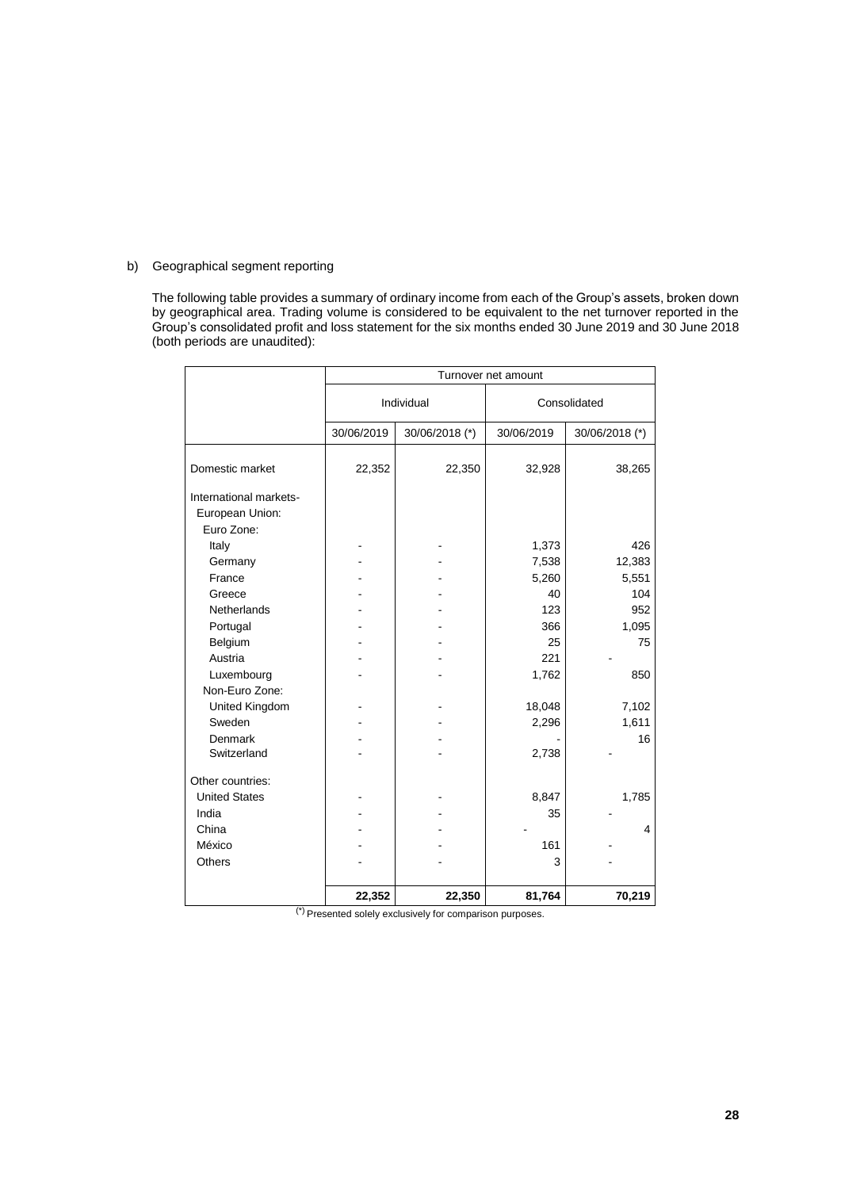### b) Geographical segment reporting

The following table provides a summary of ordinary income from each of the Group's assets, broken down by geographical area. Trading volume is considered to be equivalent to the net turnover reported in the Group's consolidated profit and loss statement for the six months ended 30 June 2019 and 30 June 2018 (both periods are unaudited):

|                                                         |            |                | Turnover net amount |                |
|---------------------------------------------------------|------------|----------------|---------------------|----------------|
|                                                         |            | Individual     |                     | Consolidated   |
|                                                         | 30/06/2019 | 30/06/2018 (*) | 30/06/2019          | 30/06/2018 (*) |
| Domestic market                                         | 22,352     | 22,350         | 32,928              | 38,265         |
| International markets-<br>European Union:<br>Euro Zone: |            |                |                     |                |
| Italy                                                   |            |                | 1,373               | 426            |
| Germany                                                 |            |                | 7,538               | 12,383         |
| France                                                  |            |                | 5,260               | 5,551          |
| Greece                                                  |            |                | 40                  | 104            |
| <b>Netherlands</b>                                      |            |                | 123                 | 952            |
| Portugal                                                |            |                | 366                 | 1,095          |
| Belgium                                                 |            |                | 25                  | 75             |
| Austria                                                 |            |                | 221                 |                |
| Luxembourg                                              |            |                | 1,762               | 850            |
| Non-Euro Zone:                                          |            |                |                     |                |
| United Kingdom                                          |            |                | 18,048              | 7,102          |
| Sweden                                                  |            |                | 2,296               | 1,611          |
| Denmark                                                 |            |                |                     | 16             |
| Switzerland                                             |            |                | 2,738               |                |
| Other countries:                                        |            |                |                     |                |
| <b>United States</b>                                    |            |                | 8,847               | 1,785          |
| India                                                   |            |                | 35                  |                |
| China                                                   |            |                |                     | 4              |
| México                                                  |            |                | 161                 |                |
| Others                                                  |            |                | 3                   |                |
|                                                         |            |                |                     |                |
|                                                         | 22,352     | 22,350         | 81,764              | 70,219         |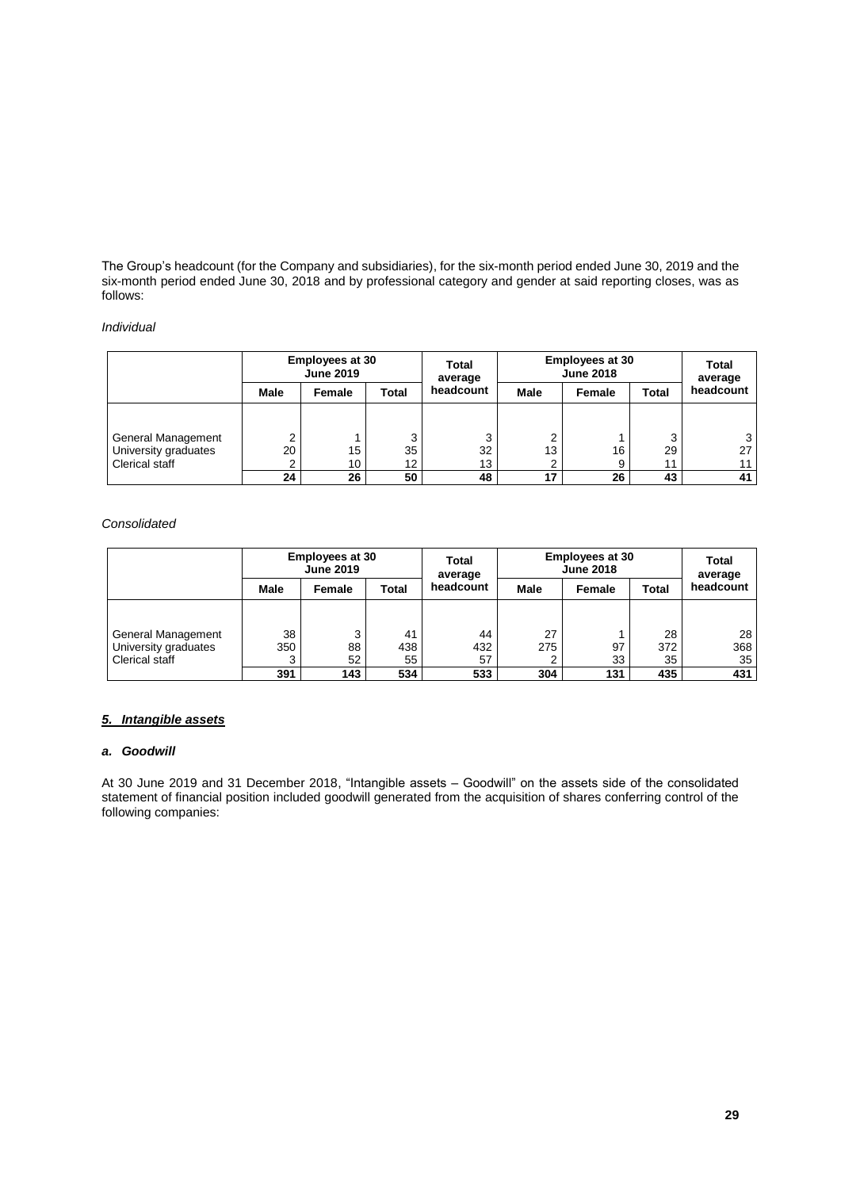The Group's headcount (for the Company and subsidiaries), for the six-month period ended June 30, 2019 and the six-month period ended June 30, 2018 and by professional category and gender at said reporting closes, was as follows:

## *Individual*

|                      | <b>Employees at 30</b><br><b>June 2019</b> |        |       | Total<br>average | <b>Employees at 30</b><br><b>June 2018</b> | <b>Total</b><br>average |       |           |
|----------------------|--------------------------------------------|--------|-------|------------------|--------------------------------------------|-------------------------|-------|-----------|
|                      | Male                                       | Female | Total | headcount        | Male                                       | Female                  | Total | headcount |
|                      |                                            |        |       |                  |                                            |                         |       |           |
| General Management   |                                            |        | ົ     | 3                | ົ                                          |                         | ົ     | 3         |
| University graduates | 20                                         | 15     | 35    | 32               | 13                                         | 16                      | 29    | 27        |
| Clerical staff       |                                            | 10     | 12    | 13               |                                            | 9                       | 11    | 11        |
|                      | 24                                         | 26     | 50    | 48               | 17                                         | 26                      | 43    | 41        |

### *Consolidated*

| <b>Employees at 30</b><br><b>June 2019</b> |      | Total<br>average | <b>Employees at 30</b><br><b>June 2018</b> | <b>Total</b><br>average |             |        |       |           |
|--------------------------------------------|------|------------------|--------------------------------------------|-------------------------|-------------|--------|-------|-----------|
|                                            | Male | Female           | Total                                      | headcount               | <b>Male</b> | Female | Total | headcount |
|                                            |      |                  |                                            |                         |             |        |       |           |
| General Management                         | 38   | ົ                | 41                                         | 44                      | 27          |        | 28    | 28        |
| University graduates                       | 350  | 88               | 438                                        | 432                     | 275         | 97     | 372   | 368       |
| Clerical staff                             |      | 52               | 55                                         | 57                      |             | 33     | 35    | 35        |
|                                            | 391  | 143              | 534                                        | 533                     | 304         | 131    | 435   | 431       |

### *5. Intangible assets*

## *a. Goodwill*

At 30 June 2019 and 31 December 2018, "Intangible assets – Goodwill" on the assets side of the consolidated statement of financial position included goodwill generated from the acquisition of shares conferring control of the following companies: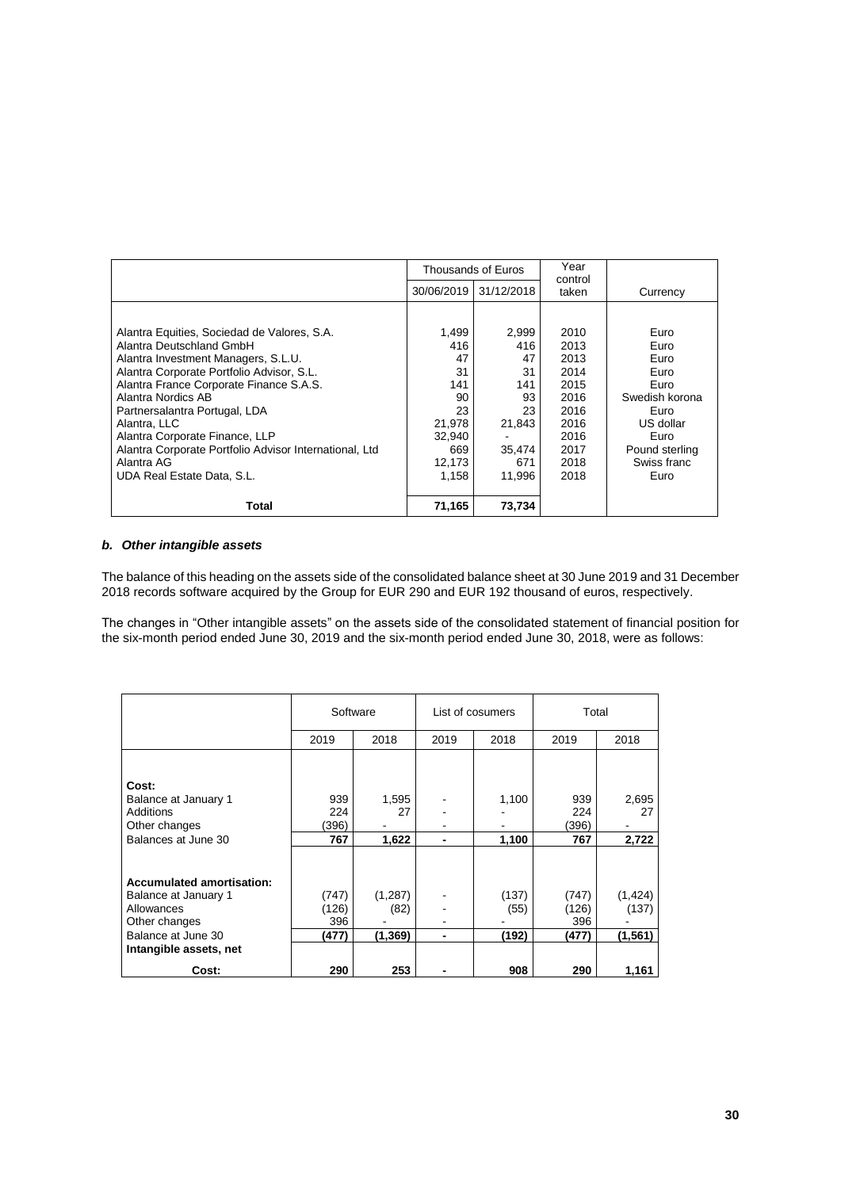|                                                        |        | Thousands of Euros    | Year<br>control |                |
|--------------------------------------------------------|--------|-----------------------|-----------------|----------------|
|                                                        |        | 30/06/2019 31/12/2018 | taken           | Currency       |
|                                                        |        |                       |                 |                |
| Alantra Equities, Sociedad de Valores, S.A.            | 1,499  | 2,999                 | 2010            | Euro           |
| Alantra Deutschland GmbH                               | 416    | 416                   | 2013            | Euro           |
| Alantra Investment Managers, S.L.U.                    | 47     | 47                    | 2013            | Euro           |
| Alantra Corporate Portfolio Advisor, S.L.              | 31     | 31                    | 2014            | Euro           |
| Alantra France Corporate Finance S.A.S.                | 141    | 141                   | 2015            | Euro           |
| Alantra Nordics AB                                     | 90     | 93                    | 2016            | Swedish korona |
| Partnersalantra Portugal, LDA                          | 23     | 23                    | 2016            | Euro           |
| Alantra, LLC                                           | 21,978 | 21,843                | 2016            | US dollar      |
| Alantra Corporate Finance, LLP                         | 32.940 |                       | 2016            | Euro           |
| Alantra Corporate Portfolio Advisor International, Ltd | 669    | 35.474                | 2017            | Pound sterling |
| Alantra AG                                             | 12,173 | 671                   | 2018            | Swiss franc    |
| UDA Real Estate Data, S.L.                             | 1.158  | 11.996                | 2018            | Euro           |
|                                                        |        |                       |                 |                |
| Total                                                  | 71,165 | 73,734                |                 |                |

### *b. Other intangible assets*

The balance of this heading on the assets side of the consolidated balance sheet at 30 June 2019 and 31 December 2018 records software acquired by the Group for EUR 290 and EUR 192 thousand of euros, respectively.

The changes in "Other intangible assets" on the assets side of the consolidated statement of financial position for the six-month period ended June 30, 2019 and the six-month period ended June 30, 2018, were as follows:

|                                  | Software |          | List of cosumers |       |       | Total    |  |
|----------------------------------|----------|----------|------------------|-------|-------|----------|--|
|                                  | 2019     | 2018     | 2019             | 2018  | 2019  | 2018     |  |
|                                  |          |          |                  |       |       |          |  |
| Cost:                            |          |          |                  |       |       |          |  |
| Balance at January 1             | 939      | 1,595    |                  | 1,100 | 939   | 2,695    |  |
| Additions                        | 224      | 27       |                  |       | 224   | 27       |  |
| Other changes                    | (396)    |          |                  |       | (396) |          |  |
| Balances at June 30              | 767      | 1,622    | $\blacksquare$   | 1,100 | 767   | 2,722    |  |
|                                  |          |          |                  |       |       |          |  |
| <b>Accumulated amortisation:</b> |          |          |                  |       |       |          |  |
| Balance at January 1             | (747)    | (1, 287) |                  | (137) | (747) | (1, 424) |  |
| Allowances                       | (126)    | (82)     |                  | (55)  | (126) | (137)    |  |
| Other changes                    | 396      |          |                  |       | 396   |          |  |
| Balance at June 30               | (477)    | (1,369)  | -                | (192) | (477) | (1, 561) |  |
| Intangible assets, net           |          |          |                  |       |       |          |  |
| Cost:                            | 290      | 253      |                  | 908   | 290   | 1,161    |  |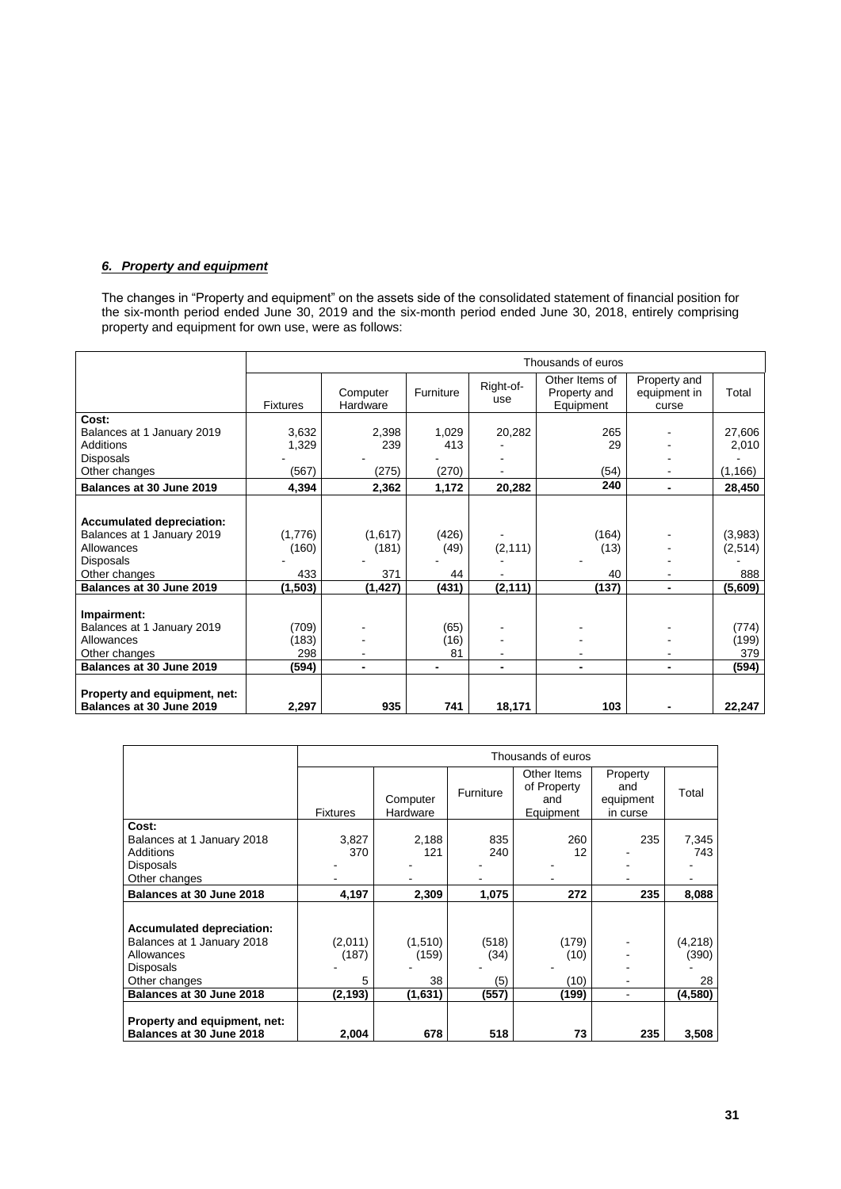## *6. Property and equipment*

The changes in "Property and equipment" on the assets side of the consolidated statement of financial position for the six-month period ended June 30, 2019 and the six-month period ended June 30, 2018, entirely comprising property and equipment for own use, were as follows:

|                                                          |                 |                      |                |                  | Thousands of euros                          |                                       |          |
|----------------------------------------------------------|-----------------|----------------------|----------------|------------------|---------------------------------------------|---------------------------------------|----------|
|                                                          | <b>Fixtures</b> | Computer<br>Hardware | Furniture      | Right-of-<br>use | Other Items of<br>Property and<br>Equipment | Property and<br>equipment in<br>curse | Total    |
| Cost:                                                    |                 |                      |                |                  |                                             |                                       |          |
| Balances at 1 January 2019                               | 3,632           | 2,398                | 1,029          | 20,282           | 265                                         |                                       | 27,606   |
| Additions                                                | 1,329           | 239                  | 413            |                  | 29                                          |                                       | 2,010    |
| Disposals                                                |                 |                      |                |                  |                                             |                                       |          |
| Other changes                                            | (567)           | (275)                | (270)          |                  | (54)                                        |                                       | (1, 166) |
| Balances at 30 June 2019                                 | 4,394           | 2,362                | 1,172          | 20,282           | 240                                         |                                       | 28,450   |
|                                                          |                 |                      |                |                  |                                             |                                       |          |
| <b>Accumulated depreciation:</b>                         |                 |                      |                |                  |                                             |                                       |          |
| Balances at 1 January 2019                               | (1,776)         | (1,617)              | (426)          |                  | (164)                                       |                                       | (3,983)  |
| Allowances                                               | (160)           | (181)                | (49)           | (2, 111)         | (13)                                        |                                       | (2,514)  |
| Disposals                                                |                 |                      |                |                  |                                             |                                       |          |
| Other changes                                            | 433             | 371                  | 44             |                  | 40                                          |                                       | 888      |
| Balances at 30 June 2019                                 | (1, 503)        | (1, 427)             | (431)          | (2, 111)         | (137)                                       | ٠                                     | (5,609)  |
|                                                          |                 |                      |                |                  |                                             |                                       |          |
| Impairment:                                              |                 |                      |                |                  |                                             |                                       |          |
| Balances at 1 January 2019                               | (709)           |                      | (65)           |                  |                                             |                                       | (774)    |
| Allowances                                               | (183)           |                      | (16)           |                  |                                             |                                       | (199)    |
| Other changes                                            | 298             |                      | 81             |                  |                                             |                                       | 379      |
| Balances at 30 June 2019                                 | (594)           | ۰                    | $\blacksquare$ | ٠                |                                             |                                       | (594)    |
| Property and equipment, net:<br>Balances at 30 June 2019 | 2,297           | 935                  | 741            | 18,171           | 103                                         |                                       | 22,247   |

|                                                                                                            | Thousands of euros    |                        |                      |                                                |                                          |                        |  |  |  |
|------------------------------------------------------------------------------------------------------------|-----------------------|------------------------|----------------------|------------------------------------------------|------------------------------------------|------------------------|--|--|--|
|                                                                                                            | <b>Fixtures</b>       | Computer<br>Hardware   | Furniture            | Other Items<br>of Property<br>and<br>Equipment | Property<br>and<br>equipment<br>in curse | Total                  |  |  |  |
| Cost:<br>Balances at 1 January 2018<br>Additions<br>Disposals<br>Other changes                             | 3,827<br>370          | 2,188<br>121           | 835<br>240           | 260<br>12                                      | 235                                      | 7,345<br>743           |  |  |  |
| Balances at 30 June 2018                                                                                   | 4,197                 | 2,309                  | 1,075                | 272                                            | 235                                      | 8,088                  |  |  |  |
| <b>Accumulated depreciation:</b><br>Balances at 1 January 2018<br>Allowances<br>Disposals<br>Other changes | (2,011)<br>(187)<br>5 | (1,510)<br>(159)<br>38 | (518)<br>(34)<br>(5) | (179)<br>(10)<br>(10)                          |                                          | (4,218)<br>(390)<br>28 |  |  |  |
| Balances at 30 June 2018                                                                                   | (2, 193)              | (1,631)                | (557)                | (199)                                          |                                          | (4, 580)               |  |  |  |
| Property and equipment, net:<br>Balances at 30 June 2018                                                   | 2,004                 | 678                    | 518                  | 73                                             | 235                                      | 3,508                  |  |  |  |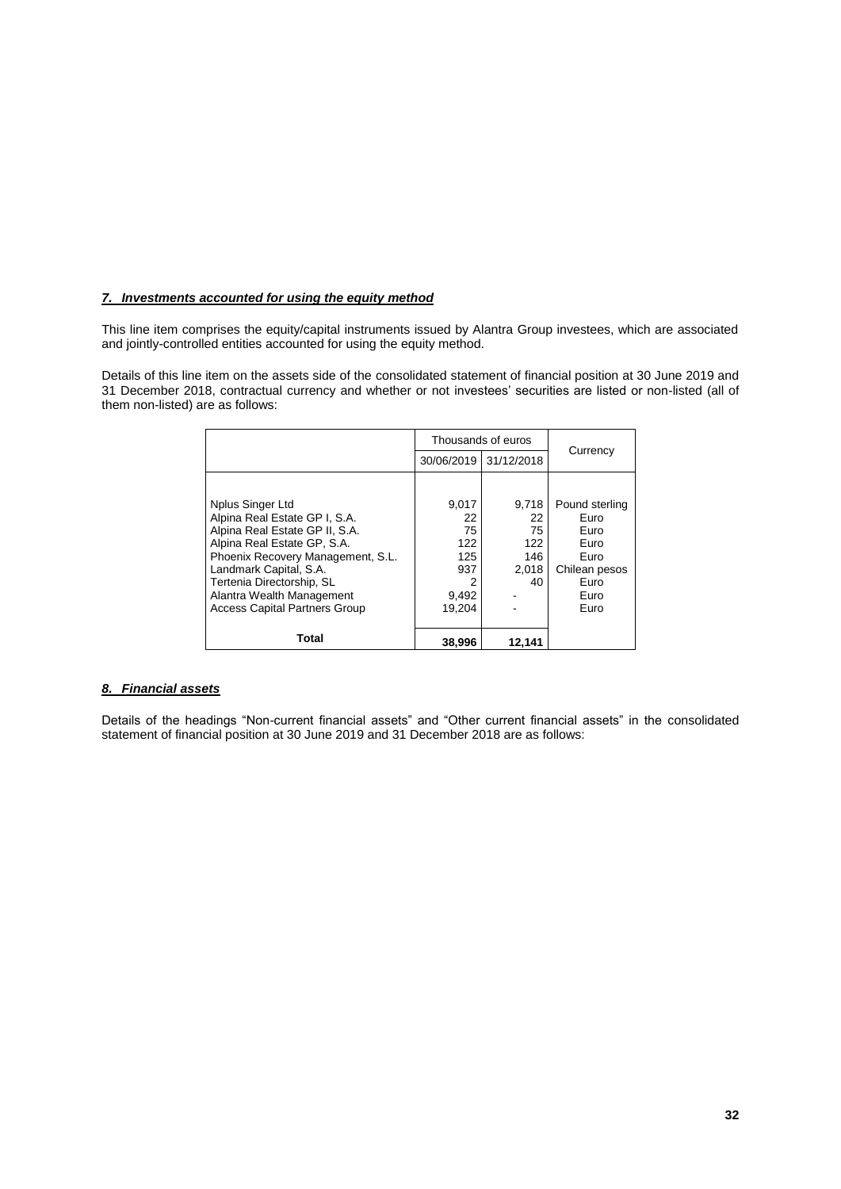### *7. Investments accounted for using the equity method*

This line item comprises the equity/capital instruments issued by Alantra Group investees, which are associated and jointly-controlled entities accounted for using the equity method.

Details of this line item on the assets side of the consolidated statement of financial position at 30 June 2019 and 31 December 2018, contractual currency and whether or not investees' securities are listed or non-listed (all of them non-listed) are as follows:

|                                      |            | Thousands of euros |                |
|--------------------------------------|------------|--------------------|----------------|
|                                      | 30/06/2019 | 31/12/2018         | Currency       |
|                                      |            |                    |                |
| Nplus Singer Ltd                     | 9,017      | 9,718              | Pound sterling |
| Alpina Real Estate GP I, S.A.        | 22         | 22                 | Euro           |
| Alpina Real Estate GP II, S.A.       | 75         | 75                 | Euro           |
| Alpina Real Estate GP, S.A.          | 122        | 122                | Euro           |
| Phoenix Recovery Management, S.L.    | 125        | 146                | Euro           |
| Landmark Capital, S.A.               | 937        | 2.018              | Chilean pesos  |
| Tertenia Directorship, SL            | 2          | 40                 | Euro           |
| Alantra Wealth Management            | 9,492      |                    | Euro           |
| <b>Access Capital Partners Group</b> | 19.204     |                    | Euro           |
|                                      |            |                    |                |
| <b>Total</b>                         | 38,996     | 12.141             |                |

### *8. Financial assets*

Details of the headings "Non-current financial assets" and "Other current financial assets" in the consolidated statement of financial position at 30 June 2019 and 31 December 2018 are as follows: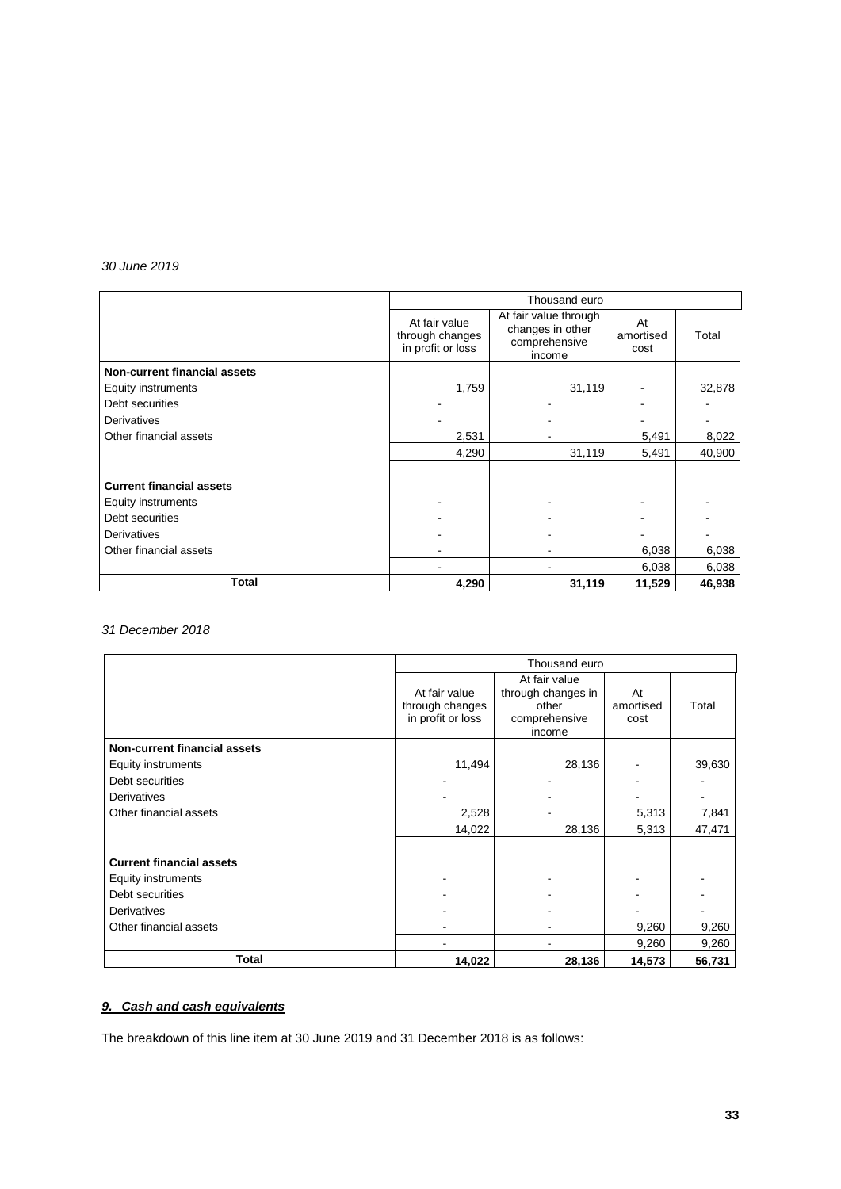### *30 June 2019*

|                                     | Thousand euro                                                                                                                 |        |                         |        |  |  |  |
|-------------------------------------|-------------------------------------------------------------------------------------------------------------------------------|--------|-------------------------|--------|--|--|--|
|                                     | At fair value through<br>At fair value<br>changes in other<br>through changes<br>comprehensive<br>in profit or loss<br>income |        | At<br>amortised<br>cost | Total  |  |  |  |
| <b>Non-current financial assets</b> |                                                                                                                               |        |                         |        |  |  |  |
| Equity instruments                  | 1,759                                                                                                                         | 31,119 |                         | 32,878 |  |  |  |
| Debt securities                     |                                                                                                                               |        |                         |        |  |  |  |
| <b>Derivatives</b>                  |                                                                                                                               |        |                         |        |  |  |  |
| Other financial assets              | 2,531                                                                                                                         |        | 5,491                   | 8,022  |  |  |  |
|                                     | 4,290                                                                                                                         | 31,119 | 5,491                   | 40,900 |  |  |  |
|                                     |                                                                                                                               |        |                         |        |  |  |  |
| <b>Current financial assets</b>     |                                                                                                                               |        |                         |        |  |  |  |
| Equity instruments                  |                                                                                                                               |        |                         |        |  |  |  |
| Debt securities                     |                                                                                                                               |        |                         |        |  |  |  |
| Derivatives                         |                                                                                                                               |        |                         |        |  |  |  |
| Other financial assets              |                                                                                                                               |        | 6,038                   | 6,038  |  |  |  |
|                                     |                                                                                                                               |        | 6,038                   | 6,038  |  |  |  |
| Total                               | 4,290                                                                                                                         | 31,119 | 11,529                  | 46,938 |  |  |  |

## *31 December 2018*

|                                     |                                                                                                                                  | Thousand euro |                         |        |
|-------------------------------------|----------------------------------------------------------------------------------------------------------------------------------|---------------|-------------------------|--------|
|                                     | At fair value<br>through changes in<br>At fair value<br>through changes<br>other<br>in profit or loss<br>comprehensive<br>income |               | At<br>amortised<br>cost | Total  |
| <b>Non-current financial assets</b> |                                                                                                                                  |               |                         |        |
| <b>Equity instruments</b>           | 11,494                                                                                                                           | 28,136        |                         | 39,630 |
| Debt securities                     |                                                                                                                                  |               |                         |        |
| Derivatives                         |                                                                                                                                  |               |                         |        |
| Other financial assets              | 2,528                                                                                                                            |               | 5,313                   | 7,841  |
|                                     | 14,022                                                                                                                           | 28,136        | 5,313                   | 47,471 |
| <b>Current financial assets</b>     |                                                                                                                                  |               |                         |        |
| <b>Equity instruments</b>           |                                                                                                                                  |               |                         |        |
| Debt securities                     |                                                                                                                                  |               |                         |        |
| Derivatives                         |                                                                                                                                  |               |                         |        |
| Other financial assets              |                                                                                                                                  |               | 9,260                   | 9,260  |
|                                     |                                                                                                                                  |               | 9,260                   | 9,260  |
| <b>Total</b>                        | 14,022                                                                                                                           | 28,136        | 14,573                  | 56,731 |

### *9. Cash and cash equivalents*

The breakdown of this line item at 30 June 2019 and 31 December 2018 is as follows: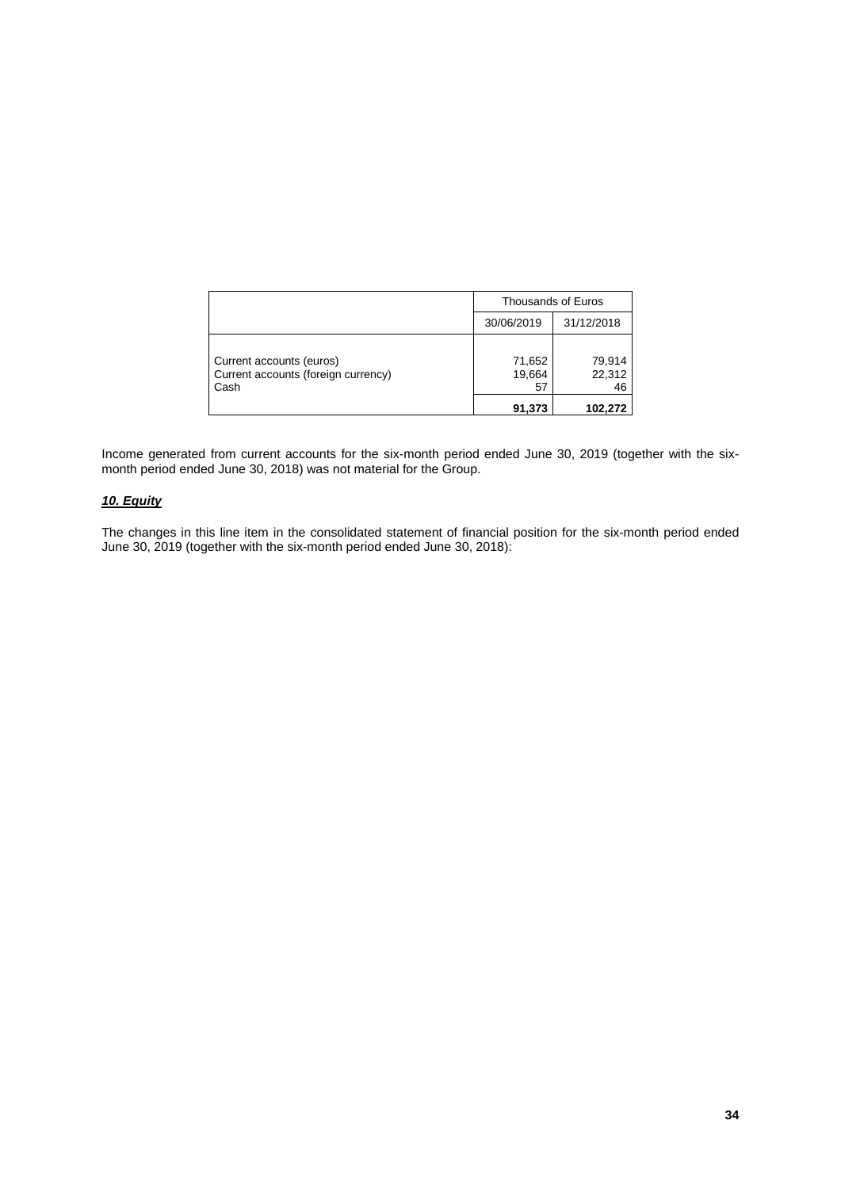|                                                                         |                        | Thousands of Euros     |
|-------------------------------------------------------------------------|------------------------|------------------------|
|                                                                         | 30/06/2019             | 31/12/2018             |
| Current accounts (euros)<br>Current accounts (foreign currency)<br>Cash | 71,652<br>19,664<br>57 | 79,914<br>22,312<br>46 |
|                                                                         | 91,373                 | 102.272                |

Income generated from current accounts for the six-month period ended June 30, 2019 (together with the sixmonth period ended June 30, 2018) was not material for the Group.

### *10. Equity*

The changes in this line item in the consolidated statement of financial position for the six-month period ended June 30, 2019 (together with the six-month period ended June 30, 2018):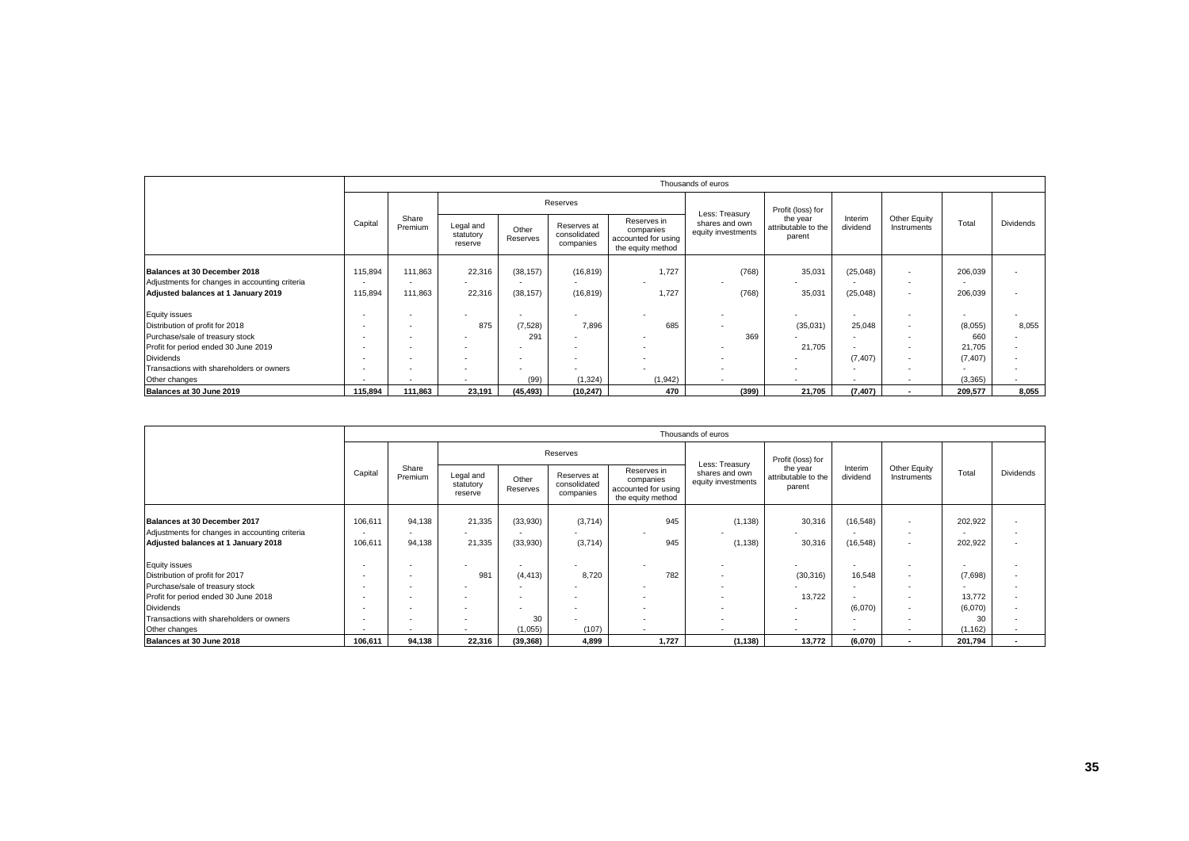|                                                |                          |                          |                                   |                   |                                          |                                                                      | Thousands of euros                   |                                           |                     |                             |          |                          |
|------------------------------------------------|--------------------------|--------------------------|-----------------------------------|-------------------|------------------------------------------|----------------------------------------------------------------------|--------------------------------------|-------------------------------------------|---------------------|-----------------------------|----------|--------------------------|
|                                                |                          |                          |                                   |                   | Reserves                                 |                                                                      | Less: Treasury                       | Profit (loss) for                         |                     |                             |          |                          |
| Capital                                        |                          | Share<br>Premium         | Legal and<br>statutory<br>reserve | Other<br>Reserves | Reserves at<br>consolidated<br>companies | Reserves in<br>companies<br>accounted for using<br>the equity method | shares and own<br>equity investments | the year<br>attributable to the<br>parent | Interim<br>dividend | Other Equity<br>Instruments | Total    | Dividends                |
| Balances at 30 December 2018                   | 115,894                  | 111,863                  | 22,316                            | (38, 157)         | (16, 819)                                | 1.727                                                                | (768)                                | 35,031                                    | (25, 048)           | ٠                           | 206,039  |                          |
| Adjustments for changes in accounting criteria | $\overline{\phantom{a}}$ | $\overline{\phantom{a}}$ |                                   | $\sim$            |                                          |                                                                      |                                      |                                           |                     | $\overline{\phantom{a}}$    | $\sim$   |                          |
| Adjusted balances at 1 January 2019            | 115,894                  | 111,863                  | 22,316                            | (38, 157)         | (16, 819)                                | 1.727                                                                | (768)                                | 35,031                                    | (25, 048)           | $\overline{\phantom{a}}$    | 206,039  |                          |
| <b>Equity issues</b>                           |                          |                          |                                   | $\sim$            |                                          |                                                                      |                                      |                                           |                     | $\overline{\phantom{a}}$    | $\sim$   |                          |
| Distribution of profit for 2018                |                          | $\overline{\phantom{a}}$ | 875                               | (7,528)           | 7.896                                    | 685                                                                  |                                      | (35,031)                                  | 25,048              | ٠                           | (8,055)  | 8,055                    |
| Purchase/sale of treasury stock                | $\overline{\phantom{a}}$ |                          |                                   | 291               |                                          |                                                                      | 369                                  |                                           |                     | $\overline{\phantom{a}}$    | 660      |                          |
| Profit for period ended 30 June 2019           |                          |                          |                                   |                   |                                          |                                                                      |                                      | 21,705                                    |                     | ٠                           | 21,705   | $\overline{\phantom{a}}$ |
| <b>Dividends</b>                               | $\overline{\phantom{a}}$ |                          |                                   | $\sim$            |                                          | <b>COL</b>                                                           |                                      |                                           | (7, 407)            | $\overline{\phantom{a}}$    | (7, 407) |                          |
| Transactions with shareholders or owners       | $\overline{\phantom{a}}$ |                          |                                   |                   |                                          | <b>COL</b>                                                           |                                      |                                           |                     |                             | $\sim$   |                          |
| Other changes                                  |                          | $\overline{\phantom{a}}$ |                                   | (99)              | (1, 324)                                 | (1, 942)                                                             |                                      |                                           | $\sim$              | $\sim$                      | (3,365)  |                          |
| Balances at 30 June 2019                       | 115.894                  | 111.863                  | 23,191                            | (45, 493)         | (10,247)                                 | 470                                                                  | (399)                                | 21,705                                    | (7, 407)            | $\sim$                      | 209,577  | 8,055                    |

|                                                |                          |                          |                                   |                          |                                          |                                                                      | Thousands of euros                                     |                                           |                                                    |                          |                          |                          |  |
|------------------------------------------------|--------------------------|--------------------------|-----------------------------------|--------------------------|------------------------------------------|----------------------------------------------------------------------|--------------------------------------------------------|-------------------------------------------|----------------------------------------------------|--------------------------|--------------------------|--------------------------|--|
|                                                |                          |                          |                                   |                          | Reserves                                 |                                                                      | Less: Treasury<br>shares and own<br>equity investments |                                           | Profit (loss) for                                  |                          |                          |                          |  |
|                                                | Capital                  | Share<br>Premium         | Legal and<br>statutory<br>reserve | Other<br>Reserves        | Reserves at<br>consolidated<br>companies | Reserves in<br>companies<br>accounted for using<br>the equity method |                                                        | the year<br>attributable to the<br>parent | Other Equity<br>Interim<br>dividend<br>Instruments | Total                    | <b>Dividends</b>         |                          |  |
|                                                |                          |                          |                                   |                          |                                          |                                                                      |                                                        |                                           |                                                    |                          |                          |                          |  |
| Balances at 30 December 2017                   | 106,611                  | 94,138                   | 21,335                            | (33,930)                 | (3,714)                                  | 945                                                                  | (1, 138)                                               | 30,316                                    | (16, 548)                                          | $\overline{\phantom{a}}$ | 202,922                  | $\overline{\phantom{a}}$ |  |
| Adjustments for changes in accounting criteria | $\overline{\phantom{a}}$ | $\sim$                   |                                   | $\sim$                   |                                          | $\sim$                                                               |                                                        |                                           | $\sim$                                             | $\overline{\phantom{a}}$ | $\overline{\phantom{a}}$ |                          |  |
| Adjusted balances at 1 January 2018            | 106,611                  | 94.138                   | 21,335                            | (33,930)                 | (3,714)                                  | 945                                                                  | (1, 138)                                               | 30,316                                    | (16, 548)                                          | $\overline{\phantom{a}}$ | 202,922                  | $\overline{\phantom{a}}$ |  |
| <b>Equity issues</b>                           |                          |                          |                                   | $\overline{\phantom{a}}$ |                                          |                                                                      | $\overline{\phantom{a}}$                               |                                           | $\sim$                                             | $\overline{\phantom{a}}$ | $\overline{\phantom{a}}$ |                          |  |
| Distribution of profit for 2017                | $\overline{\phantom{a}}$ | $\overline{\phantom{a}}$ | 981                               | (4, 413)                 | 8,720                                    | 782                                                                  | $\overline{\phantom{a}}$                               | (30, 316)                                 | 16,548                                             | $\overline{\phantom{a}}$ | (7,698)                  | $\overline{\phantom{a}}$ |  |
| Purchase/sale of treasury stock                |                          | $\overline{\phantom{a}}$ |                                   | $\overline{\phantom{a}}$ |                                          | $\sim$                                                               |                                                        |                                           | $\sim$                                             | $\overline{\phantom{a}}$ |                          |                          |  |
| Profit for period ended 30 June 2018           |                          | $\overline{\phantom{a}}$ |                                   | -                        |                                          | $\overline{\phantom{a}}$                                             | $\overline{\phantom{a}}$                               | 13,722                                    |                                                    | $\overline{\phantom{a}}$ | 13,772                   | $\overline{\phantom{a}}$ |  |
| <b>Dividends</b>                               |                          | $\overline{\phantom{a}}$ |                                   |                          |                                          | $\sim$                                                               | $\overline{\phantom{a}}$                               | $\overline{\phantom{a}}$                  | (6,070)                                            | $\overline{\phantom{a}}$ | (6,070)                  | $\overline{a}$           |  |
| Transactions with shareholders or owners       | $\overline{\phantom{a}}$ | $\overline{\phantom{a}}$ |                                   | 30                       | $\overline{\phantom{a}}$                 | <b>.</b>                                                             | $\overline{\phantom{a}}$                               | $\overline{\phantom{a}}$                  | $\sim$                                             | $\overline{\phantom{a}}$ | 30                       |                          |  |
| Other changes                                  |                          | $\overline{\phantom{a}}$ |                                   | (1,055)                  | (107)                                    | $\sim$                                                               |                                                        | $\overline{\phantom{a}}$                  | $\sim$                                             | ٠                        | (1, 162)                 |                          |  |
| Balances at 30 June 2018                       | 106,611                  | 94,138                   | 22,316                            | (39, 368)                | 4,899                                    | 1,727                                                                | (1, 138)                                               | 13,772                                    | (6,070)                                            | $\overline{\phantom{a}}$ | 201,794                  |                          |  |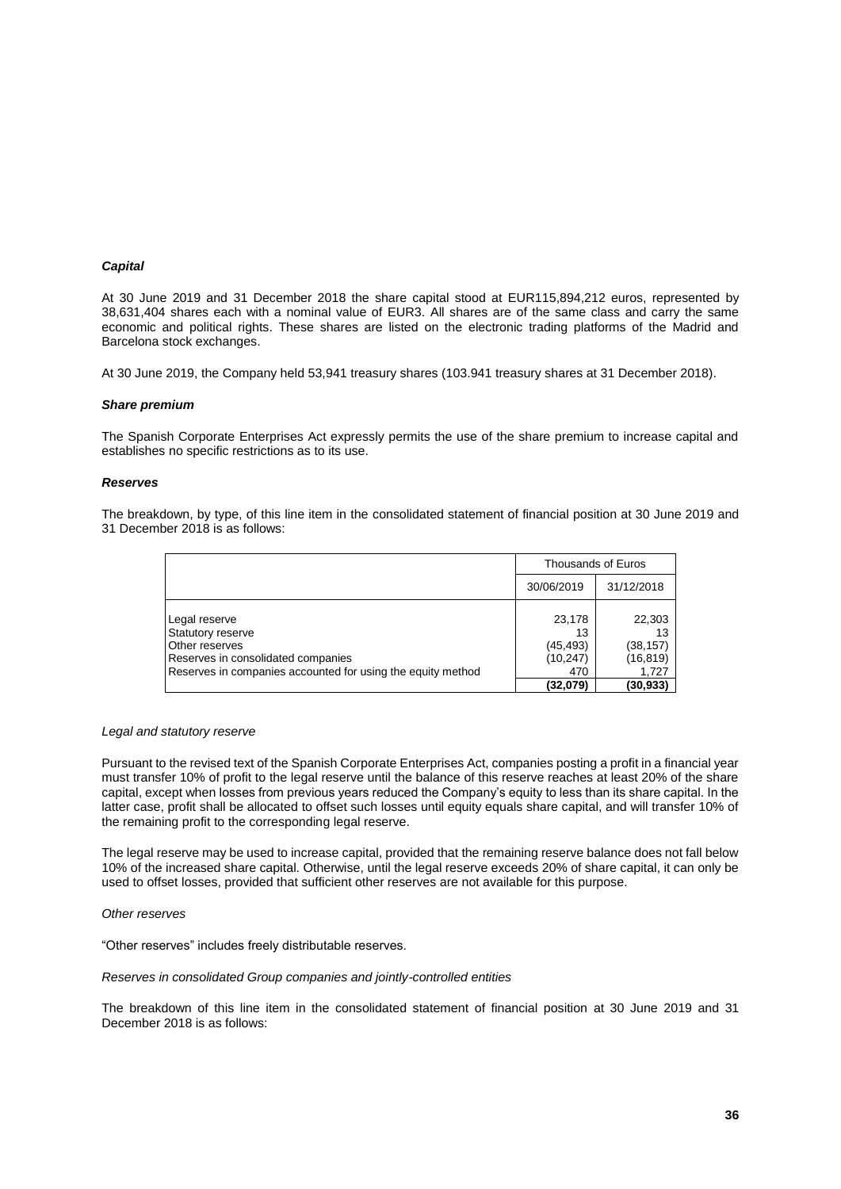#### *Capital*

At 30 June 2019 and 31 December 2018 the share capital stood at EUR115,894,212 euros, represented by 38,631,404 shares each with a nominal value of EUR3. All shares are of the same class and carry the same economic and political rights. These shares are listed on the electronic trading platforms of the Madrid and Barcelona stock exchanges.

At 30 June 2019, the Company held 53,941 treasury shares (103.941 treasury shares at 31 December 2018).

#### *Share premium*

The Spanish Corporate Enterprises Act expressly permits the use of the share premium to increase capital and establishes no specific restrictions as to its use.

#### *Reserves*

The breakdown, by type, of this line item in the consolidated statement of financial position at 30 June 2019 and 31 December 2018 is as follows:

|                                                                                                                                                           | Thousands of Euros                            |                                                 |
|-----------------------------------------------------------------------------------------------------------------------------------------------------------|-----------------------------------------------|-------------------------------------------------|
|                                                                                                                                                           | 30/06/2019                                    | 31/12/2018                                      |
| Legal reserve<br>Statutory reserve<br>Other reserves<br>Reserves in consolidated companies<br>Reserves in companies accounted for using the equity method | 23,178<br>13<br>(45, 493)<br>(10, 247)<br>470 | 22,303<br>13<br>(38, 157)<br>(16, 819)<br>1,727 |
|                                                                                                                                                           | (32,079)                                      | (30, 933)                                       |

#### *Legal and statutory reserve*

Pursuant to the revised text of the Spanish Corporate Enterprises Act, companies posting a profit in a financial year must transfer 10% of profit to the legal reserve until the balance of this reserve reaches at least 20% of the share capital, except when losses from previous years reduced the Company's equity to less than its share capital. In the latter case, profit shall be allocated to offset such losses until equity equals share capital, and will transfer 10% of the remaining profit to the corresponding legal reserve.

The legal reserve may be used to increase capital, provided that the remaining reserve balance does not fall below 10% of the increased share capital. Otherwise, until the legal reserve exceeds 20% of share capital, it can only be used to offset losses, provided that sufficient other reserves are not available for this purpose.

#### *Other reserves*

"Other reserves" includes freely distributable reserves.

#### *Reserves in consolidated Group companies and jointly-controlled entities*

The breakdown of this line item in the consolidated statement of financial position at 30 June 2019 and 31 December 2018 is as follows: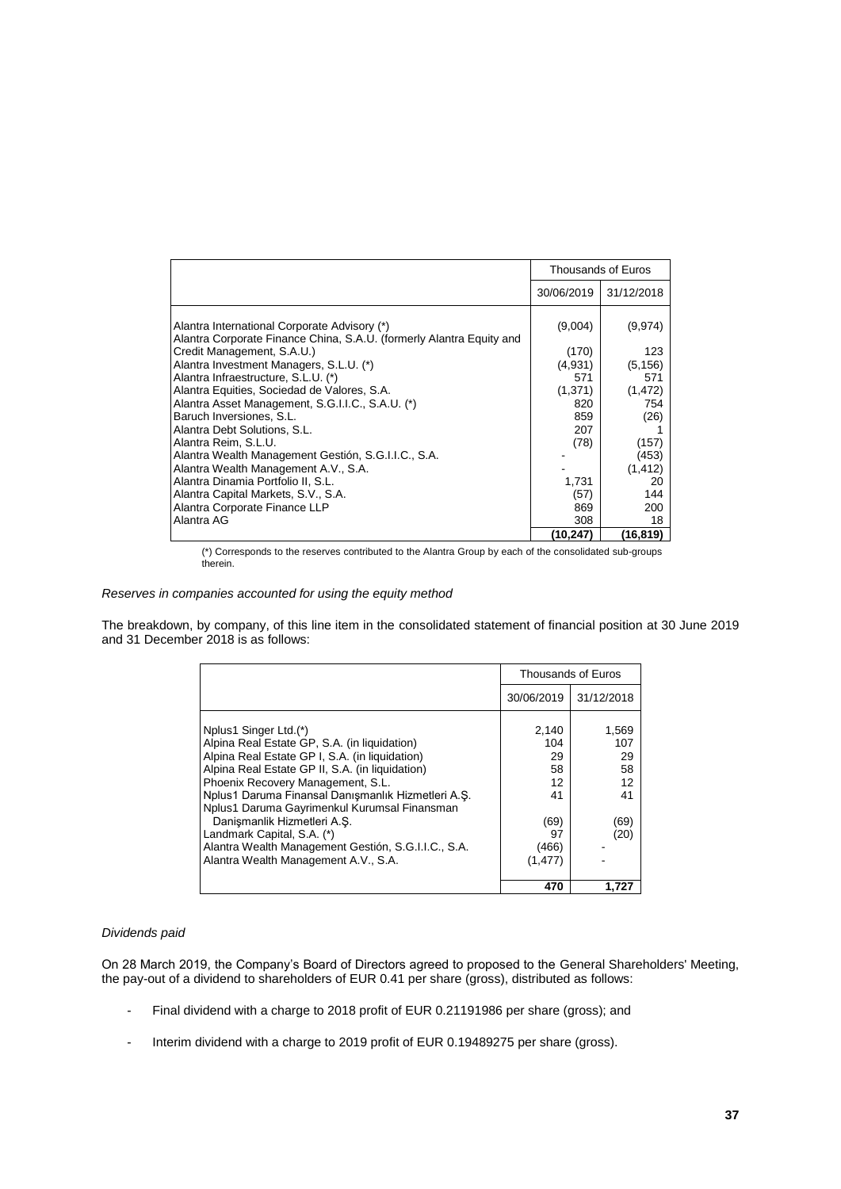|                                                                                                                      |            | Thousands of Euros |
|----------------------------------------------------------------------------------------------------------------------|------------|--------------------|
|                                                                                                                      | 30/06/2019 | 31/12/2018         |
| Alantra International Corporate Advisory (*)<br>Alantra Corporate Finance China, S.A.U. (formerly Alantra Equity and | (9,004)    | (9,974)            |
| Credit Management, S.A.U.)                                                                                           | (170)      | 123                |
| Alantra Investment Managers, S.L.U. (*)                                                                              | (4,931)    | (5, 156)           |
| Alantra Infraestructure, S.L.U. (*)                                                                                  | 571        | 571                |
| Alantra Equities, Sociedad de Valores, S.A.                                                                          | (1, 371)   | (1, 472)           |
| Alantra Asset Management, S.G.I.I.C., S.A.U. (*)                                                                     | 820        | 754                |
| Baruch Inversiones, S.L.                                                                                             | 859        | (26)               |
| Alantra Debt Solutions, S.L.                                                                                         | 207        |                    |
| Alantra Reim. S.L.U.                                                                                                 | (78)       | (157)              |
| Alantra Wealth Management Gestión, S.G.I.I.C., S.A.                                                                  |            | (453)              |
| Alantra Wealth Management A.V., S.A.                                                                                 |            | (1, 412)           |
| Alantra Dinamia Portfolio II, S.L.                                                                                   | 1,731      | 20                 |
| Alantra Capital Markets, S.V., S.A.                                                                                  | (57)       | 144                |
| Alantra Corporate Finance LLP                                                                                        | 869        | 200                |
| Alantra AG                                                                                                           | 308        | 18                 |
|                                                                                                                      | (10,247)   | (16,819)           |

(\*) Corresponds to the reserves contributed to the Alantra Group by each of the consolidated sub-groups therein.

*Reserves in companies accounted for using the equity method*

The breakdown, by company, of this line item in the consolidated statement of financial position at 30 June 2019 and 31 December 2018 is as follows:

|                                                                                                                                                                                                                                                                                                                                                                                                                                           |                                                    | <b>Thousands of Euros</b>                            |
|-------------------------------------------------------------------------------------------------------------------------------------------------------------------------------------------------------------------------------------------------------------------------------------------------------------------------------------------------------------------------------------------------------------------------------------------|----------------------------------------------------|------------------------------------------------------|
|                                                                                                                                                                                                                                                                                                                                                                                                                                           | 30/06/2019                                         | 31/12/2018                                           |
| Nplus1 Singer Ltd.(*)<br>Alpina Real Estate GP, S.A. (in liquidation)<br>Alpina Real Estate GP I, S.A. (in liquidation)<br>Alpina Real Estate GP II, S.A. (in liquidation)<br>Phoenix Recovery Management, S.L.<br>Nplus1 Daruma Finansal Danışmanlık Hizmetleri A.S.<br>Nplus1 Daruma Gayrimenkul Kurumsal Finansman<br>Danismanlik Hizmetleri A.S.<br>Landmark Capital, S.A. (*)<br>Alantra Wealth Management Gestión, S.G.I.I.C., S.A. | 2,140<br>104<br>29<br>58<br>12<br>41<br>(69)<br>97 | 1,569<br>107<br>29<br>58<br>12<br>41<br>(69)<br>(20) |
| Alantra Wealth Management A.V., S.A.                                                                                                                                                                                                                                                                                                                                                                                                      | (466)<br>(1,477)                                   |                                                      |
|                                                                                                                                                                                                                                                                                                                                                                                                                                           | 470                                                | 1.727                                                |

### *Dividends paid*

On 28 March 2019, the Company's Board of Directors agreed to proposed to the General Shareholders' Meeting, the pay-out of a dividend to shareholders of EUR 0.41 per share (gross), distributed as follows:

- Final dividend with a charge to 2018 profit of EUR 0.21191986 per share (gross); and
- Interim dividend with a charge to 2019 profit of EUR 0.19489275 per share (gross).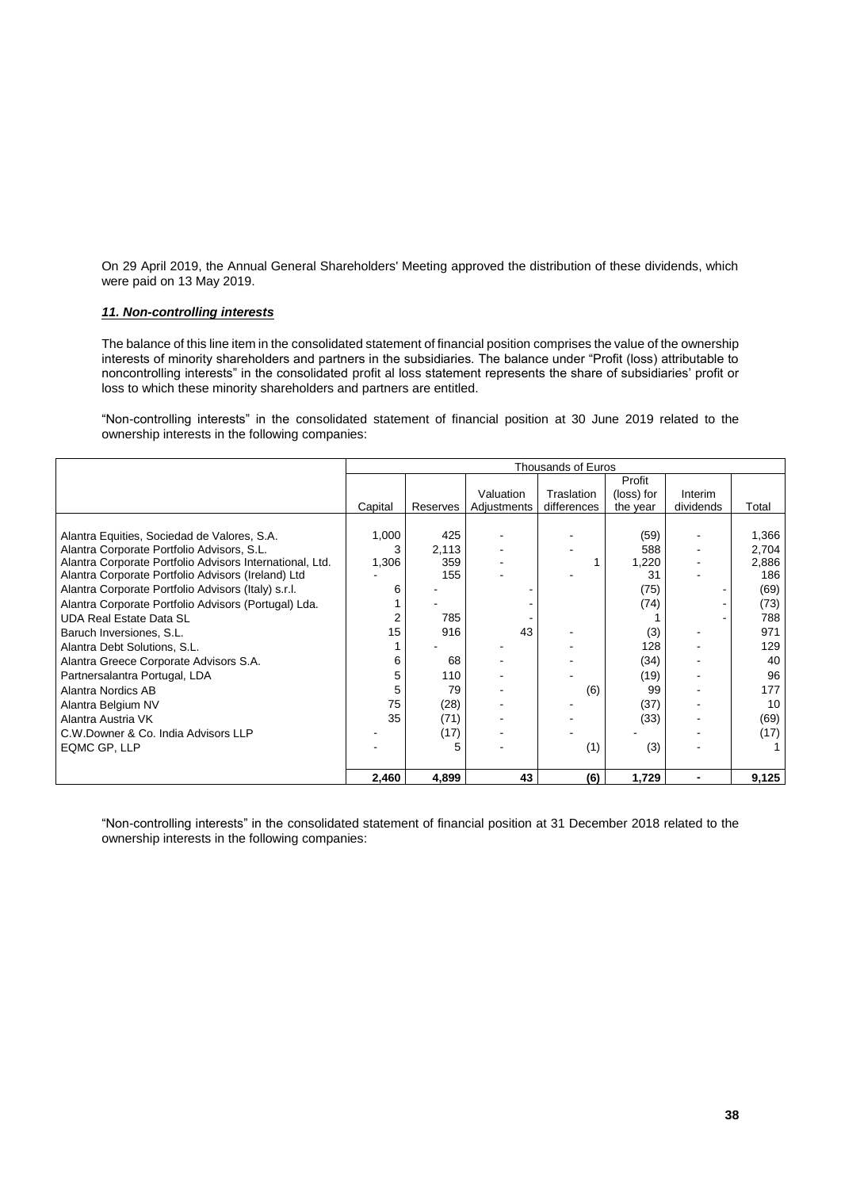On 29 April 2019, the Annual General Shareholders' Meeting approved the distribution of these dividends, which were paid on 13 May 2019.

#### *11. Non-controlling interests*

The balance of this line item in the consolidated statement of financial position comprises the value of the ownership interests of minority shareholders and partners in the subsidiaries. The balance under "Profit (loss) attributable to noncontrolling interests" in the consolidated profit al loss statement represents the share of subsidiaries' profit or loss to which these minority shareholders and partners are entitled.

"Non-controlling interests" in the consolidated statement of financial position at 30 June 2019 related to the ownership interests in the following companies:

|                                                          |         | <b>Thousands of Euros</b> |             |             |            |           |       |
|----------------------------------------------------------|---------|---------------------------|-------------|-------------|------------|-----------|-------|
|                                                          |         |                           |             |             | Profit     |           |       |
|                                                          |         |                           | Valuation   | Traslation  | (loss) for | Interim   |       |
|                                                          | Capital | Reserves                  | Adjustments | differences | the year   | dividends | Total |
|                                                          |         |                           |             |             |            |           |       |
| Alantra Equities, Sociedad de Valores, S.A.              | 1,000   | 425                       |             |             | (59)       |           | 1,366 |
| Alantra Corporate Portfolio Advisors, S.L.               | 3       | 2,113                     |             |             | 588        |           | 2,704 |
| Alantra Corporate Portfolio Advisors International, Ltd. | 1,306   | 359                       |             |             | 1,220      |           | 2,886 |
| Alantra Corporate Portfolio Advisors (Ireland) Ltd       |         | 155                       |             |             | 31         |           | 186   |
| Alantra Corporate Portfolio Advisors (Italy) s.r.l.      | 6       |                           |             |             | (75)       |           | (69)  |
| Alantra Corporate Portfolio Advisors (Portugal) Lda.     |         |                           |             |             | (74)       |           | (73)  |
| <b>UDA Real Estate Data SL</b>                           |         | 785                       |             |             |            |           | 788   |
| Baruch Inversiones, S.L.                                 | 15      | 916                       | 43          |             | (3)        |           | 971   |
| Alantra Debt Solutions, S.L.                             |         |                           |             |             | 128        |           | 129   |
| Alantra Greece Corporate Advisors S.A.                   | 6       | 68                        |             |             | (34)       |           | 40    |
| Partnersalantra Portugal, LDA                            | 5       | 110                       |             |             | (19)       |           | 96    |
| Alantra Nordics AB                                       | 5       | 79                        |             | (6)         | 99         |           | 177   |
| Alantra Belgium NV                                       | 75      | (28)                      |             |             | (37)       |           | 10    |
| Alantra Austria VK                                       | 35      | (71)                      |             |             | (33)       |           | (69)  |
| C.W.Downer & Co. India Advisors LLP                      |         | (17)                      |             |             |            |           | (17)  |
| EQMC GP, LLP                                             |         | 5                         |             | (1)         | (3)        |           |       |
|                                                          |         |                           |             |             |            |           |       |
|                                                          | 2,460   | 4,899                     | 43          | (6)         | 1,729      |           | 9,125 |

"Non-controlling interests" in the consolidated statement of financial position at 31 December 2018 related to the ownership interests in the following companies: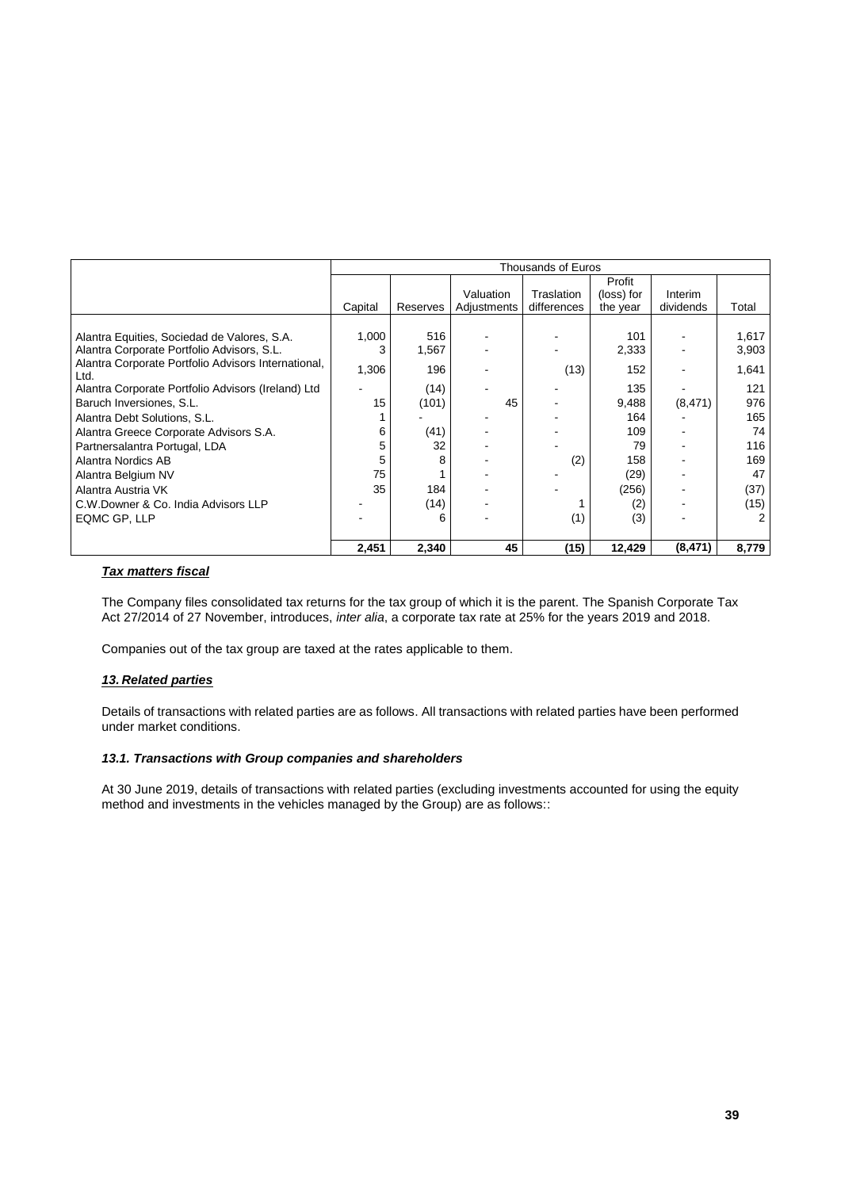|                                                             | Thousands of Euros |          |             |             |            |           |       |
|-------------------------------------------------------------|--------------------|----------|-------------|-------------|------------|-----------|-------|
|                                                             |                    |          |             |             | Profit     |           |       |
|                                                             |                    |          | Valuation   | Traslation  | (loss) for | Interim   |       |
|                                                             | Capital            | Reserves | Adjustments | differences | the year   | dividends | Total |
|                                                             |                    |          |             |             |            |           |       |
| Alantra Equities, Sociedad de Valores, S.A.                 | 1,000              | 516      |             |             | 101        |           | 1,617 |
| Alantra Corporate Portfolio Advisors, S.L.                  |                    | 1,567    |             |             | 2,333      |           | 3,903 |
| Alantra Corporate Portfolio Advisors International,<br>Ltd. | 1,306              | 196      |             | (13)        | 152        |           | 1,641 |
| Alantra Corporate Portfolio Advisors (Ireland) Ltd          |                    | (14)     |             |             | 135        |           | 121   |
| Baruch Inversiones, S.L.                                    | 15                 | (101)    | 45          |             | 9,488      | (8, 471)  | 976   |
| Alantra Debt Solutions, S.L.                                |                    |          |             |             | 164        |           | 165   |
| Alantra Greece Corporate Advisors S.A.                      | 6                  | (41)     |             |             | 109        |           | 74    |
| Partnersalantra Portugal, LDA                               |                    | 32       |             |             | 79         |           | 116   |
| Alantra Nordics AB                                          |                    | 8        |             | (2)         | 158        |           | 169   |
| Alantra Belgium NV                                          | 75                 |          |             |             | (29)       |           | 47    |
| Alantra Austria VK                                          | 35                 | 184      |             |             | (256)      |           | (37)  |
| C.W.Downer & Co. India Advisors LLP                         |                    | (14)     |             |             | (2)        |           | (15)  |
| EQMC GP, LLP                                                |                    | 6        |             | (1)         | (3)        |           | 2     |
|                                                             |                    |          |             |             |            |           |       |
|                                                             | 2,451              | 2,340    | 45          | (15)        | 12,429     | (8, 471)  | 8,779 |

### *Tax matters fiscal*

The Company files consolidated tax returns for the tax group of which it is the parent. The Spanish Corporate Tax Act 27/2014 of 27 November, introduces, *inter alia*, a corporate tax rate at 25% for the years 2019 and 2018.

Companies out of the tax group are taxed at the rates applicable to them.

### *13. Related parties*

Details of transactions with related parties are as follows. All transactions with related parties have been performed under market conditions.

### *13.1. Transactions with Group companies and shareholders*

At 30 June 2019, details of transactions with related parties (excluding investments accounted for using the equity method and investments in the vehicles managed by the Group) are as follows::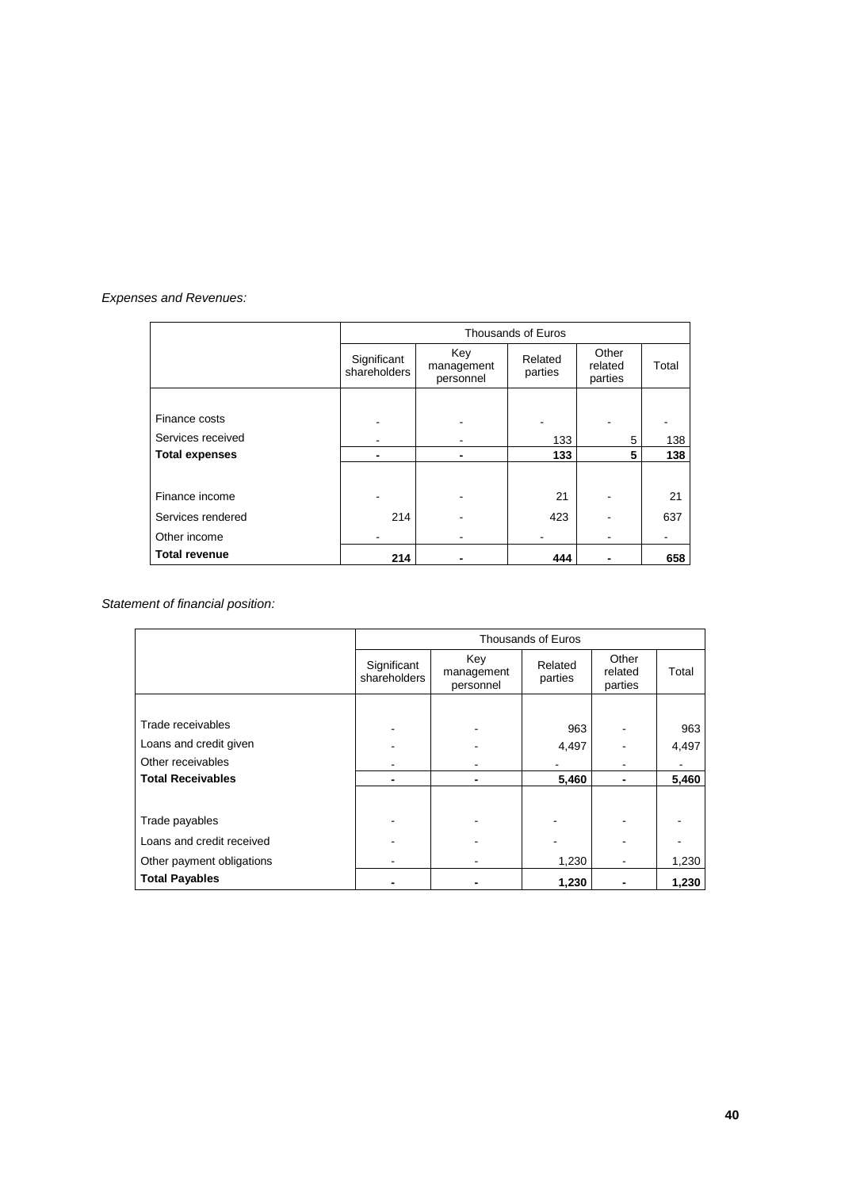## *Expenses and Revenues:*

|                       | Thousands of Euros          |                                |                    |                             |       |
|-----------------------|-----------------------------|--------------------------------|--------------------|-----------------------------|-------|
|                       | Significant<br>shareholders | Key<br>management<br>personnel | Related<br>parties | Other<br>related<br>parties | Total |
|                       |                             |                                |                    |                             |       |
| Finance costs         |                             |                                |                    |                             |       |
| Services received     |                             |                                | 133                | 5                           | 138   |
| <b>Total expenses</b> |                             |                                | 133                | 5                           | 138   |
|                       |                             |                                |                    |                             |       |
| Finance income        |                             |                                | 21                 |                             | 21    |
| Services rendered     | 214                         |                                | 423                |                             | 637   |
| Other income          |                             |                                |                    |                             |       |
| <b>Total revenue</b>  | 214                         |                                | 444                |                             | 658   |

*Statement of financial position:*

|                           | Thousands of Euros          |                                |                    |                             |       |  |
|---------------------------|-----------------------------|--------------------------------|--------------------|-----------------------------|-------|--|
|                           | Significant<br>shareholders | Key<br>management<br>personnel | Related<br>parties | Other<br>related<br>parties | Total |  |
|                           |                             |                                |                    |                             |       |  |
| Trade receivables         |                             |                                | 963                |                             | 963   |  |
| Loans and credit given    |                             |                                | 4,497              |                             | 4,497 |  |
| Other receivables         |                             |                                |                    |                             |       |  |
| <b>Total Receivables</b>  |                             | $\blacksquare$                 | 5,460              |                             | 5,460 |  |
|                           |                             |                                |                    |                             |       |  |
| Trade payables            |                             |                                |                    |                             |       |  |
| Loans and credit received |                             |                                |                    |                             |       |  |
| Other payment obligations |                             |                                | 1,230              |                             | 1,230 |  |
| <b>Total Payables</b>     |                             |                                | 1,230              |                             | 1,230 |  |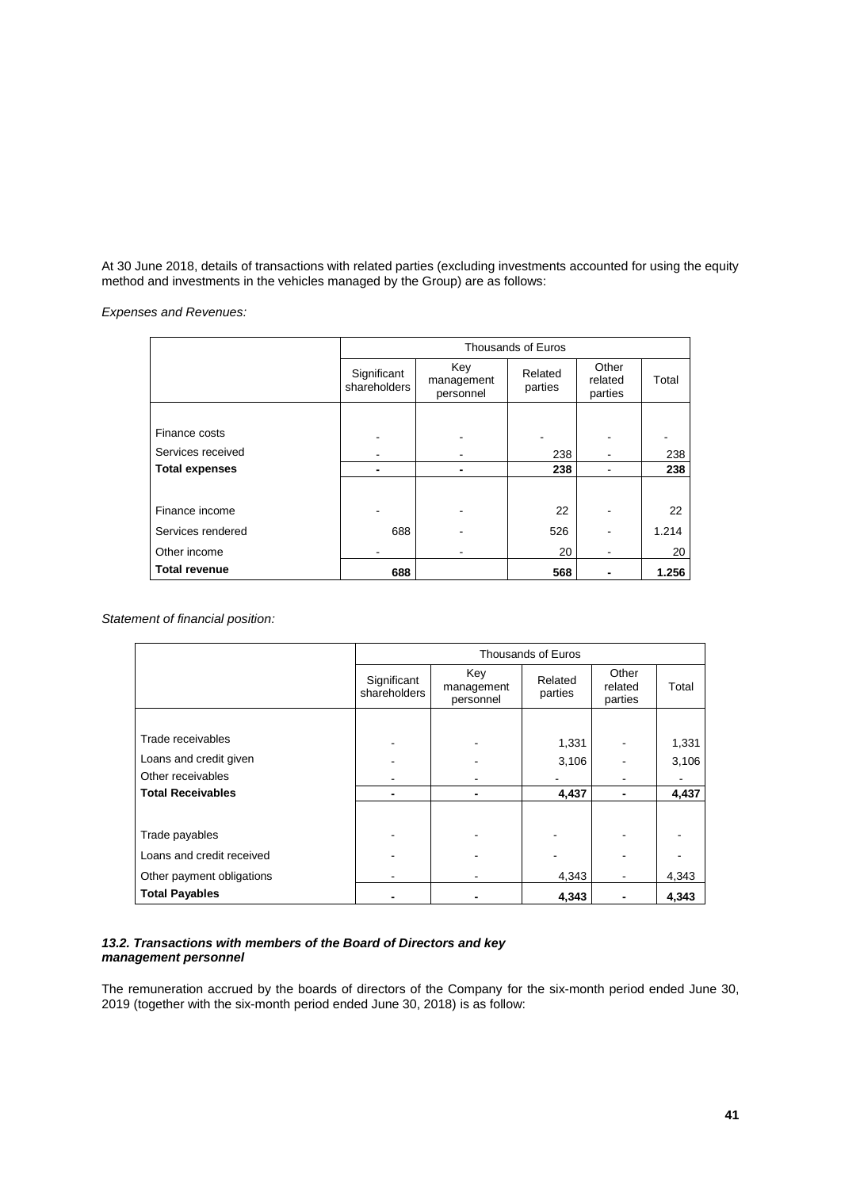At 30 June 2018, details of transactions with related parties (excluding investments accounted for using the equity method and investments in the vehicles managed by the Group) are as follows:

*Expenses and Revenues:*

|                       | Thousands of Euros          |                                |                    |                             |       |
|-----------------------|-----------------------------|--------------------------------|--------------------|-----------------------------|-------|
|                       | Significant<br>shareholders | Key<br>management<br>personnel | Related<br>parties | Other<br>related<br>parties | Total |
|                       |                             |                                |                    |                             |       |
| Finance costs         |                             |                                |                    |                             |       |
| Services received     |                             |                                | 238                |                             | 238   |
| <b>Total expenses</b> | -                           |                                | 238                |                             | 238   |
|                       |                             |                                |                    |                             |       |
| Finance income        |                             |                                | 22                 |                             | 22    |
| Services rendered     | 688                         |                                | 526                |                             | 1.214 |
| Other income          |                             |                                | 20                 |                             | 20    |
| <b>Total revenue</b>  | 688                         |                                | 568                |                             | 1.256 |

*Statement of financial position:*

|                           | Thousands of Euros          |                                |                    |                             |       |
|---------------------------|-----------------------------|--------------------------------|--------------------|-----------------------------|-------|
|                           | Significant<br>shareholders | Key<br>management<br>personnel | Related<br>parties | Other<br>related<br>parties | Total |
|                           |                             |                                |                    |                             |       |
| Trade receivables         |                             |                                | 1,331              |                             | 1,331 |
| Loans and credit given    |                             |                                | 3,106              |                             | 3,106 |
| Other receivables         |                             |                                |                    |                             |       |
| <b>Total Receivables</b>  |                             |                                | 4,437              | ٠                           | 4,437 |
|                           |                             |                                |                    |                             |       |
| Trade payables            |                             |                                |                    |                             |       |
| Loans and credit received |                             |                                |                    |                             |       |
| Other payment obligations |                             |                                | 4,343              |                             | 4,343 |
| <b>Total Payables</b>     |                             |                                | 4,343              |                             | 4,343 |

### *13.2. Transactions with members of the Board of Directors and key management personnel*

The remuneration accrued by the boards of directors of the Company for the six-month period ended June 30, 2019 (together with the six-month period ended June 30, 2018) is as follow: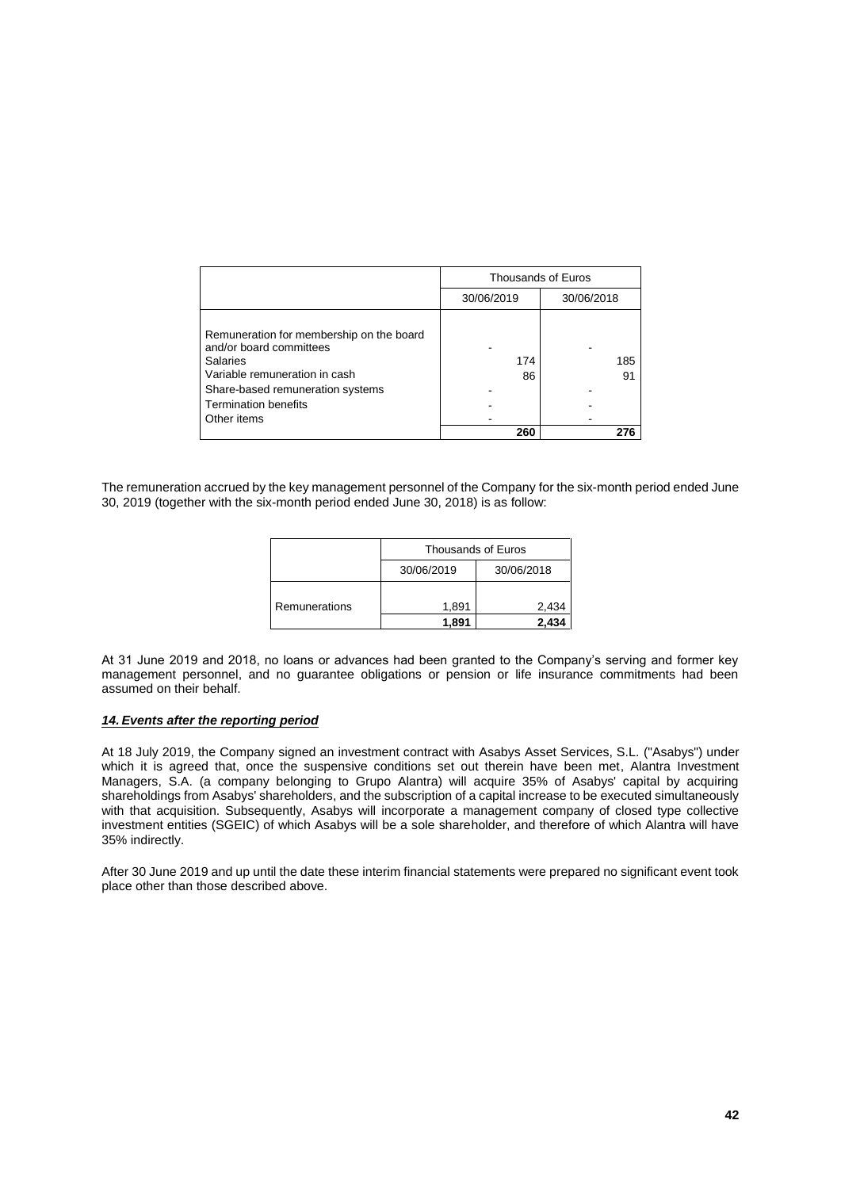|                                                                                                                                                                                                    | Thousands of Euros |            |  |  |
|----------------------------------------------------------------------------------------------------------------------------------------------------------------------------------------------------|--------------------|------------|--|--|
|                                                                                                                                                                                                    | 30/06/2019         | 30/06/2018 |  |  |
| Remuneration for membership on the board<br>and/or board committees<br>Salaries<br>Variable remuneration in cash<br>Share-based remuneration systems<br><b>Termination benefits</b><br>Other items | 174<br>86          | 185<br>91  |  |  |
|                                                                                                                                                                                                    | 260                |            |  |  |

The remuneration accrued by the key management personnel of the Company for the six-month period ended June 30, 2019 (together with the six-month period ended June 30, 2018) is as follow:

|               | Thousands of Euros |            |  |  |  |
|---------------|--------------------|------------|--|--|--|
|               | 30/06/2019         | 30/06/2018 |  |  |  |
| Remunerations | 1,891              | 2,434      |  |  |  |
|               | 1.891              | 2.434      |  |  |  |

At 31 June 2019 and 2018, no loans or advances had been granted to the Company's serving and former key management personnel, and no guarantee obligations or pension or life insurance commitments had been assumed on their behalf.

#### *14. Events after the reporting period*

At 18 July 2019, the Company signed an investment contract with Asabys Asset Services, S.L. ("Asabys") under which it is agreed that, once the suspensive conditions set out therein have been met, Alantra Investment Managers, S.A. (a company belonging to Grupo Alantra) will acquire 35% of Asabys' capital by acquiring shareholdings from Asabys' shareholders, and the subscription of a capital increase to be executed simultaneously with that acquisition. Subsequently, Asabys will incorporate a management company of closed type collective investment entities (SGEIC) of which Asabys will be a sole shareholder, and therefore of which Alantra will have 35% indirectly.

After 30 June 2019 and up until the date these interim financial statements were prepared no significant event took place other than those described above.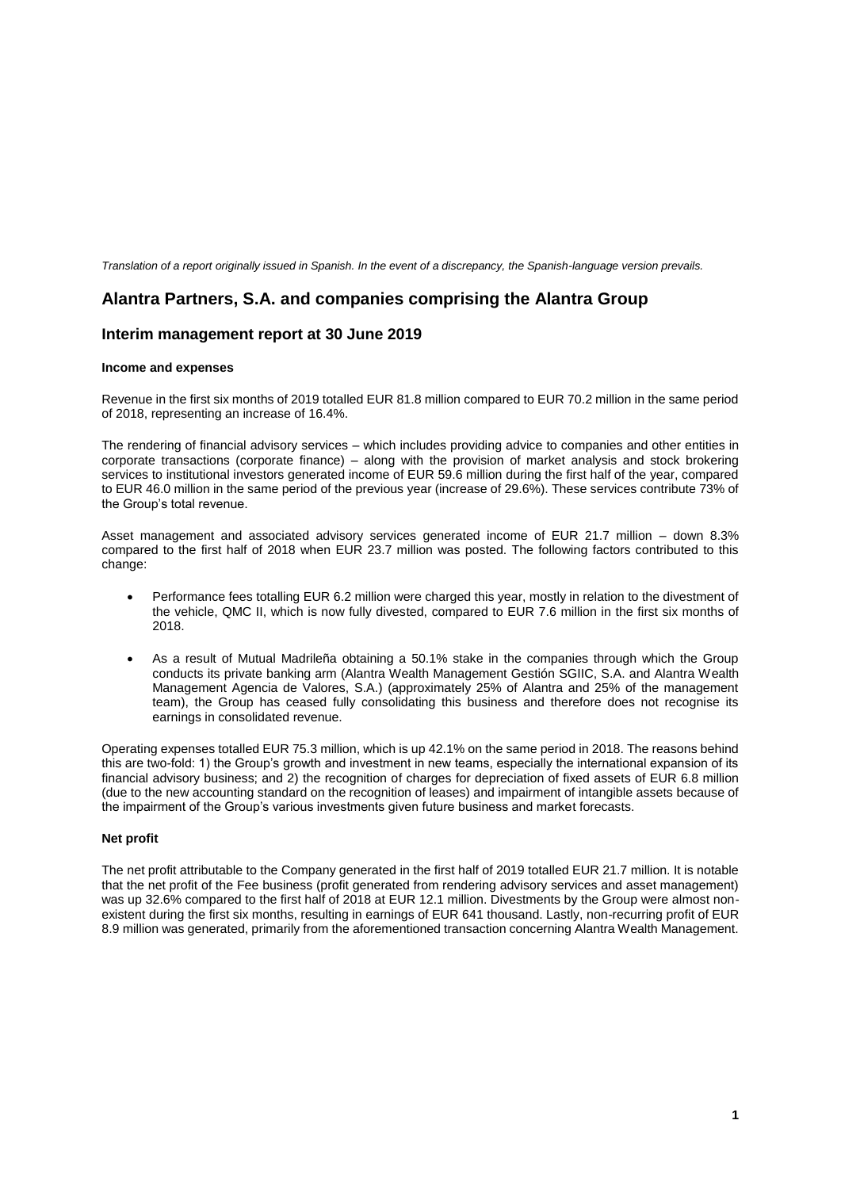*Translation of a report originally issued in Spanish. In the event of a discrepancy, the Spanish-language version prevails.*

# **Alantra Partners, S.A. and companies comprising the Alantra Group**

## **Interim management report at 30 June 2019**

#### **Income and expenses**

Revenue in the first six months of 2019 totalled EUR 81.8 million compared to EUR 70.2 million in the same period of 2018, representing an increase of 16.4%.

The rendering of financial advisory services – which includes providing advice to companies and other entities in corporate transactions (corporate finance) – along with the provision of market analysis and stock brokering services to institutional investors generated income of EUR 59.6 million during the first half of the year, compared to EUR 46.0 million in the same period of the previous year (increase of 29.6%). These services contribute 73% of the Group's total revenue.

Asset management and associated advisory services generated income of EUR 21.7 million – down 8.3% compared to the first half of 2018 when EUR 23.7 million was posted. The following factors contributed to this change:

- Performance fees totalling EUR 6.2 million were charged this year, mostly in relation to the divestment of the vehicle, QMC II, which is now fully divested, compared to EUR 7.6 million in the first six months of 2018.
- As a result of Mutual Madrileña obtaining a 50.1% stake in the companies through which the Group conducts its private banking arm (Alantra Wealth Management Gestión SGIIC, S.A. and Alantra Wealth Management Agencia de Valores, S.A.) (approximately 25% of Alantra and 25% of the management team), the Group has ceased fully consolidating this business and therefore does not recognise its earnings in consolidated revenue.

Operating expenses totalled EUR 75.3 million, which is up 42.1% on the same period in 2018. The reasons behind this are two-fold: 1) the Group's growth and investment in new teams, especially the international expansion of its financial advisory business; and 2) the recognition of charges for depreciation of fixed assets of EUR 6.8 million (due to the new accounting standard on the recognition of leases) and impairment of intangible assets because of the impairment of the Group's various investments given future business and market forecasts.

#### **Net profit**

The net profit attributable to the Company generated in the first half of 2019 totalled EUR 21.7 million. It is notable that the net profit of the Fee business (profit generated from rendering advisory services and asset management) was up 32.6% compared to the first half of 2018 at EUR 12.1 million. Divestments by the Group were almost nonexistent during the first six months, resulting in earnings of EUR 641 thousand. Lastly, non-recurring profit of EUR 8.9 million was generated, primarily from the aforementioned transaction concerning Alantra Wealth Management.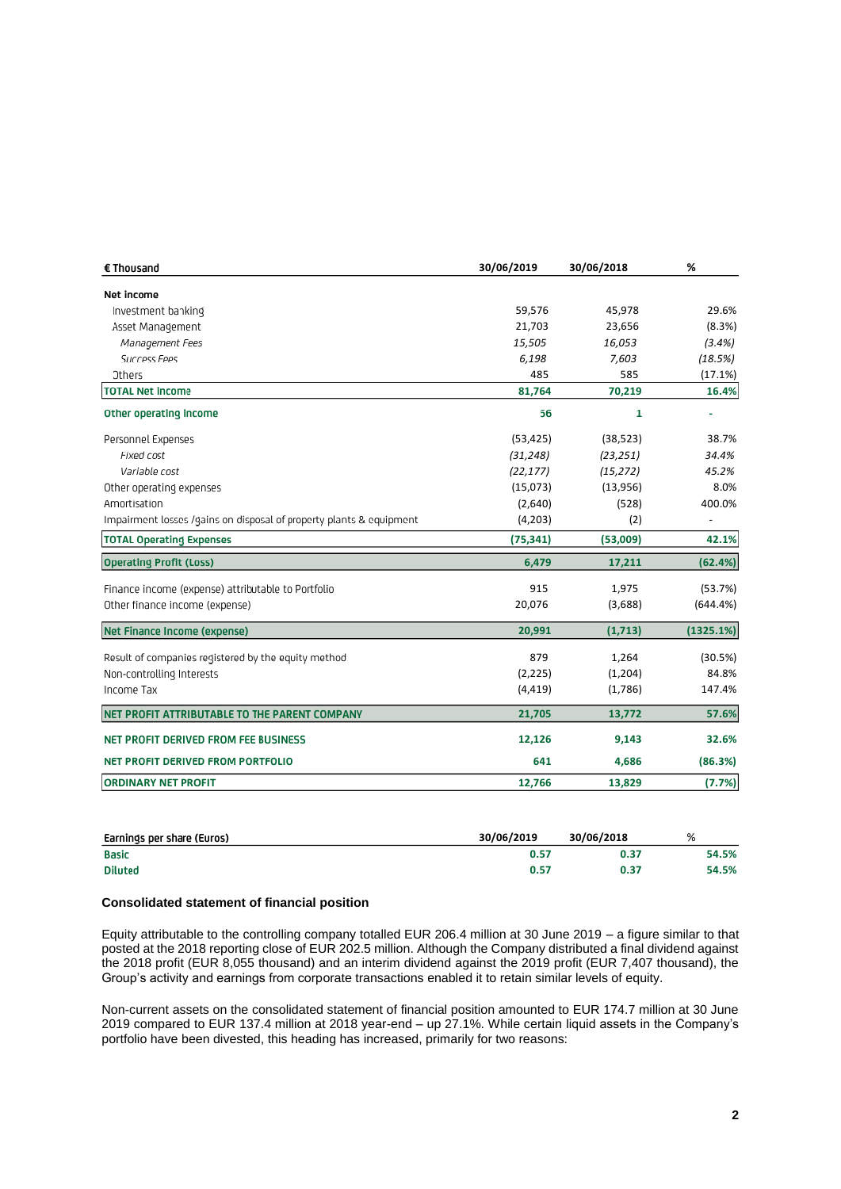| € Thousand                                                          | 30/06/2019 | 30/06/2018 | %              |
|---------------------------------------------------------------------|------------|------------|----------------|
| Net income                                                          |            |            |                |
| Investment banking                                                  | 59,576     | 45,978     | 29.6%          |
| Asset Management                                                    | 21,703     | 23,656     | (8.3%)         |
| Management Fees                                                     | 15,505     | 16,053     | (3.4%)         |
| Success Fees                                                        | 6,198      | 7,603      | (18.5%)        |
| Others                                                              | 485        | 585        | (17.1%)        |
| <b>TOTAL Net income</b>                                             | 81,764     | 70,219     | 16.4%          |
| Other operating income                                              | 56         | 1          |                |
| Personnel Expenses                                                  | (53, 425)  | (38, 523)  | 38.7%          |
| Fixed cost                                                          | (31, 248)  | (23, 251)  | 34.4%          |
| Variable cost                                                       | (22, 177)  | (15, 272)  | 45.2%          |
| Other operating expenses                                            | (15,073)   | (13,956)   | 8.0%           |
| Amortisation                                                        | (2,640)    | (528)      | 400.0%         |
| Impairment losses /gains on disposal of property plants & equipment | (4,203)    | (2)        | $\overline{a}$ |
| <b>TOTAL Operating Expenses</b>                                     | (75, 341)  | (53,009)   | 42.1%          |
| <b>Operating Profit (Loss)</b>                                      | 6,479      | 17,211     | (62.4%)        |
| Finance income (expense) attributable to Portfolio                  | 915        | 1,975      | (53.7%)        |
| Other finance income (expense)                                      | 20,076     | (3,688)    | (644.4%)       |
| Net Finance Income (expense)                                        | 20,991     | (1,713)    | (1325.1%)      |
| Result of companies registered by the equity method                 | 879        | 1,264      | (30.5%)        |
| Non-controlling Interests                                           | (2, 225)   | (1,204)    | 84.8%          |
| Income Tax                                                          | (4, 419)   | (1,786)    | 147.4%         |
| NET PROFIT ATTRIBUTABLE TO THE PARENT COMPANY                       | 21,705     | 13,772     | 57.6%          |
| NET PROFIT DERIVED FROM FEE BUSINESS                                | 12,126     | 9,143      | 32.6%          |
| NET PROFIT DERIVED FROM PORTFOLIO                                   | 641        | 4,686      | (86.3%)        |
| <b>ORDINARY NET PROFIT</b>                                          | 12,766     | 13,829     | (7.7%)         |

| Earnings per share (Euros) | 30/06/2019 | 30/06/2018 | %     |
|----------------------------|------------|------------|-------|
| <b>Basic</b>               | 0.57       | 0.37       | 54.5% |
| <b>Diluted</b>             | 0.57       | 0.37       | 54.5% |

#### **Consolidated statement of financial position**

Equity attributable to the controlling company totalled EUR 206.4 million at 30 June 2019 – a figure similar to that posted at the 2018 reporting close of EUR 202.5 million. Although the Company distributed a final dividend against the 2018 profit (EUR 8,055 thousand) and an interim dividend against the 2019 profit (EUR 7,407 thousand), the Group's activity and earnings from corporate transactions enabled it to retain similar levels of equity.

Non-current assets on the consolidated statement of financial position amounted to EUR 174.7 million at 30 June 2019 compared to EUR 137.4 million at 2018 year-end – up 27.1%. While certain liquid assets in the Company's portfolio have been divested, this heading has increased, primarily for two reasons: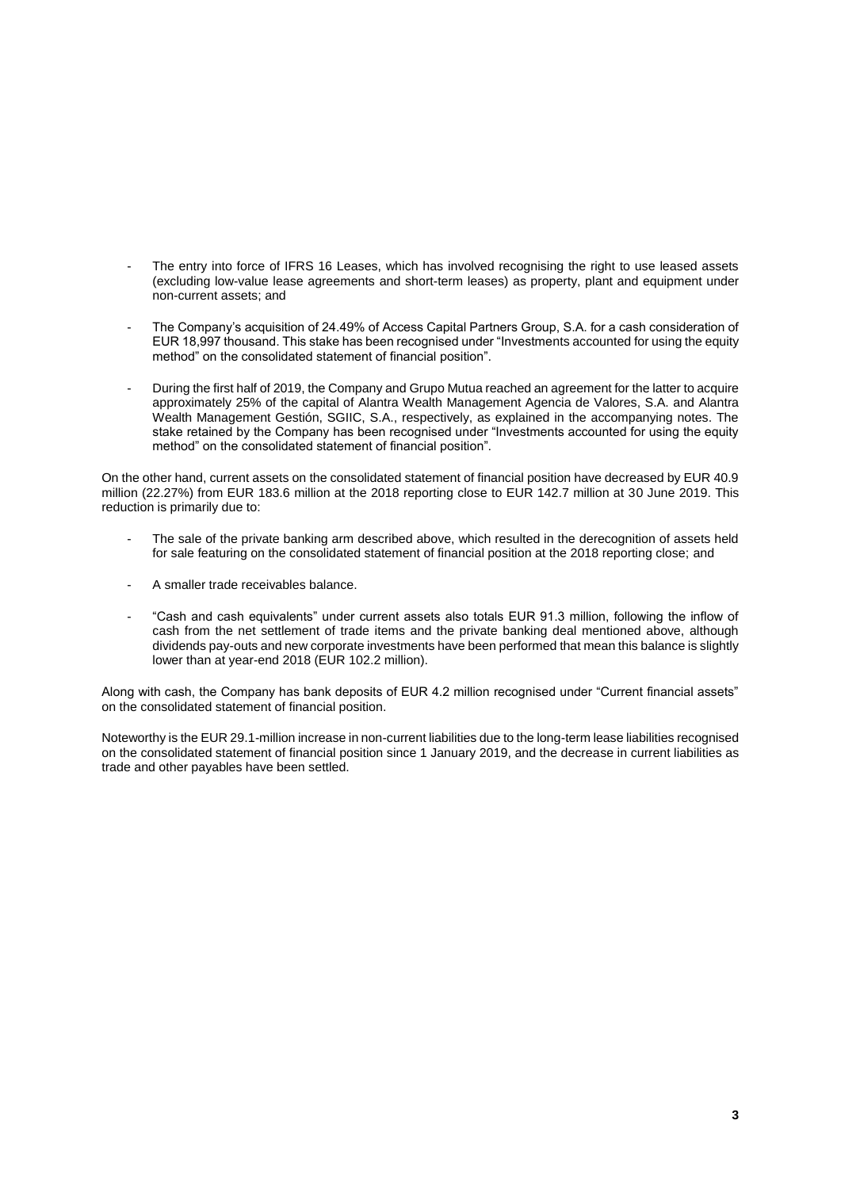- The entry into force of IFRS 16 Leases, which has involved recognising the right to use leased assets (excluding low-value lease agreements and short-term leases) as property, plant and equipment under non-current assets; and
- The Company's acquisition of 24.49% of Access Capital Partners Group, S.A. for a cash consideration of EUR 18,997 thousand. This stake has been recognised under "Investments accounted for using the equity method" on the consolidated statement of financial position".
- During the first half of 2019, the Company and Grupo Mutua reached an agreement for the latter to acquire approximately 25% of the capital of Alantra Wealth Management Agencia de Valores, S.A. and Alantra Wealth Management Gestión, SGIIC, S.A., respectively, as explained in the accompanying notes. The stake retained by the Company has been recognised under "Investments accounted for using the equity method" on the consolidated statement of financial position".

On the other hand, current assets on the consolidated statement of financial position have decreased by EUR 40.9 million (22.27%) from EUR 183.6 million at the 2018 reporting close to EUR 142.7 million at 30 June 2019. This reduction is primarily due to:

- The sale of the private banking arm described above, which resulted in the derecognition of assets held for sale featuring on the consolidated statement of financial position at the 2018 reporting close; and
- A smaller trade receivables balance.
- "Cash and cash equivalents" under current assets also totals EUR 91.3 million, following the inflow of cash from the net settlement of trade items and the private banking deal mentioned above, although dividends pay-outs and new corporate investments have been performed that mean this balance is slightly lower than at year-end 2018 (EUR 102.2 million).

Along with cash, the Company has bank deposits of EUR 4.2 million recognised under "Current financial assets" on the consolidated statement of financial position.

Noteworthy is the EUR 29.1-million increase in non-current liabilities due to the long-term lease liabilities recognised on the consolidated statement of financial position since 1 January 2019, and the decrease in current liabilities as trade and other payables have been settled.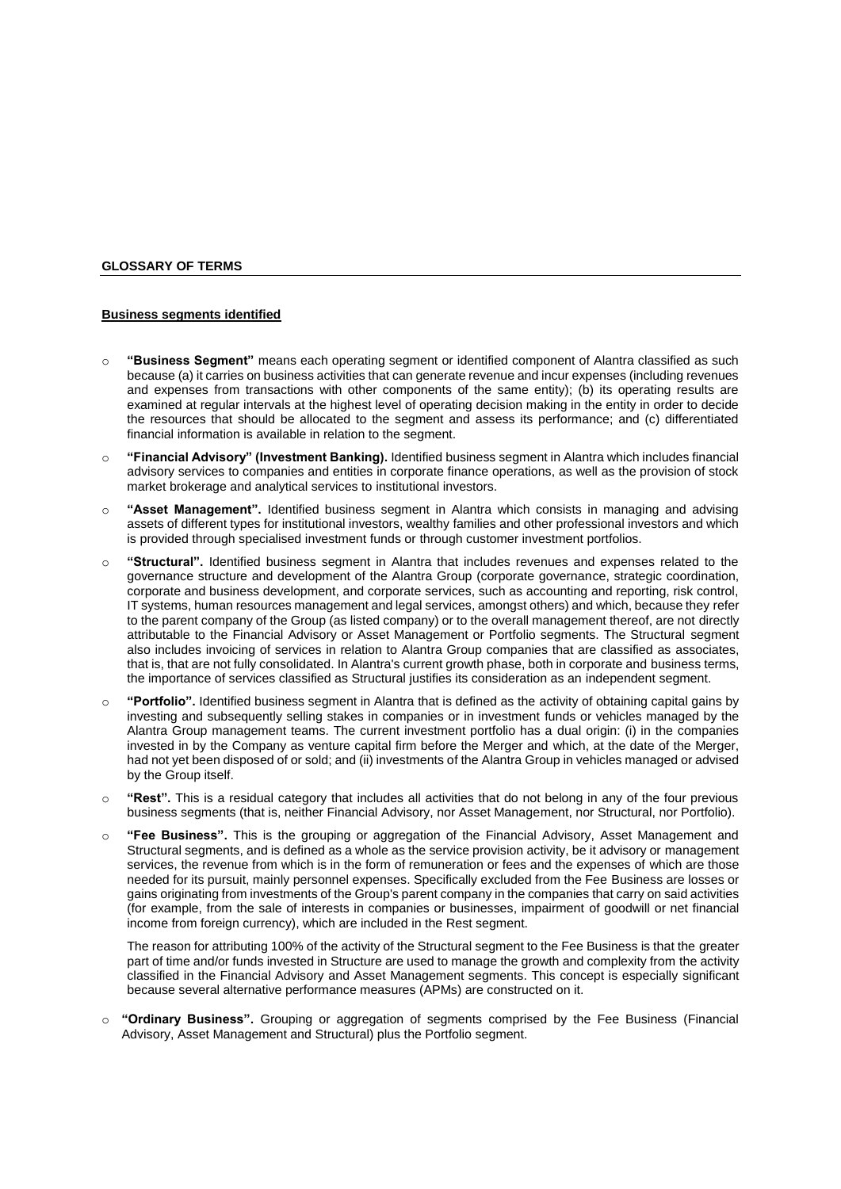## **GLOSSARY OF TERMS**

## **Business segments identified**

- o **"Business Segment"** means each operating segment or identified component of Alantra classified as such because (a) it carries on business activities that can generate revenue and incur expenses (including revenues and expenses from transactions with other components of the same entity); (b) its operating results are examined at regular intervals at the highest level of operating decision making in the entity in order to decide the resources that should be allocated to the segment and assess its performance; and (c) differentiated financial information is available in relation to the segment.
- o **"Financial Advisory" (Investment Banking).** Identified business segment in Alantra which includes financial advisory services to companies and entities in corporate finance operations, as well as the provision of stock market brokerage and analytical services to institutional investors.
- o **"Asset Management".** Identified business segment in Alantra which consists in managing and advising assets of different types for institutional investors, wealthy families and other professional investors and which is provided through specialised investment funds or through customer investment portfolios.
- o **"Structural".** Identified business segment in Alantra that includes revenues and expenses related to the governance structure and development of the Alantra Group (corporate governance, strategic coordination, corporate and business development, and corporate services, such as accounting and reporting, risk control, IT systems, human resources management and legal services, amongst others) and which, because they refer to the parent company of the Group (as listed company) or to the overall management thereof, are not directly attributable to the Financial Advisory or Asset Management or Portfolio segments. The Structural segment also includes invoicing of services in relation to Alantra Group companies that are classified as associates, that is, that are not fully consolidated. In Alantra's current growth phase, both in corporate and business terms, the importance of services classified as Structural justifies its consideration as an independent segment.
- o **"Portfolio".** Identified business segment in Alantra that is defined as the activity of obtaining capital gains by investing and subsequently selling stakes in companies or in investment funds or vehicles managed by the Alantra Group management teams. The current investment portfolio has a dual origin: (i) in the companies invested in by the Company as venture capital firm before the Merger and which, at the date of the Merger, had not yet been disposed of or sold; and (ii) investments of the Alantra Group in vehicles managed or advised by the Group itself.
- o **"Rest".** This is a residual category that includes all activities that do not belong in any of the four previous business segments (that is, neither Financial Advisory, nor Asset Management, nor Structural, nor Portfolio).
- o **"Fee Business".** This is the grouping or aggregation of the Financial Advisory, Asset Management and Structural segments, and is defined as a whole as the service provision activity, be it advisory or management services, the revenue from which is in the form of remuneration or fees and the expenses of which are those needed for its pursuit, mainly personnel expenses. Specifically excluded from the Fee Business are losses or gains originating from investments of the Group's parent company in the companies that carry on said activities (for example, from the sale of interests in companies or businesses, impairment of goodwill or net financial income from foreign currency), which are included in the Rest segment.

The reason for attributing 100% of the activity of the Structural segment to the Fee Business is that the greater part of time and/or funds invested in Structure are used to manage the growth and complexity from the activity classified in the Financial Advisory and Asset Management segments. This concept is especially significant because several alternative performance measures (APMs) are constructed on it.

o **"Ordinary Business".** Grouping or aggregation of segments comprised by the Fee Business (Financial Advisory, Asset Management and Structural) plus the Portfolio segment.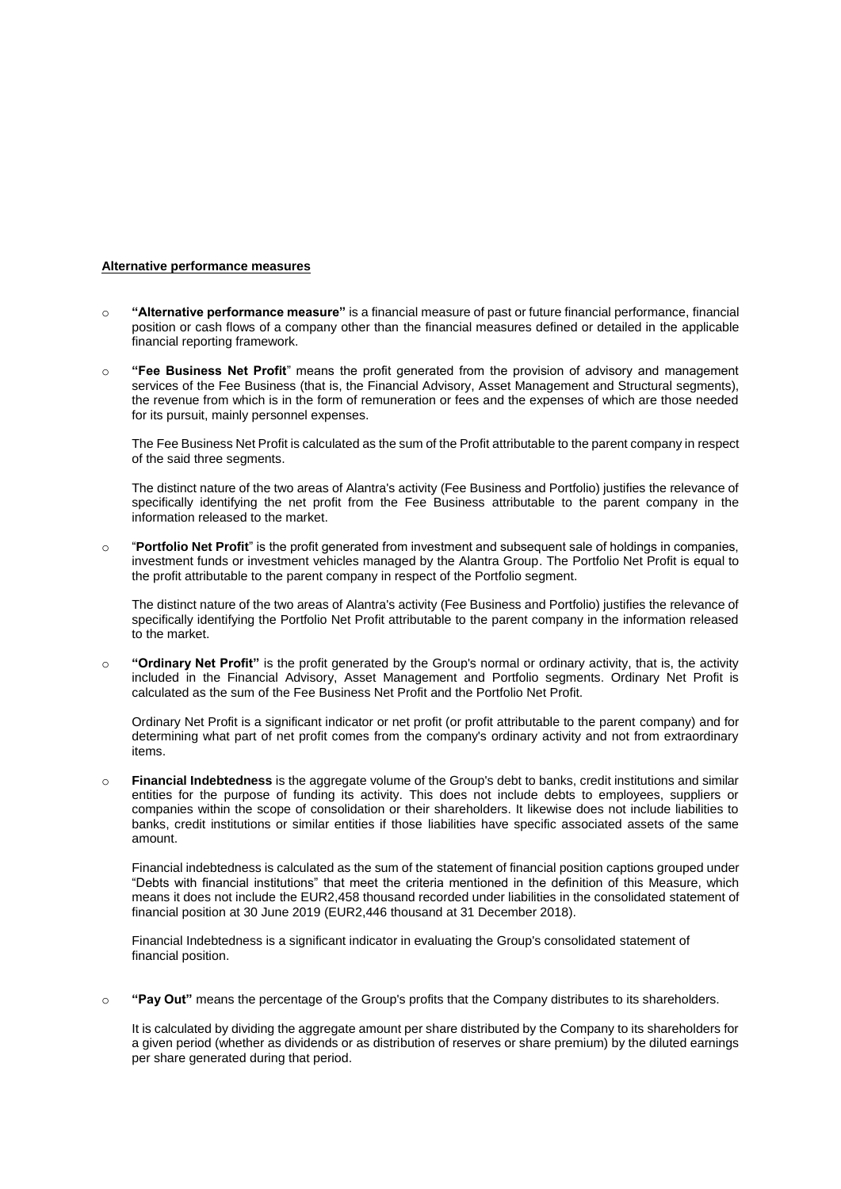## **Alternative performance measures**

- o **"Alternative performance measure"** is a financial measure of past or future financial performance, financial position or cash flows of a company other than the financial measures defined or detailed in the applicable financial reporting framework.
- o **"Fee Business Net Profit**" means the profit generated from the provision of advisory and management services of the Fee Business (that is, the Financial Advisory, Asset Management and Structural segments), the revenue from which is in the form of remuneration or fees and the expenses of which are those needed for its pursuit, mainly personnel expenses.

The Fee Business Net Profit is calculated as the sum of the Profit attributable to the parent company in respect of the said three segments.

The distinct nature of the two areas of Alantra's activity (Fee Business and Portfolio) justifies the relevance of specifically identifying the net profit from the Fee Business attributable to the parent company in the information released to the market.

o "**Portfolio Net Profit**" is the profit generated from investment and subsequent sale of holdings in companies, investment funds or investment vehicles managed by the Alantra Group. The Portfolio Net Profit is equal to the profit attributable to the parent company in respect of the Portfolio segment.

The distinct nature of the two areas of Alantra's activity (Fee Business and Portfolio) justifies the relevance of specifically identifying the Portfolio Net Profit attributable to the parent company in the information released to the market.

o **"Ordinary Net Profit"** is the profit generated by the Group's normal or ordinary activity, that is, the activity included in the Financial Advisory, Asset Management and Portfolio segments. Ordinary Net Profit is calculated as the sum of the Fee Business Net Profit and the Portfolio Net Profit.

Ordinary Net Profit is a significant indicator or net profit (or profit attributable to the parent company) and for determining what part of net profit comes from the company's ordinary activity and not from extraordinary items.

o **Financial Indebtedness** is the aggregate volume of the Group's debt to banks, credit institutions and similar entities for the purpose of funding its activity. This does not include debts to employees, suppliers or companies within the scope of consolidation or their shareholders. It likewise does not include liabilities to banks, credit institutions or similar entities if those liabilities have specific associated assets of the same amount.

Financial indebtedness is calculated as the sum of the statement of financial position captions grouped under "Debts with financial institutions" that meet the criteria mentioned in the definition of this Measure, which means it does not include the EUR2,458 thousand recorded under liabilities in the consolidated statement of financial position at 30 June 2019 (EUR2,446 thousand at 31 December 2018).

Financial Indebtedness is a significant indicator in evaluating the Group's consolidated statement of financial position.

o **"Pay Out"** means the percentage of the Group's profits that the Company distributes to its shareholders.

It is calculated by dividing the aggregate amount per share distributed by the Company to its shareholders for a given period (whether as dividends or as distribution of reserves or share premium) by the diluted earnings per share generated during that period.